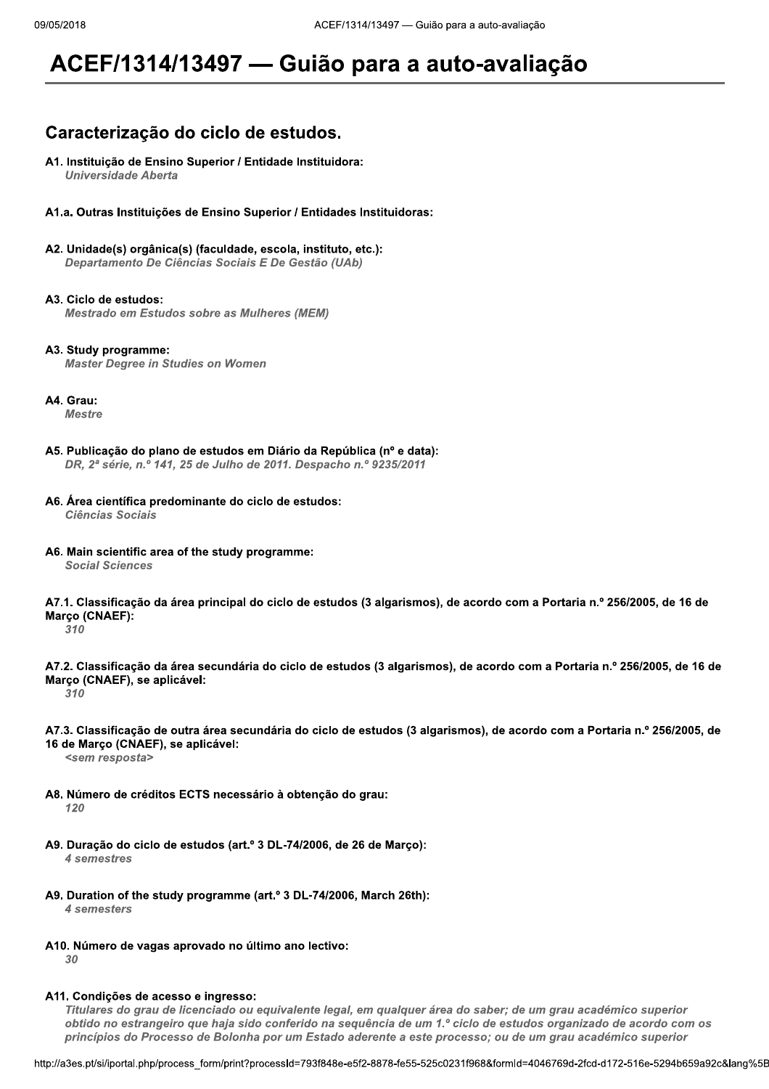# ACEF/1314/13497 — Guião para a auto-avaliação

## Caracterização do ciclo de estudos.

A1. Instituição de Ensino Superior / Entidade Instituidora: **Universidade Aberta** 

A1.a. Outras Instituições de Ensino Superior / Entidades Instituidoras:

A2. Unidade(s) orgânica(s) (faculdade, escola, instituto, etc.): Departamento De Ciências Sociais E De Gestão (UAb)

A3. Ciclo de estudos: **Mestrado em Estudos sobre as Mulheres (MEM)** 

A3. Study programme: **Master Degree in Studies on Women** 

A4. Grau:

**Mestre** 

- A5. Publicação do plano de estudos em Diário da República (nº e data): DR, 2ª série, n.º 141, 25 de Julho de 2011. Despacho n.º 9235/2011
- A6. Área científica predominante do ciclo de estudos: **Ciências Sociais**
- A6. Main scientific area of the study programme: **Social Sciences**

A7.1. Classificação da área principal do ciclo de estudos (3 algarismos), de acordo com a Portaria n.º 256/2005, de 16 de Março (CNAEF):

 $310$ 

A7.2. Classificação da área secundária do ciclo de estudos (3 algarismos), de acordo com a Portaria n.º 256/2005, de 16 de Março (CNAEF), se aplicável:

310

A7.3. Classificação de outra área secundária do ciclo de estudos (3 algarismos), de acordo com a Portaria n.º 256/2005, de 16 de Março (CNAEF), se aplicável:

<sem resposta>

- A8. Número de créditos ECTS necessário à obtenção do grau:  $120$
- A9. Duração do ciclo de estudos (art.º 3 DL-74/2006, de 26 de Março): 4 semestres
- A9. Duration of the study programme (art.º 3 DL-74/2006, March 26th): 4 semesters
- A10. Número de vagas aprovado no último ano lectivo: 30

## A11. Condições de acesso e ingresso:

Titulares do grau de licenciado ou equivalente legal, em qualquer área do saber; de um grau académico superior obtido no estrangeiro que haja sido conferido na sequência de um 1.º ciclo de estudos organizado de acordo com os princípios do Processo de Bolonha por um Estado aderente a este processo; ou de um grau académico superior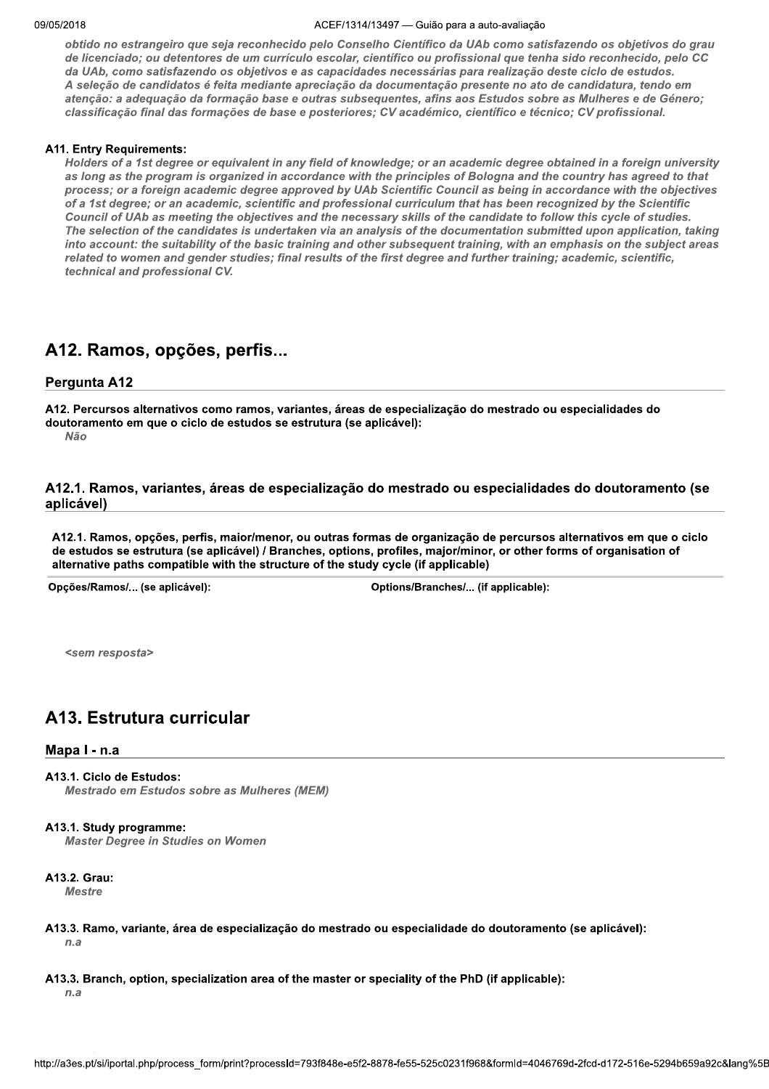#### ZUIB AULTI  $/1314/13497$  — Gulao para a auto-avaliação

obtido no estrangeiro que seja reconhecido pelo Conselho Científico da UAb como satisfazendo os objetivos do grau de licenciado; ou detentores de um currículo escolar, científico ou profissional que tenha sido reconhecido, pelo CC<br>da UAb, como satisfazendo os objetivos e as capacidades necessárias para realização deste ciclo de estudo A seleção de candidatos é feita mediante apreciação da documentação presente no ato de candidatura, tendo em atenção: a adequação da formação base e outras subsequentes, afins aos Estudos sobre as Mulheres e de Género; classificação final das formações de base e posteriores; CV académico, científico e técnico; CV profissional.

#### y. A11. Entry Requirements:

Holders of a 1st degree or equivalent in any field of knowledge; or an academic degree obtained in a foreign university as long as the program is organized in accordance with the principles of Bologna and the country has agreed to that process; or a foreign academic degree approved by UAb Scientific Council as being in accordance with the objectives of a 1st degree; or an academic, scientific and professional curriculum that has been recognized by the Scientific Council of UAb as meeting the objectives and the necessary skills of the candidate to follow this cycle of studies. The selection of the candidates is undertaken via an analysis of the documentation submitted upon application, taking into account: the suitability of the basic training and other subsequent training, with an emphasis on the subject areas related to women and gender studies; final results of the first degree and further training; academic, scientific, technical and professional CV.

## A12. Ramos, opções, perfis...

## Pergunta A12

A12. Percursos alternativos como ramos, variantes, áreas de especialização do mestrado ou especialidades do doutoramento em que o ciclo de estudos se estrutura (se aplicável):<br>Não  $N$ ão de la construcción de la construcción de la construcción de la construcción de la construcción de la construcción de la construcción de la construcción de la construcción de la construcción de la construcción de la

A12.1. Ramos, variantes, áreas de especialização do mestrado ou especialidades do doutoramento (se aplicável)

A12.1. Ramos, opções, perfis, maior/menor, ou outras formas de organização de percursos alternativos em que o ciclo de estudos se estrutura (se aplicável) / Branches, options, profiles, major/minor, or other forms of organisation of alternative paths compatible with the structure of the study cycle (if applicable)

Opções/Ramos/... (se aplicável):  $\rho$ chos/Branches/... (if applicable):

<sem resposta>

# A13. Estrutura curricular

## Mapa I - n.a

## A13.1. Ciclo de Estudos:

Mestrado em Estudos sobre as Mulheres (MEM)

#### y. A13.1. Study programme:

**Master Degree in Studies on Women** 

#### y. A13.2. Grau:

**Mestre** 

- y. A13.3. Ramo, variante, area de especialização do mestrado ou especialidade do doutoramento (se aplicavel):  $n_a$
- ption, specialization area of the master or speciality of the PhD (if applicable):<br>bhp/process\_form/print?processId=793f848e-e5f2-8878-fe55-525c0231f968&formId=4046769d-2fcd-d172-516e-5294b659a92c&lang%5B<br>bhp/process\_form/ y. A13.3. Branch, option, specialization area of the master or speciality of the PhD (if applicable):  $\,$  $n_a$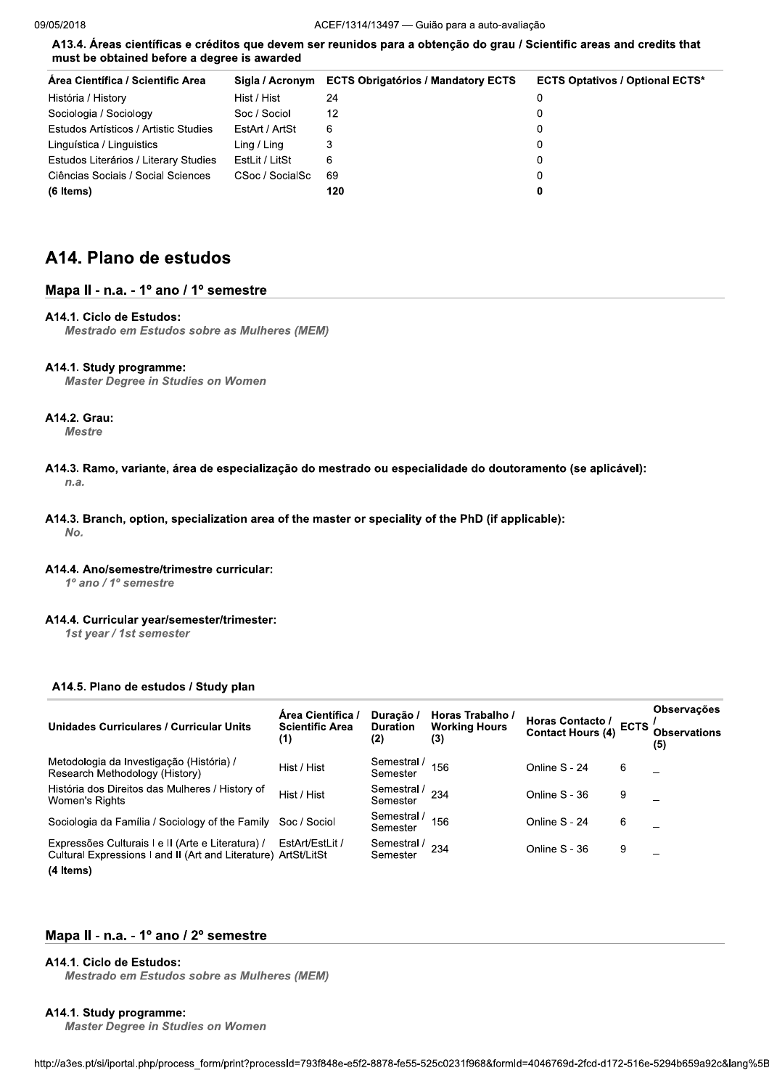A13.4. Áreas científicas e créditos que devem ser reunidos para a obtenção do grau / Scientific areas and credits that must be obtained before a degree is awarded

| Area Científica / Scientific Area     |                 | Sigla / Acronym ECTS Obrigatórios / Mandatory ECTS | <b>ECTS Optativos / Optional ECTS*</b> |
|---------------------------------------|-----------------|----------------------------------------------------|----------------------------------------|
| História / History                    | Hist / Hist     | 24                                                 |                                        |
| Sociologia / Sociology                | Soc / Sociol    | 12                                                 |                                        |
| Estudos Artísticos / Artistic Studies | EstArt / ArtSt  | 6                                                  | 0                                      |
| Linguística / Linguistics             | Ling / Ling     |                                                    |                                        |
| Estudos Literários / Literary Studies | EstLit / LitSt  | 6                                                  |                                        |
| Ciências Sociais / Social Sciences    | CSoc / SocialSc | 69                                                 | 0                                      |
| (6 Items)                             |                 | 120                                                |                                        |

## A14. Plano de estudos

## Mapa II - n.a. - 1º ano / 1º semestre

## A14.1. Ciclo de Estudos:

**Mestrado em Estudos sobre as Mulheres (MEM)** 

#### A14.1. Study programme:

**Master Degree in Studies on Women** 

## A14.2. Grau:

**Mestre** 

- A14.3. Ramo, variante, área de especialização do mestrado ou especialidade do doutoramento (se aplicável):  $n.a.$
- A14.3. Branch, option, specialization area of the master or speciality of the PhD (if applicable): No.

#### A14.4. Ano/semestre/trimestre curricular:

1º ano / 1º semestre

#### A14.4. Curricular year/semester/trimester:

1st year / 1st semester

## A14.5. Plano de estudos / Study plan

| Unidades Curriculares / Curricular Units                                                                                         | Área Científica /<br><b>Scientific Area</b><br>(1) | Duração /<br><b>Duration</b><br>(2) | Horas Trabalho /<br><b>Working Hours</b><br>(3) | Horas Contacto /<br>Contact Hours (4) | <b>ECTS</b> | <b>Observações</b><br><b>Observations</b><br>(5) |
|----------------------------------------------------------------------------------------------------------------------------------|----------------------------------------------------|-------------------------------------|-------------------------------------------------|---------------------------------------|-------------|--------------------------------------------------|
| Metodologia da Investigação (História) /<br>Research Methodology (History)                                                       | Hist / Hist                                        | Semestral /<br>Semester             | 156                                             | Online S - 24                         | 6           |                                                  |
| História dos Direitos das Mulheres / History of<br>Women's Rights                                                                | Hist / Hist                                        | Semestral /<br>Semester             | 234                                             | Online S - 36                         | 9           |                                                  |
| Sociologia da Família / Sociology of the Family                                                                                  | Soc / Sociol                                       | Semestral<br>Semester               | 156                                             | Online S - 24                         | 6           |                                                  |
| Expressões Culturais I e II (Arte e Literatura) /<br>Cultural Expressions I and II (Art and Literature) ArtSt/LitSt<br>(4 Items) | EstArt/EstLit /                                    | Semestral /<br>Semester             | 234                                             | Online S - 36                         | 9           |                                                  |

## Mapa II - n.a. - 1º ano / 2º semestre

## A14.1. Ciclo de Estudos:

**Mestrado em Estudos sobre as Mulheres (MEM)** 

#### A14.1. Study programme:

**Master Degree in Studies on Women**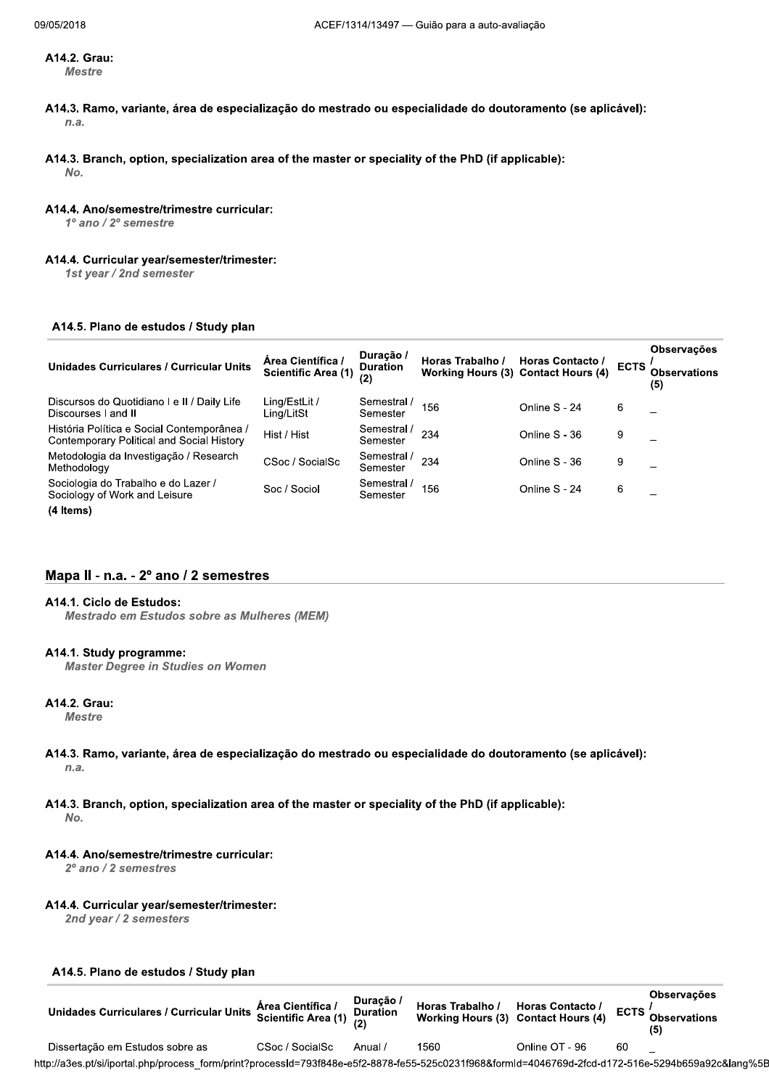#### A14.2. Grau: **Mestre**

- A14.3. Ramo, variante, área de especialização do mestrado ou especialidade do doutoramento (se aplicável):  $n.a.$
- A14.3. Branch, option, specialization area of the master or speciality of the PhD (if applicable):

No.

#### A14.4. Ano/semestre/trimestre curricular:

 $1^{\circ}$  ano  $/$   $2^{\circ}$  semestre

#### A14.4. Curricular year/semester/trimester:

1st year / 2nd semester

#### A14.5. Plano de estudos / Study plan

| <b>Unidades Curriculares / Curricular Units</b>                                         | Area Científica /<br><b>Scientific Area (1)</b> | Duração /<br><b>Duration</b><br>(2) | Horas Trabalho /<br><b>Working Hours (3) Contact Hours (4)</b> | Horas Contacto / | <b>ECTS</b> | <b>Observações</b><br><b>Observations</b><br>(5) |
|-----------------------------------------------------------------------------------------|-------------------------------------------------|-------------------------------------|----------------------------------------------------------------|------------------|-------------|--------------------------------------------------|
| Discursos do Quotidiano I e II / Daily Life<br>Discourses I and II                      | Ling/EstLit /<br>Ling/LitSt                     | Semestral<br>Semester               | 156                                                            | Online S - 24    | 6           |                                                  |
| História Política e Social Contemporânea /<br>Contemporary Political and Social History | Hist / Hist                                     | Semestral /<br>Semester             | 234                                                            | Online S - 36    | 9           |                                                  |
| Metodologia da Investigação / Research<br>Methodology                                   | CSoc / SocialSc                                 | Semestral /<br>Semester             | 234                                                            | Online S - 36    | 9           |                                                  |
| Sociologia do Trabalho e do Lazer /<br>Sociology of Work and Leisure                    | Soc / Sociol                                    | Semestral /<br>Semester             | 156                                                            | Online S - 24    | 6           |                                                  |
| (4 Items)                                                                               |                                                 |                                     |                                                                |                  |             |                                                  |

## Mapa II - n.a. - 2º ano / 2 semestres

## A14.1. Ciclo de Estudos:

Mestrado em Estudos sobre as Mulheres (MEM)

#### A14.1. Study programme:

**Master Degree in Studies on Women** 

## A14.2. Grau:

**Mestre** 

#### A14.3. Ramo, variante, área de especialização do mestrado ou especialidade do doutoramento (se aplicável):  $n.a.$

#### A14.3. Branch, option, specialization area of the master or speciality of the PhD (if applicable): No.

## A14.4. Ano/semestre/trimestre curricular:

2º ano / 2 semestres

## A14.4. Curricular year/semester/trimester:

2nd year / 2 semesters

## A14.5. Plano de estudos / Study plan

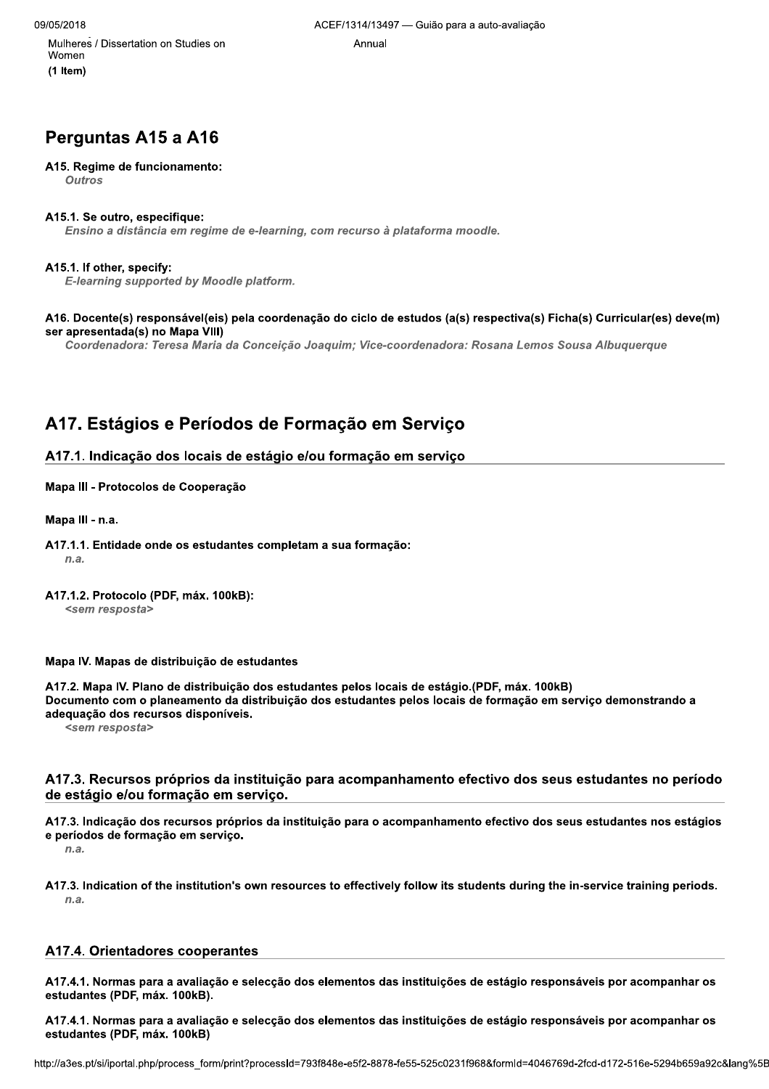$\ddot{\phantom{0}}$ Muineres / Dissertation on Studies on the control of the Annual Annual Annual Studies of the Annual Annual Studies of the Annual Annual Studies of the Studies of the Studies of the Studies of the Studies of the Studies of (1 Item)<br>(1 Item)

# Perguntas A15 a A16

#### A15. Regime de funcionamento:

**Outros** 

#### 7 A15.1. Se outro, especifique:

Ensino a distância em regime de e-learning, com recurso à plataforma moodle.

#### 7 A15.1. If other, specify:

E-learning supported by Moodle platform.

#### 7 A16. Docente(s) responsavel(els) pela coordenação do cíclo de estudos (a(s) respectiva(s) Ficha(s) Curricular(es) deve(m) ser apresentada(s) no Mapa VIII)

Coordenadora: Teresa Maria da Conceição Joaquim; Vice-coordenadora: Rosana Lemos Sousa Albuquerque

## A17. Estágios e Períodos de Formação em Serviço

## A17.1. Indicação dos locais de estágio e/ou formação em serviço

## Mapa III - Protocolos de Cooperação

Mapa III - n.a.

A17.1.1. Entidade onde os estudantes completam a sua formação:<br> $n.a.$  $n.a.$ 

#### 7 A17.1.2. Protocolo (PDF, max. 100KB): <sem resposta>

Mapa IV. Mapas de distribuição de estudantes

A17.2. Mapa IV. Plano de distribuição dos estudantes pelos locais de estágio. (PDF, máx. 100kB) Documento com o planeamento da distribuição dos estudantes pelos locais de formação em serviço demonstrando a adequação dos recursos disponíveis.

<sem resposta>

## A17.3. Recursos próprios da instituição para acompanhamento efectivo dos seus estudantes no período de estágio e/ou formação em serviço.

A17.3. Indicação dos recursos próprios da instituição para o acompanhamento efectivo dos seus estudantes nos estágios e períodos de formação em serviço.<br> $n.a.$  $n.a.$ 

7 A17.3. Indication of the institution's own resources to effectively follow its students during the in-service training periods.  $n.a.$ 

## A17.4. Orientadores cooperantes

para a avaliação e selecção dos elementos das instituições de estágio responsáveis por acompanhar os<br>máx. 100kB).<br>para a avaliação e selecção dos elementos das instituições de estágio responsáveis por acompanhar os<br>máx. 10 A17.4.1. Normas para a avaliação e selecção dos elementos das instituições de estágio responsáveis por acompanhar os estudantes (PDF, máx. 100kB).

estudantes (PDF, máx. 100kB)

nttp://a3es.pt/si/iportal.php/process\_form/pi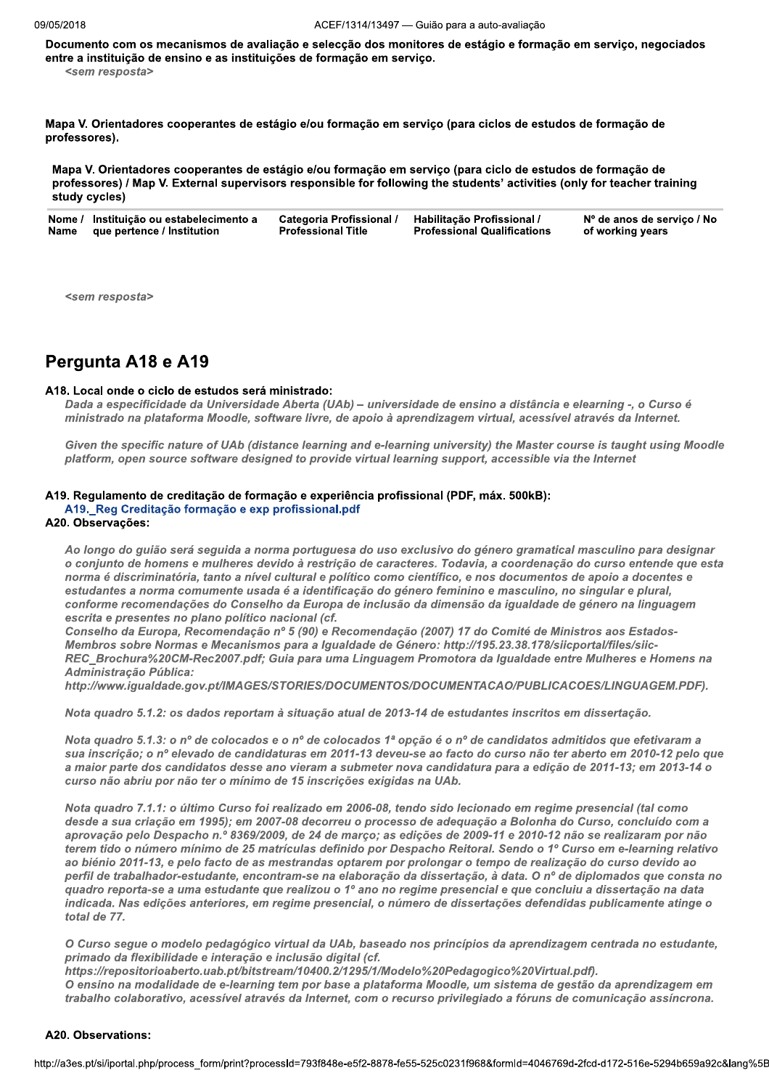Documento com os mecanismos de avaliação e selecção dos monitores de estágio e formação em serviço, negociados entre a instituição de ensino e as instituições de formação em serviço. <sem resposta>

Mapa V. Orientadores cooperantes de estágio e/ou formação em serviço (para ciclos de estudos de formação de professores).

Mapa V. Orientadores cooperantes de estágio e/ou formação em serviço (para ciclo de estudos de formação de professores) / Map V. External supervisors responsible for following the students' activities (only for teacher training study cycles)

|      | Nome / Instituição ou estabelecimento a | Categoria Profissional /  | Habilitação Profissional /         | Nº de anos de serviço / No |
|------|-----------------------------------------|---------------------------|------------------------------------|----------------------------|
| Name | que pertence / Institution              | <b>Professional Title</b> | <b>Professional Qualifications</b> | of working years           |

<sem resposta>

## Pergunta A18 e A19

#### A18. Local onde o ciclo de estudos será ministrado:

Dada a especificidade da Universidade Aberta (UAb) - universidade de ensino a distância e elearning -, o Curso é ministrado na plataforma Moodle, software livre, de apoio à aprendizagem virtual, acessível através da Internet.

Given the specific nature of UAb (distance learning and e-learning university) the Master course is taught using Moodle platform, open source software designed to provide virtual learning support, accessible via the Internet

#### A19. Regulamento de creditação de formação e experiência profissional (PDF, máx. 500kB): A19. Reg Creditação formação e exp profissional.pdf

#### A20. Observações:

Ao longo do guião será seguida a norma portuguesa do uso exclusivo do género gramatical masculino para designar o conjunto de homens e mulheres devido à restrição de caracteres. Todavia, a coordenação do curso entende que esta norma é discriminatória, tanto a nível cultural e político como científico, e nos documentos de apoio a docentes e estudantes a norma comumente usada é a identificação do género feminino e masculino, no singular e plural, conforme recomendações do Conselho da Europa de inclusão da dimensão da igualdade de género na linguagem escrita e presentes no plano político nacional (cf.

Conselho da Europa, Recomendação nº 5 (90) e Recomendação (2007) 17 do Comité de Ministros aos Estados-Membros sobre Normas e Mecanismos para a Igualdade de Género: http://195.23.38.178/siicportal/files/siic-REC Brochura%20CM-Rec2007.pdf; Guia para uma Linguagem Promotora da Igualdade entre Mulheres e Homens na Administração Pública:

http://www.igualdade.gov.pt/IMAGES/STORIES/DOCUMENTOS/DOCUMENTACAO/PUBLICACOES/LINGUAGEM.PDF).

Nota quadro 5.1.2: os dados reportam à situação atual de 2013-14 de estudantes inscritos em dissertação.

Nota quadro 5.1.3: o nº de colocados e o nº de colocados 1ª opção é o nº de candidatos admitidos que efetivaram a sua inscrição; o nº elevado de candidaturas em 2011-13 deveu-se ao facto do curso não ter aberto em 2010-12 pelo que a maior parte dos candidatos desse ano vieram a submeter nova candidatura para a edição de 2011-13; em 2013-14 o curso não abriu por não ter o mínimo de 15 inscrições exigidas na UAb.

Nota quadro 7.1.1: o último Curso foi realizado em 2006-08, tendo sido lecionado em regime presencial (tal como desde a sua criação em 1995); em 2007-08 decorreu o processo de adequação a Bolonha do Curso, concluído com a aprovação pelo Despacho n.º 8369/2009, de 24 de março; as edições de 2009-11 e 2010-12 não se realizaram por não terem tido o número mínimo de 25 matrículas definido por Despacho Reitoral. Sendo o 1º Curso em e-learning relativo ao biénio 2011-13, e pelo facto de as mestrandas optarem por prolongar o tempo de realização do curso devido ao perfil de trabalhador-estudante, encontram-se na elaboração da dissertação, à data. O nº de diplomados que consta no quadro reporta-se a uma estudante que realizou o 1º ano no regime presencial e que concluiu a dissertação na data indicada. Nas edições anteriores, em regime presencial, o número de dissertações defendidas publicamente atinge o total de 77.

O Curso seque o modelo pedagógico virtual da UAb, baseado nos princípios da aprendizagem centrada no estudante, primado da flexibilidade e interação e inclusão digital (cf.

https://repositorioaberto.uab.pt/bitstream/10400.2/1295/1/Modelo%20Pedagogico%20Virtual.pdf).

O ensino na modalidade de e-learning tem por base a plataforma Moodle, um sistema de gestão da aprendizagem em trabalho colaborativo, acessível através da Internet, com o recurso privilegiado a fóruns de comunicação assíncrona.

#### A20. Observations: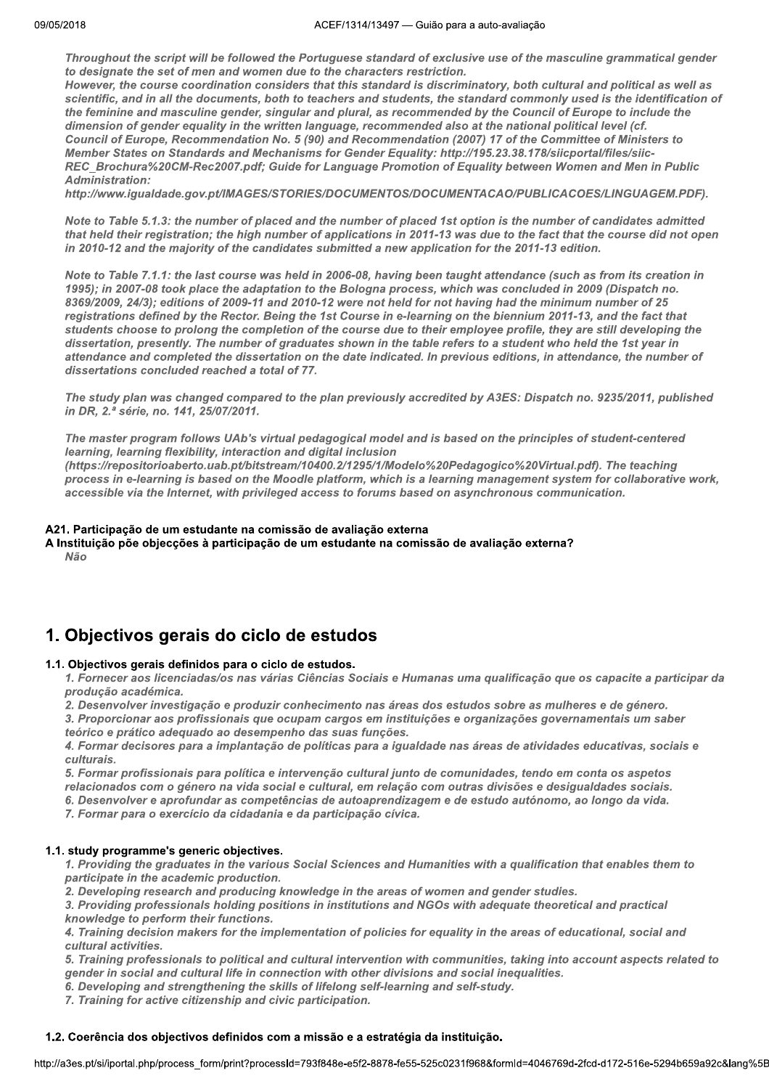Throughout the script will be followed the Portuguese standard of exclusive use of the masculine grammatical gender to designate the set of men and women due to the characters restriction.

However, the course coordination considers that this standard is discriminatory, both cultural and political as well as scientific, and in all the documents, both to teachers and students, the standard commonly used is the identification of the feminine and masculine gender, singular and plural, as recommended by the Council of Europe to include the dimension of gender equality in the written language, recommended also at the national political level (cf. Council of Europe, Recommendation No. 5 (90) and Recommendation (2007) 17 of the Committee of Ministers to Member States on Standards and Mechanisms for Gender Equality: http://195.23.38.178/sijcportal/files/sijc-REC Brochura%20CM-Rec2007.pdf; Guide for Language Promotion of Equality between Women and Men in Public Administration:

http://www.igualdade.gov.pt/IMAGES/STORIES/DOCUMENTOS/DOCUMENTACAO/PUBLICACOES/LINGUAGEM.PDF).

Note to Table 5.1.3: the number of placed and the number of placed 1st option is the number of candidates admitted that held their registration; the high number of applications in 2011-13 was due to the fact that the course did not open in 2010-12 and the majority of the candidates submitted a new application for the 2011-13 edition.

Note to Table 7.1.1: the last course was held in 2006-08, having been taught attendance (such as from its creation in 1995); in 2007-08 took place the adaptation to the Bologna process, which was concluded in 2009 (Dispatch no. 8369/2009, 24/3); editions of 2009-11 and 2010-12 were not held for not having had the minimum number of 25 registrations defined by the Rector. Being the 1st Course in e-learning on the biennium 2011-13, and the fact that students choose to prolong the completion of the course due to their employee profile, they are still developing the dissertation, presently. The number of graduates shown in the table refers to a student who held the 1st year in attendance and completed the dissertation on the date indicated. In previous editions, in attendance, the number of dissertations concluded reached a total of 77.

The study plan was changed compared to the plan previously accredited by A3ES: Dispatch no. 9235/2011, published in DR, 2.ª série, no. 141, 25/07/2011.

The master program follows UAb's virtual pedagogical model and is based on the principles of student-centered learning, learning flexibility, interaction and digital inclusion

(https://repositorioaberto.uab.pt/bitstream/10400.2/1295/1/Modelo%20Pedagogico%20Virtual.pdf). The teaching process in e-learning is based on the Moodle platform, which is a learning management system for collaborative work, accessible via the Internet, with privileged access to forums based on asynchronous communication.

## A21. Participação de um estudante na comissão de avaliação externa

A Instituição põe objecções à participação de um estudante na comissão de avaliação externa? Não

# 1. Objectivos gerais do ciclo de estudos

## 1.1. Objectivos gerais definidos para o ciclo de estudos.

1. Fornecer aos licenciadas/os nas várias Ciências Sociais e Humanas uma qualificação que os capacite a participar da produção académica.

2. Desenvolver investigação e produzir conhecimento nas áreas dos estudos sobre as mulheres e de género.

3. Proporcionar aos profissionais que ocupam cargos em instituições e organizações governamentais um saber teórico e prático adequado ao desempenho das suas funções.

4. Formar decisores para a implantação de políticas para a igualdade nas áreas de atividades educativas, sociais e culturais.

5. Formar profissionais para política e intervencão cultural junto de comunidades, tendo em conta os aspetos relacionados com o género na vida social e cultural, em relação com outras divisões e desigualdades sociais.

6. Desenvolver e aprofundar as competências de autoaprendizagem e de estudo autónomo, ao longo da vida.

7. Formar para o exercício da cidadania e da participação cívica.

## 1.1. study programme's generic objectives.

1. Providing the graduates in the various Social Sciences and Humanities with a qualification that enables them to participate in the academic production.

2. Developing research and producing knowledge in the areas of women and gender studies.

3. Providing professionals holding positions in institutions and NGOs with adequate theoretical and practical knowledge to perform their functions.

4. Training decision makers for the implementation of policies for equality in the areas of educational, social and cultural activities.

5. Training professionals to political and cultural intervention with communities, taking into account aspects related to gender in social and cultural life in connection with other divisions and social inequalities.

6. Developing and strengthening the skills of lifelong self-learning and self-study.

7. Training for active citizenship and civic participation.

## 1.2. Coerência dos objectivos definidos com a missão e a estratégia da instituição.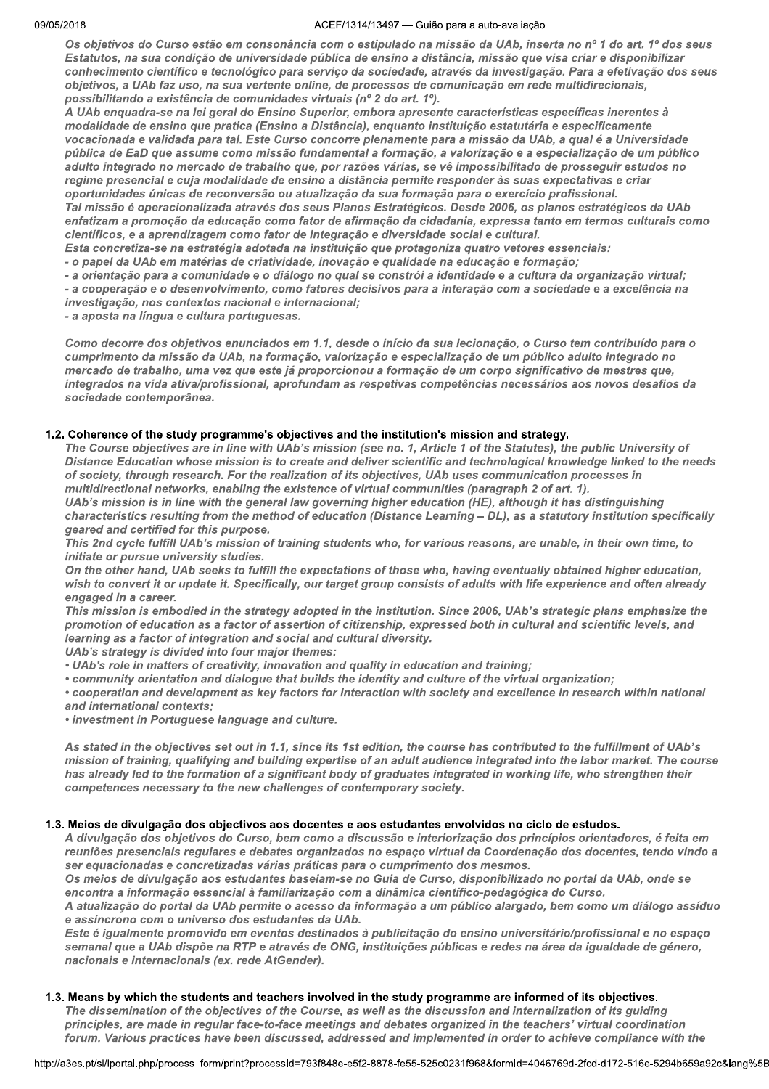Os objetivos do Curso estão em consonância com o estipulado na missão da UAb, inserta no nº 1 do art. 1º dos seus Estatutos, na sua condição de universidade pública de ensino a distância, missão que visa criar e disponibilizar conhecimento científico e tecnológico para serviço da sociedade, através da investigação. Para a efetivação dos seus objetivos, a UAb faz uso, na sua vertente online, de processos de comunicação em rede multidirecionais, possibilitando a existência de comunidades virtuais (nº 2 do art. 1º).

A UAb enquadra-se na lei geral do Ensino Superior, embora apresente características específicas inerentes à modalidade de ensino que pratica (Ensino a Distância), enquanto instituição estatutária e especificamente vocacionada e validada para tal. Este Curso concorre plenamente para a missão da UAb, a qual é a Universidade pública de EaD que assume como missão fundamental a formação, a valorização e a especialização de um público adulto integrado no mercado de trabalho que, por razões várias, se vê impossibilitado de prosseguir estudos no regime presencial e cuja modalidade de ensino a distância permite responder às suas expectativas e criar oportunidades únicas de reconversão ou atualização da sua formação para o exercício profissional.

Tal missão é operacionalizada através dos seus Planos Estratégicos. Desde 2006, os planos estratégicos da UAb enfatizam a promoção da educação como fator de afirmação da cidadania, expressa tanto em termos culturais como científicos, e a aprendizagem como fator de integração e diversidade social e cultural.

Esta concretiza-se na estratégia adotada na instituição que protagoniza quatro vetores essenciais:

- o papel da UAb em matérias de criatividade, inovação e qualidade na educação e formação;

- a orientação para a comunidade e o diálogo no qual se constrói a identidade e a cultura da organização virtual;

- a cooperação e o desenvolvimento, como fatores decisivos para a interação com a sociedade e a excelência na investigação, nos contextos nacional e internacional;

- a aposta na língua e cultura portuguesas.

Como decorre dos objetivos enunciados em 1.1, desde o início da sua lecionação, o Curso tem contribuído para o cumprimento da missão da UAb, na formação, valorização e especialização de um público adulto integrado no mercado de trabalho, uma vez que este já proporcionou a formação de um corpo significativo de mestres que, integrados na vida ativa/profissional, aprofundam as respetivas competências necessários aos novos desafios da sociedade contemporânea.

## 1.2. Coherence of the study programme's objectives and the institution's mission and strategy.

The Course objectives are in line with UAb's mission (see no. 1, Article 1 of the Statutes), the public University of Distance Education whose mission is to create and deliver scientific and technological knowledge linked to the needs of society, through research. For the realization of its objectives, UAb uses communication processes in multidirectional networks, enabling the existence of virtual communities (paragraph 2 of art. 1).

UAb's mission is in line with the general law governing higher education (HE), although it has distinguishing characteristics resulting from the method of education (Distance Learning - DL), as a statutory institution specifically geared and certified for this purpose.

This 2nd cycle fulfill UAb's mission of training students who, for various reasons, are unable, in their own time, to initiate or pursue university studies.

On the other hand, UAb seeks to fulfill the expectations of those who, having eventually obtained higher education, wish to convert it or update it. Specifically, our target group consists of adults with life experience and often already engaged in a career.

This mission is embodied in the strategy adopted in the institution. Since 2006, UAb's strategic plans emphasize the promotion of education as a factor of assertion of citizenship, expressed both in cultural and scientific levels, and learning as a factor of integration and social and cultural diversity.

UAb's strategy is divided into four major themes:

- . UAb's role in matters of creativity, innovation and quality in education and training;
- community orientation and dialogue that builds the identity and culture of the virtual organization;

• cooperation and development as key factors for interaction with society and excellence in research within national and international contexts;

· investment in Portuguese language and culture.

As stated in the objectives set out in 1.1, since its 1st edition, the course has contributed to the fulfillment of UAb's mission of training, qualifying and building expertise of an adult audience integrated into the labor market. The course has already led to the formation of a significant body of graduates integrated in working life, who strengthen their competences necessary to the new challenges of contemporary society.

## 1.3. Meios de divulgação dos objectivos aos docentes e aos estudantes envolvidos no ciclo de estudos.

A divulgação dos objetivos do Curso, bem como a discussão e interiorização dos princípios orientadores, é feita em reuniões presenciais regulares e debates organizados no espaço virtual da Coordenação dos docentes, tendo vindo a ser equacionadas e concretizadas várias práticas para o cumprimento dos mesmos.

Os meios de divulgação aos estudantes baseiam-se no Guia de Curso, disponibilizado no portal da UAb, onde se encontra a informação essencial à familiarização com a dinâmica científico-pedagógica do Curso.

A atualização do portal da UAb permite o acesso da informação a um público alargado, bem como um diálogo assíduo e assíncrono com o universo dos estudantes da UAb.

Este é igualmente promovido em eventos destinados à publicitação do ensino universitário/profissional e no espaco semanal que a UAb dispõe na RTP e através de ONG, instituições públicas e redes na área da igualdade de género, nacionais e internacionais (ex. rede AtGender).

## 1.3. Means by which the students and teachers involved in the study programme are informed of its objectives.

The dissemination of the objectives of the Course, as well as the discussion and internalization of its guiding principles, are made in regular face-to-face meetings and debates organized in the teachers' virtual coordination forum. Various practices have been discussed, addressed and implemented in order to achieve compliance with the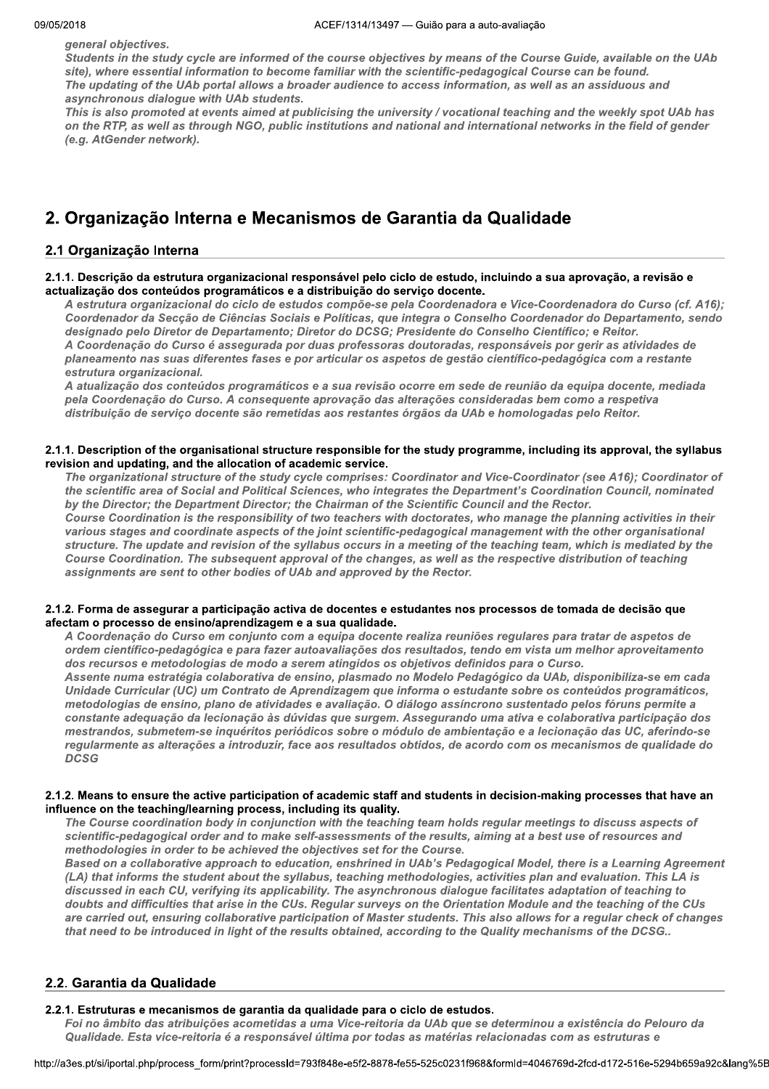general objectives.

Students in the study cycle are informed of the course objectives by means of the Course Guide, available on the UAb site), where essential information to become familiar with the scientific-pedagogical Course can be found. The updating of the UAb portal allows a broader audience to access information, as well as an assiduous and asynchronous dialogue with UAb students.

This is also promoted at events aimed at publicising the university / vocational teaching and the weekly spot UAb has on the RTP, as well as through NGO, public institutions and national and international networks in the field of gender (e.g. AtGender network).

# 2. Organização Interna e Mecanismos de Garantia da Qualidade

## 2.1 Organização Interna

## 2.1.1. Descrição da estrutura organizacional responsável pelo ciclo de estudo, incluindo a sua aprovação, a revisão e actualização dos conteúdos programáticos e a distribuição do serviço docente.

A estrutura organizacional do ciclo de estudos compõe-se pela Coordenadora e Vice-Coordenadora do Curso (cf. A16); Coordenador da Secção de Ciências Sociais e Políticas, que integra o Conselho Coordenador do Departamento, sendo designado pelo Diretor de Departamento; Diretor do DCSG; Presidente do Conselho Científico; e Reitor. A Coordenação do Curso é assegurada por duas professoras doutoradas, responsáveis por gerir as atividades de planeamento nas suas diferentes fases e por articular os aspetos de gestão científico-pedagógica com a restante estrutura organizacional.

A atualização dos conteúdos programáticos e a sua revisão ocorre em sede de reunião da equipa docente, mediada pela Coordenação do Curso. A consequente aprovação das alterações consideradas bem como a respetiva distribuição de serviço docente são remetidas aos restantes órgãos da UAb e homologadas pelo Reitor.

## 2.1.1. Description of the organisational structure responsible for the study programme, including its approval, the syllabus revision and updating, and the allocation of academic service.

The organizational structure of the study cycle comprises: Coordinator and Vice-Coordinator (see A16); Coordinator of the scientific area of Social and Political Sciences, who integrates the Department's Coordination Council, nominated by the Director; the Department Director; the Chairman of the Scientific Council and the Rector.

Course Coordination is the responsibility of two teachers with doctorates, who manage the planning activities in their various stages and coordinate aspects of the joint scientific-pedagogical management with the other organisational structure. The update and revision of the syllabus occurs in a meeting of the teaching team, which is mediated by the Course Coordination. The subsequent approval of the changes, as well as the respective distribution of teaching assignments are sent to other bodies of UAb and approved by the Rector.

## 2.1.2. Forma de assegurar a participação activa de docentes e estudantes nos processos de tomada de decisão que afectam o processo de ensino/aprendizagem e a sua qualidade.

A Coordenação do Curso em conjunto com a equipa docente realiza reuniões regulares para tratar de aspetos de ordem científico-pedagógica e para fazer autoavaliações dos resultados, tendo em vista um melhor aproveitamento dos recursos e metodologias de modo a serem atingidos os objetivos definidos para o Curso.

Assente numa estratégia colaborativa de ensino, plasmado no Modelo Pedagógico da UAb, disponibiliza-se em cada Unidade Curricular (UC) um Contrato de Aprendizagem que informa o estudante sobre os conteúdos programáticos, metodologias de ensino, plano de atividades e avaliação. O diálogo assíncrono sustentado pelos fóruns permite a constante adequação da lecionação às dúvidas que surgem. Assegurando uma ativa e colaborativa participação dos mestrandos, submetem-se inquéritos periódicos sobre o módulo de ambientação e a lecionação das UC, aferindo-se regularmente as alterações a introduzir, face aos resultados obtidos, de acordo com os mecanismos de qualidade do **DCSG** 

#### 2.1.2. Means to ensure the active participation of academic staff and students in decision-making processes that have an influence on the teaching/learning process, including its quality.

The Course coordination body in conjunction with the teaching team holds regular meetings to discuss aspects of scientific-pedagogical order and to make self-assessments of the results, aiming at a best use of resources and methodologies in order to be achieved the objectives set for the Course.

Based on a collaborative approach to education, enshrined in UAb's Pedagogical Model, there is a Learning Agreement (LA) that informs the student about the syllabus, teaching methodologies, activities plan and evaluation. This LA is discussed in each CU, verifying its applicability. The asynchronous dialogue facilitates adaptation of teaching to doubts and difficulties that arise in the CUs. Regular surveys on the Orientation Module and the teaching of the CUs are carried out, ensuring collaborative participation of Master students. This also allows for a regular check of changes that need to be introduced in light of the results obtained, according to the Quality mechanisms of the DCSG..

## 2.2. Garantia da Qualidade

## 2.2.1. Estruturas e mecanismos de garantia da qualidade para o ciclo de estudos.

Foi no âmbito das atribuições acometidas a uma Vice-reitoria da UAb que se determinou a existência do Pelouro da Qualidade. Esta vice-reitoria é a responsável última por todas as matérias relacionadas com as estruturas e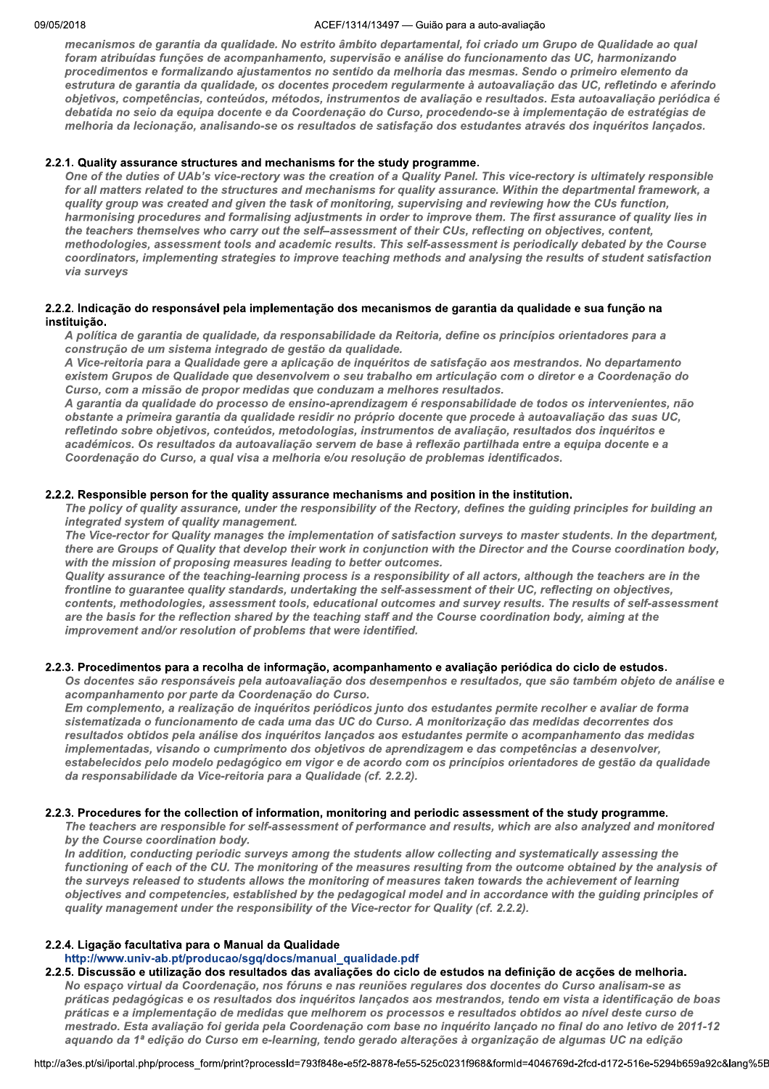#### ACEF/1314/13497 - Guião para a auto-avaliação

mecanismos de garantia da qualidade. No estrito âmbito departamental, foi criado um Grupo de Qualidade ao qual foram atribuídas funções de acompanhamento, supervisão e análise do funcionamento das UC, harmonizando procedimentos e formalizando ajustamentos no sentido da melhoria das mesmas. Sendo o primeiro elemento da estrutura de garantia da qualidade, os docentes procedem regularmente à autoavaliação das UC, refletindo e aferindo objetivos, competências, conteúdos, métodos, instrumentos de avaliação e resultados. Esta autoavaliação periódica é debatida no seio da equipa docente e da Coordenação do Curso, procedendo-se à implementação de estratégias de melhoria da lecionação, analisando-se os resultados de satisfação dos estudantes através dos inquéritos lançados.

## 2.2.1. Quality assurance structures and mechanisms for the study programme.

One of the duties of UAb's vice-rectory was the creation of a Quality Panel. This vice-rectory is ultimately responsible for all matters related to the structures and mechanisms for quality assurance. Within the departmental framework, a quality group was created and given the task of monitoring, supervising and reviewing how the CUs function, harmonising procedures and formalising adjustments in order to improve them. The first assurance of quality lies in the teachers themselves who carry out the self-assessment of their CUs, reflecting on objectives, content, methodologies, assessment tools and academic results. This self-assessment is periodically debated by the Course coordinators, implementing strategies to improve teaching methods and analysing the results of student satisfaction via surveys

## 2.2.2. Indicação do responsável pela implementação dos mecanismos de garantia da qualidade e sua função na instituição.

A política de garantia de qualidade, da responsabilidade da Reitoria, define os princípios orientadores para a construção de um sistema integrado de gestão da qualidade.

A Vice-reitoria para a Qualidade gere a aplicação de inquéritos de satisfação aos mestrandos. No departamento existem Grupos de Qualidade que desenvolvem o seu trabalho em articulação com o diretor e a Coordenação do Curso, com a missão de propor medidas que conduzam a melhores resultados.

A garantia da qualidade do processo de ensino-aprendizagem é responsabilidade de todos os intervenientes, não obstante a primeira garantia da qualidade residir no próprio docente que procede à autoavaliação das suas UC, refletindo sobre objetivos, conteúdos, metodologias, instrumentos de avaliação, resultados dos inquéritos e académicos. Os resultados da autoavaliação servem de base à reflexão partilhada entre a equipa docente e a Coordenação do Curso, a qual visa a melhoria e/ou resolução de problemas identificados.

## 2.2.2. Responsible person for the quality assurance mechanisms and position in the institution.

The policy of quality assurance, under the responsibility of the Rectory, defines the quiding principles for building an integrated system of quality management.

The Vice-rector for Quality manages the implementation of satisfaction surveys to master students. In the department, there are Groups of Quality that develop their work in conjunction with the Director and the Course coordination body. with the mission of proposing measures leading to better outcomes.

Quality assurance of the teaching-learning process is a responsibility of all actors, although the teachers are in the frontline to guarantee quality standards, undertaking the self-assessment of their UC, reflecting on objectives, contents, methodologies, assessment tools, educational outcomes and survey results. The results of self-assessment are the basis for the reflection shared by the teaching staff and the Course coordination body, aiming at the improvement and/or resolution of problems that were identified.

## 2.2.3. Procedimentos para a recolha de informação, acompanhamento e avaliação periódica do ciclo de estudos.

Os docentes são responsáveis pela autoavaliação dos desempenhos e resultados, que são também objeto de análise e acompanhamento por parte da Coordenação do Curso.

Em complemento, a realização de inquéritos periódicos junto dos estudantes permite recolher e avaliar de forma sistematizada o funcionamento de cada uma das UC do Curso. A monitorização das medidas decorrentes dos resultados obtidos pela análise dos inquéritos lançados aos estudantes permite o acompanhamento das medidas implementadas, visando o cumprimento dos objetivos de aprendizagem e das competências a desenvolver, estabelecidos pelo modelo pedagógico em vigor e de acordo com os princípios orientadores de gestão da qualidade da responsabilidade da Vice-reitoria para a Qualidade (cf. 2.2.2).

## 2.2.3. Procedures for the collection of information, monitoring and periodic assessment of the study programme.

The teachers are responsible for self-assessment of performance and results, which are also analyzed and monitored by the Course coordination body.

In addition, conducting periodic surveys among the students allow collecting and systematically assessing the functioning of each of the CU. The monitoring of the measures resulting from the outcome obtained by the analysis of the surveys released to students allows the monitoring of measures taken towards the achievement of learning objectives and competencies, established by the pedagogical model and in accordance with the guiding principles of quality management under the responsibility of the Vice-rector for Quality (cf. 2.2.2).

## 2.2.4. Ligação facultativa para o Manual da Qualidade

http://www.univ-ab.pt/producao/sqq/docs/manual\_qualidade.pdf

2.2.5. Discussão e utilização dos resultados das avaliações do ciclo de estudos na definição de acções de melhoria. No espaço virtual da Coordenação, nos fóruns e nas reuniões regulares dos docentes do Curso analisam-se as práticas pedagógicas e os resultados dos inquéritos lançados aos mestrandos, tendo em vista a identificação de boas práticas e a implementação de medidas que melhorem os processos e resultados obtidos ao nível deste curso de mestrado. Esta avaliação foi gerida pela Coordenação com base no inquérito lançado no final do ano letivo de 2011-12 aquando da 1ª edição do Curso em e-learning, tendo gerado alterações à organização de algumas UC na edição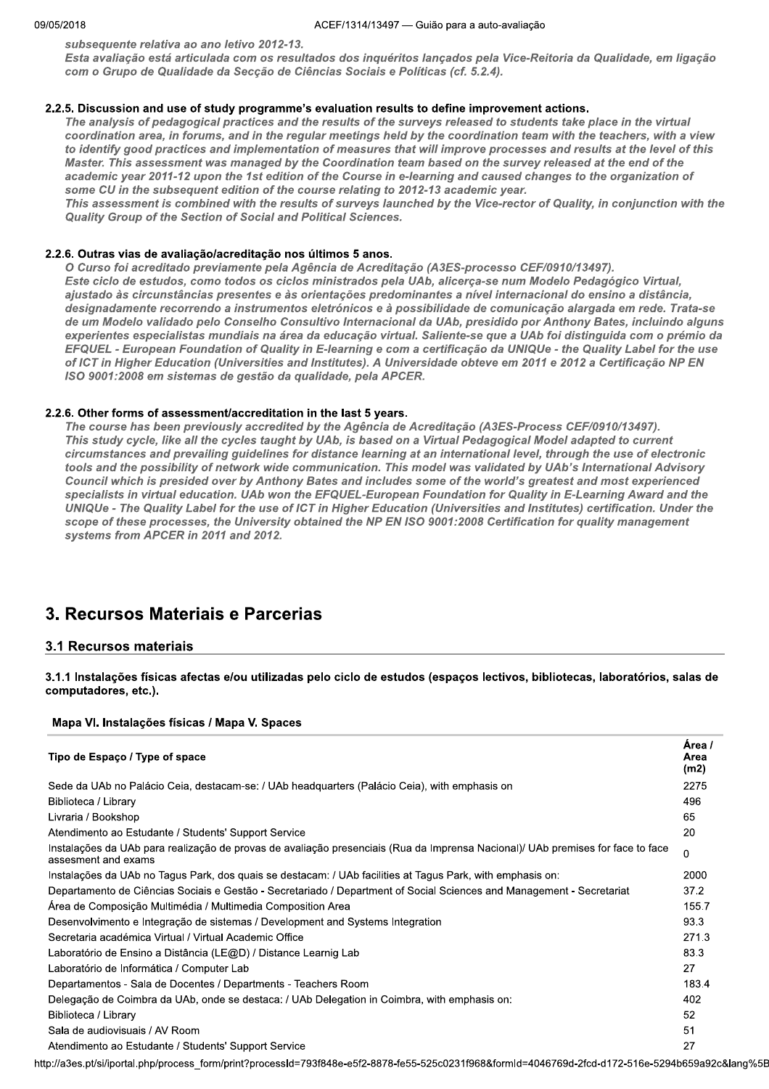subsequente relativa ao ano letivo 2012-13.

Esta avaliação está articulada com os resultados dos inquéritos lançados pela Vice-Reitoria da Qualidade, em ligação com o Grupo de Qualidade da Secção de Ciências Sociais e Políticas (cf. 5.2.4).

## 2.2.5. Discussion and use of study programme's evaluation results to define improvement actions.

The analysis of pedagogical practices and the results of the surveys released to students take place in the virtual coordination area, in forums, and in the regular meetings held by the coordination team with the teachers, with a view to identify good practices and implementation of measures that will improve processes and results at the level of this Master. This assessment was managed by the Coordination team based on the survey released at the end of the academic year 2011-12 upon the 1st edition of the Course in e-learning and caused changes to the organization of some CU in the subsequent edition of the course relating to 2012-13 academic year.

This assessment is combined with the results of surveys launched by the Vice-rector of Quality, in conjunction with the Quality Group of the Section of Social and Political Sciences.

#### 2.2.6. Outras vias de avaliação/acreditação nos últimos 5 anos.

O Curso foi acreditado previamente pela Agência de Acreditação (A3ES-processo CEF/0910/13497). Este ciclo de estudos, como todos os ciclos ministrados pela UAb, alicerça-se num Modelo Pedagógico Virtual, aiustado às circunstâncias presentes e às orientações predominantes a nível internacional do ensino a distância, designadamente recorrendo a instrumentos eletrónicos e à possibilidade de comunicação alargada em rede. Trata-se de um Modelo validado pelo Conselho Consultivo Internacional da UAb, presidido por Anthony Bates, incluindo alguns experientes especialistas mundiais na área da educação virtual. Saliente-se que a UAb foi distinguida com o prémio da EFQUEL - European Foundation of Quality in E-learning e com a certificação da UNIQUe - the Quality Label for the use of ICT in Higher Education (Universities and Institutes). A Universidade obteve em 2011 e 2012 a Certificação NP EN ISO 9001:2008 em sistemas de gestão da qualidade, pela APCER.

#### 2.2.6. Other forms of assessment/accreditation in the last 5 years.

The course has been previously accredited by the Agência de Acreditação (A3ES-Process CEF/0910/13497). This study cycle, like all the cycles taught by UAb, is based on a Virtual Pedagogical Model adapted to current circumstances and prevailing quidelines for distance learning at an international level, through the use of electronic tools and the possibility of network wide communication. This model was validated by UAb's International Advisory Council which is presided over by Anthony Bates and includes some of the world's greatest and most experienced specialists in virtual education. UAb won the EFQUEL-European Foundation for Quality in E-Learning Award and the UNIQUe - The Quality Label for the use of ICT in Higher Education (Universities and Institutes) certification. Under the scope of these processes, the University obtained the NP EN ISO 9001:2008 Certification for quality management systems from APCER in 2011 and 2012.

## 3. Recursos Materiais e Parcerias

## 3.1 Recursos materiais

3.1.1 Instalações físicas afectas e/ou utilizadas pelo ciclo de estudos (espaços lectivos, bibliotecas, laboratórios, salas de computadores, etc.).

#### Mapa VI. Instalações físicas / Mapa V. Spaces

| Tipo de Espaço / Type of space                                                                                                                         | Area /<br>Area<br>(m2) |
|--------------------------------------------------------------------------------------------------------------------------------------------------------|------------------------|
| Sede da UAb no Palácio Ceia, destacam-se: / UAb headquarters (Palácio Ceia), with emphasis on                                                          | 2275                   |
| Biblioteca / Library                                                                                                                                   | 496                    |
| Livraria / Bookshop                                                                                                                                    | 65                     |
| Atendimento ao Estudante / Students' Support Service                                                                                                   | 20                     |
| Instalações da UAb para realização de provas de avaliação presenciais (Rua da Imprensa Nacional)/ UAb premises for face to face<br>assesment and exams | 0                      |
| Instalações da UAb no Tagus Park, dos quais se destacam: / UAb facilities at Tagus Park, with emphasis on:                                             | 2000                   |
| Departamento de Ciências Sociais e Gestão - Secretariado / Department of Social Sciences and Management - Secretariat                                  | 37.2                   |
| Area de Composição Multimédia / Multimedia Composition Area                                                                                            | 155.7                  |
| Desenvolvimento e Integração de sistemas / Development and Systems Integration                                                                         | 93.3                   |
| Secretaria académica Virtual / Virtual Academic Office                                                                                                 | 271.3                  |
| Laboratório de Ensino a Distância (LE@D) / Distance Learnig Lab                                                                                        | 83.3                   |
| Laboratório de Informática / Computer Lab                                                                                                              | 27                     |
| Departamentos - Sala de Docentes / Departments - Teachers Room                                                                                         | 183.4                  |
| Delegação de Coimbra da UAb, onde se destaca: / UAb Delegation in Coimbra, with emphasis on:                                                           | 402                    |
| Biblioteca / Library                                                                                                                                   | 52                     |
| Sala de audiovisuais / AV Room                                                                                                                         | 51                     |
| Atendimento ao Estudante / Students' Support Service                                                                                                   | 27                     |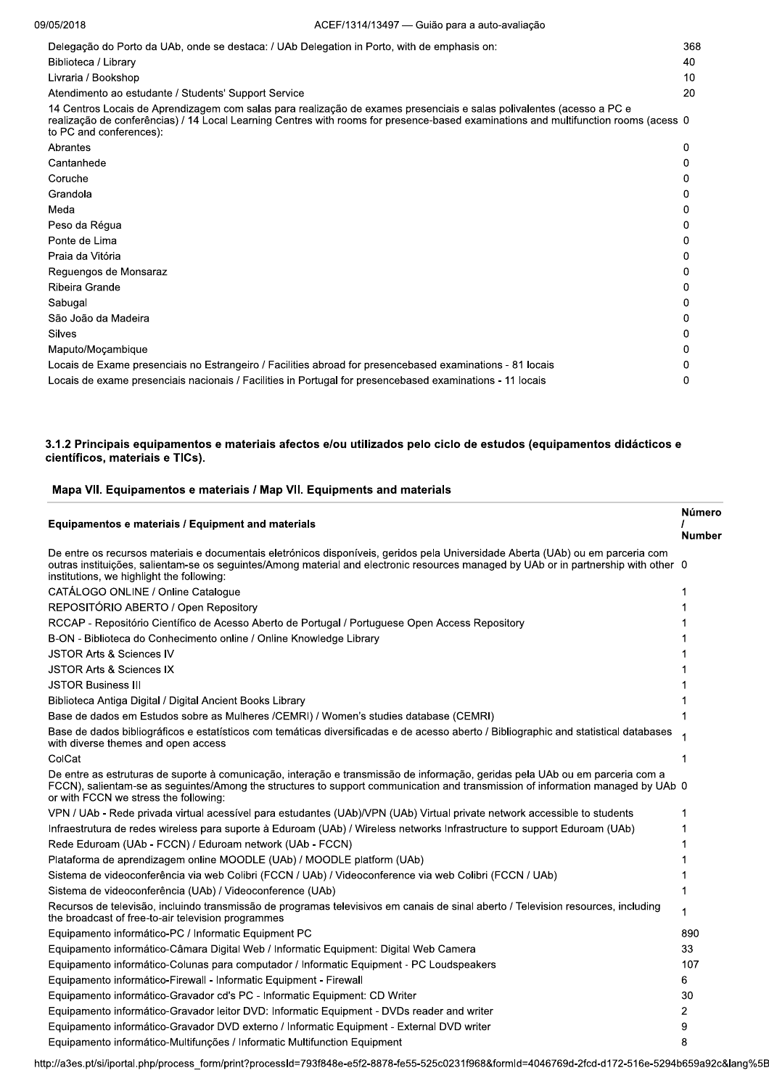| Delegação do Porto da UAb, onde se destaca: / UAb Delegation in Porto, with de emphasis on:<br>Biblioteca / Library                                                                                                                                                                     | 368<br>40 |
|-----------------------------------------------------------------------------------------------------------------------------------------------------------------------------------------------------------------------------------------------------------------------------------------|-----------|
| Livraria / Bookshop                                                                                                                                                                                                                                                                     | 10        |
| Atendimento ao estudante / Students' Support Service                                                                                                                                                                                                                                    | 20        |
| 14 Centros Locais de Aprendizagem com salas para realização de exames presenciais e salas polivalentes (acesso a PC e<br>realização de conferências) / 14 Local Learning Centres with rooms for presence-based examinations and multifunction rooms (acess 0<br>to PC and conferences): |           |
| Abrantes                                                                                                                                                                                                                                                                                |           |
| Cantanhede                                                                                                                                                                                                                                                                              |           |
| Coruche                                                                                                                                                                                                                                                                                 |           |
| Grandola                                                                                                                                                                                                                                                                                |           |
| Meda                                                                                                                                                                                                                                                                                    |           |
| Peso da Régua                                                                                                                                                                                                                                                                           |           |
| Ponte de Lima                                                                                                                                                                                                                                                                           |           |
| Praia da Vitória                                                                                                                                                                                                                                                                        |           |
| Reguengos de Monsaraz                                                                                                                                                                                                                                                                   |           |
| Ribeira Grande                                                                                                                                                                                                                                                                          |           |
| Sabugal                                                                                                                                                                                                                                                                                 |           |
| São João da Madeira                                                                                                                                                                                                                                                                     |           |
| Silves                                                                                                                                                                                                                                                                                  |           |
| Maputo/Moçambique                                                                                                                                                                                                                                                                       |           |
| Locais de Exame presenciais no Estrangeiro / Facilities abroad for presencebased examinations - 81 locais                                                                                                                                                                               |           |
| Locais de exame presenciais nacionais / Facilities in Portugal for presencebased examinations - 11 locais                                                                                                                                                                               |           |

## 3.1.2 Principais equipamentos e materiais afectos e/ou utilizados pelo ciclo de estudos (equipamentos didácticos e científicos, materiais e TICs).

## Mapa VII. Equipamentos e materiais / Map VII. Equipments and materials

|                                                                                                                                                                                                                                                                                                                      | Número        |
|----------------------------------------------------------------------------------------------------------------------------------------------------------------------------------------------------------------------------------------------------------------------------------------------------------------------|---------------|
| Equipamentos e materiais / Equipment and materials                                                                                                                                                                                                                                                                   | <b>Number</b> |
| De entre os recursos materiais e documentais eletrónicos disponíveis, geridos pela Universidade Aberta (UAb) ou em parceria com<br>outras instituições, salientam-se os seguintes/Among material and electronic resources managed by UAb or in partnership with other 0<br>institutions, we highlight the following: |               |
| CATÁLOGO ONLINE / Online Catalogue                                                                                                                                                                                                                                                                                   |               |
| REPOSITÓRIO ABERTO / Open Repository                                                                                                                                                                                                                                                                                 |               |
| RCCAP - Repositório Científico de Acesso Aberto de Portugal / Portuguese Open Access Repository                                                                                                                                                                                                                      |               |
| B-ON - Biblioteca do Conhecimento online / Online Knowledge Library                                                                                                                                                                                                                                                  |               |
| <b>JSTOR Arts &amp; Sciences IV</b>                                                                                                                                                                                                                                                                                  |               |
| <b>JSTOR Arts &amp; Sciences IX</b>                                                                                                                                                                                                                                                                                  |               |
| <b>JSTOR Business III</b>                                                                                                                                                                                                                                                                                            |               |
| Biblioteca Antiga Digital / Digital Ancient Books Library                                                                                                                                                                                                                                                            |               |
| Base de dados em Estudos sobre as Mulheres /CEMRI) / Women's studies database (CEMRI)                                                                                                                                                                                                                                |               |
| Base de dados bibliográficos e estatísticos com temáticas diversificadas e de acesso aberto / Bibliographic and statistical databases<br>with diverse themes and open access                                                                                                                                         |               |
| ColCat                                                                                                                                                                                                                                                                                                               |               |
| De entre as estruturas de suporte à comunicação, interação e transmissão de informação, geridas pela UAb ou em parceria com a<br>FCCN), salientam-se as seguintes/Among the structures to support communication and transmission of information managed by UAb 0<br>or with FCCN we stress the following:            |               |
| VPN / UAb - Rede privada virtual acessível para estudantes (UAb)/VPN (UAb) Virtual private network accessible to students                                                                                                                                                                                            |               |
| Infraestrutura de redes wireless para suporte à Eduroam (UAb) / Wireless networks Infrastructure to support Eduroam (UAb)                                                                                                                                                                                            |               |
| Rede Eduroam (UAb - FCCN) / Eduroam network (UAb - FCCN)                                                                                                                                                                                                                                                             |               |
| Plataforma de aprendizagem online MOODLE (UAb) / MOODLE platform (UAb)                                                                                                                                                                                                                                               |               |
| Sistema de videoconferência via web Colibri (FCCN / UAb) / Videoconference via web Colibri (FCCN / UAb)                                                                                                                                                                                                              |               |
| Sistema de videoconferência (UAb) / Videoconference (UAb)                                                                                                                                                                                                                                                            |               |
| Recursos de televisão, incluindo transmissão de programas televisivos em canais de sinal aberto / Television resources, including<br>the broadcast of free-to-air television programmes                                                                                                                              |               |
| Equipamento informático-PC / Informatic Equipment PC                                                                                                                                                                                                                                                                 | 890           |
| Equipamento informático-Câmara Digital Web / Informatic Equipment: Digital Web Camera                                                                                                                                                                                                                                | 33            |
| Equipamento informático-Colunas para computador / Informatic Equipment - PC Loudspeakers                                                                                                                                                                                                                             | 107           |
| Equipamento informático-Firewall - Informatic Equipment - Firewall                                                                                                                                                                                                                                                   | 6             |
| Equipamento informático-Gravador cd's PC - Informatic Equipment: CD Writer                                                                                                                                                                                                                                           | 30            |
| Equipamento informático-Gravador leitor DVD: Informatic Equipment - DVDs reader and writer                                                                                                                                                                                                                           | 2             |
| Equipamento informático-Gravador DVD externo / Informatic Equipment - External DVD writer                                                                                                                                                                                                                            | 9             |
| Equipamento informático-Multifunções / Informatic Multifunction Equipment                                                                                                                                                                                                                                            | 8             |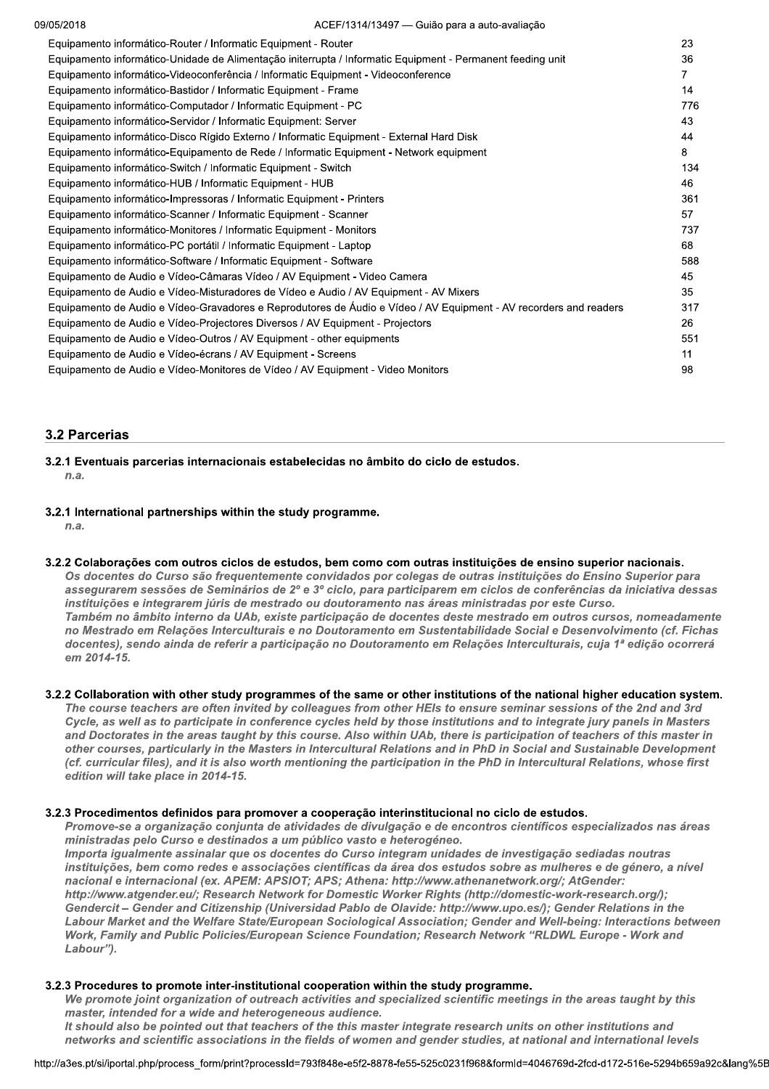| 23<br>Equipamento informático-Router / Informatic Equipment - Router<br>Equipamento informático-Unidade de Alimentação initerrupta / Informatic Equipment - Permanent feeding unit<br>36<br>Equipamento informático-Videoconferência / Informatic Equipment - Videoconference<br>7<br>Equipamento informático-Bastidor / Informatic Equipment - Frame<br>14<br>Equipamento informático-Computador / Informatic Equipment - PC<br>776<br>Equipamento informático-Servidor / Informatic Equipment: Server<br>43<br>Equipamento informático-Disco Rígido Externo / Informatic Equipment - External Hard Disk<br>44<br>8<br>Equipamento informático-Equipamento de Rede / Informatic Equipment - Network equipment<br>134<br>Equipamento informático-Switch / Informatic Equipment - Switch<br>46<br>Equipamento informático-HUB / Informatic Equipment - HUB<br>361<br>Equipamento informático-Impressoras / Informatic Equipment - Printers<br>57<br>Equipamento informático-Scanner / Informatic Equipment - Scanner<br>Equipamento informático-Monitores / Informatic Equipment - Monitors<br>737<br>Equipamento informático-PC portátil / Informatic Equipment - Laptop<br>68<br>Equipamento informático-Software / Informatic Equipment - Software<br>588<br>Equipamento de Audio e Vídeo-Câmaras Vídeo / AV Equipment - Video Camera<br>45<br>35<br>Equipamento de Audio e Vídeo-Misturadores de Vídeo e Audio / AV Equipment - AV Mixers<br>Equipamento de Audio e Vídeo-Gravadores e Reprodutores de Áudio e Vídeo / AV Equipment - AV recorders and readers<br>317<br>Equipamento de Audio e Vídeo-Projectores Diversos / AV Equipment - Projectors<br>26<br>Equipamento de Audio e Vídeo-Outros / AV Equipment - other equipments<br>551<br>Equipamento de Audio e Vídeo-écrans / AV Equipment - Screens<br>11 | 09/05/2018 | ACEF/1314/13497 — Guião para a auto-avaliação |    |
|-----------------------------------------------------------------------------------------------------------------------------------------------------------------------------------------------------------------------------------------------------------------------------------------------------------------------------------------------------------------------------------------------------------------------------------------------------------------------------------------------------------------------------------------------------------------------------------------------------------------------------------------------------------------------------------------------------------------------------------------------------------------------------------------------------------------------------------------------------------------------------------------------------------------------------------------------------------------------------------------------------------------------------------------------------------------------------------------------------------------------------------------------------------------------------------------------------------------------------------------------------------------------------------------------------------------------------------------------------------------------------------------------------------------------------------------------------------------------------------------------------------------------------------------------------------------------------------------------------------------------------------------------------------------------------------------------------------------------------------------------------------------------------------------------------------------------|------------|-----------------------------------------------|----|
|                                                                                                                                                                                                                                                                                                                                                                                                                                                                                                                                                                                                                                                                                                                                                                                                                                                                                                                                                                                                                                                                                                                                                                                                                                                                                                                                                                                                                                                                                                                                                                                                                                                                                                                                                                                                                       |            |                                               |    |
|                                                                                                                                                                                                                                                                                                                                                                                                                                                                                                                                                                                                                                                                                                                                                                                                                                                                                                                                                                                                                                                                                                                                                                                                                                                                                                                                                                                                                                                                                                                                                                                                                                                                                                                                                                                                                       |            |                                               |    |
|                                                                                                                                                                                                                                                                                                                                                                                                                                                                                                                                                                                                                                                                                                                                                                                                                                                                                                                                                                                                                                                                                                                                                                                                                                                                                                                                                                                                                                                                                                                                                                                                                                                                                                                                                                                                                       |            |                                               |    |
|                                                                                                                                                                                                                                                                                                                                                                                                                                                                                                                                                                                                                                                                                                                                                                                                                                                                                                                                                                                                                                                                                                                                                                                                                                                                                                                                                                                                                                                                                                                                                                                                                                                                                                                                                                                                                       |            |                                               |    |
|                                                                                                                                                                                                                                                                                                                                                                                                                                                                                                                                                                                                                                                                                                                                                                                                                                                                                                                                                                                                                                                                                                                                                                                                                                                                                                                                                                                                                                                                                                                                                                                                                                                                                                                                                                                                                       |            |                                               |    |
|                                                                                                                                                                                                                                                                                                                                                                                                                                                                                                                                                                                                                                                                                                                                                                                                                                                                                                                                                                                                                                                                                                                                                                                                                                                                                                                                                                                                                                                                                                                                                                                                                                                                                                                                                                                                                       |            |                                               |    |
|                                                                                                                                                                                                                                                                                                                                                                                                                                                                                                                                                                                                                                                                                                                                                                                                                                                                                                                                                                                                                                                                                                                                                                                                                                                                                                                                                                                                                                                                                                                                                                                                                                                                                                                                                                                                                       |            |                                               |    |
|                                                                                                                                                                                                                                                                                                                                                                                                                                                                                                                                                                                                                                                                                                                                                                                                                                                                                                                                                                                                                                                                                                                                                                                                                                                                                                                                                                                                                                                                                                                                                                                                                                                                                                                                                                                                                       |            |                                               |    |
|                                                                                                                                                                                                                                                                                                                                                                                                                                                                                                                                                                                                                                                                                                                                                                                                                                                                                                                                                                                                                                                                                                                                                                                                                                                                                                                                                                                                                                                                                                                                                                                                                                                                                                                                                                                                                       |            |                                               |    |
|                                                                                                                                                                                                                                                                                                                                                                                                                                                                                                                                                                                                                                                                                                                                                                                                                                                                                                                                                                                                                                                                                                                                                                                                                                                                                                                                                                                                                                                                                                                                                                                                                                                                                                                                                                                                                       |            |                                               |    |
|                                                                                                                                                                                                                                                                                                                                                                                                                                                                                                                                                                                                                                                                                                                                                                                                                                                                                                                                                                                                                                                                                                                                                                                                                                                                                                                                                                                                                                                                                                                                                                                                                                                                                                                                                                                                                       |            |                                               |    |
|                                                                                                                                                                                                                                                                                                                                                                                                                                                                                                                                                                                                                                                                                                                                                                                                                                                                                                                                                                                                                                                                                                                                                                                                                                                                                                                                                                                                                                                                                                                                                                                                                                                                                                                                                                                                                       |            |                                               |    |
|                                                                                                                                                                                                                                                                                                                                                                                                                                                                                                                                                                                                                                                                                                                                                                                                                                                                                                                                                                                                                                                                                                                                                                                                                                                                                                                                                                                                                                                                                                                                                                                                                                                                                                                                                                                                                       |            |                                               |    |
|                                                                                                                                                                                                                                                                                                                                                                                                                                                                                                                                                                                                                                                                                                                                                                                                                                                                                                                                                                                                                                                                                                                                                                                                                                                                                                                                                                                                                                                                                                                                                                                                                                                                                                                                                                                                                       |            |                                               |    |
|                                                                                                                                                                                                                                                                                                                                                                                                                                                                                                                                                                                                                                                                                                                                                                                                                                                                                                                                                                                                                                                                                                                                                                                                                                                                                                                                                                                                                                                                                                                                                                                                                                                                                                                                                                                                                       |            |                                               |    |
|                                                                                                                                                                                                                                                                                                                                                                                                                                                                                                                                                                                                                                                                                                                                                                                                                                                                                                                                                                                                                                                                                                                                                                                                                                                                                                                                                                                                                                                                                                                                                                                                                                                                                                                                                                                                                       |            |                                               |    |
|                                                                                                                                                                                                                                                                                                                                                                                                                                                                                                                                                                                                                                                                                                                                                                                                                                                                                                                                                                                                                                                                                                                                                                                                                                                                                                                                                                                                                                                                                                                                                                                                                                                                                                                                                                                                                       |            |                                               |    |
|                                                                                                                                                                                                                                                                                                                                                                                                                                                                                                                                                                                                                                                                                                                                                                                                                                                                                                                                                                                                                                                                                                                                                                                                                                                                                                                                                                                                                                                                                                                                                                                                                                                                                                                                                                                                                       |            |                                               |    |
|                                                                                                                                                                                                                                                                                                                                                                                                                                                                                                                                                                                                                                                                                                                                                                                                                                                                                                                                                                                                                                                                                                                                                                                                                                                                                                                                                                                                                                                                                                                                                                                                                                                                                                                                                                                                                       |            |                                               |    |
|                                                                                                                                                                                                                                                                                                                                                                                                                                                                                                                                                                                                                                                                                                                                                                                                                                                                                                                                                                                                                                                                                                                                                                                                                                                                                                                                                                                                                                                                                                                                                                                                                                                                                                                                                                                                                       |            |                                               |    |
|                                                                                                                                                                                                                                                                                                                                                                                                                                                                                                                                                                                                                                                                                                                                                                                                                                                                                                                                                                                                                                                                                                                                                                                                                                                                                                                                                                                                                                                                                                                                                                                                                                                                                                                                                                                                                       |            |                                               |    |
| Equipamento de Audio e Vídeo-Monitores de Vídeo / AV Equipment - Video Monitors                                                                                                                                                                                                                                                                                                                                                                                                                                                                                                                                                                                                                                                                                                                                                                                                                                                                                                                                                                                                                                                                                                                                                                                                                                                                                                                                                                                                                                                                                                                                                                                                                                                                                                                                       |            |                                               | 98 |

## **3.2 Parcerias**

- 3.2.1 Eventuais parcerias internacionais estabelecidas no âmbito do ciclo de estudos.  $n.a.$
- 3.2.1 International partnerships within the study programme.

 $n.a.$ 

3.2.2 Colaborações com outros ciclos de estudos, bem como com outras instituições de ensino superior nacionais.

Os docentes do Curso são frequentemente convidados por colegas de outras instituições do Ensino Superior para assegurarem sessões de Seminários de 2º e 3º ciclo, para participarem em ciclos de conferências da iniciativa dessas instituições e integrarem júris de mestrado ou doutoramento nas áreas ministradas por este Curso. Também no âmbito interno da UAb, existe participação de docentes deste mestrado em outros cursos, nomeadamente no Mestrado em Relações Interculturais e no Doutoramento em Sustentabilidade Social e Desenvolvimento (cf. Fichas docentes), sendo ainda de referir a participação no Doutoramento em Relações Interculturais, cuja 1ª edição ocorrerá  $em$  2014-15

## 3.2.2 Collaboration with other study programmes of the same or other institutions of the national higher education system.

The course teachers are often invited by colleagues from other HEIs to ensure seminar sessions of the 2nd and 3rd Cycle, as well as to participate in conference cycles held by those institutions and to integrate jury panels in Masters and Doctorates in the areas taught by this course. Also within UAb, there is participation of teachers of this master in other courses, particularly in the Masters in Intercultural Relations and in PhD in Social and Sustainable Development (cf. curricular files), and it is also worth mentioning the participation in the PhD in Intercultural Relations, whose first edition will take place in 2014-15.

## 3.2.3 Procedimentos definidos para promover a cooperação interinstitucional no ciclo de estudos.

Promove-se a organização conjunta de atividades de divulgação e de encontros científicos especializados nas áreas ministradas pelo Curso e destinados a um público vasto e heterogéneo.

Importa igualmente assinalar que os docentes do Curso integram unidades de investigação sediadas noutras instituições, bem como redes e associações científicas da área dos estudos sobre as mulheres e de género, a nível nacional e internacional (ex. APEM: APSIOT; APS; Athena: http://www.athenanetwork.org/; AtGender: http://www.atgender.eu/; Research Network for Domestic Worker Rights (http://domestic-work-research.org/); Gendercit - Gender and Citizenship (Universidad Pablo de Olavide: http://www.upo.es/); Gender Relations in the Labour Market and the Welfare State/European Sociological Association; Gender and Well-being: Interactions between Work, Family and Public Policies/European Science Foundation; Research Network "RLDWL Europe - Work and Labour").

## 3.2.3 Procedures to promote inter-institutional cooperation within the study programme.

We promote joint organization of outreach activities and specialized scientific meetings in the areas taught by this master, intended for a wide and heterogeneous audience. It should also be pointed out that teachers of the this master integrate research units on other institutions and

networks and scientific associations in the fields of women and gender studies, at national and international levels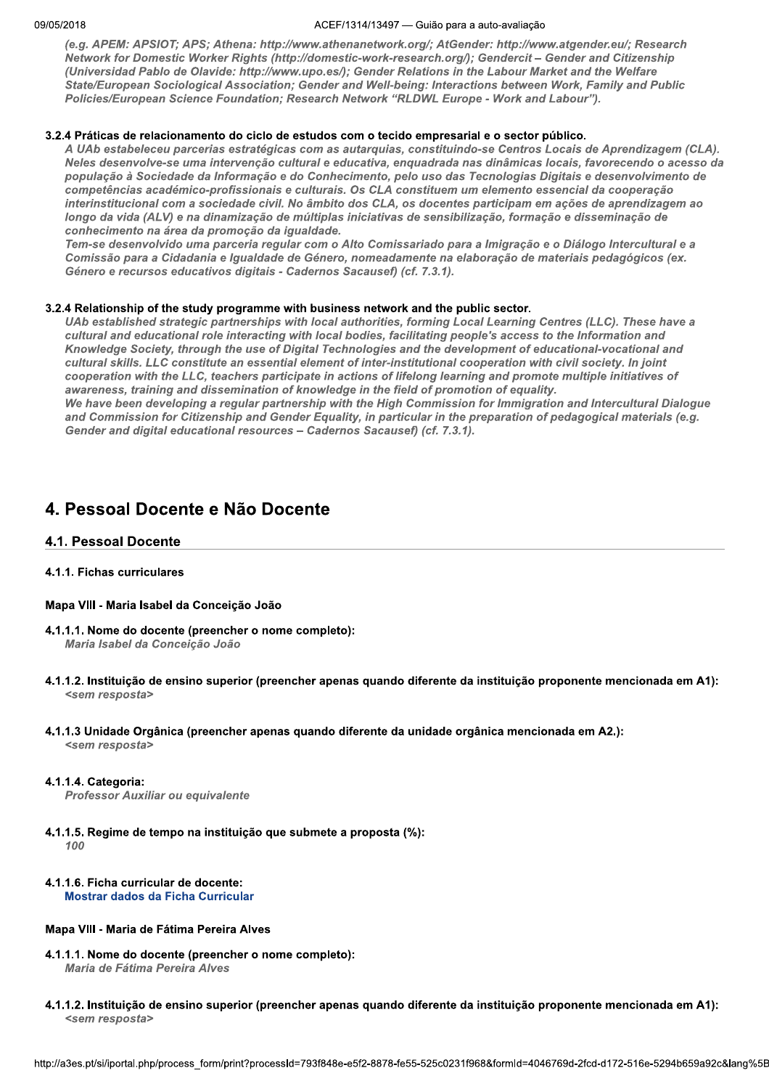#### ACEF/1314/13497 - Guião para a auto-avaliação

(e.g. APEM: APSIOT; APS; Athena: http://www.athenanetwork.org/; AtGender: http://www.atgender.eu/; Research Network for Domestic Worker Rights (http://domestic-work-research.org/); Gendercit - Gender and Citizenship (Universidad Pablo de Olavide: http://www.upo.es/); Gender Relations in the Labour Market and the Welfare State/European Sociological Association; Gender and Well-being: Interactions between Work, Family and Public Policies/European Science Foundation; Research Network "RLDWL Europe - Work and Labour").

## 3.2.4 Práticas de relacionamento do ciclo de estudos com o tecido empresarial e o sector público.

A UAb estabeleceu parcerias estratégicas com as autarquias, constituindo-se Centros Locais de Aprendizagem (CLA). Neles desenvolve-se uma intervenção cultural e educativa, enquadrada nas dinâmicas locais, favorecendo o acesso da população à Sociedade da Informação e do Conhecimento, pelo uso das Tecnologias Digitais e desenvolvimento de competências académico-profissionais e culturais. Os CLA constituem um elemento essencial da cooperação interinstitucional com a sociedade civil. No âmbito dos CLA, os docentes participam em ações de aprendizagem ao longo da vida (ALV) e na dinamização de múltiplas iniciativas de sensibilização, formação e disseminação de conhecimento na área da promoção da igualdade.

Tem-se desenvolvido uma parceria regular com o Alto Comissariado para a Imigração e o Diálogo Intercultural e a Comissão para a Cidadania e Igualdade de Género, nomeadamente na elaboração de materiais pedagógicos (ex. Género e recursos educativos digitais - Cadernos Sacausef) (cf. 7.3.1).

## 3.2.4 Relationship of the study programme with business network and the public sector.

UAb established strategic partnerships with local authorities, forming Local Learning Centres (LLC). These have a cultural and educational role interacting with local bodies, facilitating people's access to the Information and Knowledge Society, through the use of Digital Technologies and the development of educational-vocational and cultural skills. LLC constitute an essential element of inter-institutional cooperation with civil society. In joint cooperation with the LLC, teachers participate in actions of lifelong learning and promote multiple initiatives of awareness, training and dissemination of knowledge in the field of promotion of equality. We have been developing a regular partnership with the High Commission for Immigration and Intercultural Dialogue and Commission for Citizenship and Gender Equality, in particular in the preparation of pedagogical materials (e.g. Gender and digital educational resources - Cadernos Sacausef) (cf. 7.3.1).

## 4. Pessoal Docente e Não Docente

## 4.1. Pessoal Docente

## 4.1.1. Fichas curriculares

## Mapa VIII - Maria Isabel da Conceição João

- 4.1.1.1. Nome do docente (preencher o nome completo): Maria Isabel da Conceição João
- 4.1.1.2. Instituição de ensino superior (preencher apenas quando diferente da instituição proponente mencionada em A1): <sem resposta>
- 4.1.1.3 Unidade Orgânica (preencher apenas quando diferente da unidade orgânica mencionada em A2.): <sem resposta>

## 4.1.1.4. Categoria:

Professor Auxiliar ou equivalente

4.1.1.5. Regime de tempo na instituição que submete a proposta (%): 100

## 4.1.1.6. Ficha curricular de docente: **Mostrar dados da Ficha Curricular**

## Mapa VIII - Maria de Fátima Pereira Alves

- 4.1.1.1. Nome do docente (preencher o nome completo): Maria de Fátima Pereira Alves
- 4.1.1.2. Instituição de ensino superior (preencher apenas quando diferente da instituição proponente mencionada em A1): <sem resposta>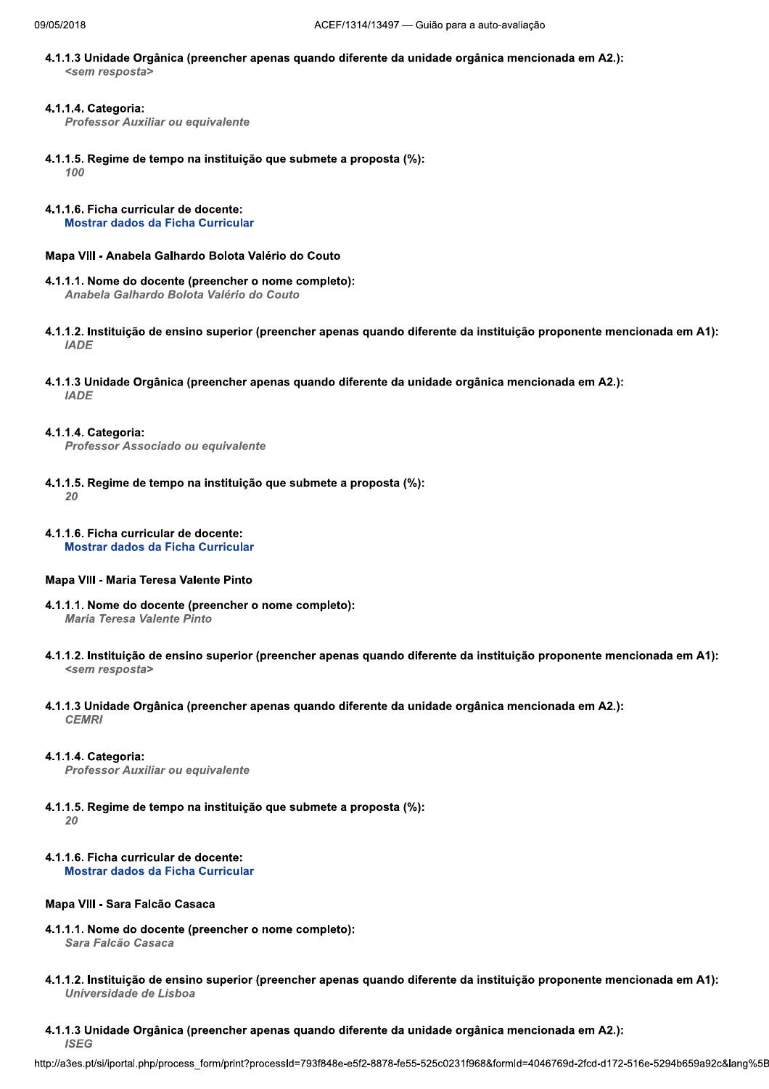4.1.1.3 Unidade Orgânica (preencher apenas quando diferente da unidade orgânica mencionada em A2.): <sem resposta>

## 4.1.1.4. Categoria:

**Professor Auxiliar ou equivalente** 

- 4.1.1.5. Regime de tempo na instituição que submete a proposta (%): 100
- 4.1.1.6. Ficha curricular de docente: Mostrar dados da Ficha Curricular

## Mapa VIII - Anabela Galhardo Bolota Valério do Couto

- 4.1.1.1. Nome do docente (preencher o nome completo): Anabela Galhardo Bolota Valério do Couto
- 4.1.1.2. Instituição de ensino superior (preencher apenas quando diferente da instituição proponente mencionada em A1): **IADE**
- 4.1.1.3 Unidade Orgânica (preencher apenas quando diferente da unidade orgânica mencionada em A2.): **IADE**

#### 4.1.1.4. Categoria:

Professor Associado ou equivalente

- 4.1.1.5. Regime de tempo na instituição que submete a proposta (%):  $20$
- 4.1.1.6. Ficha curricular de docente: Mostrar dados da Ficha Curricular

## Mapa VIII - Maria Teresa Valente Pinto

- 4.1.1.1. Nome do docente (preencher o nome completo): Maria Teresa Valente Pinto
- 4.1.1.2. Instituição de ensino superior (preencher apenas quando diferente da instituição proponente mencionada em A1): <sem resposta>
- 4.1.1.3 Unidade Orgânica (preencher apenas quando diferente da unidade orgânica mencionada em A2.): **CEMRI**

#### 4.1.1.4. Categoria:

Professor Auxiliar ou equivalente

- 4.1.1.5. Regime de tempo na instituição que submete a proposta (%):  $20$
- 4.1.1.6. Ficha curricular de docente: Mostrar dados da Ficha Curricular

## Mapa VIII - Sara Falcão Casaca

- 4.1.1.1. Nome do docente (preencher o nome completo): Sara Falcão Casaca
- 4.1.1.2. Instituição de ensino superior (preencher apenas quando diferente da instituição proponente mencionada em A1): Universidade de Lisboa
- 4.1.1.3 Unidade Orgânica (preencher apenas quando diferente da unidade orgânica mencionada em A2.): **ISEG**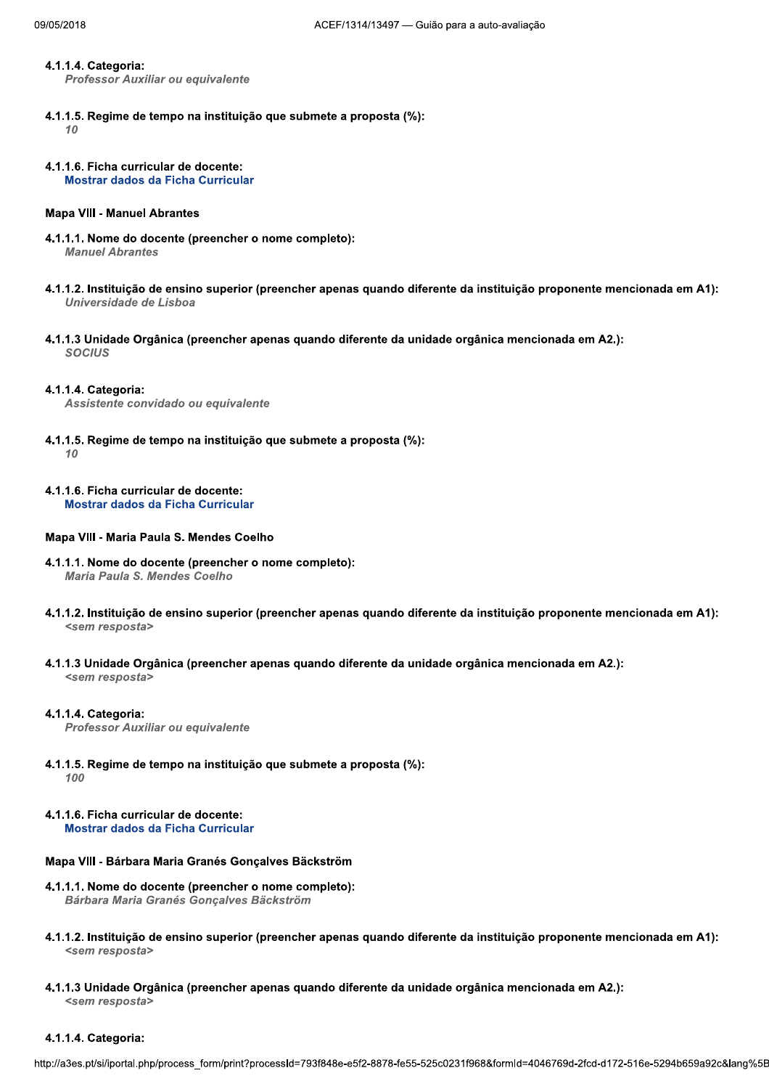#### 4.1.1.4. Categoria:

Professor Auxiliar ou equivalente

- 4.1.1.5. Regime de tempo na instituição que submete a proposta (%):  $10$
- 4.1.1.6. Ficha curricular de docente: Mostrar dados da Ficha Curricular

## **Mapa VIII - Manuel Abrantes**

- 4.1.1.1. Nome do docente (preencher o nome completo): **Manuel Abrantes**
- 4.1.1.2. Instituição de ensino superior (preencher apenas quando diferente da instituição proponente mencionada em A1): Universidade de Lisboa
- 4.1.1.3 Unidade Orgânica (preencher apenas quando diferente da unidade orgânica mencionada em A2.): **SOCIUS**

#### 4.1.1.4. Categoria:

Assistente convidado ou equivalente

- 4.1.1.5. Regime de tempo na instituição que submete a proposta (%):  $10$
- 4.1.1.6. Ficha curricular de docente: **Mostrar dados da Ficha Curricular**

#### Mapa VIII - Maria Paula S. Mendes Coelho

- 4.1.1.1. Nome do docente (preencher o nome completo): Maria Paula S. Mendes Coelho
- 4.1.1.2. Instituição de ensino superior (preencher apenas quando diferente da instituição proponente mencionada em A1): <sem resposta>
- 4.1.1.3 Unidade Orgânica (preencher apenas quando diferente da unidade orgânica mencionada em A2.): <sem resposta>

#### 4.1.1.4. Categoria:

Professor Auxiliar ou equivalente

- 4.1.1.5. Regime de tempo na instituição que submete a proposta (%): 100
- 4.1.1.6. Ficha curricular de docente: **Mostrar dados da Ficha Curricular**

## Mapa VIII - Bárbara Maria Granés Gonçalves Bäckström

- 4.1.1.1. Nome do docente (preencher o nome completo): Bárbara Maria Granés Goncalves Bäckström
- 4.1.1.2. Instituição de ensino superior (preencher apenas quando diferente da instituição proponente mencionada em A1): <sem resposta>
- 4.1.1.3 Unidade Orgânica (preencher apenas quando diferente da unidade orgânica mencionada em A2.): <sem resposta>

#### 4.1.1.4. Categoria: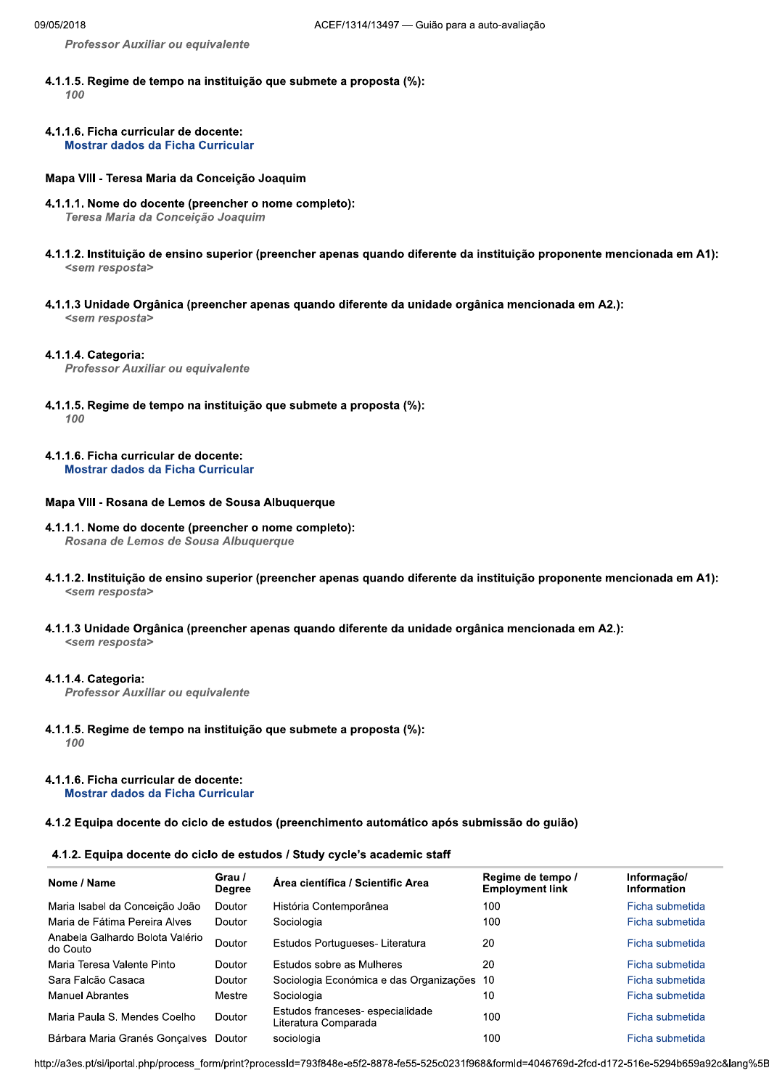Professor Auxiliar ou equivalente

- 4.1.1.5. Regime de tempo na instituição que submete a proposta (%): 100
- 4.1.1.6. Ficha curricular de docente: **Mostrar dados da Ficha Curricular**

## Mapa VIII - Teresa Maria da Conceição Joaquim

- 4.1.1.1. Nome do docente (preencher o nome completo): Teresa Maria da Conceição Joaquim
- 4.1.1.2. Instituição de ensino superior (preencher apenas quando diferente da instituição proponente mencionada em A1): <sem resposta>
- 4.1.1.3 Unidade Orgânica (preencher apenas quando diferente da unidade orgânica mencionada em A2.): <sem resposta>

#### 4.1.1.4. Categoria:

Professor Auxiliar ou equivalente

- 4.1.1.5. Regime de tempo na instituição que submete a proposta (%): 100
- 4.1.1.6. Ficha curricular de docente: **Mostrar dados da Ficha Curricular**

## Mapa VIII - Rosana de Lemos de Sousa Albuquerque

- 4.1.1.1. Nome do docente (preencher o nome completo): Rosana de Lemos de Sousa Albuquerque
- 4.1.1.2. Instituição de ensino superior (preencher apenas quando diferente da instituição proponente mencionada em A1): <sem resposta>
- 4.1.1.3 Unidade Orgânica (preencher apenas quando diferente da unidade orgânica mencionada em A2.): <sem resposta>

#### 4.1.1.4. Categoria:

Professor Auxiliar ou equivalente

4.1.1.5. Regime de tempo na instituição que submete a proposta (%): 100

#### 4.1.1.6. Ficha curricular de docente: **Mostrar dados da Ficha Curricular**

4.1.2 Equipa docente do ciclo de estudos (preenchimento automático após submissão do guião)

#### 4.1.2. Equipa docente do ciclo de estudos / Study cycle's academic staff

| Nome / Name                                 | Grau /<br><b>Degree</b> | Área científica / Scientific Area                       | Regime de tempo /<br><b>Employment link</b> | Informacão/<br><b>Information</b> |
|---------------------------------------------|-------------------------|---------------------------------------------------------|---------------------------------------------|-----------------------------------|
| Maria Isabel da Conceição João              | Doutor                  | História Contemporânea                                  | 100                                         | Ficha submetida                   |
| Maria de Fátima Pereira Alves               | Doutor                  | Sociologia                                              | 100                                         | Ficha submetida                   |
| Anabela Galhardo Bolota Valério<br>do Couto | Doutor                  | Estudos Portugueses- Literatura                         | 20                                          | Ficha submetida                   |
| Maria Teresa Valente Pinto                  | Doutor                  | Estudos sobre as Mulheres                               | 20                                          | Ficha submetida                   |
| Sara Falcão Casaca                          | Doutor                  | Sociologia Económica e das Organizações                 | 10                                          | Ficha submetida                   |
| Manuel Abrantes                             | Mestre                  | Sociologia                                              | 10                                          | Ficha submetida                   |
| Maria Paula S. Mendes Coelho                | Doutor                  | Estudos franceses-especialidade<br>Literatura Comparada | 100                                         | Ficha submetida                   |
| Bárbara Maria Granés Gonçalves Doutor       |                         | sociologia                                              | 100                                         | Ficha submetida                   |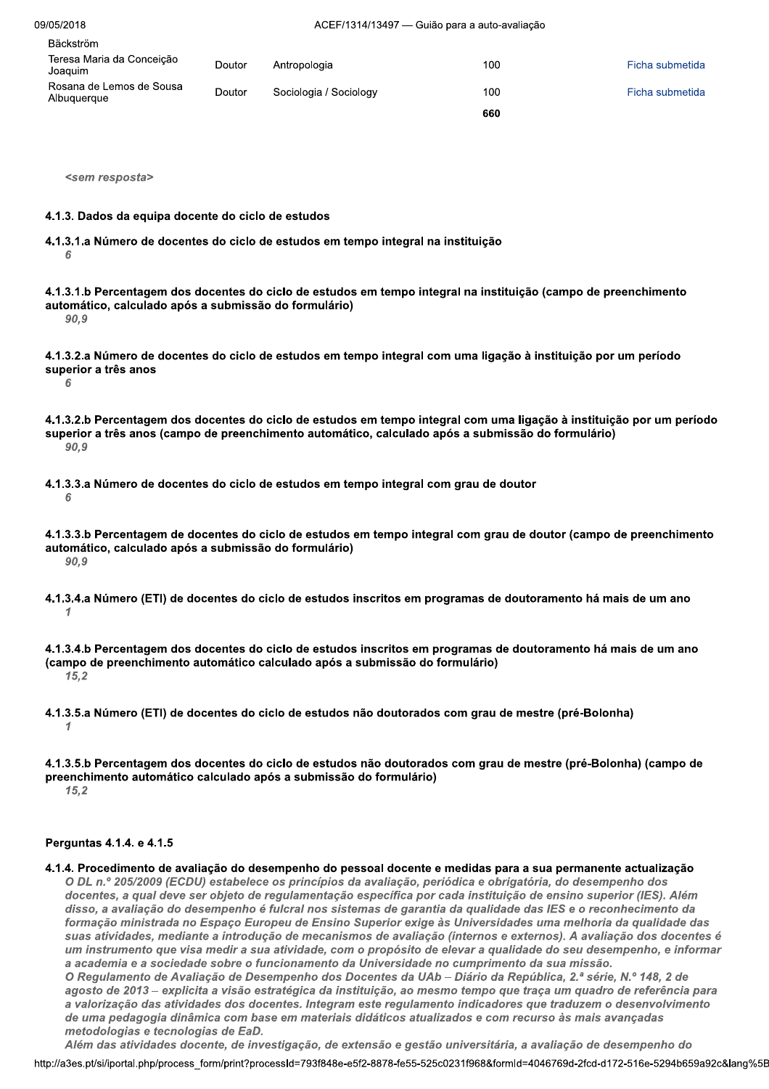Bäckström

| Teresa Maria da Conceição<br>Joaquim    | Doutor | Antropologia           | 100 | Ficha submetida |
|-----------------------------------------|--------|------------------------|-----|-----------------|
| Rosana de Lemos de Sousa<br>Albuguergue | Doutor | Sociologia / Sociology | 100 | Ficha submetida |
|                                         |        |                        | 660 |                 |

<sem resposta>

#### 4.1.3. Dados da equipa docente do ciclo de estudos

4.1.3.1.a Número de docentes do ciclo de estudos em tempo integral na instituição 6

4.1.3.1.b Percentagem dos docentes do ciclo de estudos em tempo integral na instituição (campo de preenchimento automático, calculado após a submissão do formulário) 90,9

4.1.3.2.a Número de docentes do ciclo de estudos em tempo integral com uma ligação à instituição por um período superior a três anos 6

- 4.1.3.2.b Percentagem dos docentes do ciclo de estudos em tempo integral com uma ligação à instituição por um período superior a três anos (campo de preenchimento automático, calculado após a submissão do formulário) 90,9
- 4.1.3.3.a Número de docentes do ciclo de estudos em tempo integral com grau de doutor 6

4.1.3.3.b Percentagem de docentes do ciclo de estudos em tempo integral com grau de doutor (campo de preenchimento automático, calculado após a submissão do formulário) 90.9

4.1.3.4.a Número (ETI) de docentes do ciclo de estudos inscritos em programas de doutoramento há mais de um ano  $\mathcal I$ 

4.1.3.4.b Percentagem dos docentes do ciclo de estudos inscritos em programas de doutoramento há mais de um ano (campo de preenchimento automático calculado após a submissão do formulário)  $15.2$ 

4.1.3.5.a Número (ETI) de docentes do ciclo de estudos não doutorados com grau de mestre (pré-Bolonha)  $\mathcal I$ 

#### Perguntas 4.1.4. e 4.1.5

4.1.4. Procedimento de avaliação do desempenho do pessoal docente e medidas para a sua permanente actualização O DL n.º 205/2009 (ECDU) estabelece os princípios da avaliação, periódica e obrigatória, do desempenho dos docentes, a qual deve ser objeto de regulamentação específica por cada instituição de ensino superior (IES). Além disso, a avaliação do desempenho é fulcral nos sistemas de garantia da qualidade das IES e o reconhecimento da formação ministrada no Espaço Europeu de Ensino Superior exige às Universidades uma melhoria da qualidade das suas atividades, mediante a introdução de mecanismos de avaliação (internos e externos). A avaliação dos docentes é um instrumento que visa medir a sua atividade, com o propósito de elevar a qualidade do seu desempenho, e informar a academia e a sociedade sobre o funcionamento da Universidade no cumprimento da sua missão. O Regulamento de Avaliação de Desempenho dos Docentes da UAb – Diário da República, 2.ª série, N.º 148, 2 de agosto de 2013 – explicita a visão estratégica da instituição, ao mesmo tempo que traça um quadro de referência para a valorização das atividades dos docentes. Integram este regulamento indicadores que traduzem o desenvolvimento de uma pedagogia dinâmica com base em materiais didáticos atualizados e com recurso às mais avançadas metodologias e tecnologias de EaD. Além das atividades docente, de investigação, de extensão e gestão universitária, a avaliação de desempenho do

<sup>4.1.3.5.</sup>b Percentagem dos docentes do ciclo de estudos não doutorados com grau de mestre (pré-Bolonha) (campo de preenchimento automático calculado após a submissão do formulário)  $15.2$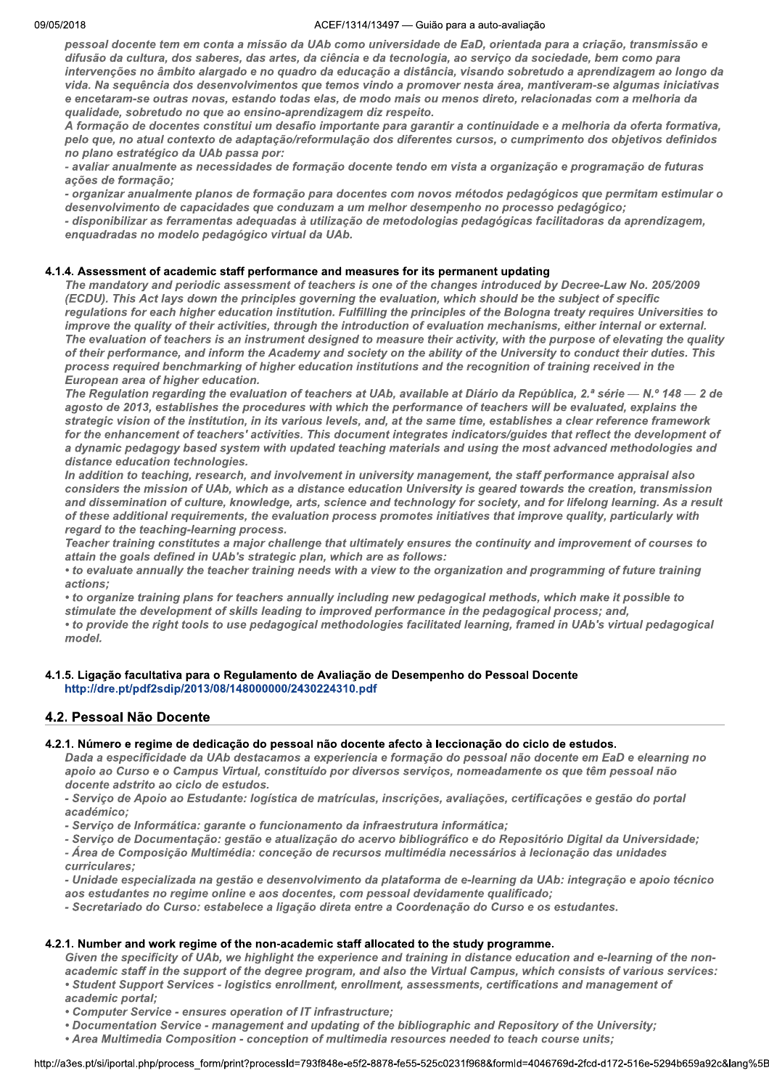pessoal docente tem em conta a missão da UAb como universidade de EaD, orientada para a criação, transmissão e difusão da cultura, dos saberes, das artes, da ciência e da tecnologia, ao serviço da sociedade, bem como para intervenções no âmbito alargado e no quadro da educação a distância, visando sobretudo a aprendizagem ao longo da vida. Na sequência dos desenvolvimentos que temos vindo a promover nesta área, mantiveram-se algumas iniciativas e encetaram-se outras novas, estando todas elas, de modo mais ou menos direto, relacionadas com a melhoria da qualidade, sobretudo no que ao ensino-aprendizagem diz respeito.

A formação de docentes constitui um desafio importante para garantir a continuidade e a melhoria da oferta formativa, pelo que, no atual contexto de adaptação/reformulação dos diferentes cursos, o cumprimento dos objetivos definidos no plano estratégico da UAb passa por:

- avaliar anualmente as necessidades de formação docente tendo em vista a organização e programação de futuras ações de formação;

- organizar anualmente planos de formação para docentes com novos métodos pedagógicos que permitam estimular o desenvolvimento de capacidades que conduzam a um melhor desempenho no processo pedagógico;

- disponibilizar as ferramentas adequadas à utilização de metodologias pedagógicas facilitadoras da aprendizagem, enquadradas no modelo pedagógico virtual da UAb.

## 4.1.4. Assessment of academic staff performance and measures for its permanent updating

The mandatory and periodic assessment of teachers is one of the changes introduced by Decree-Law No. 205/2009 (ECDU). This Act lays down the principles governing the evaluation, which should be the subject of specific regulations for each higher education institution. Fulfilling the principles of the Bologna treaty requires Universities to improve the quality of their activities, through the introduction of evaluation mechanisms, either internal or external. The evaluation of teachers is an instrument designed to measure their activity, with the purpose of elevating the quality of their performance, and inform the Academy and society on the ability of the University to conduct their duties. This process required benchmarking of higher education institutions and the recognition of training received in the European area of higher education.

The Regulation regarding the evaluation of teachers at UAb, available at Diário da República, 2.ª série - N.º 148 - 2 de agosto de 2013, establishes the procedures with which the performance of teachers will be evaluated, explains the strategic vision of the institution, in its various levels, and, at the same time, establishes a clear reference framework for the enhancement of teachers' activities. This document integrates indicators/guides that reflect the development of a dynamic pedagogy based system with updated teaching materials and using the most advanced methodologies and distance education technologies.

In addition to teaching, research, and involvement in university management, the staff performance appraisal also considers the mission of UAb, which as a distance education University is geared towards the creation, transmission and dissemination of culture, knowledge, arts, science and technology for society, and for lifelong learning. As a result of these additional requirements, the evaluation process promotes initiatives that improve quality, particularly with regard to the teaching-learning process.

Teacher training constitutes a major challenge that ultimately ensures the continuity and improvement of courses to attain the goals defined in UAb's strategic plan, which are as follows:

• to evaluate annually the teacher training needs with a view to the organization and programming of future training actions:

• to organize training plans for teachers annually including new pedagogical methods, which make it possible to stimulate the development of skills leading to improved performance in the pedagogical process; and,

• to provide the right tools to use pedagogical methodologies facilitated learning, framed in UAb's virtual pedagogical model.

## 4.1.5. Ligação facultativa para o Regulamento de Avaliação de Desempenho do Pessoal Docente http://dre.pt/pdf2sdip/2013/08/148000000/2430224310.pdf

## 4.2. Pessoal Não Docente

## 4.2.1. Número e regime de dedicação do pessoal não docente afecto à leccionação do ciclo de estudos.

Dada a especificidade da UAb destacamos a experiencia e formação do pessoal não docente em EaD e elearning no apoio ao Curso e o Campus Virtual, constituído por diversos serviços, nomeadamente os que têm pessoal não docente adstrito ao ciclo de estudos.

- Serviço de Apoio ao Estudante: logística de matrículas, inscrições, avaliações, certificações e gestão do portal académico;

- Serviço de Informática: garante o funcionamento da infraestrutura informática;

- Serviço de Documentação: gestão e atualização do acervo bibliográfico e do Repositório Digital da Universidade;

- Área de Composição Multimédia: conceção de recursos multimédia necessários à lecionação das unidades curriculares:

- Unidade especializada na gestão e desenvolvimento da plataforma de e-learning da UAb: integração e apoio técnico aos estudantes no regime online e aos docentes, com pessoal devidamente qualificado;

- Secretariado do Curso: estabelece a ligação direta entre a Coordenação do Curso e os estudantes.

## 4.2.1. Number and work regime of the non-academic staff allocated to the study programme.

Given the specificity of UAb, we highlight the experience and training in distance education and e-learning of the nonacademic staff in the support of the degree program, and also the Virtual Campus, which consists of various services:

• Student Support Services - logistics enrollment, enrollment, assessments, certifications and management of

academic portal;

• Computer Service - ensures operation of IT infrastructure;

• Documentation Service - management and updating of the bibliographic and Repository of the University;

• Area Multimedia Composition - conception of multimedia resources needed to teach course units;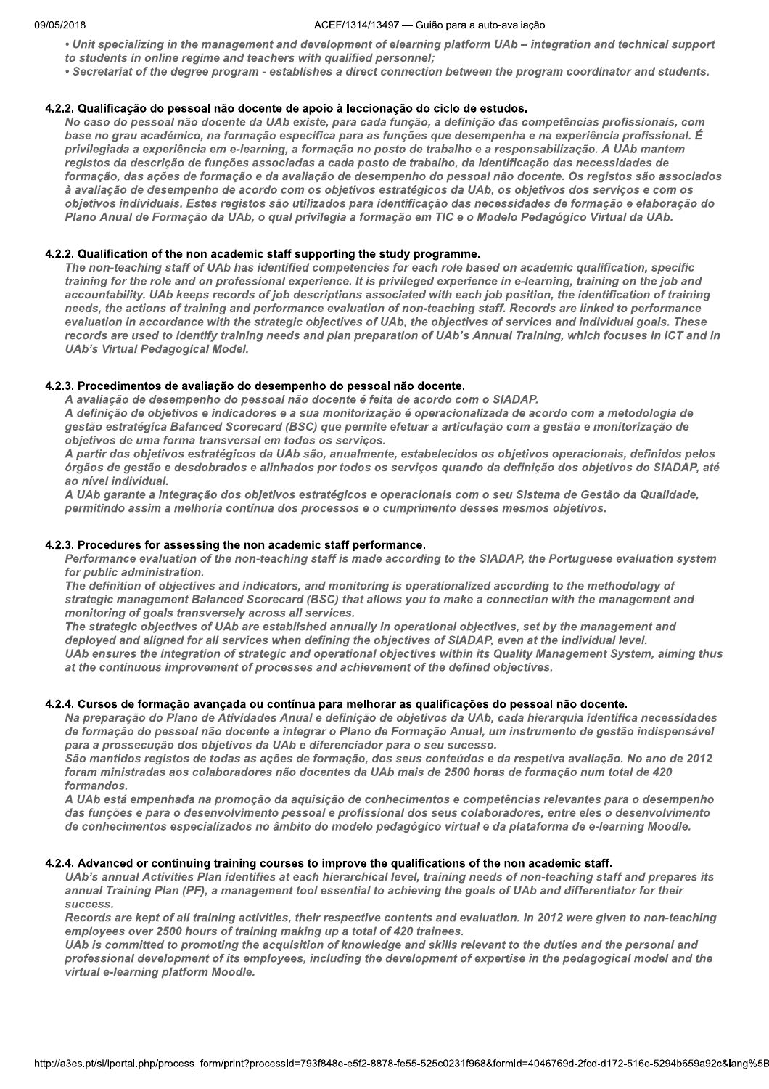#### ACEF/1314/13497 - Guião para a auto-avaliação

• Unit specializing in the management and development of elearning platform UAb – integration and technical support to students in online regime and teachers with qualified personnel;

. Secretariat of the degree program - establishes a direct connection between the program coordinator and students.

#### 4.2.2. Qualificação do pessoal não docente de apoio à leccionação do ciclo de estudos.

No caso do pessoal não docente da UAb existe, para cada função, a definição das competências profissionais, com base no grau académico, na formação específica para as funções que desempenha e na experiência profissional. É privilegiada a experiência em e-learning, a formação no posto de trabalho e a responsabilização. A UAb mantem registos da descrição de funções associadas a cada posto de trabalho, da identificação das necessidades de formação, das ações de formação e da avaliação de desempenho do pessoal não docente. Os registos são associados à avaliação de desempenho de acordo com os objetivos estratégicos da UAb, os objetivos dos serviços e com os objetivos individuais. Estes registos são utilizados para identificação das necessidades de formação e elaboração do Plano Anual de Formação da UAb, o qual privilegia a formação em TIC e o Modelo Pedagógico Virtual da UAb.

## 4.2.2. Qualification of the non academic staff supporting the study programme.

The non-teaching staff of UAb has identified competencies for each role based on academic qualification, specific training for the role and on professional experience. It is privileged experience in e-learning, training on the job and accountability. UAb keeps records of job descriptions associated with each job position, the identification of training needs, the actions of training and performance evaluation of non-teaching staff. Records are linked to performance evaluation in accordance with the strategic objectives of UAb, the objectives of services and individual goals. These records are used to identify training needs and plan preparation of UAb's Annual Training, which focuses in ICT and in **UAb's Virtual Pedagogical Model.** 

#### 4.2.3. Procedimentos de avaliação do desempenho do pessoal não docente.

A avaliação de desempenho do pessoal não docente é feita de acordo com o SIADAP.

A definição de objetivos e indicadores e a sua monitorização é operacionalizada de acordo com a metodologia de gestão estratégica Balanced Scorecard (BSC) que permite efetuar a articulação com a gestão e monitorização de objetivos de uma forma transversal em todos os serviços.

A partir dos objetivos estratégicos da UAb são, anualmente, estabelecidos os objetivos operacionais, definidos pelos órgãos de gestão e desdobrados e alinhados por todos os serviços quando da definição dos objetivos do SIADAP, até ao nível individual.

A UAb garante a integração dos objetivos estratégicos e operacionais com o seu Sistema de Gestão da Qualidade, permitindo assim a melhoria contínua dos processos e o cumprimento desses mesmos objetivos.

#### 4.2.3. Procedures for assessing the non academic staff performance.

Performance evaluation of the non-teaching staff is made according to the SIADAP, the Portuguese evaluation system for public administration.

The definition of objectives and indicators, and monitoring is operationalized according to the methodology of strategic management Balanced Scorecard (BSC) that allows you to make a connection with the management and monitoring of goals transversely across all services.

The strategic objectives of UAb are established annually in operational objectives, set by the management and deployed and aligned for all services when defining the objectives of SIADAP, even at the individual level. UAb ensures the integration of strategic and operational objectives within its Quality Management System, aiming thus at the continuous improvement of processes and achievement of the defined objectives.

#### 4.2.4. Cursos de formação avançada ou contínua para melhorar as qualificações do pessoal não docente.

Na preparação do Plano de Atividades Anual e definição de objetivos da UAb, cada hierarquia identifica necessidades de formação do pessoal não docente a integrar o Plano de Formação Anual, um instrumento de gestão indispensável para a prossecução dos objetivos da UAb e diferenciador para o seu sucesso.

São mantidos registos de todas as ações de formação, dos seus conteúdos e da respetiva avaliação. No ano de 2012 foram ministradas aos colaboradores não docentes da UAb mais de 2500 horas de formação num total de 420 formandos.

A UAb está empenhada na promoção da aquisição de conhecimentos e competências relevantes para o desempenho das funções e para o desenvolvimento pessoal e profissional dos seus colaboradores, entre eles o desenvolvimento de conhecimentos especializados no âmbito do modelo pedagógico virtual e da plataforma de e-learning Moodle.

#### 4.2.4. Advanced or continuing training courses to improve the qualifications of the non academic staff.

UAb's annual Activities Plan identifies at each hierarchical level, training needs of non-teaching staff and prepares its annual Training Plan (PF), a management tool essential to achieving the goals of UAb and differentiator for their success.

Records are kept of all training activities, their respective contents and evaluation. In 2012 were given to non-teaching employees over 2500 hours of training making up a total of 420 trainees.

UAb is committed to promoting the acquisition of knowledge and skills relevant to the duties and the personal and professional development of its employees, including the development of expertise in the pedagogical model and the virtual e-learning platform Moodle.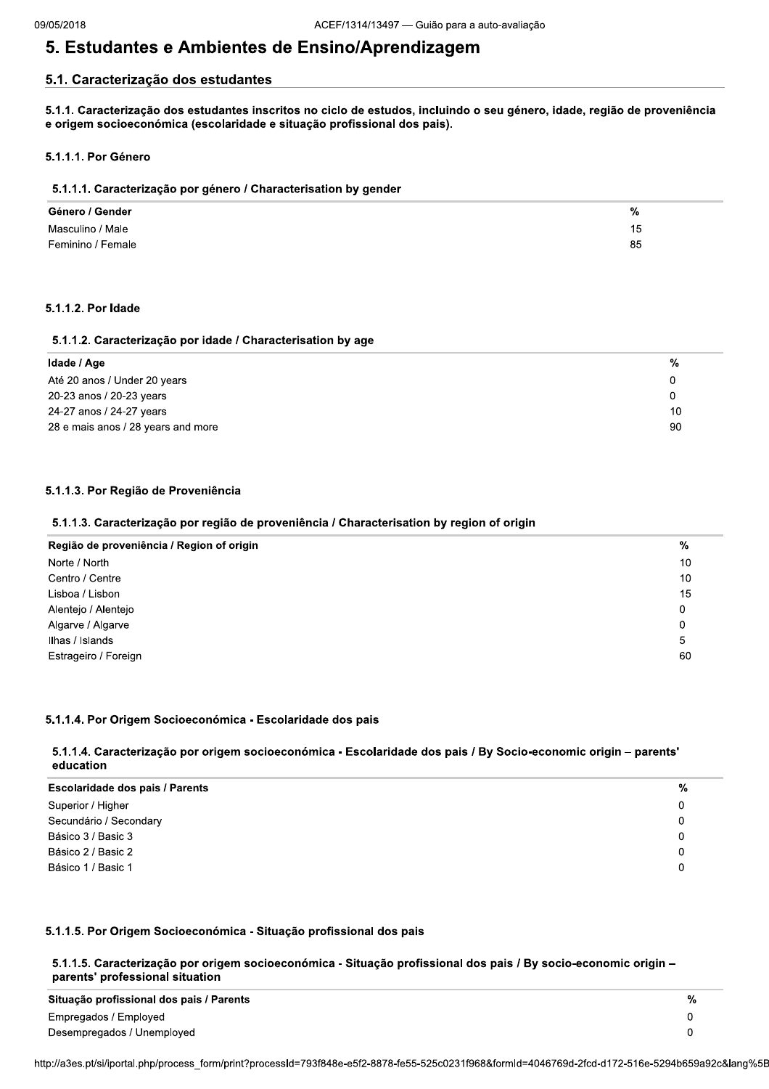$%$ 15

85

# 5. Estudantes e Ambientes de Ensino/Aprendizagem

## 5.1. Caracterização dos estudantes

5.1.1. Caracterização dos estudantes inscritos no ciclo de estudos, incluindo o seu género, idade, região de proveniência e origem socioeconómica (escolaridade e situação profissional dos pais).

## 5.1.1.1. Por Género

| 5.1.1.1. Caracterização por género / Characterisation by gender |  |  |  |  |  |
|-----------------------------------------------------------------|--|--|--|--|--|
| Género / Gender                                                 |  |  |  |  |  |
| Masculino / Male                                                |  |  |  |  |  |
| Feminino / Female                                               |  |  |  |  |  |

## 5.1.1.2. Por Idade

## 5.1.1.2. Caracterização por idade / Characterisation by age

| Idade / Age                        | %  |
|------------------------------------|----|
| Até 20 anos / Under 20 years       | 0  |
| 20-23 anos / 20-23 years           | O. |
| 24-27 anos / 24-27 years           | 10 |
| 28 e mais anos / 28 years and more | 90 |

## 5.1.1.3. Por Região de Proveniência

## 5.1.1.3. Caracterização por região de proveniência / Characterisation by region of origin

| Região de proveniência / Region of origin | %  |
|-------------------------------------------|----|
| Norte / North                             | 10 |
| Centro / Centre                           | 10 |
| Lisboa / Lisbon                           | 15 |
| Alentejo / Alentejo                       | 0  |
| Algarve / Algarve                         | 0  |
| Ilhas / Islands                           | 5  |
| Estrageiro / Foreign                      | 60 |

## 5.1.1.4. Por Origem Socioeconómica - Escolaridade dos pais

## 5.1.1.4. Caracterização por origem socioeconómica - Escolaridade dos pais / By Socio-economic origin - parents' education

| <b>Escolaridade dos pais / Parents</b> | % |
|----------------------------------------|---|
| Superior / Higher                      |   |
| Secundário / Secondary                 |   |
| Básico 3 / Basic 3                     |   |
| Básico 2 / Basic 2                     |   |
| Básico 1 / Basic 1                     |   |

## 5.1.1.5. Por Origem Socioeconómica - Situação profissional dos pais

5.1.1.5. Caracterização por origem socioeconómica - Situação profissional dos pais / By socio-economic origin parents' professional situation

| Situação profissional dos pais / Parents | % |
|------------------------------------------|---|
| Empregados / Employed                    |   |
| Desempregados / Unemployed               |   |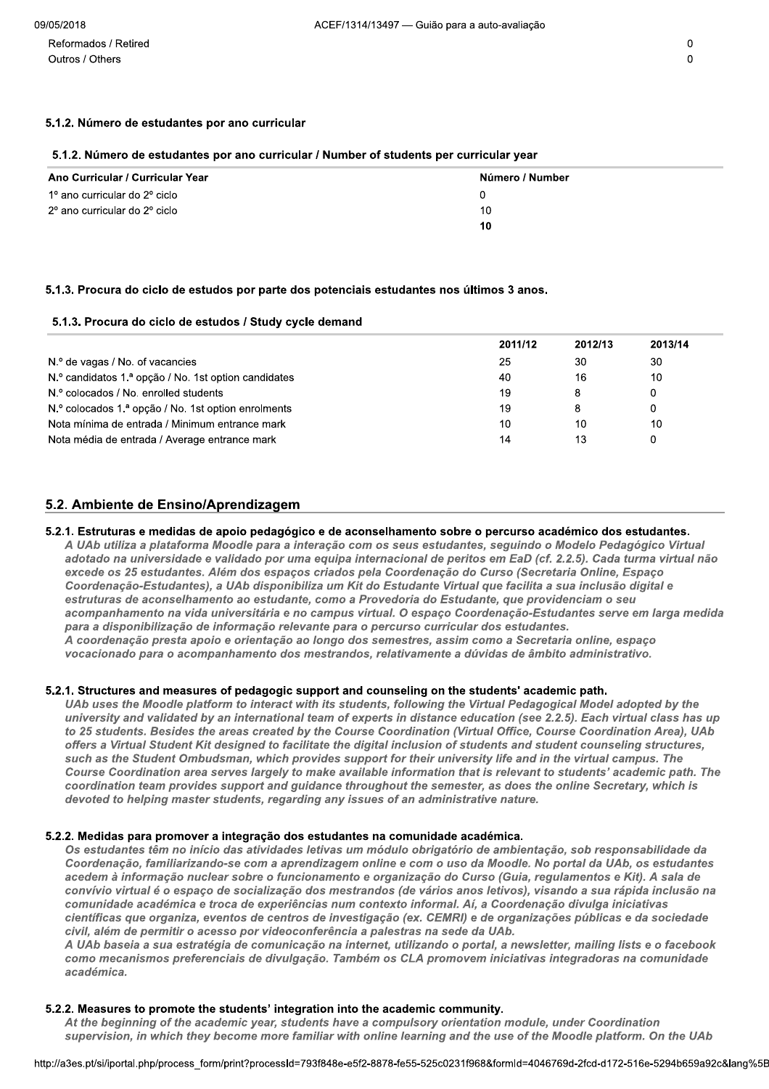## 5.1.2. Número de estudantes por ano curricular

## 5.1.2. Número de estudantes por ano curricular / Number of students per curricular year

| Ano Curricular / Curricular Year | Número / Number |
|----------------------------------|-----------------|
| 1º ano curricular do 2º ciclo    | 0               |
| 2º ano curricular do 2º ciclo    | 10              |
|                                  | 10              |

## 5.1.3. Procura do ciclo de estudos por parte dos potenciais estudantes nos últimos 3 anos.

## 5.1.3. Procura do ciclo de estudos / Study cycle demand

|                                                      | 2011/12 | 2012/13 | 2013/14 |
|------------------------------------------------------|---------|---------|---------|
| N.º de vagas / No. of vacancies                      | 25      | 30      | 30      |
| N.º candidatos 1.ª opção / No. 1st option candidates | 40      | 16      | 10      |
| N.º colocados / No. enrolled students                | 19      | 8       |         |
| N.º colocados 1.ª opção / No. 1st option enrolments  | 19      | 8       |         |
| Nota mínima de entrada / Minimum entrance mark       | 10      | 10      | 10      |
| Nota média de entrada / Average entrance mark        | 14      | 13      |         |

## 5.2. Ambiente de Ensino/Aprendizagem

## 5.2.1. Estruturas e medidas de apoio pedagógico e de aconselhamento sobre o percurso académico dos estudantes.

A UAb utiliza a plataforma Moodle para a interação com os seus estudantes, seguindo o Modelo Pedagógico Virtual adotado na universidade e validado por uma equipa internacional de peritos em EaD (cf. 2.2.5). Cada turma virtual não excede os 25 estudantes. Além dos espaços criados pela Coordenação do Curso (Secretaria Online, Espaço Coordenação-Estudantes), a UAb disponibiliza um Kit do Estudante Virtual que facilita a sua inclusão digital e estruturas de aconselhamento ao estudante, como a Provedoria do Estudante, que providenciam o seu acompanhamento na vida universitária e no campus virtual. O espaço Coordenação-Estudantes serve em larga medida para a disponibilização de informação relevante para o percurso curricular dos estudantes. A coordenação presta apoio e orientação ao longo dos semestres, assim como a Secretaria online, espaço vocacionado para o acompanhamento dos mestrandos, relativamente a dúvidas de âmbito administrativo.

## 5.2.1. Structures and measures of pedagogic support and counseling on the students' academic path.

UAb uses the Moodle platform to interact with its students, following the Virtual Pedagogical Model adopted by the university and validated by an international team of experts in distance education (see 2.2.5). Each virtual class has up to 25 students. Besides the areas created by the Course Coordination (Virtual Office, Course Coordination Area), UAb offers a Virtual Student Kit designed to facilitate the digital inclusion of students and student counseling structures, such as the Student Ombudsman, which provides support for their university life and in the virtual campus. The Course Coordination area serves largely to make available information that is relevant to students' academic path. The coordination team provides support and guidance throughout the semester, as does the online Secretary, which is devoted to helping master students, regarding any issues of an administrative nature.

## 5.2.2. Medidas para promover a integração dos estudantes na comunidade académica.

Os estudantes têm no início das atividades letivas um módulo obrigatório de ambientação, sob responsabilidade da Coordenação, familiarizando-se com a aprendizagem online e com o uso da Moodle. No portal da UAb, os estudantes acedem à informação nuclear sobre o funcionamento e organização do Curso (Guia, regulamentos e Kit). A sala de convívio virtual é o espaço de socialização dos mestrandos (de vários anos letivos), visando a sua rápida inclusão na comunidade académica e troca de experiências num contexto informal. Aí, a Coordenação divulga iniciativas científicas que organiza, eventos de centros de investigação (ex. CEMRI) e de organizações públicas e da sociedade civil, além de permitir o acesso por videoconferência a palestras na sede da UAb.

A UAb baseia a sua estratégia de comunicação na internet, utilizando o portal, a newsletter, mailing lists e o facebook como mecanismos preferenciais de divulgação. Também os CLA promovem iniciativas integradoras na comunidade académica.

## 5.2.2. Measures to promote the students' integration into the academic community.

At the beginning of the academic year, students have a compulsory orientation module, under Coordination supervision, in which they become more familiar with online learning and the use of the Moodle platform. On the UAb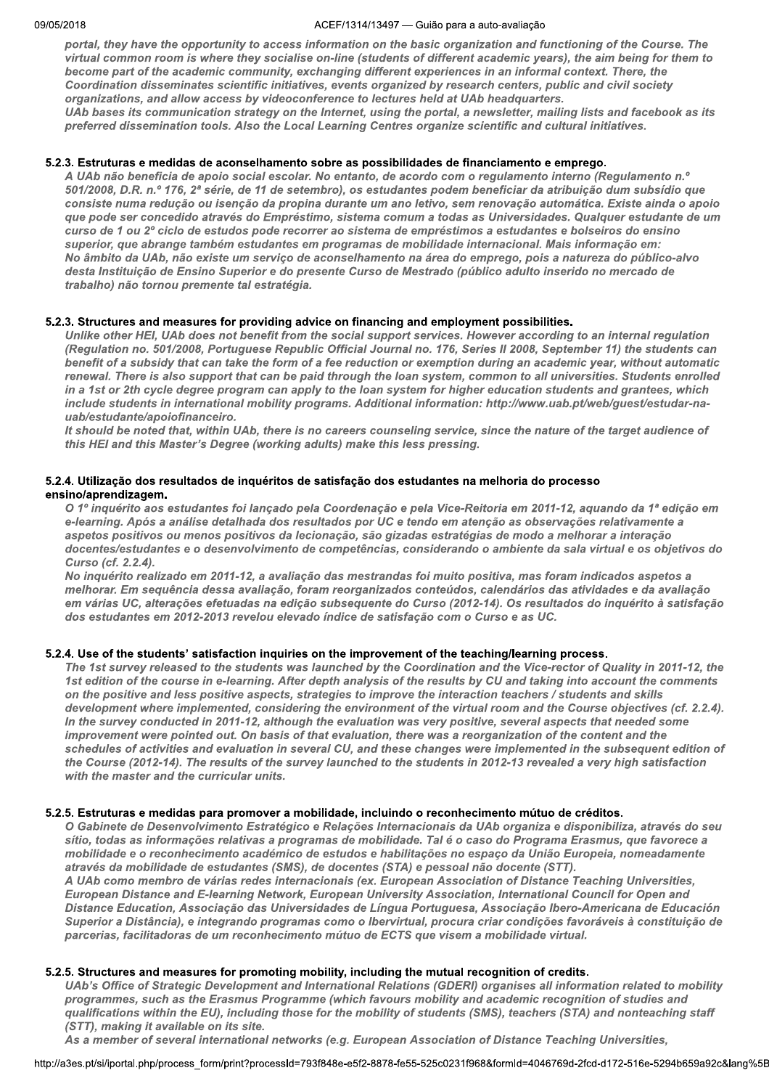#### ZUIB AULTI  $/1314/13497$  — Gulao para a auto-avaliação

portal, they have the opportunity to access information on the basic organization and functioning of the Course. The virtual common room is where they socialise on-line (students of different academic years), the aim being for them to become part of the academic community, exchanging different experiences in an informal context. There, the Coordination disseminates scientific initiatives, events organized by research centers, public and civil society organizations, and allow access by videoconference to lectures held at UAb headquarters. UAb bases its communication strategy on the Internet, using the portal, a newsletter, mailing lists and facebook as its preferred dissemination tools. Also the Local Learning Centres organize scientific and cultural initiatives.

#### V 5.2.3. Estruturas e medidas de aconseinamento sobre as possibilidades de financiamento e emprego.

A UAb não beneficia de apoio social escolar. No entanto, de acordo com o regulamento interno (Regulamento n.º 501/2008, D.R. n.º 176, 2ª série, de 11 de setembro), os estudantes podem beneficiar da atribuição dum subsídio que consiste numa redução ou isenção da propina durante um ano letivo, sem renovação automática. Existe ainda o apoio que pode ser concedido através do Empréstimo, sistema comum a todas as Universidades. Qualquer estudante de um curso de 1 ou 2º ciclo de estudos pode recorrer ao sistema de empréstimos a estudantes e bolseiros do ensino superior, que abrange também estudantes em programas de mobilidade internacional. Mais informação em: No âmbito da UAb, não existe um serviço de aconselhamento na área do emprego, pois a natureza do público-alvo desta Instituição de Ensino Superior e do presente Curso de Mestrado (público adulto inserido no mercado de trabalho) não tornou premente tal estratégia.

#### $\mathbb{R}^2$ 5.2.3. Structures and measures for providing advice on financing and employment possibilities.  $\,$

Unlike other HEI, UAb does not benefit from the social support services. However according to an internal regulation (Regulation no. 501/2008, Portuguese Republic Official Journal no. 176, Series II 2008, September 11) the students can benefit of a subsidy that can take the form of a fee reduction or exemption during an academic year, without automatic renewal. There is also support that can be paid through the loan system, common to all universities. Students enrolled in a 1st or 2th cycle degree program can apply to the loan system for higher education students and grantees, which include students in international mobility programs. Additional information: http://www.uab.pt/web/guest/estudar-nauab/estudante/apoiofinanceiro.

It should be noted that, within UAb, there is no careers counseling service, since the nature of the target audience of this HEI and this Master's Degree (working adults) make this less pressing.

#### **View Street (2009)** 5.2.4. Utilização dos resultados de inqueritos de satisfação dos estudantes na meinoria do processo ensino/aprendizagem.

0 1º inquérito aos estudantes foi lancado pela Coordenação e pela Vice-Reitoria em 2011-12, aquando da 1ª edição em e-learning. Após a análise detalhada dos resultados por UC e tendo em atenção as observações relativamente a aspetos positivos ou menos positivos da lecionação, são gizadas estratégias de modo a melhorar a interação docentes/estudantes e o desenvolvimento de competências, considerando o ambiente da sala virtual e os objetivos do Curso (cf. 2.2.4).

No inquérito realizado em 2011-12, a avaliação das mestrandas foi muito positiva, mas foram indicados aspetos a melhorar. Em sequência dessa avaliação, foram reorganizados conteúdos, calendários das atividades e da avaliação em várias UC, alteracões efetuadas na edicão subseguente do Curso (2012-14). Os resultados do inquérito à satisfacão dos estudantes em 2012-2013 revelou elevado índice de satisfação com o Curso e as UC.

#### $\mathbb{R}^2$ 5.2.4. Use of the students' satisfaction inquiries on the improvement of the teaching/learning process.

The 1st survey released to the students was launched by the Coordination and the Vice-rector of Quality in 2011-12, the 1st edition of the course in e-learning. After depth analysis of the results by CU and taking into account the comments on the positive and less positive aspects, strategies to improve the interaction teachers / students and skills development where implemented, considering the environment of the virtual room and the Course objectives (cf. 2.2.4). In the survey conducted in 2011-12, although the evaluation was very positive, several aspects that needed some improvement were pointed out. On basis of that evaluation, there was a reorganization of the content and the schedules of activities and evaluation in several CU, and these changes were implemented in the subsequent edition of the Course (2012-14). The results of the survey launched to the students in 2012-13 revealed a very high satisfaction with the master and the curricular units.

#### V 5.2.5. Estruturas e medidas para promover a mobilidade, incluindo o reconnecimento mutuo de creditos.

O Gabinete de Desenvolvimento Estratégico e Relações Internacionais da UAb organiza e disponibiliza, através do seu sítio, todas as informações relativas a programas de mobilidade. Tal é o caso do Programa Erasmus, que favorece a mobilidade e o reconhecimento académico de estudos e habilitações no espaço da União Europeia, nomeadamente através da mobilidade de estudantes (SMS), de docentes (STA) e pessoal não docente (STT).

A UAb como membro de várias redes internacionais (ex. European Association of Distance Teaching Universities, European Distance and E-learning Network, European University Association, International Council for Open and Distance Education, Associação das Universidades de Língua Portuguesa, Associação Ibero-Americana de Educación Superior a Distância), e integrando programas como o Ibervirtual, procura criar condições favoráveis à constituição de parcerias, facilitadoras de um reconhecimento mútuo de ECTS que visem a mobilidade virtual.

#### $\mathbb{R}^2$ 5.2.5. Structures and measures for promoting mobility, including the mutual recognition of credits.

and measures for promoting mobility, including the mutual recognition of credits.<br>
of Strategic Development and International Relations (GDERI) organises all information related to mobility<br>
such as the Erasmus Programme ( UAb's Office of Strategic Development and International Relations (GDERI) organises all information related to mobility programmes, such as the Erasmus Programme (which favours mobility and academic recognition of studies and qualifications within the EU), including those for the mobility of students (SMS), teachers (STA) and nonteaching staff (STT), making it available on its site.

As a member of several international networks (e.g. European Association of Distance Teaching Universities,

nttp://a3es.pt/si/iportal.php/process\_form/pi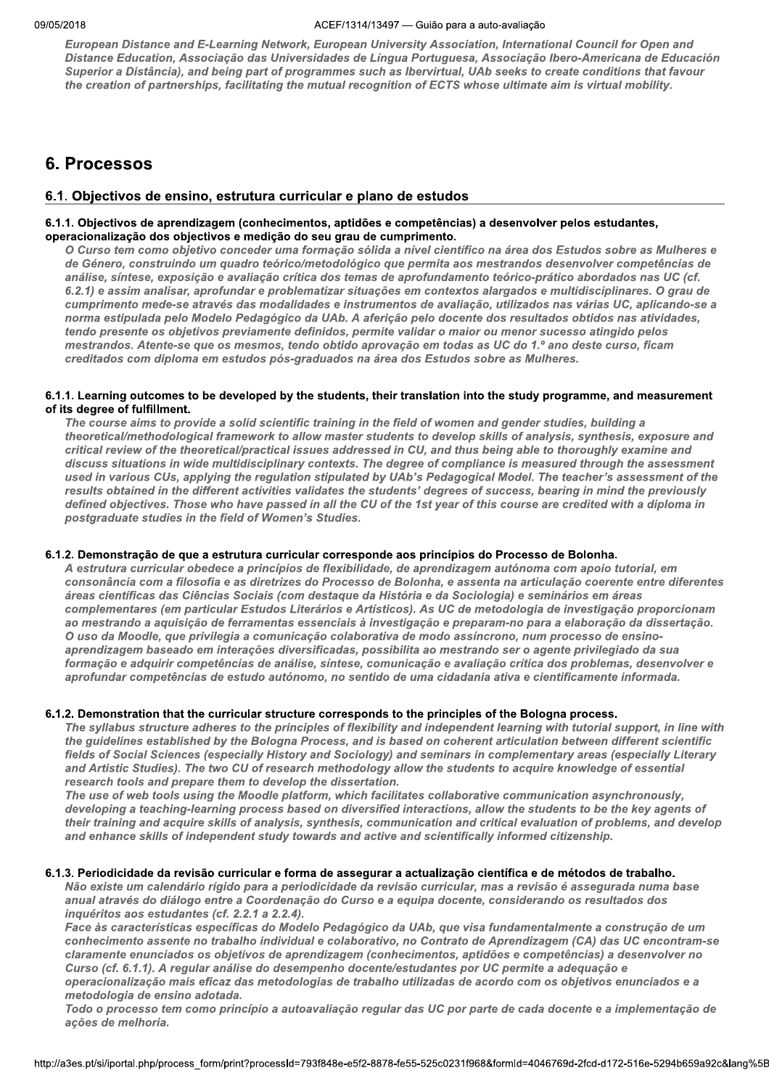European Distance and E-Learning Network, European University Association, International Council for Open and Distance Education, Associação das Universidades de Língua Portuguesa, Associação Ibero-Americana de Educación Superior a Distância), and being part of programmes such as Ibervirtual, UAb seeks to create conditions that favour the creation of partnerships, facilitating the mutual recognition of ECTS whose ultimate aim is virtual mobility.

## 6. Processos

## 6.1. Objectivos de ensino, estrutura curricular e plano de estudos

## 6.1.1. Objectivos de aprendizagem (conhecimentos, aptidões e competências) a desenvolver pelos estudantes, operacionalização dos objectivos e medição do seu grau de cumprimento.

O Curso tem como objetivo conceder uma formação sólida a nível científico na área dos Estudos sobre as Mulheres e de Género, construindo um quadro teórico/metodológico que permita aos mestrandos desenvolver competências de análise, síntese, exposição e avaliação crítica dos temas de aprofundamento teórico-prático abordados nas UC (cf. 6.2.1) e assim analisar, aprofundar e problematizar situações em contextos alargados e multidisciplinares. O grau de cumprimento mede-se através das modalidades e instrumentos de avaliação, utilizados nas várias UC, aplicando-se a norma estipulada pelo Modelo Pedagógico da UAb. A aferição pelo docente dos resultados obtidos nas atividades, tendo presente os objetivos previamente definidos, permite validar o maior ou menor sucesso atingido pelos mestrandos. Atente-se que os mesmos, tendo obtido aprovação em todas as UC do 1.º ano deste curso, ficam creditados com diploma em estudos pós-graduados na área dos Estudos sobre as Mulheres.

#### 6.1.1. Learning outcomes to be developed by the students, their translation into the study programme, and measurement of its degree of fulfillment.

The course aims to provide a solid scientific training in the field of women and gender studies, building a theoretical/methodological framework to allow master students to develop skills of analysis, synthesis, exposure and critical review of the theoretical/practical issues addressed in CU, and thus being able to thoroughly examine and discuss situations in wide multidisciplinary contexts. The degree of compliance is measured through the assessment used in various CUs, applying the regulation stipulated by UAb's Pedagogical Model. The teacher's assessment of the results obtained in the different activities validates the students' degrees of success, bearing in mind the previously defined objectives. Those who have passed in all the CU of the 1st year of this course are credited with a diploma in postgraduate studies in the field of Women's Studies.

## 6.1.2. Demonstração de que a estrutura curricular corresponde aos princípios do Processo de Bolonha.

A estrutura curricular obedece a princípios de flexibilidade, de aprendizagem autónoma com apoio tutorial, em consonância com a filosofia e as diretrizes do Processo de Bolonha, e assenta na articulação coerente entre diferentes áreas científicas das Ciências Sociais (com destague da História e da Sociologia) e seminários em áreas complementares (em particular Estudos Literários e Artísticos). As UC de metodologia de investigação proporcionam ao mestrando a aquisição de ferramentas essenciais à investigação e preparam-no para a elaboração da dissertação. O uso da Moodle, que privilegia a comunicação colaborativa de modo assíncrono, num processo de ensinoaprendizagem baseado em interações diversificadas, possibilita ao mestrando ser o agente privilegiado da sua formação e adquirir competências de análise, síntese, comunicação e avaliação crítica dos problemas, desenvolver e aprofundar competências de estudo autónomo, no sentido de uma cidadania ativa e cientificamente informada.

## 6.1.2. Demonstration that the curricular structure corresponds to the principles of the Bologna process.

The syllabus structure adheres to the principles of flexibility and independent learning with tutorial support, in line with the guidelines established by the Bologna Process, and is based on coherent articulation between different scientific fields of Social Sciences (especially History and Sociology) and seminars in complementary areas (especially Literary and Artistic Studies). The two CU of research methodology allow the students to acquire knowledge of essential research tools and prepare them to develop the dissertation.

The use of web tools using the Moodle platform, which facilitates collaborative communication asynchronously, developing a teaching-learning process based on diversified interactions, allow the students to be the key agents of their training and acquire skills of analysis, synthesis, communication and critical evaluation of problems, and develop and enhance skills of independent study towards and active and scientifically informed citizenship.

#### 6.1.3. Periodicidade da revisão curricular e forma de assegurar a actualização científica e de métodos de trabalho.

Não existe um calendário rígido para a periodicidade da revisão curricular, mas a revisão é assegurada numa base anual através do diálogo entre a Coordenação do Curso e a equipa docente, considerando os resultados dos inquéritos aos estudantes (cf. 2.2.1 a 2.2.4).

Face às características específicas do Modelo Pedagógico da UAb, que visa fundamentalmente a construção de um conhecimento assente no trabalho individual e colaborativo, no Contrato de Aprendizagem (CA) das UC encontram-se claramente enunciados os objetivos de aprendizagem (conhecimentos, aptidões e competências) a desenvolver no Curso (cf. 6.1.1). A regular análise do desempenho docente/estudantes por UC permite a adequação e operacionalização mais eficaz das metodologias de trabalho utilizadas de acordo com os objetivos enunciados e a metodologia de ensino adotada.

Todo o processo tem como princípio a autoavaliação regular das UC por parte de cada docente e a implementação de ações de melhoria.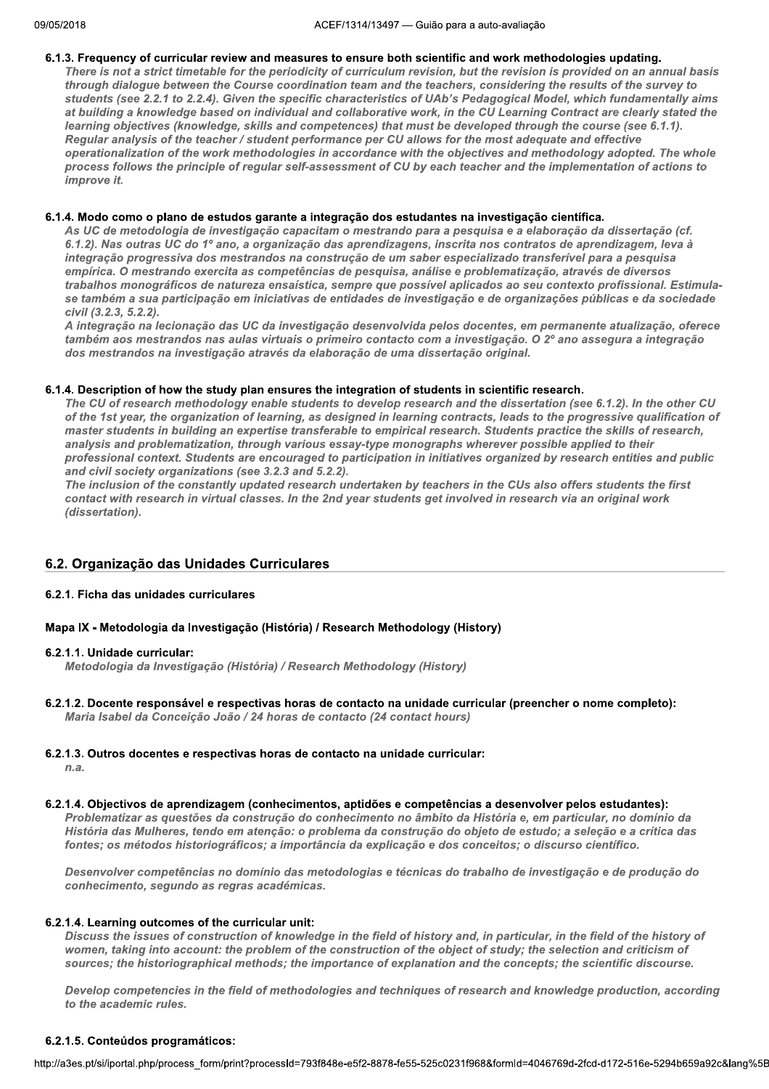#### 6.1.3. Frequency of curricular review and measures to ensure both scientific and work methodologies updating.

There is not a strict timetable for the periodicity of curriculum revision, but the revision is provided on an annual basis through dialogue between the Course coordination team and the teachers, considering the results of the survey to students (see 2.2.1 to 2.2.4). Given the specific characteristics of UAb's Pedagogical Model, which fundamentally aims at building a knowledge based on individual and collaborative work, in the CU Learning Contract are clearly stated the learning objectives (knowledge, skills and competences) that must be developed through the course (see 6.1.1). Regular analysis of the teacher / student performance per CU allows for the most adequate and effective operationalization of the work methodologies in accordance with the objectives and methodology adopted. The whole process follows the principle of regular self-assessment of CU by each teacher and the implementation of actions to improve it.

#### 6.1.4. Modo como o plano de estudos garante a integração dos estudantes na investigação científica.

As UC de metodologia de investigação capacitam o mestrando para a pesquisa e a elaboração da dissertação (cf. 6.1.2). Nas outras UC do 1º ano, a organização das aprendizagens, inscrita nos contratos de aprendizagem, leva à integração progressiva dos mestrandos na construção de um saber especializado transferível para a pesquisa empírica. O mestrando exercita as competências de pesquisa, análise e problematização, através de diversos trabalhos monográficos de natureza ensaística, sempre que possível aplicados ao seu contexto profissional. Estimulase também a sua participação em iniciativas de entidades de investigação e de organizações públicas e da sociedade civil (3.2.3, 5.2.2).

A integração na lecionação das UC da investigação desenvolvida pelos docentes, em permanente atualização, oferece também aos mestrandos nas aulas virtuais o primeiro contacto com a investigação. O 2º ano assegura a integração dos mestrandos na investigação através da elaboração de uma dissertação original.

## 6.1.4. Description of how the study plan ensures the integration of students in scientific research.

The CU of research methodology enable students to develop research and the dissertation (see 6.1.2). In the other CU of the 1st year, the organization of learning, as designed in learning contracts, leads to the progressive qualification of master students in building an expertise transferable to empirical research. Students practice the skills of research, analysis and problematization, through various essay-type monographs wherever possible applied to their professional context. Students are encouraged to participation in initiatives organized by research entities and public and civil society organizations (see 3.2.3 and 5.2.2).

The inclusion of the constantly updated research undertaken by teachers in the CUs also offers students the first contact with research in virtual classes. In the 2nd year students get involved in research via an original work (dissertation).

## 6.2. Organização das Unidades Curriculares

## 6.2.1. Ficha das unidades curriculares

## Mapa IX - Metodologia da Investigação (História) / Research Methodology (History)

#### 6.2.1.1. Unidade curricular:

Metodologia da Investigação (História) / Research Methodology (History)

6.2.1.2. Docente responsável e respectivas horas de contacto na unidade curricular (preencher o nome completo): Maria Isabel da Conceição João / 24 horas de contacto (24 contact hours)

## 6.2.1.3. Outros docentes e respectivas horas de contacto na unidade curricular:

 $n.a.$ 

## 6.2.1.4. Objectivos de aprendizagem (conhecimentos, aptidões e competências a desenvolver pelos estudantes):

Problematizar as questões da construção do conhecimento no âmbito da História e, em particular, no domínio da História das Mulheres, tendo em atencão: o problema da construção do objeto de estudo; a seleção e a crítica das fontes; os métodos historiográficos; a importância da explicação e dos conceitos; o discurso científico.

Desenvolver competências no domínio das metodologias e técnicas do trabalho de investigação e de produção do conhecimento, segundo as regras académicas.

## 6.2.1.4. Learning outcomes of the curricular unit:

Discuss the issues of construction of knowledge in the field of history and, in particular, in the field of the history of women, taking into account: the problem of the construction of the object of study; the selection and criticism of sources; the historiographical methods; the importance of explanation and the concepts; the scientific discourse.

Develop competencies in the field of methodologies and techniques of research and knowledge production, according to the academic rules

## 6.2.1.5. Conteúdos programáticos: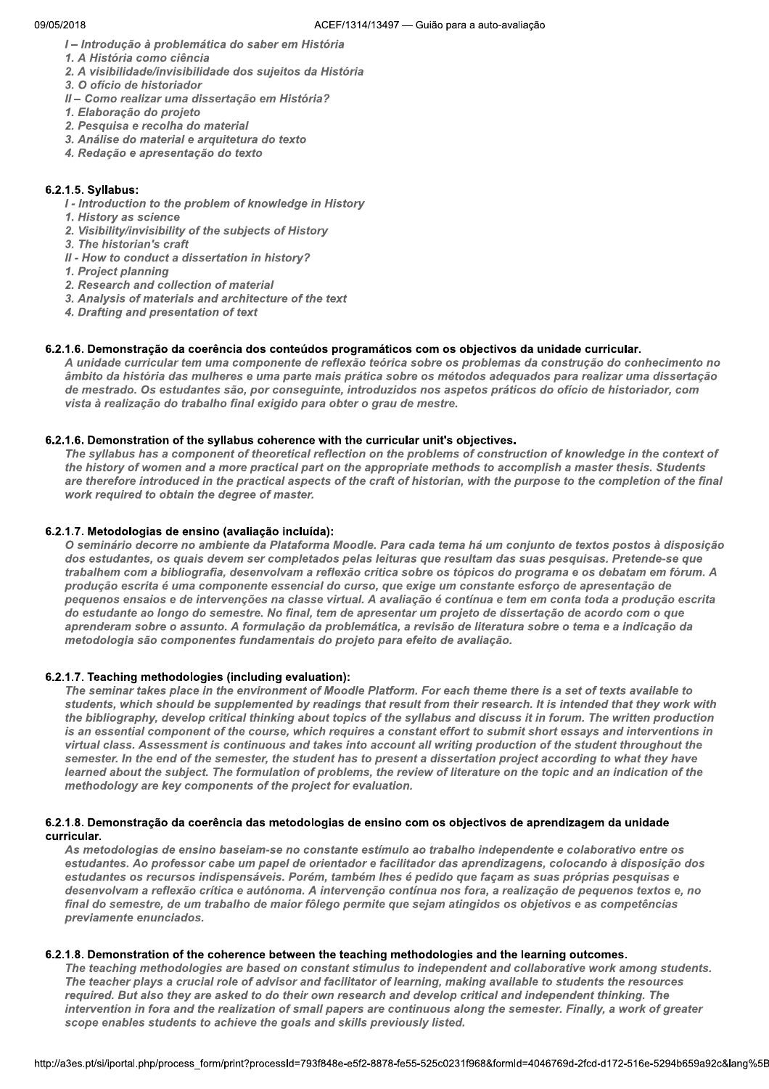1- Introdução à problemática do saber em História

1. A História como ciência

- 2. A visibilidade/invisibilidade dos sujeitos da História
- 3. O ofício de historiador
- II Como realizar uma dissertação em História?
- 1. Elaboração do projeto
- 2. Pesquisa e recolha do material
- 3. Análise do material e arquitetura do texto
- 4. Redação e apresentação do texto

#### $\mathbb{R}^2$ 6.2.1.5. Syllabus:

- I Introduction to the problem of knowledge in History
- 1. History as science
- 2. Visibility/invisibility of the subjects of History
- 3. The historian's craft
- II How to conduct a dissertation in history?
- 1. Project planning
- 2. Research and collection of material
- 3. Analysis of materials and architecture of the text
- 4. Drafting and presentation of text

#### $\mathbb{R}^2$ 6.2.1.6. Demonstração da coerencia dos conteudos programaticos com os objectivos da unidade curricular.

A unidade curricular tem uma componente de reflexão teórica sobre os problemas da construção do conhecimento no âmbito da história das mulheres e uma parte mais prática sobre os métodos adequados para realizar uma dissertação de mestrado. Os estudantes são, por conseguinte, introduzidos nos aspetos práticos do ofício de historiador, com vista à realização do trabalho final exigido para obter o grau de mestre.

#### $\mathbb{R}^2$ 6.2.1.6. Demonstration of the syliabus conerence with the curricular unit's objectives.

The syllabus has a component of theoretical reflection on the problems of construction of knowledge in the context of the history of women and a more practical part on the appropriate methods to accomplish a master thesis. Students are therefore introduced in the practical aspects of the craft of historian, with the purpose to the completion of the final work required to obtain the degree of master.

#### $\mathbb{Z}^{\mathbb{Z}}$ b.2.1.7. Metodoloģias de ensino (avaliação incluída):

O seminário decorre no ambiente da Plataforma Moodle. Para cada tema há um conjunto de textos postos à disposição dos estudantes, os quais devem ser completados pelas leituras que resultam das suas pesquisas. Pretende-se que trabalhem com a bibliografia, desenvolvam a reflexão crítica sobre os tópicos do programa e os debatam em fórum. A produção escrita é uma componente essencial do curso, que exige um constante esforço de apresentação de pequenos ensaios e de intervenções na classe virtual. A avaliação é contínua e tem em conta toda a produção escrita do estudante ao longo do semestre. No final, tem de apresentar um projeto de dissertação de acordo com o que aprenderam sobre o assunto. A formulação da problemática, a revisão de literatura sobre o tema e a indicação da metodologia são componentes fundamentais do projeto para efeito de avaliação.

## 6.2.1.7. Teaching methodologies (including evaluation):

The seminar takes place in the environment of Moodle Platform. For each theme there is a set of texts available to students, which should be supplemented by readings that result from their research. It is intended that they work with the bibliography, develop critical thinking about topics of the syllabus and discuss it in forum. The written production is an essential component of the course, which requires a constant effort to submit short essays and interventions in virtual class. Assessment is continuous and takes into account all writing production of the student throughout the semester. In the end of the semester, the student has to present a dissertation project according to what they have learned about the subject. The formulation of problems, the review of literature on the topic and an indication of the methodology are key components of the project for evaluation.

#### $\mathbb{R}^2$ 6.2.1.8. Demonstração da coerencia das metodologias de ensino com os objectivos de aprendizagem da unidade eurricular

As metodologias de ensino baseiam-se no constante estímulo ao trabalho independente e colaborativo entre os estudantes. Ao professor cabe um papel de orientador e facilitador das aprendizagens, colocando à disposição dos estudantes os recursos indispensáveis. Porém, também lhes é pedido que façam as suas próprias pesquisas e desenvolvam a reflexão crítica e autónoma. A intervenção contínua nos fora, a realização de pequenos textos e, no final do semestre, de um trabalho de maior fôlego permite que seiam atingidos os obietivos e as competências previamente enunciados.

#### $\mathbb{R}^2$  $\mathbf{b}.\mathbf{z}.\mathbf{1}.\mathbf{z}$ . Demonstration of the conerence between the teaching methodologies and the learning outcomes.

methodologies are based on constant stimulus to independent and collaborative work among students.<br>lays a crucial role of advisor and facilitator of learning, making available to students the resources<br>also they are asked The teaching methodologies are based on constant stimulus to independent and collaborative work among students. The teacher plays a crucial role of advisor and facilitator of learning, making available to students the resources required. But also they are asked to do their own research and develop critical and independent thinking. The intervention in fora and the realization of small papers are continuous along the semester. Finally, a work of greater scope enables students to achieve the goals and skills previously listed.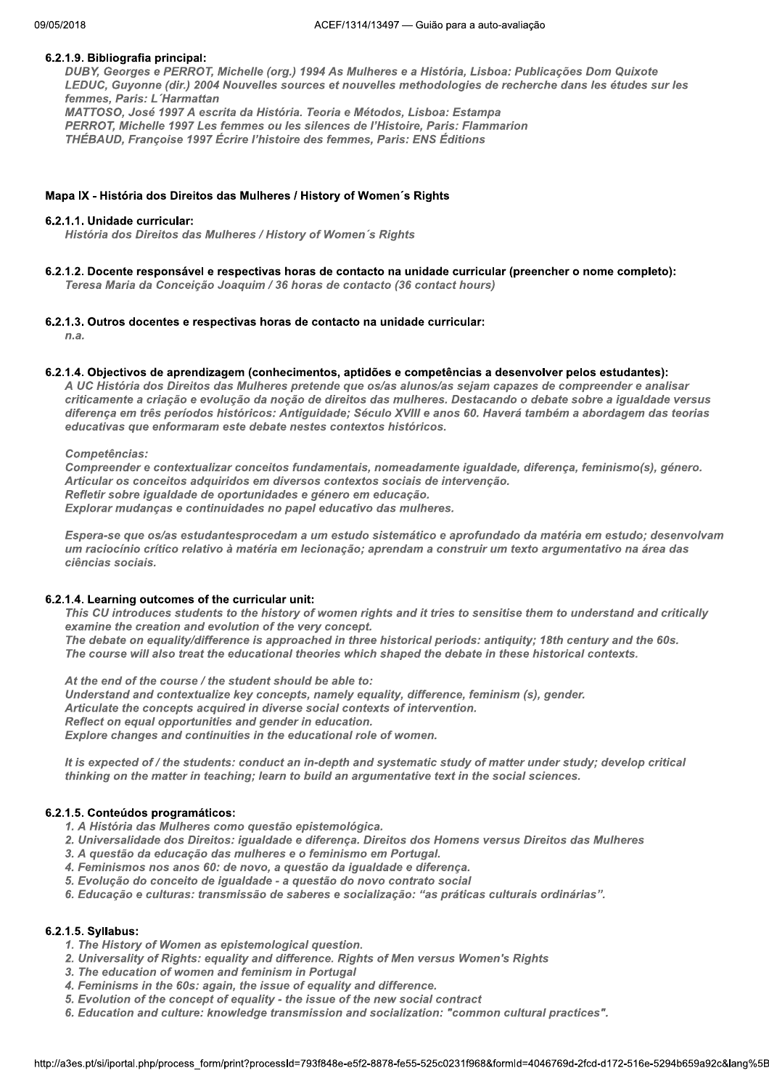## 6.2.1.9. Bibliografia principal:

DUBY, Georges e PERROT, Michelle (org.) 1994 As Mulheres e a História, Lisboa: Publicações Dom Quixote LEDUC, Guyonne (dir.) 2004 Nouvelles sources et nouvelles methodologies de recherche dans les études sur les femmes. Paris: L'Harmattan MATTOSO, José 1997 A escrita da História. Teoria e Métodos, Lisboa: Estampa PERROT, Michelle 1997 Les femmes ou les silences de l'Histoire, Paris: Flammarion THÉBAUD, Françoise 1997 Écrire l'histoire des femmes, Paris: ENS Éditions

#### Mapa IX - História dos Direitos das Mulheres / History of Women's Rights

#### 6.2.1.1. Unidade curricular:

História dos Direitos das Mulheres / History of Women's Rights

6.2.1.2. Docente responsável e respectivas horas de contacto na unidade curricular (preencher o nome completo): Teresa Maria da Conceição Joaquim / 36 horas de contacto (36 contact hours)

#### 6.2.1.3. Outros docentes e respectivas horas de contacto na unidade curricular:

 $n.a.$ 

#### 6.2.1.4. Objectivos de aprendizagem (conhecimentos, aptidões e competências a desenvolver pelos estudantes):

A UC História dos Direitos das Mulheres pretende que os/as alunos/as sejam capazes de compreender e analisar criticamente a criação e evolução da noção de direitos das mulheres. Destacando o debate sobre a igualdade versus diferença em três períodos históricos: Antiguidade; Século XVIII e anos 60. Haverá também a abordagem das teorias educativas que enformaram este debate nestes contextos históricos.

Competências:

Compreender e contextualizar conceitos fundamentais, nomeadamente igualdade, diferença, feminismo(s), género. Articular os conceitos adquiridos em diversos contextos sociais de intervenção. Refletir sobre igualdade de oportunidades e género em educação. Explorar mudanças e continuidades no papel educativo das mulheres.

Espera-se que os/as estudantesprocedam a um estudo sistemático e aprofundado da matéria em estudo; desenvolvam um raciocínio crítico relativo à matéria em lecionação; aprendam a construir um texto argumentativo na área das ciências sociais.

## 6.2.1.4. Learning outcomes of the curricular unit:

This CU introduces students to the history of women rights and it tries to sensitise them to understand and critically examine the creation and evolution of the very concept. The debate on equality/difference is approached in three historical periods: antiquity; 18th century and the 60s.

The course will also treat the educational theories which shaped the debate in these historical contexts.

At the end of the course / the student should be able to: Understand and contextualize key concepts, namely equality, difference, feminism (s), gender. Articulate the concepts acquired in diverse social contexts of intervention. Reflect on equal opportunities and gender in education. Explore changes and continuities in the educational role of women.

It is expected of / the students: conduct an in-depth and systematic study of matter under study; develop critical thinking on the matter in teaching; learn to build an argumentative text in the social sciences.

## 6.2.1.5. Conteúdos programáticos:

- 1. A História das Mulheres como questão epistemológica.
- 2. Universalidade dos Direitos: igualdade e diferença. Direitos dos Homens versus Direitos das Mulheres
- 3. A questão da educação das mulheres e o feminismo em Portugal.
- 4. Feminismos nos anos 60: de novo, a questão da igualdade e diferença.
- 5. Evolução do conceito de igualdade a questão do novo contrato social
- 6. Educação e culturas: transmissão de saberes e socialização: "as práticas culturais ordinárias".

#### 6.2.1.5. Syllabus:

- 1. The History of Women as epistemological question.
- 2. Universality of Rights: equality and difference. Rights of Men versus Women's Rights
- 3. The education of women and feminism in Portugal
- 4. Feminisms in the 60s: again, the issue of equality and difference.
- 5. Evolution of the concept of equality the issue of the new social contract
- 6. Education and culture: knowledge transmission and socialization: "common cultural practices".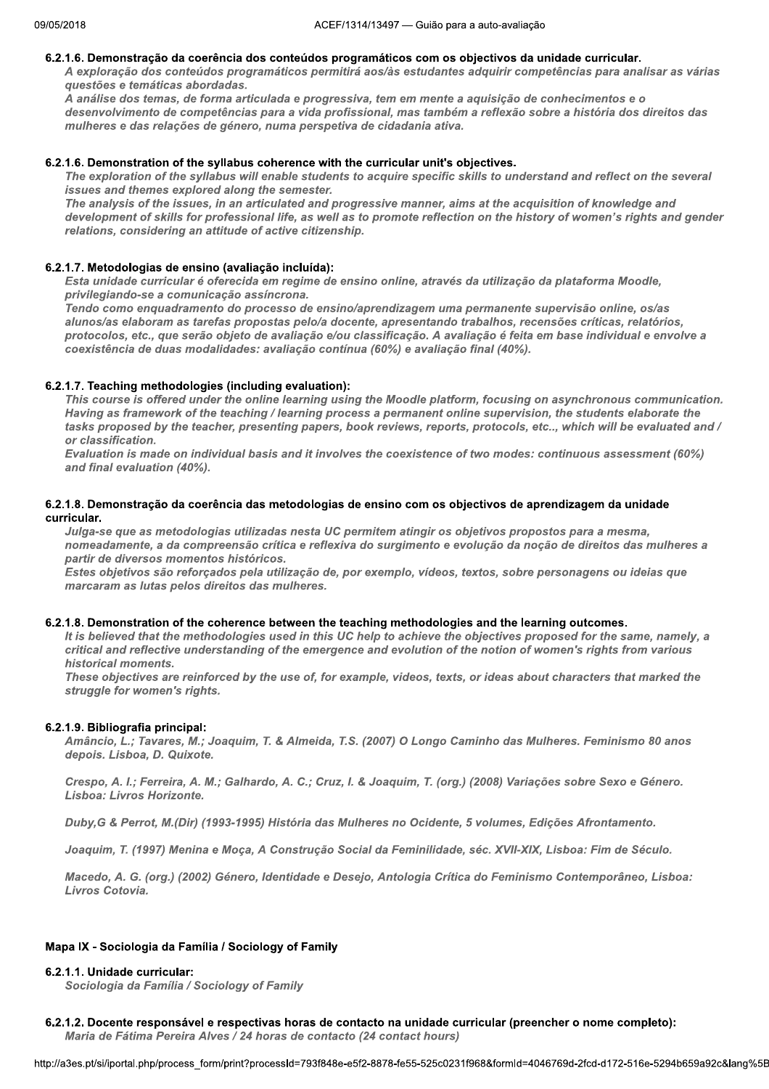#### 6.2.1.6. Demonstração da coerência dos conteúdos programáticos com os objectivos da unidade curricular.

A exploração dos conteúdos programáticos permitirá aos/às estudantes adquirir competências para analisar as várias questões e temáticas abordadas.

.<br>A análise dos temas, de forma articulada e progressiva, tem em mente a aquisição de conhecimentos e o desenvolvimento de competências para a vida profissional, mas também a reflexão sobre a história dos direitos das mulheres e das relações de género, numa perspetiva de cidadania ativa.

#### 6.2.1.6. Demonstration of the syllabus coherence with the curricular unit's objectives.

The exploration of the syllabus will enable students to acquire specific skills to understand and reflect on the several issues and themes explored along the semester.

The analysis of the issues, in an articulated and progressive manner, aims at the acquisition of knowledge and development of skills for professional life, as well as to promote reflection on the history of women's rights and gender relations, considering an attitude of active citizenship.

#### 6.2.1.7. Metodologias de ensino (avaliação incluída):

Esta unidade curricular é oferecida em regime de ensino online, através da utilização da plataforma Moodle, privilegiando-se a comunicação assíncrona.

Tendo como enquadramento do processo de ensino/aprendizagem uma permanente supervisão online, os/as alunos/as elaboram as tarefas propostas pelo/a docente, apresentando trabalhos, recensões críticas, relatórios, protocolos, etc., que serão objeto de avaliação e/ou classificação. A avaliação é feita em base individual e envolve a coexistência de duas modalidades: avaliação contínua (60%) e avaliação final (40%).

## 6.2.1.7. Teaching methodologies (including evaluation):

This course is offered under the online learning using the Moodle platform, focusing on asynchronous communication. Having as framework of the teaching / learning process a permanent online supervision, the students elaborate the tasks proposed by the teacher, presenting papers, book reviews, reports, protocols, etc.., which will be evaluated and / or classification.

Evaluation is made on individual basis and it involves the coexistence of two modes: continuous assessment (60%) and final evaluation (40%).

#### 6.2.1.8. Demonstração da coerência das metodologias de ensino com os objectivos de aprendizagem da unidade curricular.

Julga-se que as metodologias utilizadas nesta UC permitem atingir os objetivos propostos para a mesma, nomeadamente, a da compreensão crítica e reflexiva do surgimento e evolução da noção de direitos das mulheres a partir de diversos momentos históricos.

Estes objetivos são reforçados pela utilização de, por exemplo, vídeos, textos, sobre personagens ou ideias que marcaram as lutas pelos direitos das mulheres.

#### 6.2.1.8. Demonstration of the coherence between the teaching methodologies and the learning outcomes.

It is believed that the methodologies used in this UC help to achieve the objectives proposed for the same, namely, a critical and reflective understanding of the emergence and evolution of the notion of women's rights from various historical moments.

These objectives are reinforced by the use of, for example, videos, texts, or ideas about characters that marked the struggle for women's rights.

#### 6.2.1.9. Bibliografia principal:

Amâncio, L.; Tavares, M.; Joaquim, T. & Almeida, T.S. (2007) O Longo Caminho das Mulheres. Feminismo 80 anos depois. Lisboa, D. Quixote.

Crespo, A. I.; Ferreira, A. M.; Galhardo, A. C.; Cruz, I. & Joaquim, T. (org.) (2008) Variações sobre Sexo e Género. Lisboa: Livros Horizonte.

Duby, G & Perrot, M. (Dir) (1993-1995) História das Mulheres no Ocidente, 5 volumes, Edições Afrontamento.

Joaquim, T. (1997) Menina e Moca, A Construção Social da Feminilidade, séc. XVII-XIX, Lisboa: Fim de Século.

Macedo, A. G. (org.) (2002) Género, Identidade e Desejo, Antologia Crítica do Feminismo Contemporâneo, Lisboa: Livros Cotovia.

#### Mapa IX - Sociologia da Família / Sociology of Family

#### 6.2.1.1. Unidade curricular:

Sociologia da Família / Sociology of Family

6.2.1.2. Docente responsável e respectivas horas de contacto na unidade curricular (preencher o nome completo): Maria de Fátima Pereira Alves / 24 horas de contacto (24 contact hours)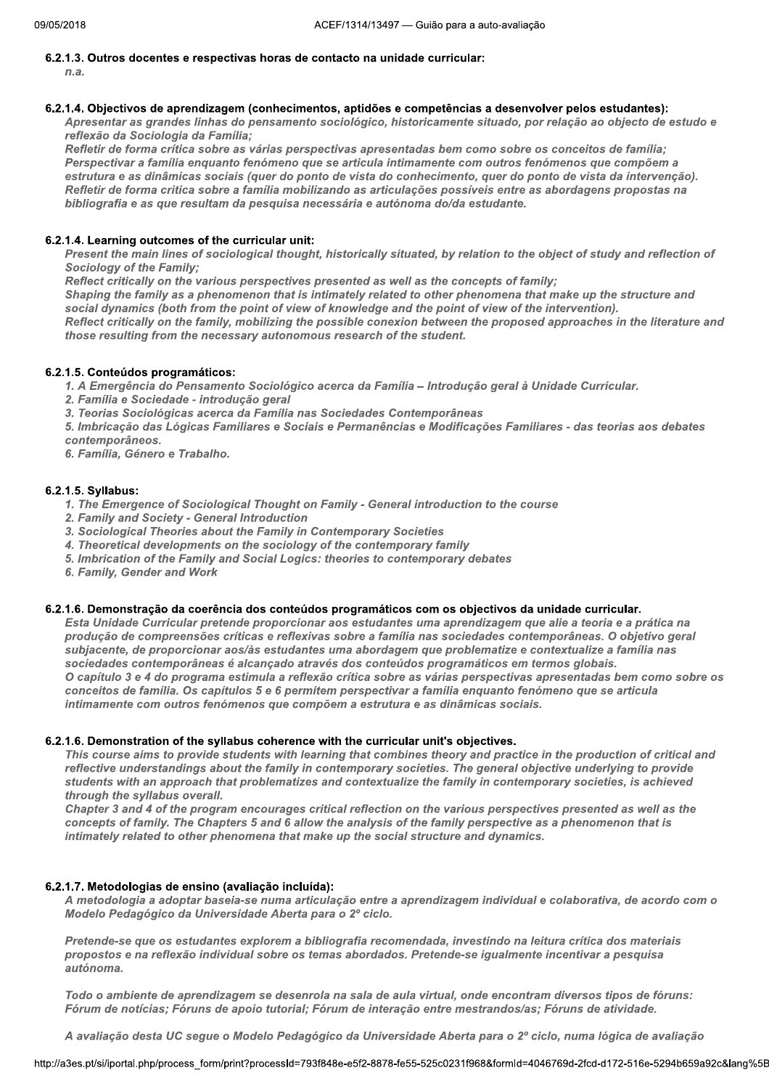#### 1 6.2.1.3. Outros docentes e respectivas noras de contacto na unidade curricular:

 $n.a.$ 

#### 1 6.2.1.4. Objectivos de aprendizagem (connecimentos, aptidoes e competencias a desenvolver pelos estudantes):

Apresentar as grandes linhas do pensamento sociológico, historicamente situado, por relação ao objecto de estudo e reflexão da Sociologia da Família;<br>Refletir de forma crítica sobre as várias perspectivas apresentadas bem como sobre os conceitos de família;

Perspectivar a família enquanto fenómeno que se articula intimamente com outros fenómenos que compõem a estrutura e as dinâmicas sociais (quer do ponto de vista do conhecimento, quer do ponto de vista da intervenção). Refletir de forma critica sobre a família mobilizando as articulações possíveis entre as abordagens propostas na bibliografia e as que resultam da pesquisa necessária e autónoma do/da estudante.

#### 1 b.2.1.4. Learning outcomes of the curricular unit:

Present the main lines of sociological thought, historically situated, by relation to the object of study and reflection of Sociology of the Family:

Reflect critically on the various perspectives presented as well as the concepts of family;

Shaping the family as a phenomenon that is intimately related to other phenomena that make up the structure and<br>social dynamics (both from the point of view of knowledge and the point of view of the intervention).

Reflect critically on the family, mobilizing the possible conexion between the proposed approaches in the literature and those resulting from the necessary autonomous research of the student.

#### 1 6.2.1.5. Conteudos programaticos:

1. A Emergência do Pensamento Sociológico acerca da Família – Introdução geral à Unidade Curricular.

- 2. Família e Sociedade introdução geral
- 3. Teorias Sociológicas acerca da Família nas Sociedades Contemporâneas

5. Imbricação das Lógicas Familiares e Sociais e Permanências e Modificações Familiares - das teorias aos debates contemporâneos.

6. Família, Género e Trabalho.

#### 1 6.2.1.5. Syllabus:

- 1. The Emergence of Sociological Thought on Family General introduction to the course
- 2. Family and Society General Introduction
- 3. Sociological Theories about the Family in Contemporary Societies
- 4. Theoretical developments on the sociology of the contemporary family
- 5. Imbrication of the Family and Social Logics: theories to contemporary debates
- 6. Family, Gender and Work

#### $\mathbf{I}$  $\,$ 6.2.1.6. Demonstração da coerencia dos conteudos programaticos com os objectivos da unidade curricular.

Esta Unidade Curricular pretende proporcionar aos estudantes uma aprendizagem que alie a teoria e a prática na produção de compreensões críticas e reflexivas sobre a família nas sociedades contemporâneas. O objetivo geral subjacente, de proporcionar aos/às estudantes uma abordagem que problematize e contextualize a família nas<br>sociedades contemporâneas é alcançado através dos conteúdos programáticos em termos globais. O capítulo 3 e 4 do programa estimula a reflexão crítica sobre as várias perspectivas apresentadas bem como sobre os conceitos de família. Os capítulos 5 e 6 permitem perspectivar a família enquanto fenómeno que se articula intimamente com outros fenómenos que compõem a estrutura e as dinâmicas sociais.

#### 1  $\,$  b.2.1.6. Demonstration of the syliabus conerence with the curricular unit's objectives.

This course aims to provide students with learning that combines theory and practice in the production of critical and reflective understandings about the family in contemporary societies. The general objective underlying to provide students with an approach that problematizes and contextualize the family in contemporary societies, is achieved through the syllabus overall.

Chapter 3 and 4 of the program encourages critical reflection on the various perspectives presented as well as the concepts of family. The Chapters 5 and 6 allow the analysis of the family perspective as a phenomenon that is  $I$ ntimately related to other phenomena that make up the social structure and dynamics.

#### 1 6.2.1.7. Metodoloģias de ensino (avaliação incluida):

A metodologia a adoptar baseia-se numa articulação entre a aprendizagem individual e colaborativa, de acordo com o Modelo Pedagógico da Universidade Aberta para o 2º ciclo.

 $\mathcal{L} = \mathcal{L} \left( \mathcal{L} \right)$  , where  $\mathcal{L} = \mathcal{L} \left( \mathcal{L} \right)$  , where  $\mathcal{L} = \mathcal{L} \left( \mathcal{L} \right)$ Pretende-se que os estudantes explorem a bibliografia recomendada, investindo na leitura crítica dos materiais propostos e na reflexão individual sobre os temas abordados. Pretende-se igualmente incentivar a pesquisa autónoma.

nte de aprendizagem se desenrola na sala de aula virtual, onde encontram diversos tipos de fóruns:<br>ícias; Fóruns de apoio tutorial; Fórum de interação entre mestrandos/as; Fóruns de atividade.<br>esta UC segue o Modelo Pedagó  $b\bar{z}$ lodo o ambiente de aprendizagem se desenrola na sala de aula virtual, onde encontram diversos tipos de foruns: Fórum de notícias; Fóruns de apoio tutorial; Fórum de interação entre mestrandos/as; Fóruns de atividade.

 $\mathcal{L} = \mathcal{L} \mathcal{L}$  . The contract of the contract of the contract of the contract of the contract of the contract of the contract of the contract of the contract of the contract of the contract of the contract of the c A avallação desta UC segue o Modelo Pedagogico da Universidade Aberta para o 2º ciclo, huma logica de avallação

nttp://a3es.pt/si/iportal.php/process\_form/pi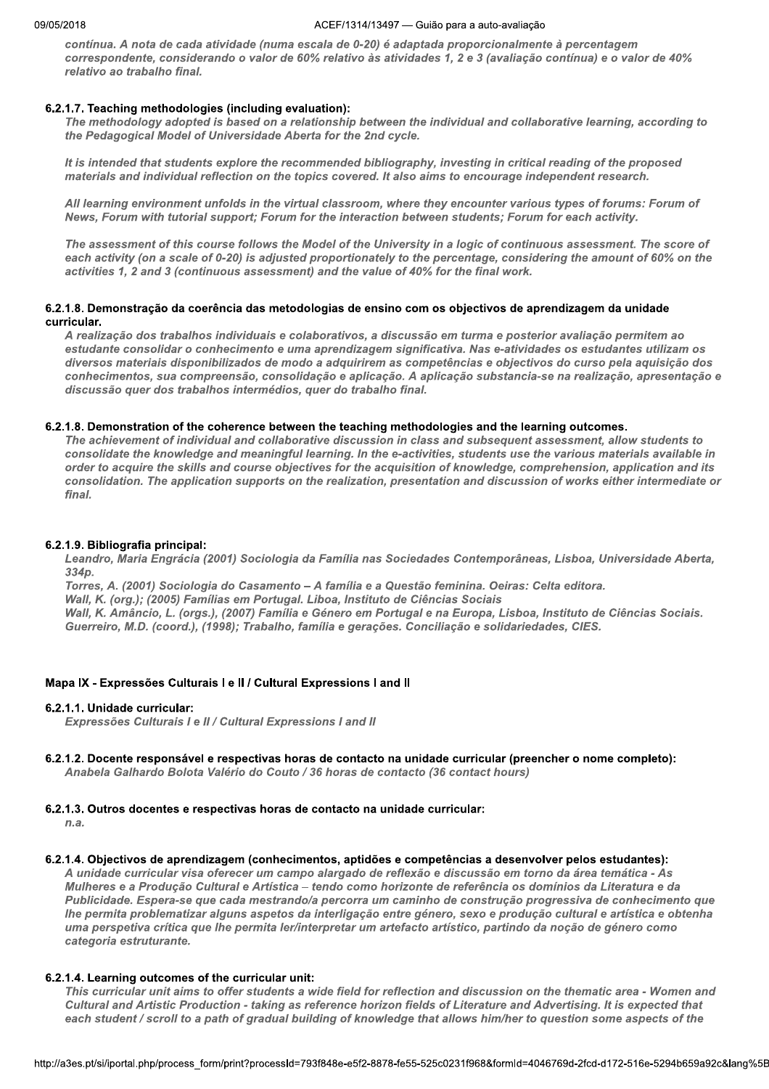#### ACEF/1314/13497 - Guião para a auto-avaliação

contínua. A nota de cada atividade (numa escala de 0-20) é adaptada proporcionalmente à percentagem correspondente, considerando o valor de 60% relativo às atividades 1, 2 e 3 (avaliação contínua) e o valor de 40% relativo ao trabalho final.

## 6.2.1.7. Teaching methodologies (including evaluation):

The methodology adopted is based on a relationship between the individual and collaborative learning, according to the Pedagogical Model of Universidade Aberta for the 2nd cycle.

It is intended that students explore the recommended bibliography, investing in critical reading of the proposed materials and individual reflection on the topics covered. It also aims to encourage independent research.

All learning environment unfolds in the virtual classroom, where they encounter various types of forums: Forum of News, Forum with tutorial support; Forum for the interaction between students; Forum for each activity.

The assessment of this course follows the Model of the University in a logic of continuous assessment. The score of each activity (on a scale of 0-20) is adjusted proportionately to the percentage, considering the amount of 60% on the activities 1, 2 and 3 (continuous assessment) and the value of 40% for the final work.

## 6.2.1.8. Demonstração da coerência das metodologias de ensino com os objectivos de aprendizagem da unidade curricular.

A realização dos trabalhos individuais e colaborativos, a discussão em turma e posterior avaliação permitem ao estudante consolidar o conhecimento e uma aprendizagem significativa. Nas e-atividades os estudantes utilizam os diversos materiais disponibilizados de modo a adquirirem as competências e objectivos do curso pela aquisição dos conhecimentos, sua compreensão, consolidação e aplicação. A aplicação substancia-se na realização, apresentação e discussão quer dos trabalhos intermédios, quer do trabalho final.

## 6.2.1.8. Demonstration of the coherence between the teaching methodologies and the learning outcomes.

The achievement of individual and collaborative discussion in class and subsequent assessment, allow students to consolidate the knowledge and meaningful learning. In the e-activities, students use the various materials available in order to acquire the skills and course objectives for the acquisition of knowledge, comprehension, application and its consolidation. The application supports on the realization, presentation and discussion of works either intermediate or final.

#### 6.2.1.9. Bibliografia principal:

Leandro, Maria Engrácia (2001) Sociologia da Família nas Sociedades Contemporâneas, Lisboa, Universidade Aberta,  $334<sub>D</sub>$ 

Torres, A. (2001) Sociologia do Casamento - A família e a Questão feminina. Oeiras: Celta editora. Wall, K. (org.); (2005) Famílias em Portugal. Liboa, Instituto de Ciências Sociais Wall, K. Amâncio, L. (orgs.), (2007) Família e Género em Portugal e na Europa, Lisboa, Instituto de Ciências Sociais. Guerreiro, M.D. (coord.), (1998); Trabalho, família e gerações. Conciliação e solidariedades, CIES.

## Mapa IX - Expressões Culturais I e II / Cultural Expressions I and II

## 6.2.1.1. Unidade curricular:

Expressões Culturais I e II / Cultural Expressions I and II

#### 6.2.1.2. Docente responsável e respectivas horas de contacto na unidade curricular (preencher o nome completo): Anabela Galhardo Bolota Valério do Couto / 36 horas de contacto (36 contact hours)

## 6.2.1.3. Outros docentes e respectivas horas de contacto na unidade curricular:

 $n.a.$ 

## 6.2.1.4. Objectivos de aprendizagem (conhecimentos, aptidões e competências a desenvolver pelos estudantes):

A unidade curricular visa oferecer um campo alargado de reflexão e discussão em torno da área temática - As Mulheres e a Produção Cultural e Artística - tendo como horizonte de referência os domínios da Literatura e da Publicidade. Espera-se que cada mestrando/a percorra um caminho de construção progressiva de conhecimento que lhe permita problematizar alguns aspetos da interligação entre género, sexo e produção cultural e artística e obtenha uma perspetiva crítica que lhe permita ler/interpretar um artefacto artístico, partindo da noção de género como categoria estruturante.

## 6.2.1.4. Learning outcomes of the curricular unit:

This curricular unit aims to offer students a wide field for reflection and discussion on the thematic area - Women and Cultural and Artistic Production - taking as reference horizon fields of Literature and Advertising. It is expected that each student / scroll to a path of gradual building of knowledge that allows him/her to question some aspects of the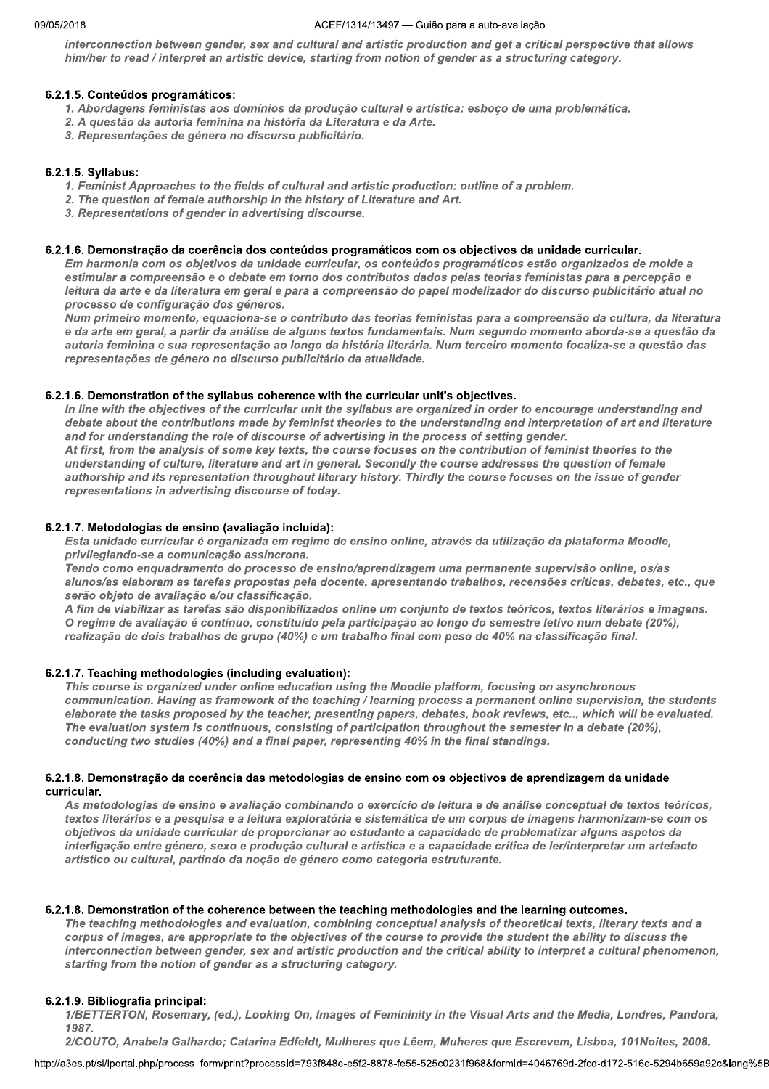#### ZUIB AULTI  $/1314/13497$  — Gulao para a auto-avaliação

interconnection between gender, sex and cultural and artistic production and get a critical perspective that allows him/her to read / interpret an artistic device, starting from notion of gender as a structuring category.

#### K b.2.1.5. Conteudos programaticos:

- 1. Abordagens feministas aos domínios da produção cultural e artística: esboço de uma problemática.
- 2. A questão da autoria feminina na história da Literatura e da Arte.
- 3. Representações de género no discurso publicitário.

#### K 6.2.1.5. Syllabus:

- 1. Feminist Approaches to the fields of cultural and artistic production: outline of a problem.
- 2. The question of female authorship in the history of Literature and Art.
- 3. Representations of gender in advertising discourse.

#### K b.2.1.b. Demonstração da coerencia dos conteudos programaticos com os objectivos da unidade curricular.

Em harmonia com os objetivos da unidade curricular, os conteúdos programáticos estão organizados de molde a estimular a compreensão e o debate em torno dos contributos dados pelas teorias feministas para a percepção e leitura da arte e da literatura em geral e para a compreensão do papel modelizador do discurso publicitário atual no processo de configuração dos géneros.

Num primeiro momento, equaciona-se o contributo das teorias feministas para a compreensão da cultura, da literatura e da arte em geral, a partir da análise de alguns textos fundamentais. Num segundo momento aborda-se a questão da autoria feminina e sua representação ao longo da história literária. Num terceiro momento focaliza-se a questão das representações de género no discurso publicitário da atualidade.

#### K 6.2.1.6. Demonstration of the syliabus conerence with the curricular unit's objectives.

In line with the objectives of the curricular unit the syllabus are organized in order to encourage understanding and debate about the contributions made by feminist theories to the understanding and interpretation of art and literature and for understanding the role of discourse of advertising in the process of setting gender.

At first, from the analysis of some key texts, the course focuses on the contribution of feminist theories to the understanding of culture, literature and art in general. Secondly the course addresses the question of female authorship and its representation throughout literary history. Thirdly the course focuses on the issue of gender representations in advertising discourse of today.

#### $\mathbb{R}^{\mathbb{R}}$ b.2.1.7. Metodologias de ensino (avaliação incluída):

Esta unidade curricular é organizada em regime de ensino online, através da utilização da plataforma Moodle, privilegiando-se a comunicação assíncrona.

Tendo como enquadramento do processo de ensino/aprendizagem uma permanente supervisão online, os/as alunos/as elaboram as tarefas propostas pela docente, apresentando trabalhos, recensões críticas, debates, etc., que serão objeto de avaliação e/ou classificação.

A fim de viabilizar as tarefas são disponibilizados online um conjunto de textos teóricos, textos literários e imagens. O regime de avaliação é contínuo, constituído pela participação ao longo do semestre letivo num debate (20%), realização de dois trabalhos de grupo (40%) e um trabalho final com peso de 40% na classificação final.

#### 6.2.1.7. Teaching methodologies (including evaluation):

This course is organized under online education using the Moodle platform, focusing on asynchronous communication. Having as framework of the teaching / learning process a permanent online supervision, the students elaborate the tasks proposed by the teacher, presenting papers, debates, book reviews, etc.., which will be evaluated. The evaluation system is continuous, consisting of participation throughout the semester in a debate (20%), conducting two studies (40%) and a final paper, representing 40% in the final standings.

#### K 6.2.1.8. Demonstração da coerencia das metodologias de ensino com os objectivos de aprendizagem da unidade curricular.

As metodologias de ensino e avaliação combinando o exercício de leitura e de análise conceptual de textos teóricos, textos literários e a pesquisa e a leitura exploratória e sistemática de um corpus de imagens harmonizam-se com os objetivos da unidade curricular de proporcionar ao estudante a capacidade de problematizar alguns aspetos da interligação entre género, sexo e produção cultural e artística e a capacidade crítica de ler/interpretar um artefacto artístico ou cultural, partindo da noção de género como categoria estruturante.

## 6.2.1.8. Demonstration of the coherence between the teaching methodologies and the learning outcomes.

The teaching methodologies and evaluation, combining conceptual analysis of theoretical texts, literary texts and a corpus of images, are appropriate to the objectives of the course to provide the student the ability to discuss the interconnection between gender, sex and artistic production and the critical ability to interpret a cultural phenomenon, starting from the notion of gender as a structuring category.

#### K b.2.1.9. Bibliografia principal:

the notion or gender as a structuring category.<br>ia principal:<br>N, Rosemary, (ed.), Looking On, Images of Femininity in the Visual Arts and the Media, Londres, Pandora,<br>abela Galhardo; Catarina Edfeldt, Mulheres que Lêem, Mu 1/BETTERTON, Rosemary, (ed.), Looking On, Images of Femininity in the Visual Arts and the Media, Londres, Pandora, 1987.

2/COUTO, Anabela Galhardo: Catarina Edfeldt, Mulheres que Lêem, Muheres que Escrevem, Lisboa, 101Noites, 2008.

nttp://a3es.pt/si/iportal.php/process\_form/pi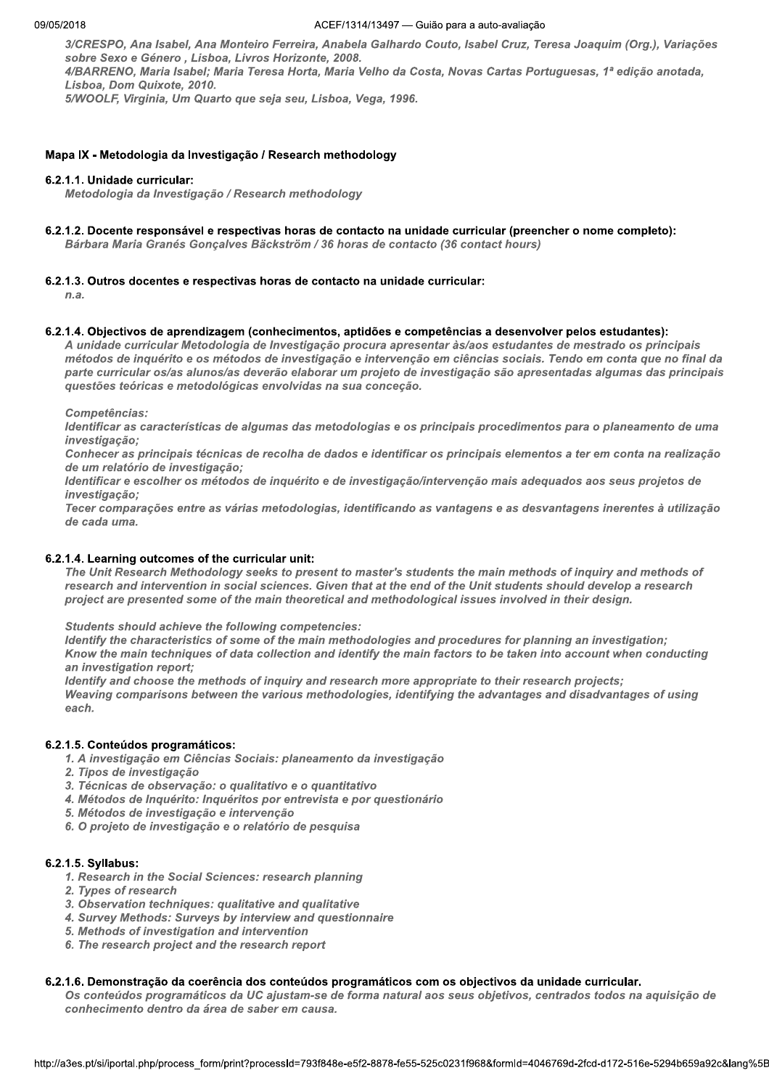3/CRESPO, Ana Isabel, Ana Monteiro Ferreira, Anabela Galhardo Couto, Isabel Cruz, Teresa Joaquim (Org.), Variações sobre Sexo e Género, Lisboa, Livros Horizonte, 2008.

4/BARRENO, Maria Isabel; Maria Teresa Horta, Maria Velho da Costa, Novas Cartas Portuguesas, 1ª edição anotada, Lisboa, Dom Quixote, 2010.

5/WOOLF, Virginia, Um Quarto que seja seu, Lisboa, Vega, 1996.

#### Mapa IX - Metodologia da Investigação / Research methodology

#### 6.2.1.1. Unidade curricular:

Metodologia da Investigação / Research methodology

6.2.1.2. Docente responsável e respectivas horas de contacto na unidade curricular (preencher o nome completo):

Bárbara Maria Granés Gonçalves Bäckström / 36 horas de contacto (36 contact hours)

#### 6.2.1.3. Outros docentes e respectivas horas de contacto na unidade curricular:

 $n.a.$ 

#### 6.2.1.4. Objectivos de aprendizagem (conhecimentos, aptidões e competências a desenvolver pelos estudantes):

A unidade curricular Metodologia de Investigação procura apresentar às/aos estudantes de mestrado os principais métodos de inquérito e os métodos de investigação e intervenção em ciências sociais. Tendo em conta que no final da parte curricular os/as alunos/as deverão elaborar um projeto de investigação são apresentadas algumas das principais questões teóricas e metodológicas envolvidas na sua conceção.

Competências:

Identificar as características de algumas das metodologias e os principais procedimentos para o planeamento de uma investigação:

Conhecer as principais técnicas de recolha de dados e identificar os principais elementos a ter em conta na realização de um relatório de investigação:

Identificar e escolher os métodos de inquérito e de investigação/intervenção mais adequados aos seus projetos de investigação;

Tecer comparações entre as várias metodologias, identificando as vantagens e as desvantagens inerentes à utilização de cada uma.

#### 6.2.1.4. Learning outcomes of the curricular unit:

The Unit Research Methodology seeks to present to master's students the main methods of inquiry and methods of research and intervention in social sciences. Given that at the end of the Unit students should develop a research project are presented some of the main theoretical and methodological issues involved in their design.

**Students should achieve the following competencies:** 

Identify the characteristics of some of the main methodologies and procedures for planning an investigation; Know the main techniques of data collection and identify the main factors to be taken into account when conducting an investigation report;

Identify and choose the methods of inquiry and research more appropriate to their research projects; Weaving comparisons between the various methodologies, identifying the advantages and disadvantages of using each.

## 6.2.1.5. Conteúdos programáticos:

- 1. A investigação em Ciências Sociais: planeamento da investigação
- 2. Tipos de investigação
- 3. Técnicas de observação: o qualitativo e o quantitativo
- 4. Métodos de Inquérito: Inquéritos por entrevista e por questionário
- 5. Métodos de investigação e intervenção
- 6. O projeto de investigação e o relatório de pesquisa

#### 6.2.1.5. Syllabus:

- 1. Research in the Social Sciences: research planning
- 2. Types of research
- 3. Observation techniques: qualitative and qualitative
- 4. Survey Methods: Surveys by interview and questionnaire
- 5. Methods of investigation and intervention
- 6. The research project and the research report

#### 6.2.1.6. Demonstração da coerência dos conteúdos programáticos com os objectivos da unidade curricular.

Os conteúdos programáticos da UC ajustam-se de forma natural aos seus objetivos, centrados todos na aquisição de conhecimento dentro da área de saber em causa.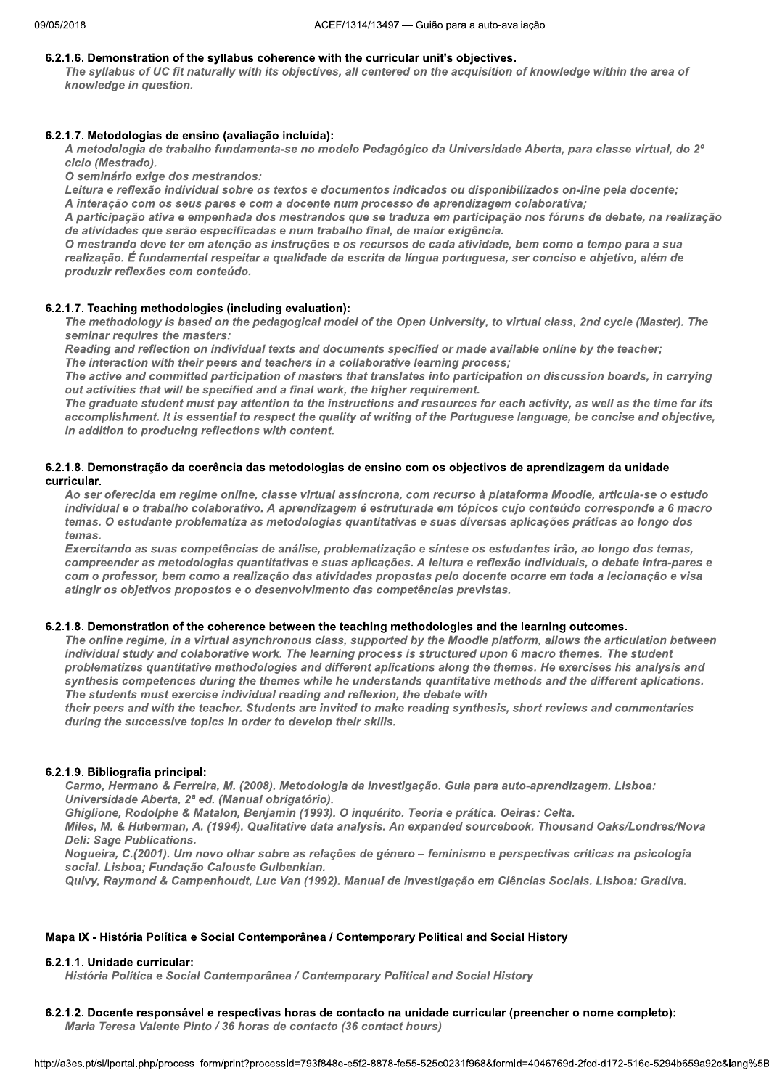#### 6.2.1.6. Demonstration of the syllabus coherence with the curricular unit's objectives.

The syllabus of UC fit naturally with its objectives, all centered on the acquisition of knowledge within the area of knowledge in question.

#### 6.2.1.7. Metodologias de ensino (avaliação incluída):

A metodologia de trabalho fundamenta-se no modelo Pedagógico da Universidade Aberta, para classe virtual, do 2º ciclo (Mestrado).

O seminário exige dos mestrandos:

Leitura e reflexão individual sobre os textos e documentos indicados ou disponibilizados on-line pela docente; A interação com os seus pares e com a docente num processo de aprendizagem colaborativa;

A participação ativa e empenhada dos mestrandos que se traduza em participação nos fóruns de debate, na realização de atividades que serão especificadas e num trabalho final, de maior exigência.

O mestrando deve ter em atenção as instruções e os recursos de cada atividade, bem como o tempo para a sua realização. É fundamental respeitar a qualidade da escrita da língua portuguesa, ser conciso e objetivo, além de produzir reflexões com conteúdo.

#### 6.2.1.7. Teaching methodologies (including evaluation):

The methodology is based on the pedagogical model of the Open University, to virtual class, 2nd cycle (Master). The seminar requires the masters:

Reading and reflection on individual texts and documents specified or made available online by the teacher: The interaction with their peers and teachers in a collaborative learning process;

The active and committed participation of masters that translates into participation on discussion boards, in carrying out activities that will be specified and a final work, the higher requirement.

The graduate student must pay attention to the instructions and resources for each activity, as well as the time for its accomplishment. It is essential to respect the quality of writing of the Portuguese language, be concise and objective, in addition to producing reflections with content.

#### 6.2.1.8. Demonstração da coerência das metodologias de ensino com os objectivos de aprendizagem da unidade curricular.

Ao ser oferecida em regime online, classe virtual assíncrona, com recurso à plataforma Moodle, articula-se o estudo individual e o trabalho colaborativo. A aprendizagem é estruturada em tópicos cujo conteúdo corresponde a 6 macro temas. O estudante problematiza as metodologias quantitativas e suas diversas aplicações práticas ao longo dos temas.

Exercitando as suas competências de análise, problematização e síntese os estudantes irão, ao longo dos temas, compreender as metodologias quantitativas e suas aplicações. A leitura e reflexão individuais, o debate intra-pares e com o professor, bem como a realização das atividades propostas pelo docente ocorre em toda a lecionação e visa atingir os objetivos propostos e o desenvolvimento das competências previstas.

#### 6.2.1.8. Demonstration of the coherence between the teaching methodologies and the learning outcomes.

The online regime, in a virtual asynchronous class, supported by the Moodle platform, allows the articulation between individual study and colaborative work. The learning process is structured upon 6 macro themes. The student problematizes quantitative methodologies and different aplications along the themes. He exercises his analysis and synthesis competences during the themes while he understands quantitative methods and the different aplications. The students must exercise individual reading and reflexion, the debate with

their peers and with the teacher. Students are invited to make reading synthesis, short reviews and commentaries during the successive topics in order to develop their skills.

## 6.2.1.9. Bibliografia principal:

Carmo, Hermano & Ferreira, M. (2008). Metodologia da Investigação. Guia para auto-aprendizagem. Lisboa: Universidade Aberta, 2ª ed. (Manual obrigatório).

Ghiglione, Rodolphe & Matalon, Benjamin (1993). O inquérito. Teoria e prática. Oeiras: Celta.

Miles, M. & Huberman, A. (1994). Qualitative data analysis. An expanded sourcebook. Thousand Oaks/Londres/Nova **Deli: Sage Publications.** 

Nogueira, C.(2001). Um novo olhar sobre as relações de género - feminismo e perspectivas críticas na psicologia social. Lisboa; Fundação Calouste Gulbenkian.

Quivy, Raymond & Campenhoudt, Luc Van (1992). Manual de investigação em Ciências Sociais. Lisboa: Gradiva.

#### Mapa IX - História Política e Social Contemporânea / Contemporary Political and Social History

#### 6.2.1.1. Unidade curricular:

História Política e Social Contemporânea / Contemporary Political and Social History

6.2.1.2. Docente responsável e respectivas horas de contacto na unidade curricular (preencher o nome completo):

Maria Teresa Valente Pinto / 36 horas de contacto (36 contact hours)

```
http://a3es.pt/si/iportal.php/process_form/print?processId=793f848e-e5f2-8878-fe55-525c0231f968&formId=4046769d-2fcd-d172-516e-5294b659a92c&lang%5E
```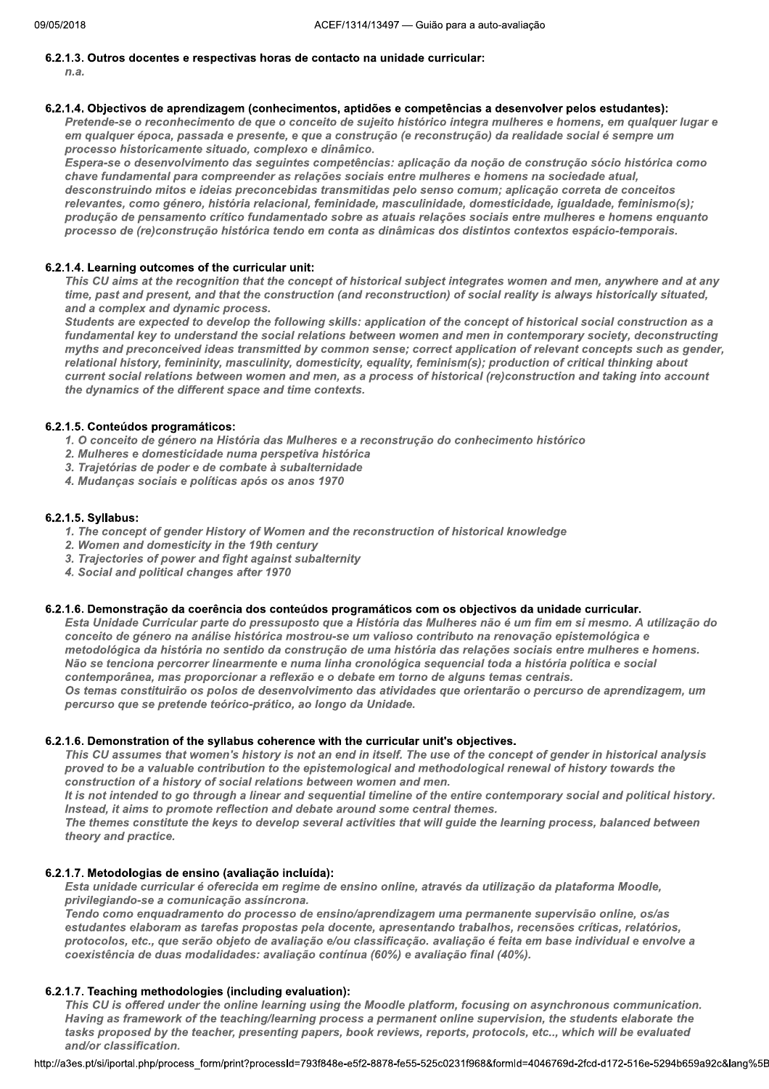## 6.2.1.3. Outros docentes e respectivas horas de contacto na unidade curricular:

 $n.a.$ 

#### 6.2.1.4. Objectivos de aprendizagem (conhecimentos, aptidões e competências a desenvolver pelos estudantes):

Pretende-se o reconhecimento de que o conceito de sujeito histórico integra mulheres e homens, em qualquer lugar e em qualquer época, passada e presente, e que a construção (e reconstrução) da realidade social é sempre um processo historicamente situado, complexo e dinâmico.

Espera-se o desenvolvimento das seguintes competências: aplicação da noção de construção sócio histórica como chave fundamental para compreender as relações sociais entre mulheres e homens na sociedade atual, desconstruindo mitos e ideias preconcebidas transmitidas pelo senso comum; aplicação correta de conceitos relevantes, como género, história relacional, feminidade, masculinidade, domesticidade, igualdade, feminismo(s); produção de pensamento crítico fundamentado sobre as atuais relações sociais entre mulheres e homens enquanto processo de (re)construção histórica tendo em conta as dinâmicas dos distintos contextos espácio-temporais.

## 6.2.1.4. Learning outcomes of the curricular unit:

This CU aims at the recognition that the concept of historical subject integrates women and men, anywhere and at any time, past and present, and that the construction (and reconstruction) of social reality is always historically situated, and a complex and dynamic process.

Students are expected to develop the following skills: application of the concept of historical social construction as a fundamental key to understand the social relations between women and men in contemporary society, deconstructing myths and preconceived ideas transmitted by common sense; correct application of relevant concepts such as gender, relational history, femininity, masculinity, domesticity, equality, feminism(s); production of critical thinking about current social relations between women and men, as a process of historical (re)construction and taking into account the dynamics of the different space and time contexts.

## 6.2.1.5. Conteúdos programáticos:

- 1. O conceito de género na História das Mulheres e a reconstrução do conhecimento histórico
- 2. Mulheres e domesticidade numa perspetiva histórica
- 3. Trajetórias de poder e de combate à subalternidade
- 4. Mudanças sociais e políticas após os anos 1970

#### 6.2.1.5. Syllabus:

- 1. The concept of gender History of Women and the reconstruction of historical knowledge
- 2. Women and domesticity in the 19th century
- 3. Trajectories of power and fight against subalternity
- 4. Social and political changes after 1970

#### 6.2.1.6. Demonstração da coerência dos conteúdos programáticos com os objectivos da unidade curricular.

Esta Unidade Curricular parte do pressuposto que a História das Mulheres não é um fim em si mesmo. A utilização do conceito de género na análise histórica mostrou-se um valioso contributo na renovação epistemológica e metodológica da história no sentido da construção de uma história das relações sociais entre mulheres e homens. Não se tenciona percorrer linearmente e numa linha cronológica sequencial toda a história política e social contemporânea, mas proporcionar a reflexão e o debate em torno de alguns temas centrais. Os temas constituirão os polos de desenvolvimento das atividades que orientarão o percurso de aprendizagem, um

percurso que se pretende teórico-prático, ao longo da Unidade.

#### 6.2.1.6. Demonstration of the syllabus coherence with the curricular unit's objectives.

This CU assumes that women's history is not an end in itself. The use of the concept of gender in historical analysis proved to be a valuable contribution to the epistemological and methodological renewal of history towards the construction of a history of social relations between women and men.

It is not intended to go through a linear and sequential timeline of the entire contemporary social and political history. Instead, it aims to promote reflection and debate around some central themes.

The themes constitute the keys to develop several activities that will guide the learning process, balanced between theory and practice.

## 6.2.1.7. Metodologias de ensino (avaliação incluída):

Esta unidade curricular é oferecida em regime de ensino online, através da utilização da plataforma Moodle, privilegiando-se a comunicação assíncrona.

Tendo como enquadramento do processo de ensino/aprendizagem uma permanente supervisão online, os/as estudantes elaboram as tarefas propostas pela docente, apresentando trabalhos, recensões críticas, relatórios, protocolos, etc., que serão objeto de avaliação e/ou classificação. avaliação é feita em base individual e envolve a coexistência de duas modalidades: avaliação contínua (60%) e avaliação final (40%).

## 6.2.1.7. Teaching methodologies (including evaluation):

This CU is offered under the online learning using the Moodle platform, focusing on asynchronous communication. Having as framework of the teaching/learning process a permanent online supervision, the students elaborate the tasks proposed by the teacher, presenting papers, book reviews, reports, protocols, etc.., which will be evaluated and/or classification.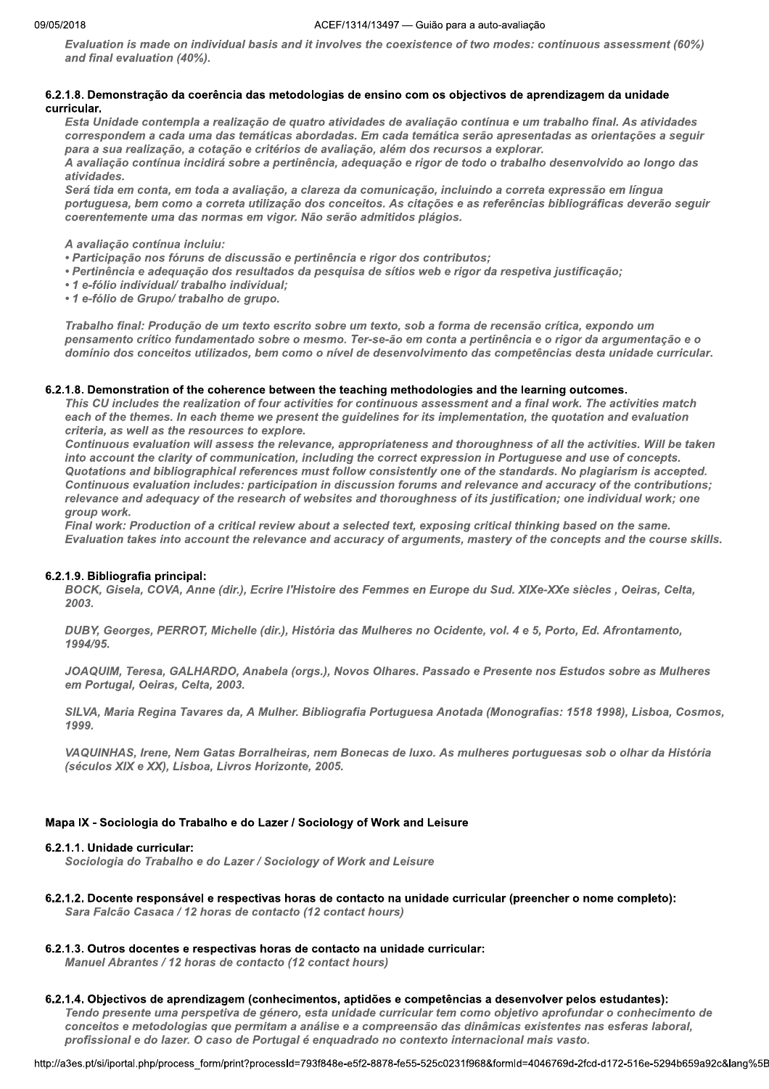Evaluation is made on individual basis and it involves the coexistence of two modes: continuous assessment (60%) and final evaluation (40%).

## 6.2.1.8. Demonstração da coerência das metodologias de ensino com os objectivos de aprendizagem da unidade curricular.

Esta Unidade contempla a realização de quatro atividades de avaliação contínua e um trabalho final. As atividades correspondem a cada uma das temáticas abordadas. Em cada temática serão apresentadas as orientações a seguir para a sua realização, a cotação e critérios de avaliação, além dos recursos a explorar.

A avaliação contínua incidirá sobre a pertinência, adequação e rigor de todo o trabalho desenvolvido ao longo das atividades.

Será tida em conta, em toda a avaliação, a clareza da comunicação, incluindo a correta expressão em língua portuguesa, bem como a correta utilização dos conceitos. As citações e as referências bibliográficas deverão seguir coerentemente uma das normas em vigor. Não serão admitidos plágios.

A avaliação contínua incluiu:

- Participação nos fóruns de discussão e pertinência e rigor dos contributos;
- · Pertinência e adequação dos resultados da pesquisa de sítios web e rigor da respetiva justificação;
- 1 e-fólio individual/ trabalho individual;
- 1 e-fólio de Grupo/ trabalho de grupo.

Trabalho final: Produção de um texto escrito sobre um texto, sob a forma de recensão crítica, expondo um pensamento crítico fundamentado sobre o mesmo. Ter-se-ão em conta a pertinência e o rigor da argumentação e o domínio dos conceitos utilizados, bem como o nível de desenvolvimento das competências desta unidade curricular.

## 6.2.1.8. Demonstration of the coherence between the teaching methodologies and the learning outcomes.

This CU includes the realization of four activities for continuous assessment and a final work. The activities match each of the themes. In each theme we present the guidelines for its implementation, the quotation and evaluation criteria, as well as the resources to explore.

Continuous evaluation will assess the relevance, appropriateness and thoroughness of all the activities. Will be taken into account the clarity of communication, including the correct expression in Portuguese and use of concepts. Quotations and bibliographical references must follow consistently one of the standards. No plagiarism is accepted. Continuous evaluation includes: participation in discussion forums and relevance and accuracy of the contributions; relevance and adequacy of the research of websites and thoroughness of its justification; one individual work; one aroup work.

Final work: Production of a critical review about a selected text, exposing critical thinking based on the same. Evaluation takes into account the relevance and accuracy of arguments, mastery of the concepts and the course skills.

## 6.2.1.9. Bibliografia principal:

BOCK, Gisela, COVA, Anne (dir.), Ecrire l'Histoire des Femmes en Europe du Sud. XIXe-XXe siècles, Oeiras, Celta, 2003.

DUBY, Georges, PERROT, Michelle (dir.), História das Mulheres no Ocidente, vol. 4 e 5, Porto, Ed. Afrontamento,  $1994/95$ 

JOAQUIM, Teresa, GALHARDO, Anabela (orgs.), Novos Olhares. Passado e Presente nos Estudos sobre as Mulheres em Portugal, Oeiras, Celta, 2003.

SILVA, Maria Regina Tavares da, A Mulher. Bibliografia Portuguesa Anotada (Monografias: 1518 1998), Lisboa, Cosmos, 1999.

VAQUINHAS, Irene, Nem Gatas Borralheiras, nem Bonecas de luxo. As mulheres portuguesas sob o olhar da História (séculos XIX e XX), Lisboa, Livros Horizonte, 2005.

## Mapa IX - Sociologia do Trabalho e do Lazer / Sociology of Work and Leisure

## 6.2.1.1. Unidade curricular:

Sociologia do Trabalho e do Lazer / Sociology of Work and Leisure

## 6.2.1.2. Docente responsável e respectivas horas de contacto na unidade curricular (preencher o nome completo): Sara Falcão Casaca / 12 horas de contacto (12 contact hours)

## 6.2.1.3. Outros docentes e respectivas horas de contacto na unidade curricular:

Manuel Abrantes / 12 horas de contacto (12 contact hours)

## 6.2.1.4. Objectivos de aprendizagem (conhecimentos, aptidões e competências a desenvolver pelos estudantes):

Tendo presente uma perspetiva de género, esta unidade curricular tem como objetivo aprofundar o conhecimento de conceitos e metodologias que permitam a análise e a compreensão das dinâmicas existentes nas esferas laboral, profissional e do lazer. O caso de Portugal é enquadrado no contexto internacional mais vasto.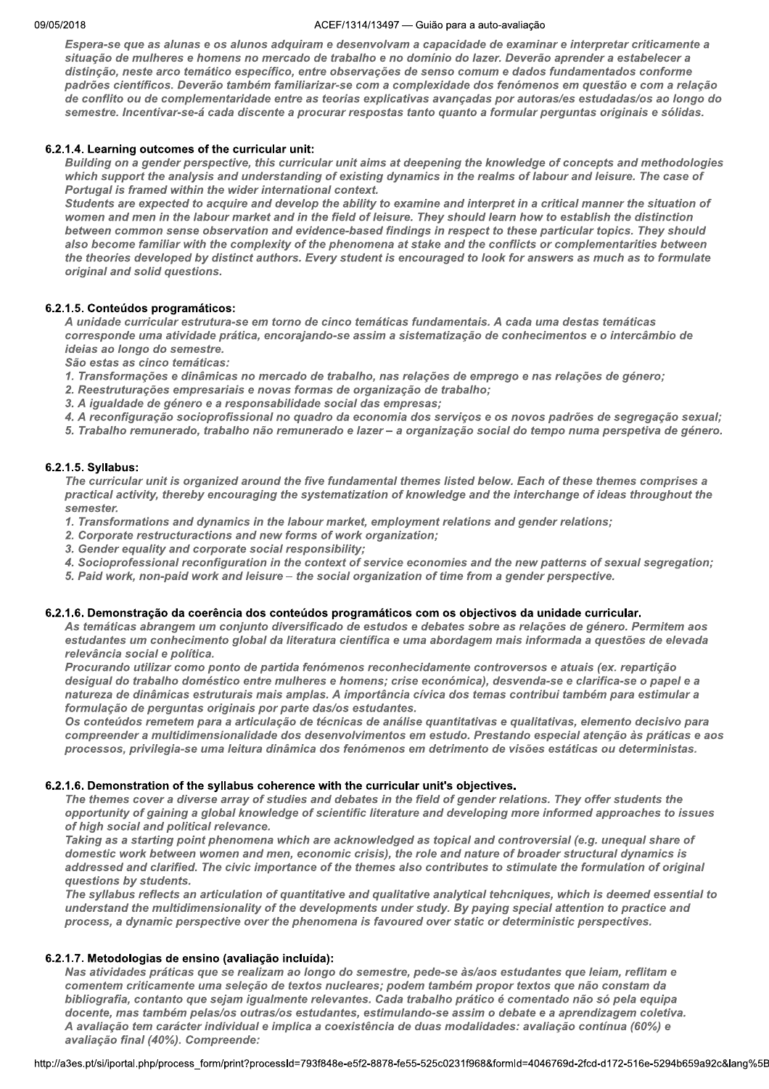#### ZUIB AULTI  $/1314/13497$  — Gulao para a auto-avaliação

Espera-se que as alunas e os alunos adquiram e desenvolvam a capacidade de examinar e interpretar criticamente a situação de mulheres e homens no mercado de trabalho e no domínio do lazer. Deverão aprender a estabelecer a distinção, neste arco temático específico, entre observações de senso comum e dados fundamentados conforme padrões científicos. Deverão também familiarizar-se com a complexidade dos fenómenos em questão e com a relação de conflito ou de complementaridade entre as teorias explicativas avançadas por autoras/es estudadas/os ao longo do semestre. Incentivar-se-á cada discente a procurar respostas tanto quanto a formular perguntas originais e sólidas.

#### V  $b.2.1.4.$  Learning outcomes of the curricular unit:

Building on a gender perspective, this curricular unit aims at deepening the knowledge of concepts and methodologies which support the analysis and understanding of existing dynamics in the realms of labour and leisure. The case of Portugal is framed within the wider international context.

Students are expected to acquire and develop the ability to examine and interpret in a critical manner the situation of women and men in the labour market and in the field of leisure. They should learn how to establish the distinction between common sense observation and evidence-based findings in respect to these particular topics. They should also become familiar with the complexity of the phenomena at stake and the conflicts or complementarities between the theories developed by distinct authors. Every student is encouraged to look for answers as much as to formulate original and solid questions.

#### V b.2.1.5. Conteudos programaticos:

A unidade curricular estrutura-se em torno de cinco temáticas fundamentais. A cada uma destas temáticas corresponde uma atividade prática, encorajando-se assim a sistematização de conhecimentos e o intercâmbio de<br>ideias ao longo do semestre.

São estas as cinco temáticas:

- 1. Transformações e dinâmicas no mercado de trabalho, nas relações de emprego e nas relações de género;
- 2. Reestruturações empresariais e novas formas de organização de trabalho;
- 
- 3. A igualdade de género e a responsabilidade social das empresas;<br>4. A reconfiguração socioprofissional no quadro da economia dos serviços e os novos padrões de segregação sexual;
- 5. Trabalho remunerado, trabalho não remunerado e lazer a organização social do tempo numa perspetiva de género.

#### V 6.2.1.5. Syllabus:

The curricular unit is organized around the five fundamental themes listed below. Each of these themes comprises a practical activity, thereby encouraging the systematization of knowledge and the interchange of ideas throughout the semester.

- 1. Transformations and dynamics in the labour market, employment relations and gender relations;
- 2. Corporate restructuractions and new forms of work organization;
- 3. Gender equality and corporate social responsibility;
- 4. Socioprofessional reconfiguration in the context of service economies and the new patterns of sexual segregation;
- 5. Paid work, non-paid work and leisure the social organization of time from a gender perspective.

#### $\mathbb{R}^2$  $6.2.1.6$ . Demonstração da coerencia dos conteudos programaticos com os objectivos da unidade curricular.

As temáticas abrangem um conjunto diversificado de estudos e debates sobre as relações de género. Permitem aos estudantes um conhecimento global da literatura científica e uma abordagem mais informada a questões de elevada relevância social e política.

Procurando utilizar como ponto de partida fenómenos reconhecidamente controversos e atuais (ex. repartição desigual do trabalho doméstico entre mulheres e homens; crise económica), desvenda-se e clarifica-se o papel e a natureza de dinâmicas estruturais mais amplas. A importância cívica dos temas contribui também para estimular a formulação de perguntas originais por parte das/os estudantes.

Os conteúdos remetem para a articulação de técnicas de análise quantitativas e qualitativas, elemento decisivo para compreender a multidimensionalidade dos desenvolvimentos em estudo. Prestando especial atenção às práticas e aos processos, privilegia-se uma leitura dinâmica dos fenómenos em detrimento de visões estáticas ou deterministas.

#### V  $6.2.1.6.$  Demonstration of the syliabus conerence with the curricular unit's objectives.

The themes cover a diverse array of studies and debates in the field of gender relations. They offer students the opportunity of gaining a global knowledge of scientific literature and developing more informed approaches to issues of high social and political relevance.

Taking as a starting point phenomena which are acknowledged as topical and controversial (e.g. unequal share of domestic work between women and men, economic crisis), the role and nature of broader structural dynamics is addressed and clarified. The civic importance of the themes also contributes to stimulate the formulation of original questions by students.

The syllabus reflects an articulation of quantitative and qualitative analytical tehcniques, which is deemed essential to understand the multidimensionality of the developments under study. By paying special attention to practice and process, a dynamic perspective over the phenomena is favoured over static or deterministic perspectives.

## 6.2.1.7. Metodologias de ensino (avaliação incluída):

s práticas que se realizam ao longo do semestre, pede-se às/aos estudantes que leiam, reflitam e<br>ticamente uma seleção de textos nucleares; podem também propor textos que não constam da<br>ontanto que sejam igualmente relevan Nas atividades práticas que se realizam ao longo do semestre, pede-se às/aos estudantes que leiam, reflitam e comentem criticamente uma seleção de textos nucleares; podem também propor textos que não constam da bibliografia, contanto que sejam igualmente relevantes. Cada trabalho prático é comentado não só pela equipa docente, mas também pelas/os outras/os estudantes, estimulando-se assim o debate e a aprendizagem coletiva. A avaliação tem carácter individual e implica a coexistência de duas modalidades: avaliação contínua (60%) e avaliação final (40%). Compreende:

nttp://a3es.pt/si/iportal.php/process\_form/pi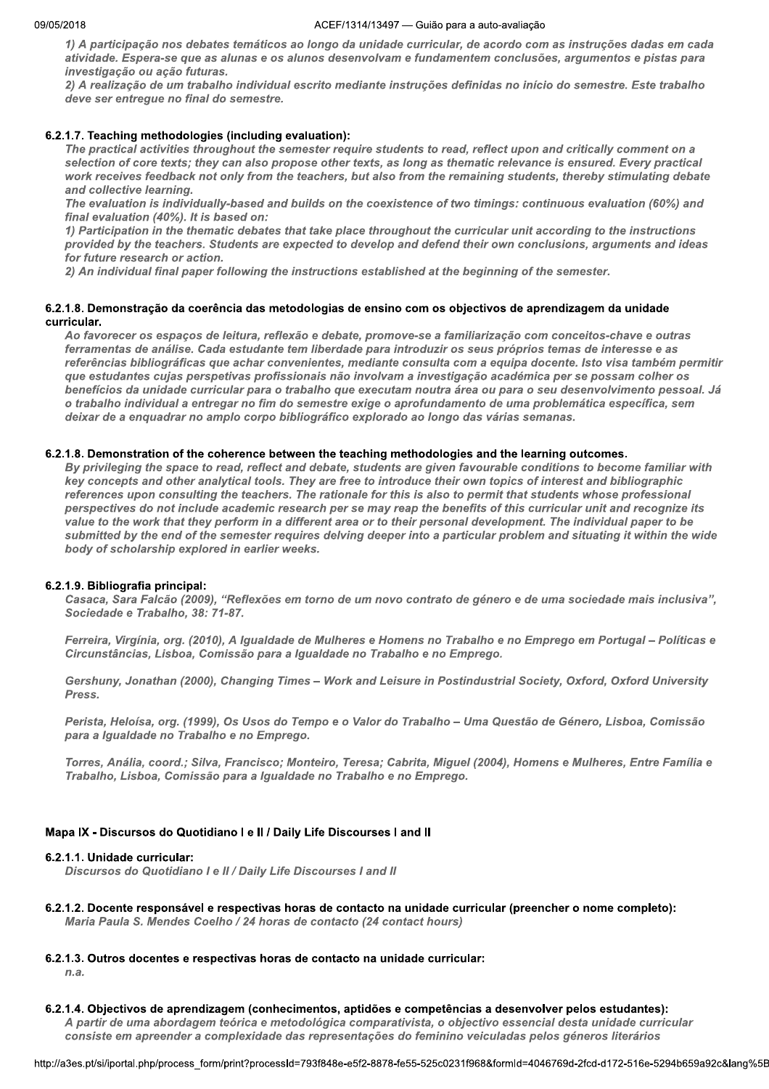1) A participação nos debates temáticos ao longo da unidade curricular, de acordo com as instruções dadas em cada atividade. Espera-se que as alunas e os alunos desenvolvam e fundamentem conclusões, argumentos e pistas para investigação ou ação futuras.

2) A realização de um trabalho individual escrito mediante instruções definidas no início do semestre. Este trabalho deve ser entregue no final do semestre.

## 6.2.1.7. Teaching methodologies (including evaluation):

The practical activities throughout the semester require students to read, reflect upon and critically comment on a selection of core texts; they can also propose other texts, as long as thematic relevance is ensured. Every practical work receives feedback not only from the teachers, but also from the remaining students, thereby stimulating debate and collective learning.

The evaluation is individually-based and builds on the coexistence of two timings: continuous evaluation (60%) and final evaluation (40%). It is based on:

1) Participation in the thematic debates that take place throughout the curricular unit according to the instructions provided by the teachers. Students are expected to develop and defend their own conclusions, arguments and ideas for future research or action.

2) An individual final paper following the instructions established at the beginning of the semester.

#### 6.2.1.8. Demonstração da coerência das metodologias de ensino com os objectivos de aprendizagem da unidade curricular.

Ao favorecer os espaços de leitura, reflexão e debate, promove-se a familiarização com conceitos-chave e outras ferramentas de análise. Cada estudante tem liberdade para introduzir os seus próprios temas de interesse e as referências bibliográficas que achar convenientes, mediante consulta com a equipa docente. Isto visa também permitir que estudantes cujas perspetivas profissionais não involvam a investigação académica per se possam colher os benefícios da unidade curricular para o trabalho que executam noutra área ou para o seu desenvolvimento pessoal. Já o trabalho individual a entregar no fim do semestre exige o aprofundamento de uma problemática específica, sem deixar de a enquadrar no amplo corpo bibliográfico explorado ao longo das várias semanas.

#### 6.2.1.8. Demonstration of the coherence between the teaching methodologies and the learning outcomes.

By privileging the space to read, reflect and debate, students are given favourable conditions to become familiar with key concepts and other analytical tools. They are free to introduce their own topics of interest and bibliographic references upon consulting the teachers. The rationale for this is also to permit that students whose professional perspectives do not include academic research per se may reap the benefits of this curricular unit and recognize its value to the work that they perform in a different area or to their personal development. The individual paper to be submitted by the end of the semester requires delving deeper into a particular problem and situating it within the wide body of scholarship explored in earlier weeks.

#### 6.2.1.9. Bibliografia principal:

Casaca, Sara Falcão (2009), "Reflexões em torno de um novo contrato de género e de uma sociedade mais inclusiva", Sociedade e Trabalho, 38: 71-87.

Ferreira, Virgínia, org. (2010), A Igualdade de Mulheres e Homens no Trabalho e no Emprego em Portugal - Políticas e Circunstâncias, Lisboa, Comissão para a Igualdade no Trabalho e no Emprego.

Gershuny, Jonathan (2000), Changing Times - Work and Leisure in Postindustrial Society, Oxford, Oxford University **Press** 

Perista, Heloísa, org. (1999), Os Usos do Tempo e o Valor do Trabalho - Uma Questão de Género, Lisboa, Comissão para a Igualdade no Trabalho e no Emprego.

Torres, Anália, coord.; Silva, Francisco; Monteiro, Teresa; Cabrita, Miquel (2004), Homens e Mulheres, Entre Família e Trabalho, Lisboa, Comissão para a Igualdade no Trabalho e no Emprego.

#### Mapa IX - Discursos do Quotidiano I e II / Daily Life Discourses I and II

#### 6.2.1.1. Unidade curricular:

Discursos do Quotidiano I e II / Daily Life Discourses I and II

- 6.2.1.2. Docente responsável e respectivas horas de contacto na unidade curricular (preencher o nome completo): Maria Paula S. Mendes Coelho / 24 horas de contacto (24 contact hours)
- 6.2.1.3. Outros docentes e respectivas horas de contacto na unidade curricular:

 $n.a.$ 

6.2.1.4. Objectivos de aprendizagem (conhecimentos, aptidões e competências a desenvolver pelos estudantes): A partir de uma abordagem teórica e metodológica comparativista, o objectivo essencial desta unidade curricular consiste em apreender a complexidade das representações do feminino veiculadas pelos géneros literários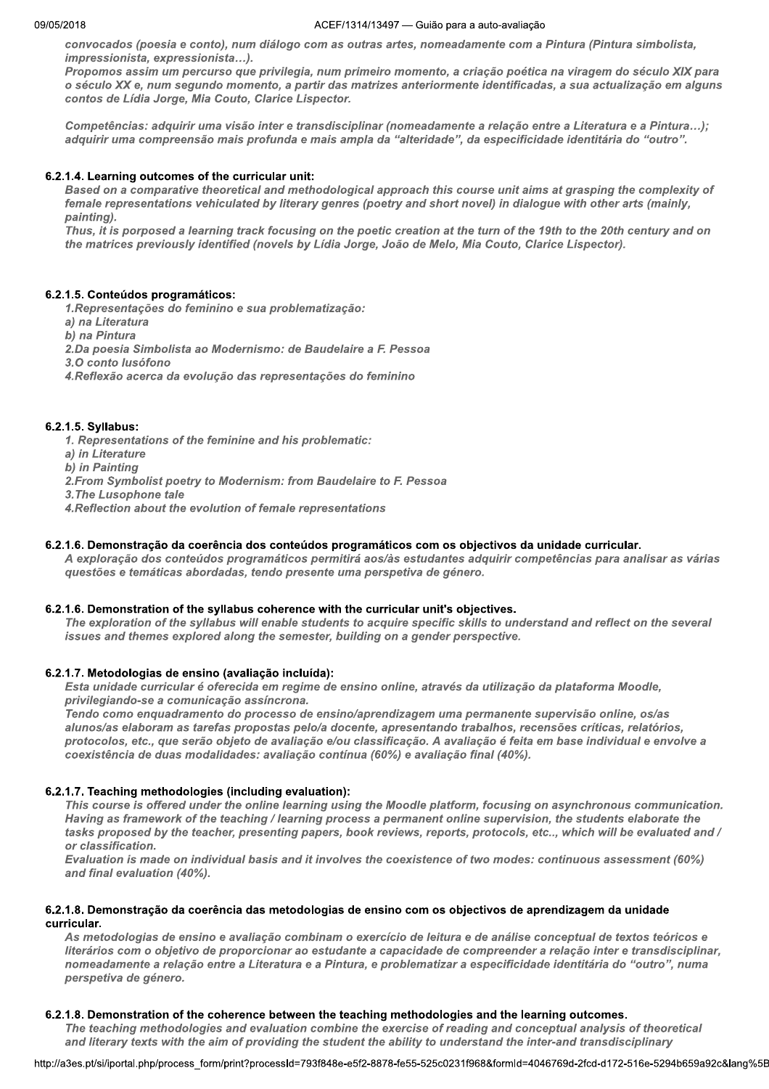convocados (poesia e conto), num diálogo com as outras artes, nomeadamente com a Pintura (Pintura simbolista, impressionista, expressionista...).

Propomos assim um percurso que privilegia, num primeiro momento, a criação poética na viragem do século XIX para o século XX e, num segundo momento, a partir das matrizes anteriormente identificadas, a sua actualização em alguns contos de Lídia Jorge, Mia Couto, Clarice Lispector.

Competências: adquirir uma visão inter e transdisciplinar (nomeadamente a relação entre a Literatura e a Pintura...); adquirir uma compreensão mais profunda e mais ampla da "alteridade", da especificidade identitária do "outro".

## 6.2.1.4. Learning outcomes of the curricular unit:

Based on a comparative theoretical and methodological approach this course unit aims at grasping the complexity of female representations vehiculated by literary genres (poetry and short novel) in dialogue with other arts (mainly, painting).

Thus, it is porposed a learning track focusing on the poetic creation at the turn of the 19th to the 20th century and on the matrices previously identified (novels by Lídia Jorge, João de Melo, Mia Couto, Clarice Lispector).

## 6.2.1.5. Conteúdos programáticos:

1. Representações do feminino e sua problematização:

a) na Literatura

b) na Pintura

2. Da poesia Simbolista ao Modernismo: de Baudelaire a F. Pessoa

3.0 conto lusófono

4. Reflexão acerca da evolução das representações do feminino

## 6.2.1.5. Syllabus:

1. Representations of the feminine and his problematic:

a) in Literature

b) in Painting

2. From Symbolist poetry to Modernism: from Baudelaire to F. Pessoa

3. The Lusophone tale

4. Reflection about the evolution of female representations

## 6.2.1.6. Demonstração da coerência dos conteúdos programáticos com os objectivos da unidade curricular.

A exploração dos conteúdos programáticos permitirá aos/às estudantes adquirir competências para analisar as várias questões e temáticas abordadas, tendo presente uma perspetiva de género.

## 6.2.1.6. Demonstration of the syllabus coherence with the curricular unit's objectives.

The exploration of the syllabus will enable students to acquire specific skills to understand and reflect on the several issues and themes explored along the semester, building on a gender perspective.

## 6.2.1.7. Metodologias de ensino (avaliação incluída):

Esta unidade curricular é oferecida em regime de ensino online, através da utilização da plataforma Moodle, privilegiando-se a comunicação assíncrona.

Tendo como enquadramento do processo de ensino/aprendizagem uma permanente supervisão online, os/as alunos/as elaboram as tarefas propostas pelo/a docente, apresentando trabalhos, recensões críticas, relatórios, protocolos, etc., que serão objeto de avaliação e/ou classificação. A avaliação é feita em base individual e envolve a coexistência de duas modalidades: avaliação contínua (60%) e avaliação final (40%).

## 6.2.1.7. Teaching methodologies (including evaluation):

This course is offered under the online learning using the Moodle platform, focusing on asynchronous communication. Having as framework of the teaching / learning process a permanent online supervision, the students elaborate the tasks proposed by the teacher, presenting papers, book reviews, reports, protocols, etc.., which will be evaluated and / or classification.

Evaluation is made on individual basis and it involves the coexistence of two modes: continuous assessment (60%) and final evaluation (40%).

## 6.2.1.8. Demonstração da coerência das metodologias de ensino com os objectivos de aprendizagem da unidade curricular.

As metodologias de ensino e avaliação combinam o exercício de leitura e de análise conceptual de textos teóricos e literários com o objetivo de proporcionar ao estudante a capacidade de compreender a relação inter e transdisciplinar, nomeadamente a relação entre a Literatura e a Pintura, e problematizar a especificidade identitária do "outro", numa perspetiva de género.

## 6.2.1.8. Demonstration of the coherence between the teaching methodologies and the learning outcomes.

The teaching methodologies and evaluation combine the exercise of reading and conceptual analysis of theoretical and literary texts with the aim of providing the student the ability to understand the inter-and transdisciplinary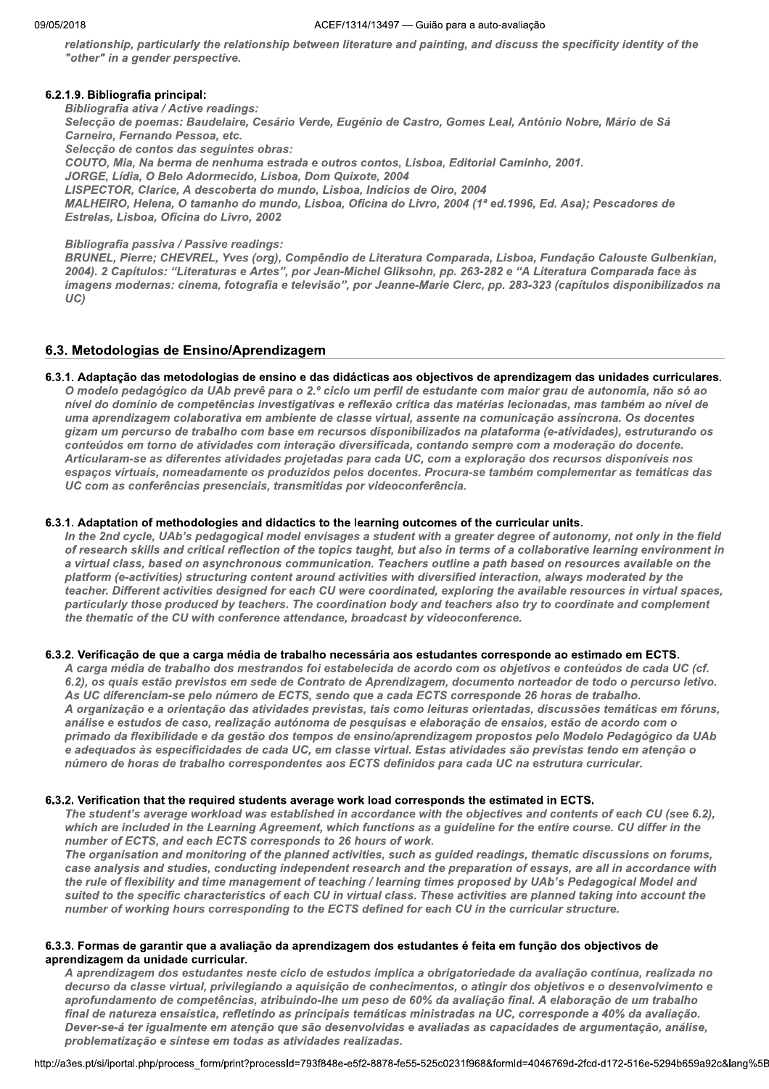relationship, particularly the relationship between literature and painting, and discuss the specificity identity of the "other" in a gender perspective.

## 6.2.1.9. Bibliografia principal:

**Bibliografia ativa / Active readings:** Selecção de poemas: Baudelaire, Cesário Verde, Eugénio de Castro, Gomes Leal, António Nobre, Mário de Sá Carneiro, Fernando Pessoa, etc. Selecção de contos das seguintes obras: COUTO, Mia, Na berma de nenhuma estrada e outros contos, Lisboa, Editorial Caminho, 2001. JORGE, Lídia, O Belo Adormecido, Lisboa, Dom Quixote, 2004 LISPECTOR, Clarice, A descoberta do mundo, Lisboa, Indícios de Oiro, 2004 MALHEIRO, Helena, O tamanho do mundo, Lisboa, Oficina do Livro, 2004 (1ª ed.1996, Ed. Asa); Pescadores de Estrelas, Lisboa, Oficina do Livro, 2002

**Bibliografia passiva / Passive readings:** 

BRUNEL, Pierre; CHEVREL, Yves (org), Compêndio de Literatura Comparada, Lisboa, Fundação Calouste Gulbenkian, 2004). 2 Capítulos: "Literaturas e Artes", por Jean-Michel Gliksohn, pp. 263-282 e "A Literatura Comparada face às imagens modernas: cinema, fotografia e televisão", por Jeanne-Marie Clerc, pp. 283-323 (capítulos disponibilizados na  $UC)$ 

## 6.3. Metodologias de Ensino/Aprendizagem

#### 6.3.1. Adaptação das metodologias de ensino e das didácticas aos objectivos de aprendizagem das unidades curriculares. O modelo pedagógico da UAb prevê para o 2.º ciclo um perfil de estudante com maior grau de autonomia, não só ao

nível do domínio de competências investigativas e reflexão crítica das matérias lecionadas, mas também ao nível de uma aprendizagem colaborativa em ambiente de classe virtual, assente na comunicação assíncrona. Os docentes gizam um percurso de trabalho com base em recursos disponibilizados na plataforma (e-atividades), estruturando os conteúdos em torno de atividades com interação diversificada, contando sempre com a moderação do docente. Articularam-se as diferentes atividades projetadas para cada UC, com a exploração dos recursos disponíveis nos espaços virtuais, nomeadamente os produzidos pelos docentes. Procura-se também complementar as temáticas das UC com as conferências presenciais, transmitidas por videoconferência.

#### 6.3.1. Adaptation of methodologies and didactics to the learning outcomes of the curricular units.

In the 2nd cycle, UAb's pedagogical model envisages a student with a greater degree of autonomy, not only in the field of research skills and critical reflection of the topics taught, but also in terms of a collaborative learning environment in a virtual class, based on asynchronous communication. Teachers outline a path based on resources available on the platform (e-activities) structuring content around activities with diversified interaction, always moderated by the teacher. Different activities designed for each CU were coordinated, exploring the available resources in virtual spaces, particularly those produced by teachers. The coordination body and teachers also try to coordinate and complement the thematic of the CU with conference attendance, broadcast by videoconference.

#### 6.3.2. Verificação de que a carga média de trabalho necessária aos estudantes corresponde ao estimado em ECTS.

A carga média de trabalho dos mestrandos foi estabelecida de acordo com os objetivos e conteúdos de cada UC (cf. 6.2), os quais estão previstos em sede de Contrato de Aprendizagem, documento norteador de todo o percurso letivo. As UC diferenciam-se pelo número de ECTS, sendo que a cada ECTS corresponde 26 horas de trabalho. A organização e a orientação das atividades previstas, tais como leituras orientadas, discussões temáticas em fóruns, análise e estudos de caso, realização autónoma de pesquisas e elaboração de ensaios, estão de acordo com o primado da flexibilidade e da gestão dos tempos de ensino/aprendizagem propostos pelo Modelo Pedagógico da UAb e adequados às especificidades de cada UC, em classe virtual. Estas atividades são previstas tendo em atenção o número de horas de trabalho correspondentes aos ECTS definidos para cada UC na estrutura curricular.

#### 6.3.2. Verification that the required students average work load corresponds the estimated in ECTS.

The student's average workload was established in accordance with the objectives and contents of each CU (see 6.2), which are included in the Learning Agreement, which functions as a guideline for the entire course. CU differ in the number of ECTS, and each ECTS corresponds to 26 hours of work.

The organisation and monitoring of the planned activities, such as guided readings, thematic discussions on forums, case analysis and studies, conducting independent research and the preparation of essays, are all in accordance with the rule of flexibility and time management of teaching / learning times proposed by UAb's Pedagogical Model and suited to the specific characteristics of each CU in virtual class. These activities are planned taking into account the number of working hours corresponding to the ECTS defined for each CU in the curricular structure.

#### 6.3.3. Formas de garantir que a avaliação da aprendizagem dos estudantes é feita em função dos objectivos de aprendizagem da unidade curricular.

A aprendizagem dos estudantes neste ciclo de estudos implica a obrigatoriedade da avaliação contínua, realizada no decurso da classe virtual, privilegiando a aquisição de conhecimentos, o atingir dos objetivos e o desenvolvimento e aprofundamento de competências, atribuindo-lhe um peso de 60% da avaliação final. A elaboração de um trabalho final de natureza ensaística, refletindo as principais temáticas ministradas na UC, corresponde a 40% da avaliação. Dever-se-á ter igualmente em atenção que são desenvolvidas e avaliadas as capacidades de argumentação, análise, problematização e síntese em todas as atividades realizadas.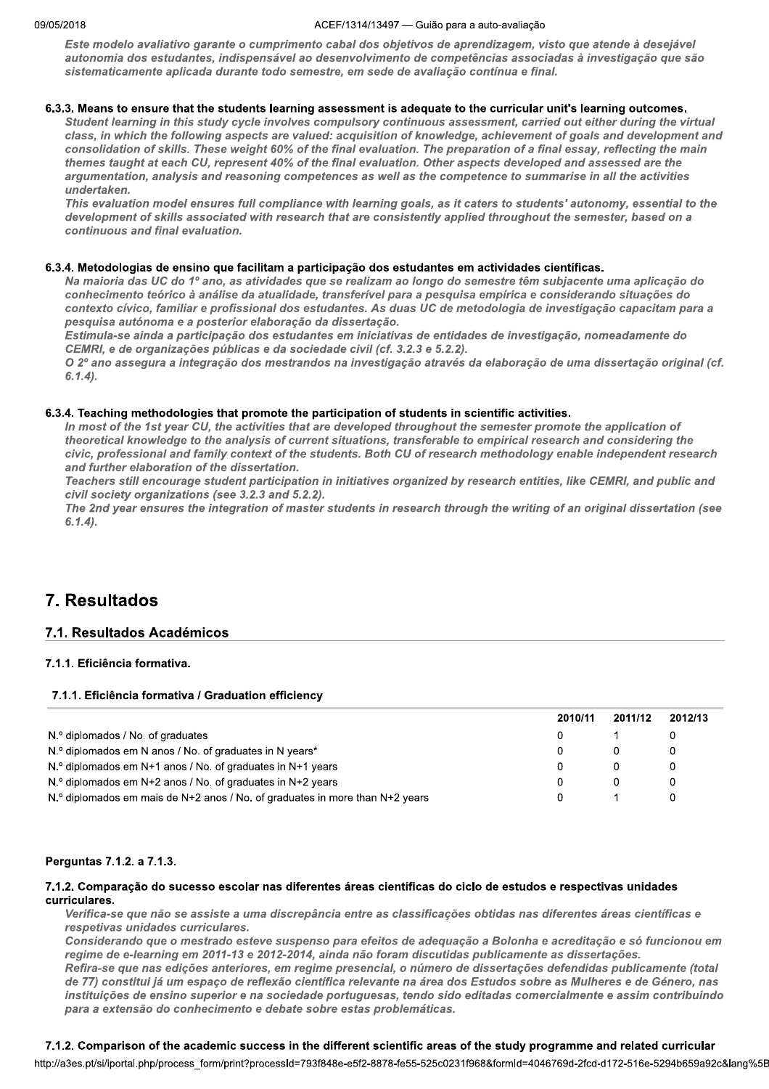#### ACEF/1314/13497 - Guião para a auto-avaliação

Este modelo avaliativo garante o cumprimento cabal dos objetivos de aprendizagem, visto que atende à desejável autonomia dos estudantes, indispensável ao desenvolvimento de competências associadas à investigação que são sistematicamente aplicada durante todo semestre, em sede de avaliação contínua e final.

## 6.3.3. Means to ensure that the students learning assessment is adequate to the curricular unit's learning outcomes.

Student learning in this study cycle involves compulsory continuous assessment, carried out either during the virtual class, in which the following aspects are valued: acquisition of knowledge, achievement of goals and development and consolidation of skills. These weight 60% of the final evaluation. The preparation of a final essay, reflecting the main themes taught at each CU, represent 40% of the final evaluation. Other aspects developed and assessed are the argumentation, analysis and reasoning competences as well as the competence to summarise in all the activities undertaken.

This evaluation model ensures full compliance with learning goals, as it caters to students' autonomy, essential to the development of skills associated with research that are consistently applied throughout the semester, based on a continuous and final evaluation.

## 6.3.4. Metodologias de ensino que facilitam a participação dos estudantes em actividades científicas.

Na maioria das UC do 1º ano, as atividades que se realizam ao longo do semestre têm subjacente uma aplicação do conhecimento teórico à análise da atualidade, transferível para a pesquisa empírica e considerando situações do contexto cívico, familiar e profissional dos estudantes. As duas UC de metodologia de investigação capacitam para a pesquisa autónoma e a posterior elaboração da dissertação.

Estimula-se ainda a participação dos estudantes em iniciativas de entidades de investigação, nomeadamente do CEMRI, e de organizações públicas e da sociedade civil (cf. 3.2.3 e 5.2.2).

O 2º ano assegura a integração dos mestrandos na investigação através da elaboração de uma dissertação original (cf.  $6.1.4$ ).

## 6.3.4. Teaching methodologies that promote the participation of students in scientific activities.

In most of the 1st year CU, the activities that are developed throughout the semester promote the application of theoretical knowledge to the analysis of current situations, transferable to empirical research and considering the civic, professional and family context of the students. Both CU of research methodology enable independent research and further elaboration of the dissertation.

Teachers still encourage student participation in initiatives organized by research entities, like CEMRI, and public and civil society organizations (see 3.2.3 and 5.2.2).

The 2nd year ensures the integration of master students in research through the writing of an original dissertation (see  $6.1.4$ ).

# 7. Resultados

## 7.1. Resultados Académicos

## 7.1.1. Eficiência formativa.

## 7.1.1. Eficiência formativa / Graduation efficiency

|                                                                                | 2010/11 | 2011/12 | 2012/13 |
|--------------------------------------------------------------------------------|---------|---------|---------|
| N.º diplomados / No. of graduates                                              |         |         |         |
| N.º diplomados em N anos / No. of graduates in N years*                        |         |         |         |
| N.º diplomados em N+1 anos / No. of graduates in N+1 years                     |         |         |         |
| $N$ . diplomados em N+2 anos / No. of graduates in N+2 years                   |         |         |         |
| $N$ . diplomados em mais de N+2 anos / No. of graduates in more than N+2 years |         |         |         |

## Perguntas 7.1.2. a 7.1.3.

## 7.1.2. Comparação do sucesso escolar nas diferentes áreas científicas do ciclo de estudos e respectivas unidades curriculares.

Verifica-se que não se assiste a uma discrepância entre as classificações obtidas nas diferentes áreas científicas e respetivas unidades curriculares.

Considerando que o mestrado esteve suspenso para efeitos de adequação a Bolonha e acreditação e só funcionou em regime de e-learning em 2011-13 e 2012-2014, ainda não foram discutidas publicamente as dissertações.

Refira-se que nas edições anteriores, em regime presencial, o número de dissertações defendidas publicamente (total de 77) constitui já um espaço de reflexão científica relevante na área dos Estudos sobre as Mulheres e de Género, nas instituições de ensino superior e na sociedade portuguesas, tendo sido editadas comercialmente e assim contribuindo para a extensão do conhecimento e debate sobre estas problemáticas.

## 7.1.2. Comparison of the academic success in the different scientific areas of the study programme and related curricular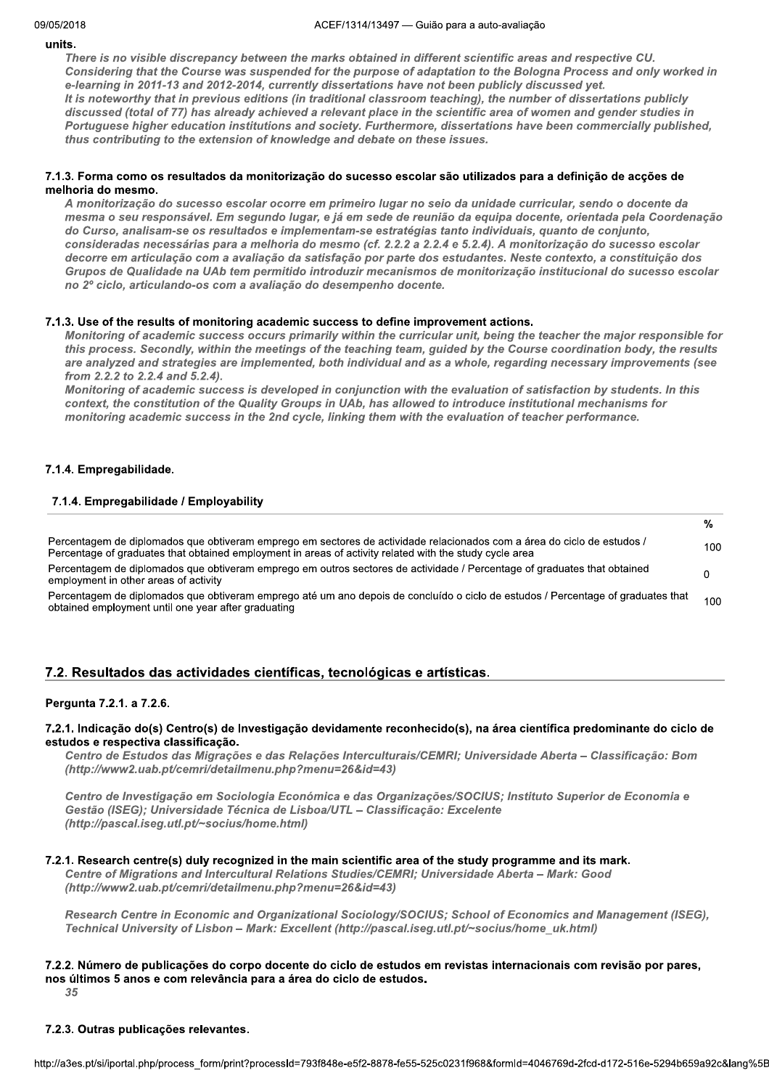#### units.

There is no visible discrepancy between the marks obtained in different scientific areas and respective CU. Considering that the Course was suspended for the purpose of adaptation to the Bologna Process and only worked in e-learning in 2011-13 and 2012-2014, currently dissertations have not been publicly discussed yet. It is noteworthy that in previous editions (in traditional classroom teaching), the number of dissertations publicly discussed (total of 77) has already achieved a relevant place in the scientific area of women and gender studies in Portuguese higher education institutions and society. Furthermore, dissertations have been commercially published, thus contributing to the extension of knowledge and debate on these issues.

## 7.1.3. Forma como os resultados da monitorização do sucesso escolar são utilizados para a definição de acções de melhoria do mesmo.

A monitorização do sucesso escolar ocorre em primeiro lugar no seio da unidade curricular, sendo o docente da mesma o seu responsável. Em segundo lugar, e já em sede de reunião da equipa docente, orientada pela Coordenação do Curso, analisam-se os resultados e implementam-se estratégias tanto individuais, quanto de conjunto, consideradas necessárias para a melhoria do mesmo (cf. 2.2.2 a 2.2.4 e 5.2.4). A monitorização do sucesso escolar decorre em articulação com a avaliação da satisfação por parte dos estudantes. Neste contexto, a constituição dos Grupos de Qualidade na UAb tem permitido introduzir mecanismos de monitorização institucional do sucesso escolar no 2º ciclo, articulando-os com a avaliação do desempenho docente.

## 7.1.3. Use of the results of monitoring academic success to define improvement actions.

Monitoring of academic success occurs primarily within the curricular unit, being the teacher the major responsible for this process. Secondly, within the meetings of the teaching team, guided by the Course coordination body, the results are analyzed and strategies are implemented, both individual and as a whole, regarding necessary improvements (see from 2.2.2 to 2.2.4 and 5.2.4).

Monitoring of academic success is developed in conjunction with the evaluation of satisfaction by students. In this context, the constitution of the Quality Groups in UAb, has allowed to introduce institutional mechanisms for monitoring academic success in the 2nd cycle, linking them with the evaluation of teacher performance.

## 7.1.4. Empregabilidade.

## 7.1.4. Empregabilidade / Employability

|                                                                                                                                                                                                                                    | %                |
|------------------------------------------------------------------------------------------------------------------------------------------------------------------------------------------------------------------------------------|------------------|
| Percentagem de diplomados que obtiveram emprego em sectores de actividade relacionados com a área do ciclo de estudos /<br>Percentage of graduates that obtained employment in areas of activity related with the study cycle area | 100              |
| Percentagem de diplomados que obtiveram emprego em outros sectores de actividade / Percentage of graduates that obtained<br>employment in other areas of activity                                                                  |                  |
| Percentagem de diplomados que obtiveram emprego até um ano depois de concluído o ciclo de estudos / Percentage of graduates that<br>obtained employment until one year after graduating                                            | 100 <sub>1</sub> |

## 7.2. Resultados das actividades científicas, tecnológicas e artísticas.

## Pergunta 7.2.1. a 7.2.6.

## 7.2.1. Indicação do(s) Centro(s) de Investigação devidamente reconhecido(s), na área científica predominante do ciclo de estudos e respectiva classificação.

Centro de Estudos das Migrações e das Relações Interculturais/CEMRI; Universidade Aberta - Classificação: Bom (http://www2.uab.pt/cemri/detailmenu.php?menu=26&id=43)

Centro de Investigação em Sociologia Económica e das Organizações/SOCIUS; Instituto Superior de Economia e Gestão (ISEG); Universidade Técnica de Lisboa/UTL - Classificação: Excelente (http://pascal.iseg.utl.pt/~socius/home.html)

## 7.2.1. Research centre(s) duly recognized in the main scientific area of the study programme and its mark.

Centre of Migrations and Intercultural Relations Studies/CEMRI: Universidade Aberta - Mark: Good (http://www2.uab.pt/cemri/detailmenu.php?menu=26&id=43)

Research Centre in Economic and Organizational Sociology/SOCIUS; School of Economics and Management (ISEG). Technical University of Lisbon - Mark: Excellent (http://pascal.iseg.utl.pt/~socius/home uk.html)

## 7.2.2. Número de publicações do corpo docente do ciclo de estudos em revistas internacionais com revisão por pares, nos últimos 5 anos e com relevância para a área do ciclo de estudos.

35

## 7.2.3. Outras publicações relevantes.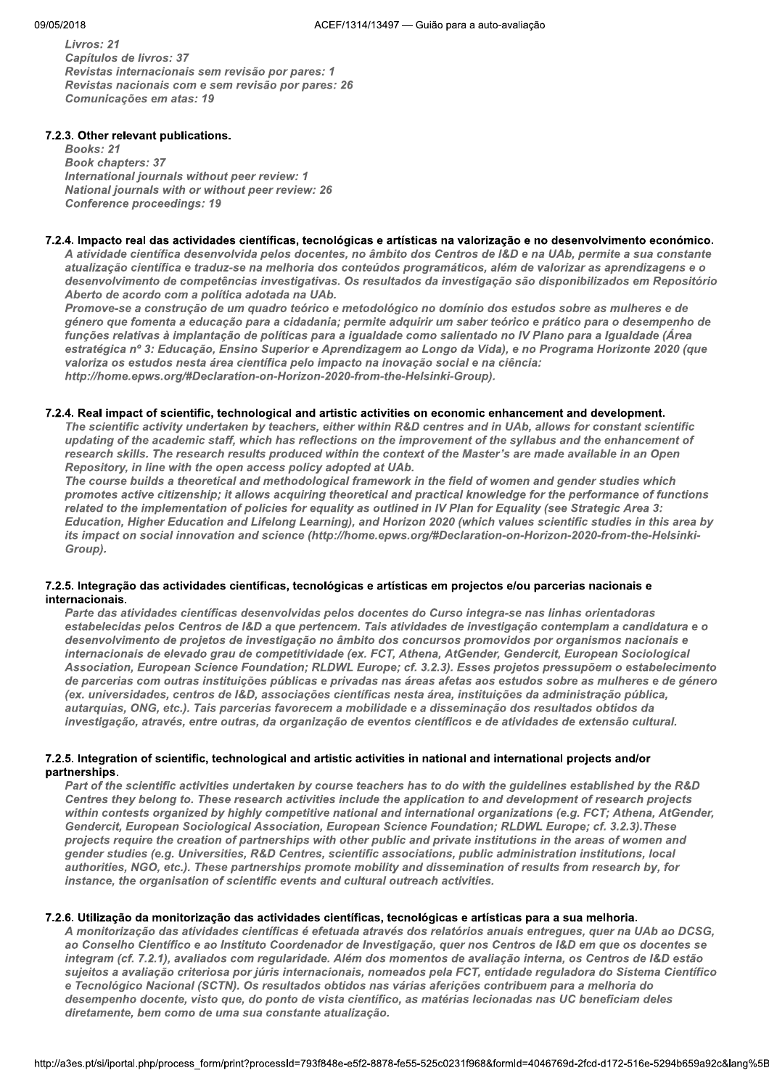Livros: 21 Capítulos de livros: 37 Revistas internacionais sem revisão por pares: 1 Revistas nacionais com e sem revisão por pares: 26 Comunicações em atas: 19

## 7.2.3. Other relevant publications.

**Books: 21 Book chapters: 37** International journals without peer review: 1 National journals with or without peer review: 26 **Conference proceedings: 19** 

#### 7.2.4. Impacto real das actividades científicas, tecnológicas e artísticas na valorização e no desenvolvimento económico.

A atividade científica desenvolvida pelos docentes, no âmbito dos Centros de I&D e na UAb, permite a sua constante atualização científica e traduz-se na melhoria dos conteúdos programáticos, além de valorizar as aprendizagens e o desenvolvimento de competências investigativas. Os resultados da investigação são disponibilizados em Repositório Aberto de acordo com a política adotada na UAb.

Promove-se a construção de um quadro teórico e metodológico no domínio dos estudos sobre as mulheres e de género que fomenta a educação para a cidadania; permite adquirir um saber teórico e prático para o desempenho de funções relativas à implantação de políticas para a igualdade como salientado no IV Plano para a Igualdade (Área estratégica nº 3: Educação, Ensino Superior e Aprendizagem ao Longo da Vida), e no Programa Horizonte 2020 (que valoriza os estudos nesta área científica pelo impacto na inovação social e na ciência: http://home.epws.org/#Declaration-on-Horizon-2020-from-the-Helsinki-Group).

#### 7.2.4. Real impact of scientific, technological and artistic activities on economic enhancement and development.

The scientific activity undertaken by teachers, either within R&D centres and in UAb, allows for constant scientific updating of the academic staff, which has reflections on the improvement of the syllabus and the enhancement of research skills. The research results produced within the context of the Master's are made available in an Open Repository, in line with the open access policy adopted at UAb.

The course builds a theoretical and methodological framework in the field of women and gender studies which promotes active citizenship; it allows acquiring theoretical and practical knowledge for the performance of functions related to the implementation of policies for equality as outlined in IV Plan for Equality (see Strategic Area 3: Education, Higher Education and Lifelong Learning), and Horizon 2020 (which values scientific studies in this area by its impact on social innovation and science (http://home.epws.org/#Declaration-on-Horizon-2020-from-the-Helsinki-Group).

## 7.2.5. Integração das actividades científicas, tecnológicas e artísticas em projectos e/ou parcerias nacionais e internacionais.

Parte das atividades científicas desenvolvidas pelos docentes do Curso integra-se nas linhas orientadoras estabelecidas pelos Centros de I&D a que pertencem. Tais atividades de investigação contemplam a candidatura e o desenvolvimento de projetos de investigação no âmbito dos concursos promovidos por organismos nacionais e internacionais de elevado grau de competitividade (ex. FCT, Athena, AtGender, Gendercit, European Sociological Association, European Science Foundation; RLDWL Europe; cf. 3.2.3). Esses projetos pressupõem o estabelecimento de parcerias com outras instituições públicas e privadas nas áreas afetas aos estudos sobre as mulheres e de género (ex. universidades, centros de I&D, associações científicas nesta área, instituições da administração pública, autarquias, ONG, etc.). Tais parcerias favorecem a mobilidade e a disseminação dos resultados obtidos da investigação, através, entre outras, da organização de eventos científicos e de atividades de extensão cultural.

## 7.2.5. Integration of scientific, technological and artistic activities in national and international projects and/or partnerships.

Part of the scientific activities undertaken by course teachers has to do with the guidelines established by the R&D Centres they belong to. These research activities include the application to and development of research projects within contests organized by highly competitive national and international organizations (e.g. FCT; Athena, AtGender, Gendercit, European Sociological Association, European Science Foundation; RLDWL Europe; cf. 3.2.3). These projects require the creation of partnerships with other public and private institutions in the areas of women and gender studies (e.g. Universities, R&D Centres, scientific associations, public administration institutions, local authorities, NGO, etc.). These partnerships promote mobility and dissemination of results from research by, for instance, the organisation of scientific events and cultural outreach activities.

## 7.2.6. Utilização da monitorização das actividades científicas, tecnológicas e artísticas para a sua melhoria.

A monitorização das atividades científicas é efetuada através dos relatórios anuais entregues, quer na UAb ao DCSG, ao Conselho Científico e ao Instituto Coordenador de Investigação, quer nos Centros de I&D em que os docentes se integram (cf. 7.2.1), avaliados com regularidade. Além dos momentos de avaliação interna, os Centros de I&D estão sujeitos a avaliação criteriosa por júris internacionais, nomeados pela FCT, entidade reguladora do Sistema Científico e Tecnológico Nacional (SCTN). Os resultados obtidos nas várias aferições contribuem para a melhoria do desempenho docente, visto que, do ponto de vista científico, as matérias lecionadas nas UC beneficiam deles diretamente, bem como de uma sua constante atualização.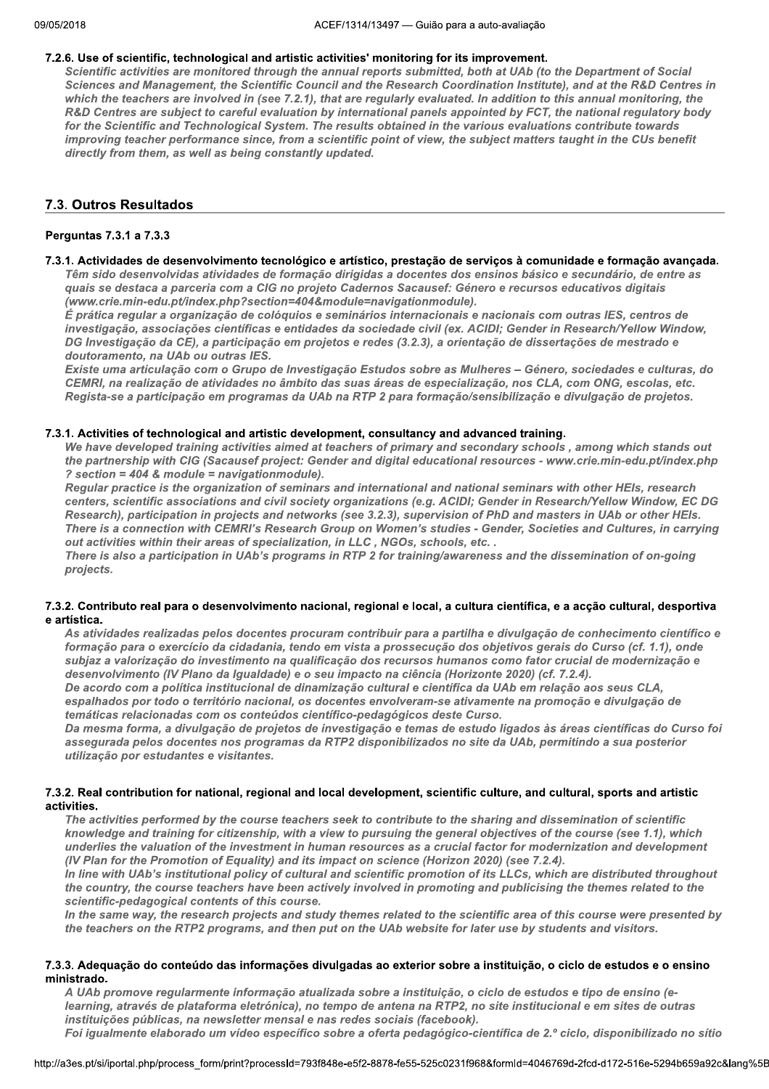#### 7.2.6. Use of scientific, technological and artistic activities' monitoring for its improvement.

Scientific activities are monitored through the annual reports submitted, both at UAb (to the Department of Social Sciences and Management, the Scientific Council and the Research Coordination Institute), and at the R&D Centres in which the teachers are involved in (see 7.2.1), that are regularly evaluated. In addition to this annual monitoring, the R&D Centres are subject to careful evaluation by international panels appointed by FCT, the national regulatory body for the Scientific and Technological System. The results obtained in the various evaluations contribute towards improving teacher performance since, from a scientific point of view, the subject matters taught in the CUs benefit directly from them, as well as being constantly updated.

## 7.3. Outros Resultados

## Perguntas 7.3.1 a 7.3.3

#### 7.3.1. Actividades de desenvolvimento tecnológico e artístico, prestação de serviços à comunidade e formação avançada.

Têm sido desenvolvidas atividades de formação dirigidas a docentes dos ensinos básico e secundário, de entre as quais se destaca a parceria com a CIG no projeto Cadernos Sacausef: Género e recursos educativos digitais (www.crie.min-edu.pt/index.php?section=404&module=navigationmodule).

É prática regular a organização de colóquios e seminários internacionais e nacionais com outras IES, centros de investigação, associações científicas e entidades da sociedade civil (ex. ACIDI; Gender in Research/Yellow Window, DG Investigação da CE), a participação em projetos e redes (3.2.3), a orientação de dissertações de mestrado e doutoramento, na UAb ou outras IES.

Existe uma articulação com o Grupo de Investigação Estudos sobre as Mulheres - Género, sociedades e culturas, do CEMRI, na realização de atividades no âmbito das suas áreas de especialização, nos CLA, com ONG, escolas, etc. Regista-se a participação em programas da UAb na RTP 2 para formação/sensibilização e divulgação de projetos.

## 7.3.1. Activities of technological and artistic development, consultancy and advanced training.

We have developed training activities aimed at teachers of primary and secondary schools, among which stands out the partnership with CIG (Sacausef project: Gender and digital educational resources - www.crie.min-edu.pt/index.php ? section = 404 & module = navigationmodule).

Regular practice is the organization of seminars and international and national seminars with other HEIs, research centers, scientific associations and civil society organizations (e.g. ACIDI; Gender in Research/Yellow Window, EC DG Research), participation in projects and networks (see 3.2.3), supervision of PhD and masters in UAb or other HEIs. There is a connection with CEMRI's Research Group on Women's studies - Gender, Societies and Cultures, in carrying out activities within their areas of specialization, in LLC, NGOs, schools, etc..

There is also a participation in UAb's programs in RTP 2 for training/awareness and the dissemination of on-going projects.

## 7.3.2. Contributo real para o desenvolvimento nacional, regional e local, a cultura científica, e a accão cultural, desportiva e artística.

As atividades realizadas pelos docentes procuram contribuir para a partilha e divulgação de conhecimento científico e formação para o exercício da cidadania, tendo em vista a prossecução dos objetivos gerais do Curso (cf. 1.1), onde subjaz a valorização do investimento na qualificação dos recursos humanos como fator crucial de modernização e desenvolvimento (IV Plano da Igualdade) e o seu impacto na ciência (Horizonte 2020) (cf. 7.2.4).

De acordo com a política institucional de dinamização cultural e científica da UAb em relação aos seus CLA, espalhados por todo o território nacional, os docentes envolveram-se ativamente na promoção e divulgação de temáticas relacionadas com os conteúdos científico-pedagógicos deste Curso.

Da mesma forma, a divulgação de projetos de investigação e temas de estudo ligados às áreas científicas do Curso foi assegurada pelos docentes nos programas da RTP2 disponibilizados no site da UAb, permitindo a sua posterior utilização por estudantes e visitantes.

#### 7.3.2. Real contribution for national, regional and local development, scientific culture, and cultural, sports and artistic activities.

The activities performed by the course teachers seek to contribute to the sharing and dissemination of scientific knowledge and training for citizenship, with a view to pursuing the general objectives of the course (see 1.1), which underlies the valuation of the investment in human resources as a crucial factor for modernization and development (IV Plan for the Promotion of Equality) and its impact on science (Horizon 2020) (see 7.2.4).

In line with UAb's institutional policy of cultural and scientific promotion of its LLCs, which are distributed throughout the country, the course teachers have been actively involved in promoting and publicising the themes related to the scientific-pedagogical contents of this course.

In the same way, the research projects and study themes related to the scientific area of this course were presented by the teachers on the RTP2 programs, and then put on the UAb website for later use by students and visitors.

#### 7.3.3. Adequação do conteúdo das informações divulgadas ao exterior sobre a instituição, o ciclo de estudos e o ensino ministrado.

A UAb promove regularmente informação atualizada sobre a instituição, o ciclo de estudos e tipo de ensino (elearning, através de plataforma eletrónica), no tempo de antena na RTP2, no site institucional e em sites de outras instituições públicas, na newsletter mensal e nas redes sociais (facebook). Foi igualmente elaborado um vídeo específico sobre a oferta pedagógico-científica de 2.º ciclo, disponibilizado no sítio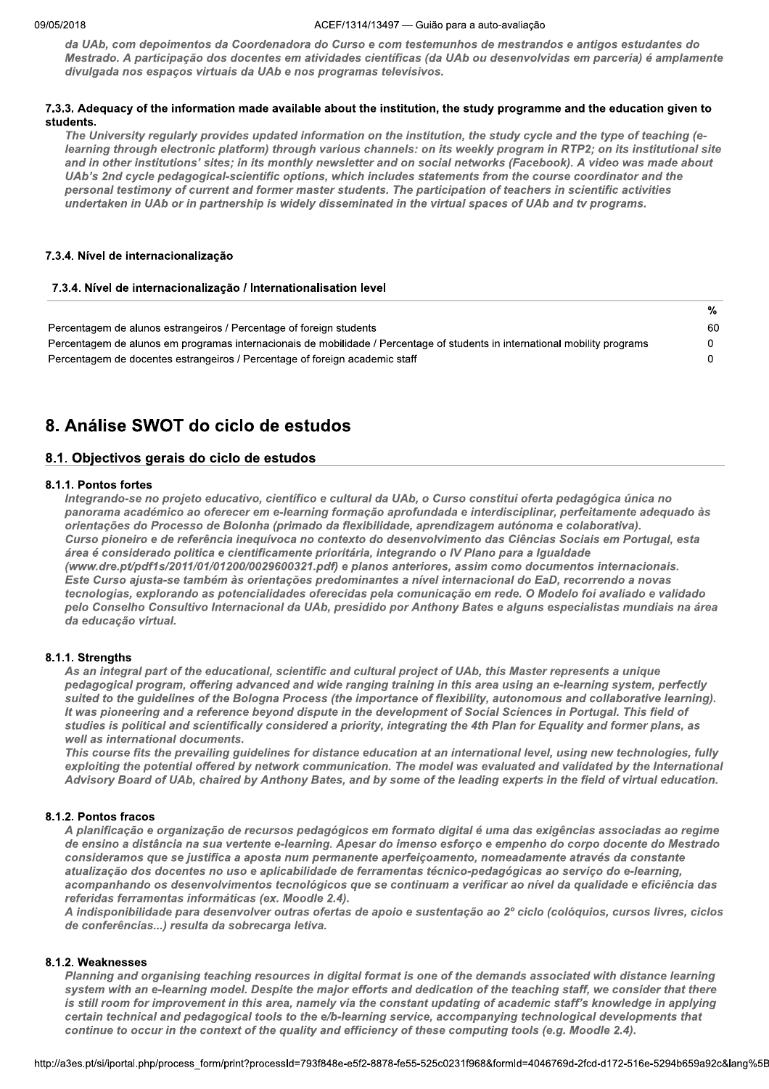#### ACEF/1314/13497 - Guião para a auto-avaliação

da UAb, com depoimentos da Coordenadora do Curso e com testemunhos de mestrandos e antigos estudantes do Mestrado. A participação dos docentes em atividades científicas (da UAb ou desenvolvidas em parceria) é amplamente divulgada nos espaços virtuais da UAb e nos programas televisivos.

#### 7.3.3. Adequacy of the information made available about the institution, the study programme and the education given to students.

The University regularly provides updated information on the institution, the study cycle and the type of teaching (elearning through electronic platform) through various channels: on its weekly program in RTP2; on its institutional site and in other institutions' sites; in its monthly newsletter and on social networks (Facebook). A video was made about UAb's 2nd cycle pedagogical-scientific options, which includes statements from the course coordinator and the personal testimony of current and former master students. The participation of teachers in scientific activities undertaken in UAb or in partnership is widely disseminated in the virtual spaces of UAb and tv programs.

## 7.3.4. Nível de internacionalização

## 7.3.4. Nível de internacionalização / Internationalisation level

| Percentagem de alunos estrangeiros / Percentage of foreign students                                                         | 60 |
|-----------------------------------------------------------------------------------------------------------------------------|----|
| Percentagem de alunos em programas internacionais de mobilidade / Percentage of students in international mobility programs |    |
| Percentagem de docentes estrangeiros / Percentage of foreign academic staff                                                 |    |

# 8. Análise SWOT do ciclo de estudos

## 8.1. Objectivos gerais do ciclo de estudos

## 8.1.1. Pontos fortes

Integrando-se no projeto educativo, científico e cultural da UAb, o Curso constitui oferta pedagógica única no panorama académico ao oferecer em e-learning formação aprofundada e interdisciplinar, perfeitamente adequado às orientações do Processo de Bolonha (primado da flexibilidade, aprendizagem autónoma e colaborativa). Curso pioneiro e de referência inequívoca no contexto do desenvolvimento das Ciências Sociais em Portugal, esta área é considerado politica e cientificamente prioritária, integrando o IV Plano para a Igualdade (www.dre.pt/pdf1s/2011/01/01200/0029600321.pdf) e planos anteriores, assim como documentos internacionais. Este Curso ajusta-se também às orientações predominantes a nível internacional do EaD, recorrendo a novas tecnologias, explorando as potencialidades oferecidas pela comunicação em rede. O Modelo foi avaliado e validado pelo Conselho Consultivo Internacional da UAb, presidido por Anthony Bates e alguns especialistas mundiais na área da educação virtual.

## 8.1.1. Strengths

As an integral part of the educational, scientific and cultural project of UAb, this Master represents a unique pedagogical program, offering advanced and wide ranging training in this area using an e-learning system, perfectly suited to the guidelines of the Bologna Process (the importance of flexibility, autonomous and collaborative learning). It was pioneering and a reference beyond dispute in the development of Social Sciences in Portugal. This field of studies is political and scientifically considered a priority, integrating the 4th Plan for Equality and former plans, as well as international documents.

This course fits the prevailing guidelines for distance education at an international level, using new technologies, fully exploiting the potential offered by network communication. The model was evaluated and validated by the International Advisory Board of UAb, chaired by Anthony Bates, and by some of the leading experts in the field of virtual education.

## 8.1.2. Pontos fracos

A planificação e organização de recursos pedagógicos em formato digital é uma das exigências associadas ao regime de ensino a distância na sua vertente e-learning. Apesar do imenso esforço e empenho do corpo docente do Mestrado consideramos que se justifica a aposta num permanente aperfeicoamento, nomeadamente através da constante atualização dos docentes no uso e aplicabilidade de ferramentas técnico-pedagógicas ao serviço do e-learning, acompanhando os desenvolvimentos tecnológicos que se continuam a verificar ao nível da qualidade e eficiência das referidas ferramentas informáticas (ex. Moodle 2.4).

A indisponibilidade para desenvolver outras ofertas de apoio e sustentação ao 2º ciclo (colóquios, cursos livres, ciclos de conferências...) resulta da sobrecarga letiva.

## 8.1.2. Weaknesses

Planning and organising teaching resources in digital format is one of the demands associated with distance learning system with an e-learning model. Despite the major efforts and dedication of the teaching staff, we consider that there is still room for improvement in this area, namely via the constant updating of academic staff's knowledge in applying certain technical and pedagogical tools to the e/b-learning service, accompanying technological developments that continue to occur in the context of the quality and efficiency of these computing tools (e.g. Moodle 2.4).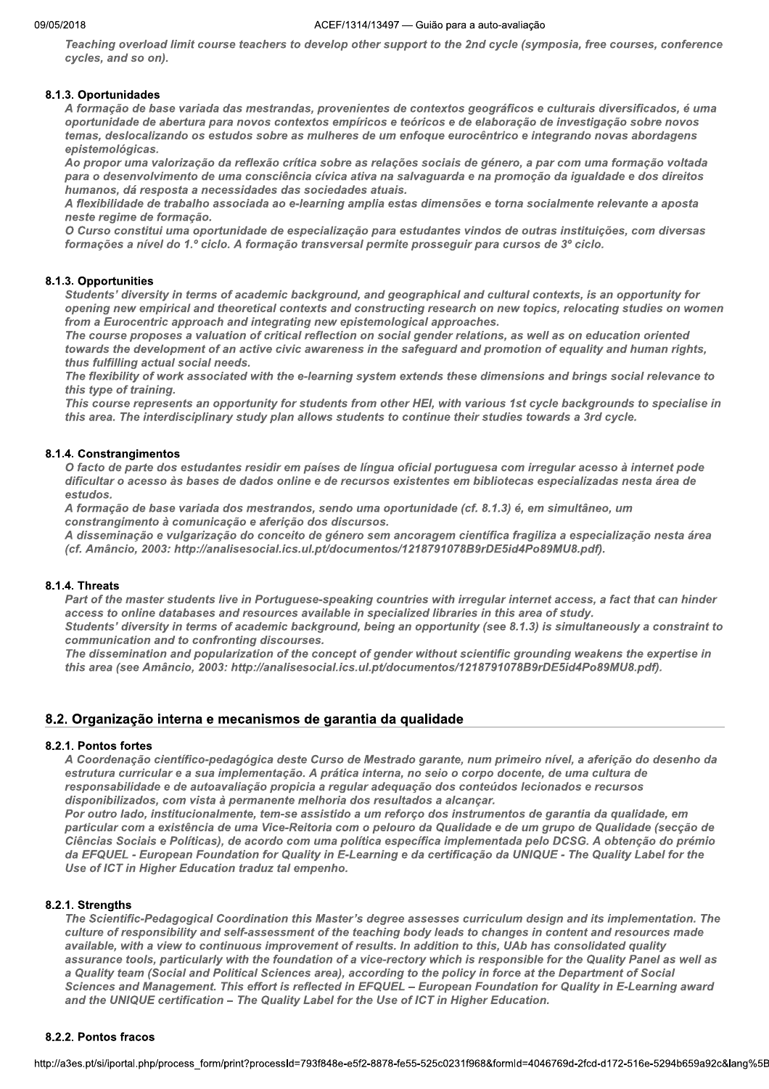Teaching overload limit course teachers to develop other support to the 2nd cycle (symposia, free courses, conference cycles, and so on).

## 8.1.3. Oportunidades

A formação de base variada das mestrandas, provenientes de contextos geográficos e culturais diversificados, é uma oportunidade de abertura para novos contextos empíricos e teóricos e de elaboração de investigação sobre novos temas, deslocalizando os estudos sobre as mulheres de um enfoque eurocêntrico e integrando novas abordagens epistemológicas.

Ao propor uma valorização da reflexão crítica sobre as relações sociais de género, a par com uma formação voltada para o desenvolvimento de uma consciência cívica ativa na salvaguarda e na promoção da igualdade e dos direitos .<br>humanos, dá resposta a necessidades das sociedades atuais.

A flexibilidade de trabalho associada ao e-learning amplia estas dimensões e torna socialmente relevante a aposta neste regime de formação.

O Curso constitui uma oportunidade de especialização para estudantes vindos de outras instituições, com diversas formações a nível do 1.º ciclo. A formação transversal permite prosseguir para cursos de 3º ciclo.

## 8.1.3. Opportunities

Students' diversity in terms of academic background, and geographical and cultural contexts, is an opportunity for opening new empirical and theoretical contexts and constructing research on new topics, relocating studies on women from a Eurocentric approach and integrating new epistemological approaches.

The course proposes a valuation of critical reflection on social gender relations, as well as on education oriented towards the development of an active civic awareness in the safeguard and promotion of equality and human rights, thus fulfilling actual social needs.

The flexibility of work associated with the e-learning system extends these dimensions and brings social relevance to this type of training.

This course represents an opportunity for students from other HEI, with various 1st cycle backgrounds to specialise in this area. The interdisciplinary study plan allows students to continue their studies towards a 3rd cycle.

## 8.1.4. Constrangimentos

O facto de parte dos estudantes residir em países de língua oficial portuguesa com irregular acesso à internet pode dificultar o acesso às bases de dados online e de recursos existentes em bibliotecas especializadas nesta área de estudos.

A formação de base variada dos mestrandos, sendo uma oportunidade (cf. 8.1.3) é, em simultâneo, um constrangimento à comunicação e aferição dos discursos.

A disseminação e vulgarização do conceito de género sem ancoragem científica fragiliza a especialização nesta área (cf. Amâncio, 2003: http://analisesocial.ics.ul.pt/documentos/1218791078B9rDE5id4Po89MU8.pdf).

## 8.1.4. Threats

Part of the master students live in Portuguese-speaking countries with irregular internet access, a fact that can hinder access to online databases and resources available in specialized libraries in this area of study.

Students' diversity in terms of academic background, being an opportunity (see 8.1.3) is simultaneously a constraint to communication and to confronting discourses.

The dissemination and popularization of the concept of gender without scientific grounding weakens the expertise in this area (see Amâncio, 2003: http://analisesocial.ics.ul.pt/documentos/1218791078B9rDE5id4Po89MU8.pdf).

## 8.2. Organização interna e mecanismos de garantia da qualidade

## 8.2.1. Pontos fortes

A Coordenação científico-pedagógica deste Curso de Mestrado garante, num primeiro nível, a aferição do desenho da estrutura curricular e a sua implementação. A prática interna, no seio o corpo docente, de uma cultura de responsabilidade e de autoavaliação propicia a regular adequação dos conteúdos lecionados e recursos disponibilizados, com vista à permanente melhoria dos resultados a alcançar.

Por outro lado, institucionalmente, tem-se assistido a um reforço dos instrumentos de garantia da qualidade, em particular com a existência de uma Vice-Reitoria com o pelouro da Qualidade e de um grupo de Qualidade (secção de Ciências Sociais e Políticas), de acordo com uma política específica implementada pelo DCSG. A obtenção do prémio da EFQUEL - European Foundation for Quality in E-Learning e da certificação da UNIQUE - The Quality Label for the Use of ICT in Higher Education traduz tal empenho.

## 8.2.1. Strenaths

The Scientific-Pedagogical Coordination this Master's degree assesses curriculum design and its implementation. The culture of responsibility and self-assessment of the teaching body leads to changes in content and resources made available, with a view to continuous improvement of results. In addition to this, UAb has consolidated quality assurance tools, particularly with the foundation of a vice-rectory which is responsible for the Quality Panel as well as a Quality team (Social and Political Sciences area), according to the policy in force at the Department of Social Sciences and Management. This effort is reflected in EFQUEL - European Foundation for Quality in E-Learning award and the UNIQUE certification - The Quality Label for the Use of ICT in Higher Education.

## 8.2.2. Pontos fracos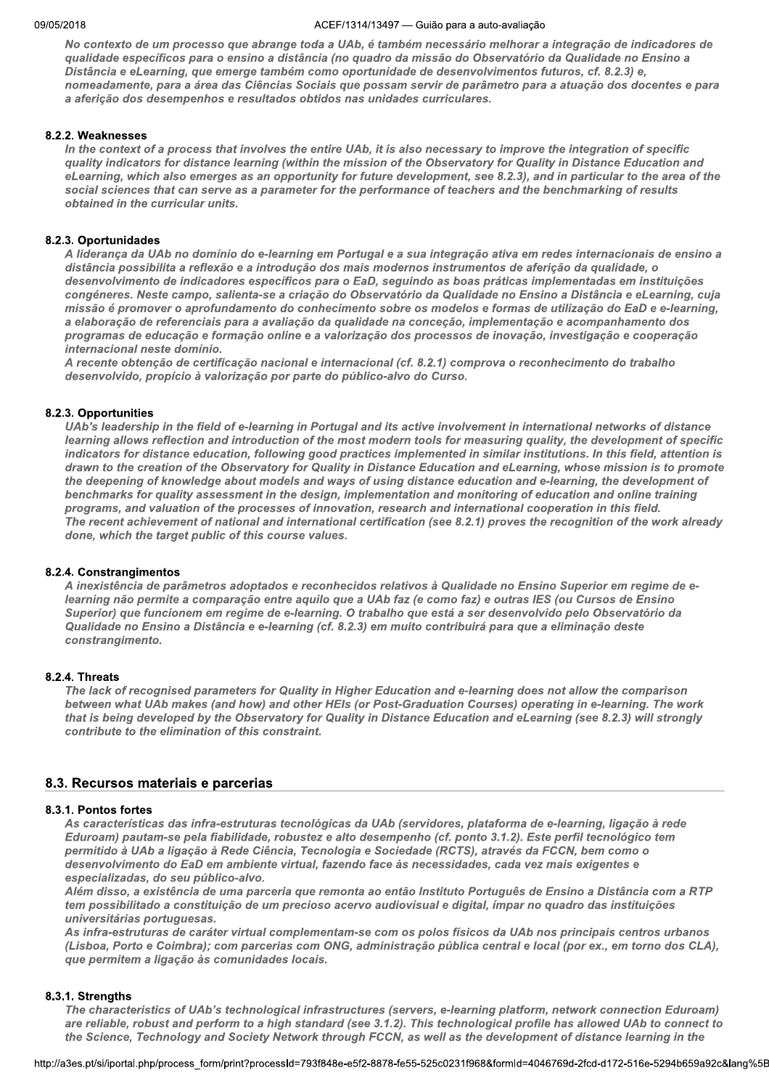No contexto de um processo que abrange toda a UAb, é também necessário melhorar a integração de indicadores de qualidade específicos para o ensino a distância (no quadro da missão do Observatório da Qualidade no Ensino a Distância e eLearning, que emerge também como oportunidade de desenvolvimentos futuros, cf. 8.2.3) e, nomeadamente, para a área das Ciências Sociais que possam servir de parâmetro para a atuação dos docentes e para a aferição dos desempenhos e resultados obtidos nas unidades curriculares.

#### ` 8.2.2. weaknesses

In the context of a process that involves the entire UAb, it is also necessary to improve the integration of specific quality indicators for distance learning (within the mission of the Observatory for Quality in Distance Education and eLearning, which also emerges as an opportunity for future development, see 8.2.3), and in particular to the area of the social sciences that can serve as a parameter for the performance of teachers and the benchmarking of results obtained in the curricular units.

#### ` 8.2.3. Oportunidades

A liderança da UAb no domínio do e-learning em Portugal e a sua integração ativa em redes internacionais de ensino a distância possibilita a reflexão e a introdução dos mais modernos instrumentos de aferição da qualidade, o desenvolvimento de indicadores específicos para o EaD, seguindo as boas práticas implementadas em instituições congéneres. Neste campo, salienta-se a criação do Observatório da Qualidade no Ensino a Distância e eLearning, cuja missão é promover o aprofundamento do conhecimento sobre os modelos e formas de utilização do EaD e e-learning, a elaboração de referenciais para a avaliação da qualidade na conceção, implementação e acompanhamento dos programas de educação e formação online e a valorização dos processos de inovação, investigação e cooperação internacional neste domínio.

A recente obtenção de certificação nacional e internacional (cf. 8.2.1) comprova o reconhecimento do trabalho desenvolvido, propício à valorização por parte do público-alvo do Curso.

#### ` 8.2.3. Opportunities

UAb's leadership in the field of e-learning in Portugal and its active involvement in international networks of distance learning allows reflection and introduction of the most modern tools for measuring quality, the development of specific indicators for distance education, following good practices implemented in similar institutions. In this field, attention is drawn to the creation of the Observatory for Quality in Distance Education and eLearning, whose mission is to promote the deepening of knowledge about models and ways of using distance education and e-learning, the development of benchmarks for quality assessment in the design, implementation and monitoring of education and online training programs, and valuation of the processes of innovation, research and international cooperation in this field. The recent achievement of national and international certification (see 8.2.1) proves the recognition of the work already done, which the target public of this course values.

#### $\mathbb{R}^2$ 8.2.4. Constrangimentos

A inexistência de parâmetros adoptados e reconhecidos relativos à Qualidade no Ensino Superior em regime de e-Iearning não permite a comparação entre aguilo que a UAb faz (e como faz) e outras IES (ou Cursos de Ensino Superior) que funcionem em regime de e-learning. O trabalho que está a ser desenvolvido pelo Observatório da Qualidade no Ensino a Distância e e-learning (cf. 8.2.3) em muito contribuirá para que a eliminação deste constrangimento.

#### $\mathbb{R}^2$  $\delta$ .2.4. Inreats

The lack of recognised parameters for Quality in Higher Education and e-learning does not allow the comparison between what UAb makes (and how) and other HEIs (or Post-Graduation Courses) operating in e-learning. The work that is being developed by the Observatory for Quality in Distance Education and eLearning (see 8.2.3) will strongly contribute to the elimination of this constraint.

## 8.3. Recursos materiais e parcerias

#### 8.3.1. Pontos fortes

As características das infra-estruturas tecnológicas da UAb (servidores, plataforma de e-learning, ligação à rede Eduroam) pautam-se pela fiabilidade, robustez e alto desempenho (cf. ponto 3.1.2). Este perfil tecnológico tem permitido à UAb a ligação à Rede Ciência, Tecnologia e Sociedade (RCTS), através da FCCN, bem como o desenvolvimento do EaD em ambiente virtual, fazendo face às necessidades, cada vez mais exigentes e especializadas, do seu público-alvo.

Além disso, a existência de uma parceria que remonta ao então Instituto Português de Ensino a Distância com a RTP tem possibilitado a constituição de um precioso acervo audiovisual e digital, ímpar no quadro das instituições universitárias portuguesas.

As infra-estruturas de caráter virtual complementam-se com os polos físicos da UAb nos principais centros urbanos (Lisboa, Porto e Coimbra); com parcerias com ONG, administração pública central e local (por ex., em torno dos CLA), que permitem a ligação às comunidades locais.

#### ` 8.3.1. Strengtns

istics of UAb's technological infrastructures (servers, e-learning platform, network connection Eduroam)<br>bbust and perform to a high standard (see 3.1.2). This technological profile has allowed UAb to connect to<br>Fechnology The characteristics of UAb's technological infrastructures (servers, e-learning platform, network connection Eduroam) are reliable, robust and perform to a high standard (see 3.1.2). This technological profile has allowed UAb to connect to the Science, Technology and Society Network through FCCN, as well as the development of distance learning in the

nttp://a3es.pt/si/iportal.php/process\_form/pi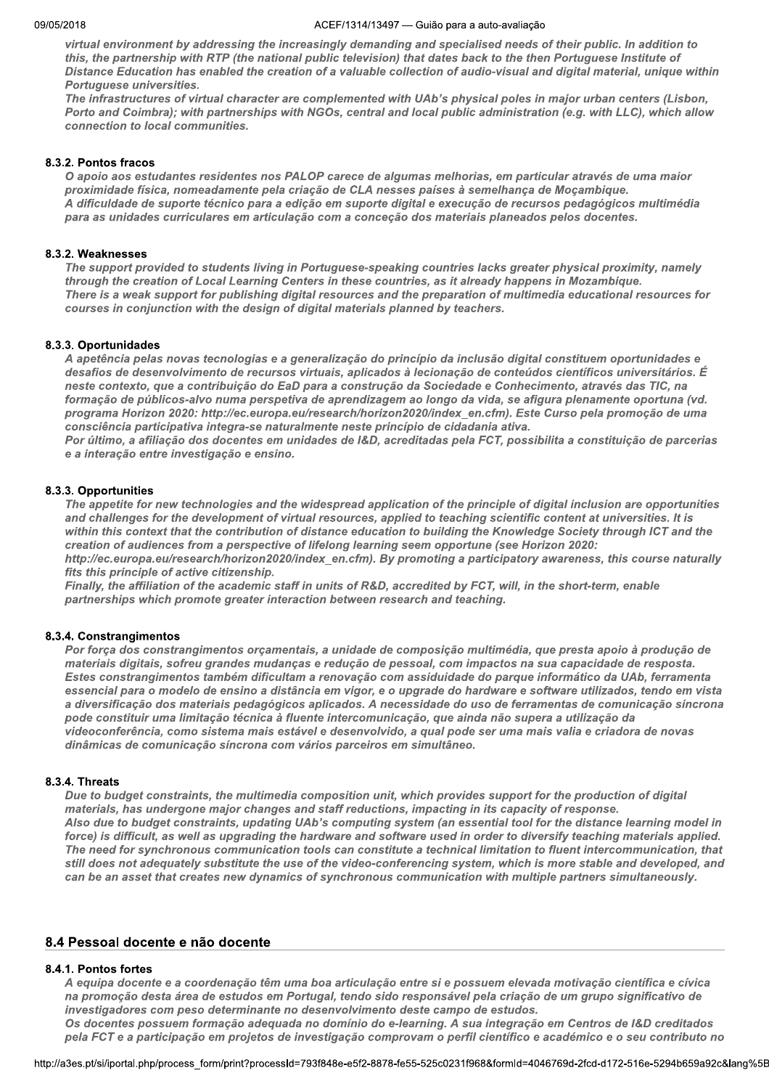virtual environment by addressing the increasingly demanding and specialised needs of their public. In addition to this, the partnership with RTP (the national public television) that dates back to the then Portuguese Institute of Distance Education has enabled the creation of a valuable collection of audio-visual and digital material, unique within Portuguese universities.

The infrastructures of virtual character are complemented with UAb's physical poles in major urban centers (Lisbon, Porto and Coimbra); with partnerships with NGOs, central and local public administration (e.g. with LLC), which allow connection to local communities.

#### $\mathbb{R}^2$ 8.3.2. Pontos fracos

O apoio aos estudantes residentes nos PALOP carece de algumas melhorias, em particular através de uma maior<br>proximidade física, nomeadamente pela criação de CLA nesses países à semelhança de Moçambique. A dificuldade de suporte técnico para a edição em suporte digital e execução de recursos pedagógicos multimédia para as unidades curriculares em articulação com a conceção dos materiais planeados pelos docentes.

#### $\mathbb{R}^2$ 8.3.2. weaknesses

The support provided to students living in Portuguese-speaking countries lacks greater physical proximity, namely through the creation of Local Learning Centers in these countries, as it already happens in Mozambique. There is a weak support for publishing digital resources and the preparation of multimedia educational resources for courses in conjunction with the design of digital materials planned by teachers.

#### $\mathbb{R}^2$ 8.3.3. Oportunidades

A apetência pelas novas tecnologias e a generalização do princípio da inclusão digital constituem oportunidades e desafios de desenvolvimento de recursos virtuais, aplicados à lecionação de conteúdos científicos universitários. É neste contexto, que a contribuição do EaD para a construção da Sociedade e Conhecimento, através das TIC, na formação de públicos-alvo numa perspetiva de aprendizagem ao longo da vida, se afigura plenamente oportuna (vd. programa Horizon 2020: http://ec.europa.eu/research/horizon2020/index\_en.cfm). Este Curso pela promoção de uma consciência participativa integra-se naturalmente neste princípio de cidadania ativa.

Por último, a afiliação dos docentes em unidades de I&D, acreditadas pela FCT, possibilita a constituição de parcerias e a interação entre investigação e ensino.

#### $\mathbb{R}^2$ 8.3.3. Opportunities

The appetite for new technologies and the widespread application of the principle of digital inclusion are opportunities and challenges for the development of virtual resources, applied to teaching scientific content at universities. It is within this context that the contribution of distance education to building the Knowledge Society through ICT and the creation of audiences from a perspective of lifelong learning seem opportune (see Horizon 2020:

http://ec.europa.eu/research/horizon2020/index en.cfm). By promoting a participatory awareness, this course naturally fits this principle of active citizenship.

Finally, the affiliation of the academic staff in units of R&D, accredited by FCT, will, in the short-term, enable partnerships which promote greater interaction between research and teaching.

#### $\mathbb{R}^2$ 8.3.4. Constrangimentos

Por força dos constrangimentos orçamentais, a unidade de composição multimédia, que presta apoio à produção de<br>materiais digitais, sofreu grandes mudanças e redução de pessoal, com impactos na sua capacidade de resposta. Estes constrangimentos também dificultam a renovação com assiduidade do parque informático da UAb, ferramenta essencial para o modelo de ensino a distância em vigor, e o upgrade do hardware e software utilizados, tendo em vista a diversificação dos materiais pedagógicos aplicados. A necessidade do uso de ferramentas de comunicação síncrona pode constituir uma limitação técnica à fluente intercomunicação, que ainda não supera a utilização da videoconferência, como sistema mais estável e desenvolvido, a qual pode ser uma mais valia e criadora de novas dinâmicas de comunicação síncrona com vários parceiros em simultâneo.

#### $\mathbb{R}^2$ 8.3.4. Infeats

Due to budget constraints, the multimedia composition unit, which provides support for the production of digital<br>materials, has undergone major changes and staff reductions, impacting in its capacity of response. Also due to budget constraints, updating UAb's computing system (an essential tool for the distance learning model in force) is difficult, as well as upgrading the hardware and software used in order to diversify teaching materials applied. The need for synchronous communication tools can constitute a technical limitation to fluent intercommunication, that still does not adequately substitute the use of the video-conferencing system, which is more stable and developed, and can be an asset that creates new dynamics of synchronous communication with multiple partners simultaneously.

## 8.4 Pessoal docente e não docente

#### 8.4.1. Pontos fortes

es<br>ente e a coordenação têm uma boa articulação entre si e possuem elevada motivação científica e cívica<br>desta área de estudos em Portugal, tendo sido responsável pela criação de um grupo significativo de<br>s com peso determ A equipa docente e a coordenação têm uma boa articulação entre si e possuem elevada motivação científica e cívica na promoção desta área de estudos em Portugal, tendo sido responsável pela criação de um grupo significativo de investigadores com peso determinante no desenvolvimento deste campo de estudos. Os docentes possuem formação adequada no domínio do e-learning. A sua integração em Centros de I&D creditados

pela FCT e a participação em projetos de investigação comprovam o perfil científico e académico e o seu contributo no

nttp://a3es.pt/si/iportal.php/process\_form/pi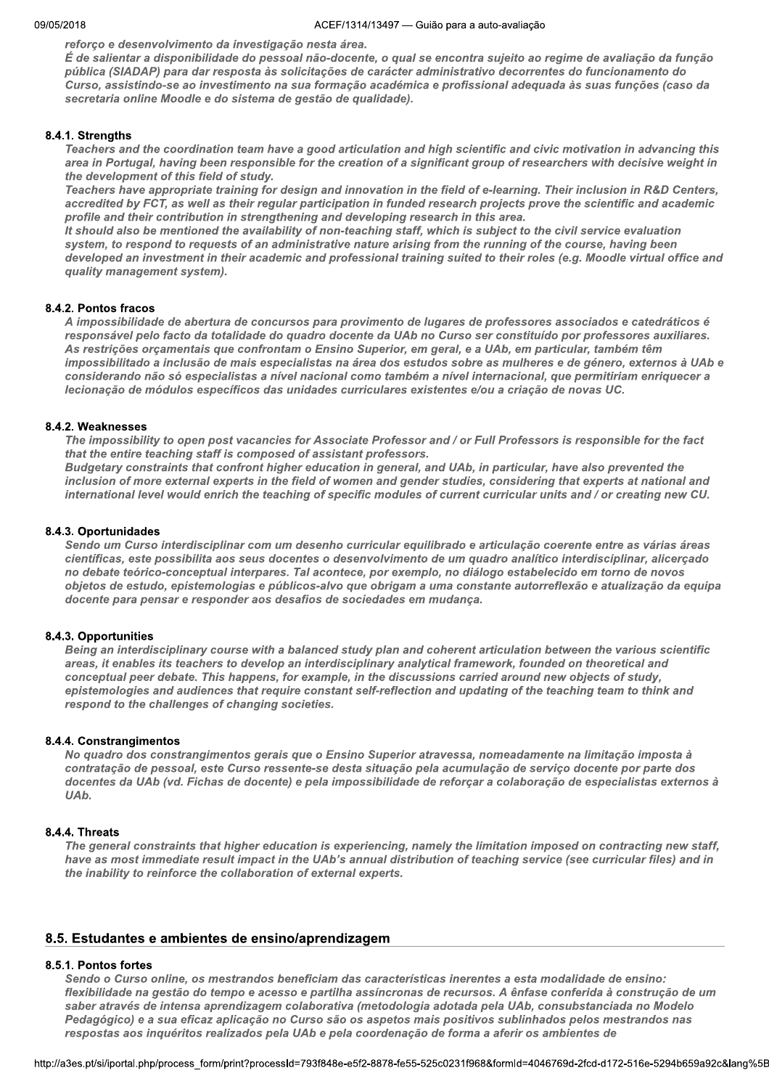reforço e desenvolvimento da investigação nesta área.

É de salientar a disponibilidade do pessoal não-docente, o qual se encontra sujeito ao regime de avaliação da função pública (SIADAP) para dar resposta às solicitações de carácter administrativo decorrentes do funcionamento do Curso, assistindo-se ao investimento na sua formação académica e profissional adequada às suas funções (caso da secretaria online Moodle e do sistema de gestão de qualidade).

## 8.4.1. Strengths

Teachers and the coordination team have a good articulation and high scientific and civic motivation in advancing this area in Portugal, having been responsible for the creation of a significant group of researchers with decisive weight in the development of this field of study.

Teachers have appropriate training for design and innovation in the field of e-learning. Their inclusion in R&D Centers, accredited by FCT, as well as their regular participation in funded research projects prove the scientific and academic profile and their contribution in strengthening and developing research in this area.

It should also be mentioned the availability of non-teaching staff, which is subject to the civil service evaluation system, to respond to requests of an administrative nature arising from the running of the course, having been developed an investment in their academic and professional training suited to their roles (e.g. Moodle virtual office and quality management system).

## 8.4.2. Pontos fracos

A impossibilidade de abertura de concursos para provimento de lugares de professores associados e catedráticos é responsável pelo facto da totalidade do quadro docente da UAb no Curso ser constituído por professores auxiliares. As restrições orçamentais que confrontam o Ensino Superior, em geral, e a UAb, em particular, também têm impossibilitado a inclusão de mais especialistas na área dos estudos sobre as mulheres e de género, externos à UAb e considerando não só especialistas a nível nacional como também a nível internacional, que permitiriam enriquecer a lecionação de módulos específicos das unidades curriculares existentes e/ou a criação de novas UC.

## 8.4.2. Weaknesses

The impossibility to open post vacancies for Associate Professor and / or Full Professors is responsible for the fact that the entire teaching staff is composed of assistant professors.

Budgetary constraints that confront higher education in general, and UAb, in particular, have also prevented the inclusion of more external experts in the field of women and gender studies, considering that experts at national and international level would enrich the teaching of specific modules of current curricular units and / or creating new CU.

## 8.4.3. Oportunidades

Sendo um Curso interdisciplinar com um desenho curricular equilibrado e articulação coerente entre as várias áreas científicas, este possibilita aos seus docentes o desenvolvimento de um quadro analítico interdisciplinar, alicerçado no debate teórico-conceptual interpares. Tal acontece, por exemplo, no diálogo estabelecido em torno de novos objetos de estudo, epistemologias e públicos-alvo que obrigam a uma constante autorreflexão e atualização da equipa docente para pensar e responder aos desafios de sociedades em mudança.

## 8.4.3. Opportunities

Being an interdisciplinary course with a balanced study plan and coherent articulation between the various scientific areas, it enables its teachers to develop an interdisciplinary analytical framework, founded on theoretical and conceptual peer debate. This happens, for example, in the discussions carried around new objects of study, epistemologies and audiences that require constant self-reflection and updating of the teaching team to think and respond to the challenges of changing societies.

## 8.4.4. Constrangimentos

No quadro dos constrangimentos gerais que o Ensino Superior atravessa, nomeadamente na limitação imposta à contratação de pessoal, este Curso ressente-se desta situação pela acumulação de serviço docente por parte dos docentes da UAb (vd. Fichas de docente) e pela impossibilidade de reforçar a colaboração de especialistas externos à UA<sub>b</sub>.

## 8.4.4. Threats

The general constraints that higher education is experiencing, namely the limitation imposed on contracting new staff, have as most immediate result impact in the UAb's annual distribution of teaching service (see curricular files) and in the inability to reinforce the collaboration of external experts.

## 8.5. Estudantes e ambientes de ensino/aprendizagem

## 8.5.1. Pontos fortes

Sendo o Curso online, os mestrandos beneficiam das características inerentes a esta modalidade de ensino: flexibilidade na gestão do tempo e acesso e partilha assíncronas de recursos. A ênfase conferida à construção de um saber através de intensa aprendizagem colaborativa (metodologia adotada pela UAb, consubstanciada no Modelo Pedagógico) e a sua eficaz aplicação no Curso são os aspetos mais positivos sublinhados pelos mestrandos nas respostas aos inquéritos realizados pela UAb e pela coordenação de forma a aferir os ambientes de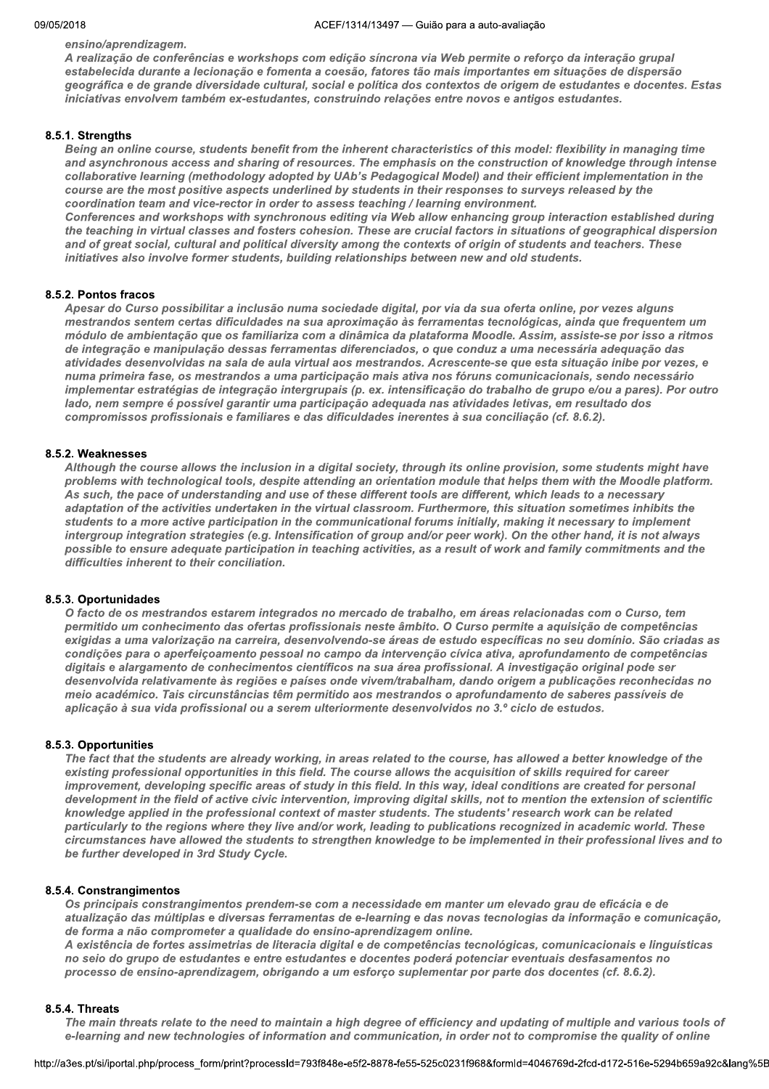ensino/aprendizagem.

A realização de conferências e workshops com edição síncrona via Web permite o reforço da interação grupal estabelecida durante a lecionação e fomenta a coesão, fatores tão mais importantes em situações de dispersão geográfica e de grande diversidade cultural, social e política dos contextos de origem de estudantes e docentes. Estas iniciativas envolvem também ex-estudantes, construindo relações entre novos e antigos estudantes.

## 8.5.1. Strengths

Being an online course, students benefit from the inherent characteristics of this model: flexibility in managing time and asynchronous access and sharing of resources. The emphasis on the construction of knowledge through intense collaborative learning (methodology adopted by UAb's Pedagogical Model) and their efficient implementation in the course are the most positive aspects underlined by students in their responses to surveys released by the coordination team and vice-rector in order to assess teaching / learning environment. Conferences and workshops with synchronous editing via Web allow enhancing group interaction established during the teaching in virtual classes and fosters cohesion. These are crucial factors in situations of geographical dispersion

and of great social, cultural and political diversity among the contexts of origin of students and teachers. These initiatives also involve former students, building relationships between new and old students.

## 8.5.2. Pontos fracos

Apesar do Curso possibilitar a inclusão numa sociedade digital, por via da sua oferta online, por vezes alguns mestrandos sentem certas dificuldades na sua aproximação às ferramentas tecnológicas, ainda que frequentem um módulo de ambientação que os familiariza com a dinâmica da plataforma Moodle. Assim, assiste-se por isso a ritmos de integração e manipulação dessas ferramentas diferenciados, o que conduz a uma necessária adequação das atividades desenvolvidas na sala de aula virtual aos mestrandos. Acrescente-se que esta situação inibe por vezes, e numa primeira fase, os mestrandos a uma participação mais ativa nos fóruns comunicacionais, sendo necessário implementar estratégias de integração intergrupais (p. ex. intensificação do trabalho de grupo e/ou a pares). Por outro lado, nem sempre é possível garantir uma participação adequada nas atividades letivas, em resultado dos compromissos profissionais e familiares e das dificuldades inerentes à sua conciliação (cf. 8.6.2).

## 8.5.2. Weaknesses

Although the course allows the inclusion in a digital society, through its online provision, some students might have problems with technological tools, despite attending an orientation module that helps them with the Moodle platform. As such, the pace of understanding and use of these different tools are different, which leads to a necessary adaptation of the activities undertaken in the virtual classroom. Furthermore, this situation sometimes inhibits the students to a more active participation in the communicational forums initially, making it necessary to implement intergroup integration strategies (e.g. Intensification of group and/or peer work). On the other hand, it is not always possible to ensure adequate participation in teaching activities, as a result of work and family commitments and the difficulties inherent to their conciliation.

## 8.5.3. Oportunidades

O facto de os mestrandos estarem integrados no mercado de trabalho, em áreas relacionadas com o Curso, tem permitido um conhecimento das ofertas profissionais neste âmbito. O Curso permite a aquisição de competências exigidas a uma valorização na carreira, desenvolvendo-se áreas de estudo específicas no seu domínio. São criadas as condições para o aperfeiçoamento pessoal no campo da intervenção cívica ativa, aprofundamento de competências digitais e alargamento de conhecimentos científicos na sua área profissional. A investigação original pode ser desenvolvida relativamente às regiões e países onde vivem/trabalham, dando origem a publicações reconhecidas no meio académico. Tais circunstâncias têm permitido aos mestrandos o aprofundamento de saberes passíveis de aplicação à sua vida profissional ou a serem ulteriormente desenvolvidos no 3.º ciclo de estudos.

## 8.5.3. Opportunities

The fact that the students are already working, in areas related to the course, has allowed a better knowledge of the existing professional opportunities in this field. The course allows the acquisition of skills required for career improvement, developing specific areas of study in this field. In this way, ideal conditions are created for personal development in the field of active civic intervention, improving digital skills, not to mention the extension of scientific knowledge applied in the professional context of master students. The students' research work can be related particularly to the regions where they live and/or work, leading to publications recognized in academic world. These circumstances have allowed the students to strengthen knowledge to be implemented in their professional lives and to be further developed in 3rd Study Cycle.

## 8.5.4. Constrangimentos

Os principais constrangimentos prendem-se com a necessidade em manter um elevado grau de eficácia e de atualização das múltiplas e diversas ferramentas de e-learning e das novas tecnologias da informação e comunicação, de forma a não comprometer a qualidade do ensino-aprendizagem online.

A existência de fortes assimetrias de literacia digital e de competências tecnológicas, comunicacionais e linguísticas no seio do grupo de estudantes e entre estudantes e docentes poderá potenciar eventuais desfasamentos no processo de ensino-aprendizagem, obrigando a um esforço suplementar por parte dos docentes (cf. 8.6.2).

## **8.5.4. Threats**

The main threats relate to the need to maintain a high degree of efficiency and updating of multiple and various tools of e-learning and new technologies of information and communication, in order not to compromise the quality of online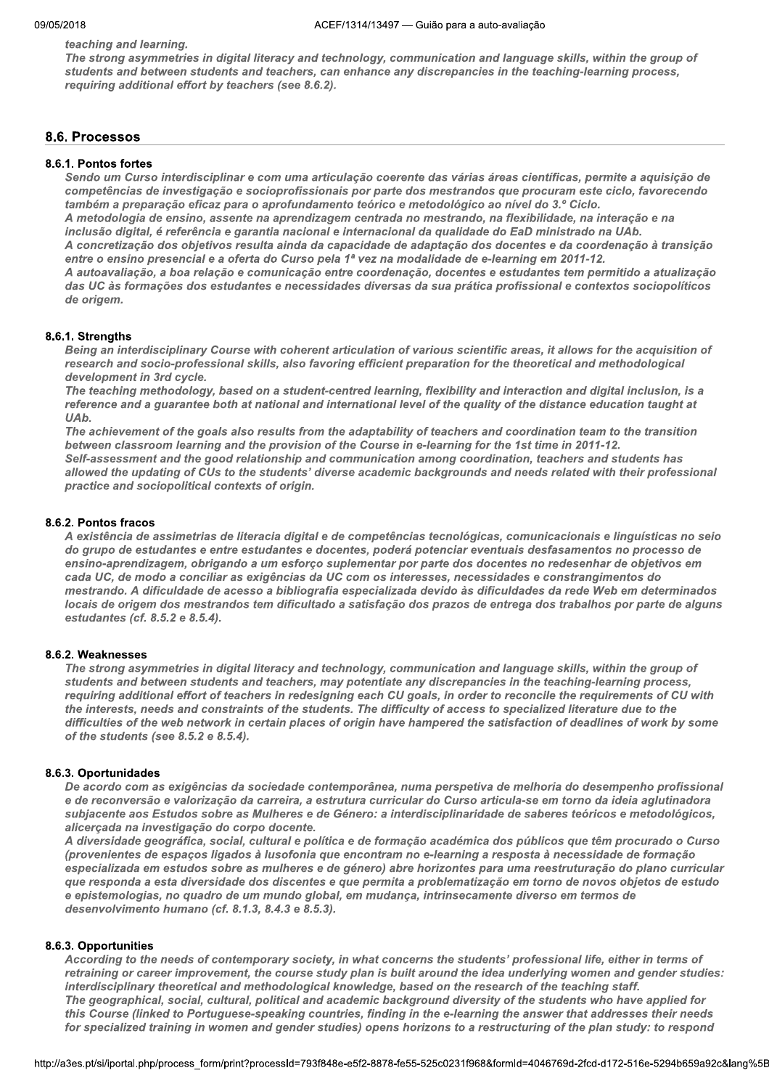teaching and learning.

The strong asymmetries in digital literacy and technology, communication and language skills, within the group of students and between students and teachers, can enhance any discrepancies in the teaching-learning process, requiring additional effort by teachers (see 8.6.2).

## 8.6. Processos

## 8.6.1. Pontos fortes

Sendo um Curso interdisciplinar e com uma articulação coerente das várias áreas científicas, permite a aquisição de competências de investigação e socioprofissionais por parte dos mestrandos que procuram este ciclo, favorecendo também a preparação eficaz para o aprofundamento teórico e metodológico ao nível do 3.º Ciclo. A metodologia de ensino, assente na aprendizagem centrada no mestrando, na flexibilidade, na interação e na<br>inclusão digital, é referência e garantia nacional e internacional da qualidade do EaD ministrado na UAb. A concretização dos objetivos resulta ainda da capacidade de adaptação dos docentes e da coordenação à transição entre o ensino presencial e a oferta do Curso pela 1ª vez na modalidade de e-learning em 2011-12. A autoavaliação, a boa relação e comunicação entre coordenação, docentes e estudantes tem permitido a atualização das UC às formações dos estudantes e necessidades diversas da sua prática profissional e contextos sociopolíticos de origem.

#### Q 8.6.1. Strengtns

Being an interdisciplinary Course with coherent articulation of various scientific areas, it allows for the acquisition of research and socio-professional skills, also favoring efficient preparation for the theoretical and methodological development in 3rd cycle.

The teaching methodology, based on a student-centred learning, flexibility and interaction and digital inclusion, is a reference and a guarantee both at national and international level of the quality of the distance education taught at UA<sub>b</sub>.

The achievement of the goals also results from the adaptability of teachers and coordination team to the transition between classroom learning and the provision of the Course in e-learning for the 1st time in 2011-12. Self-assessment and the good relationship and communication among coordination, teachers and students has allowed the updating of CUs to the students' diverse academic backgrounds and needs related with their professional practice and sociopolitical contexts of origin.

#### $\mathbf{r}$  $8.6.2.$  Pontos fracos

A existência de assimetrias de literacia digital e de competências tecnológicas, comunicacionais e linguísticas no seio do grupo de estudantes e entre estudantes e docentes, poderá potenciar eventuais desfasamentos no processo de ensino-aprendizagem, obrigando a um esforço suplementar por parte dos docentes no redesenhar de objetivos em cada UC, de modo a conciliar as exigências da UC com os interesses, necessidades e constrangimentos do mestrando. A dificuldade de acesso a bibliografia especializada devido às dificuldades da rede Web em determinados locais de origem dos mestrandos tem dificultado a satisfação dos prazos de entrega dos trabalhos por parte de alguns estudantes (cf. 8.5.2 e 8.5.4).

#### Q 8.6.2. weaknesses

The strong asymmetries in digital literacy and technology, communication and language skills, within the group of students and between students and teachers, may potentiate any discrepancies in the teaching-learning process, requiring additional effort of teachers in redesigning each CU goals, in order to reconcile the requirements of CU with the interests, needs and constraints of the students. The difficulty of access to specialized literature due to the difficulties of the web network in certain places of origin have hampered the satisfaction of deadlines of work by some of the students (see  $8.5.2e 8.5.4$ ).

#### Q 8.6.*3*. Oportunidades

De acordo com as exigências da sociedade contemporânea, numa perspetiva de melhoria do desempenho profissional e de reconversão e valorização da carreira, a estrutura curricular do Curso articula-se em torno da ideia aglutinadora subjacente aos Estudos sobre as Mulheres e de Género: a interdisciplinaridade de saberes teóricos e metodológicos,<br>alicerçada na investigação do corpo docente.

A diversidade geográfica, social, cultural e política e de formação académica dos públicos que têm procurado o Curso (provenientes de espaços ligados à lusofonia que encontram no e-learning a resposta à necessidade de formação especializada em estudos sobre as mulheres e de género) abre horizontes para uma reestruturação do plano curricular que responda a esta diversidade dos discentes e que permita a problematização em torno de novos objetos de estudo e epistemologias, no quadro de um mundo global, em mudança, intrinsecamente diverso em termos de desenvolvimento humano (cf. 8.1.3, 8.4.3 e 8.5.3).

#### Q 8.6.3. Opportunities

career improvement, the course study plan is built around the idea underlying women and gender studies:<br>ary theoretical and methodological knowledge, based on the research of the teaching staff.<br>ical, social, cultural, pol According to the needs of contemporary society, in what concerns the students' professional life, either in terms of retraining or career improvement, the course study plan is built around the idea underlying women and gender studies; interdisciplinary theoretical and methodological knowledge, based on the research of the teaching staff. The geographical, social, cultural, political and academic background diversity of the students who have applied for this Course (linked to Portuguese-speaking countries, finding in the e-learning the answer that addresses their needs for specialized training in women and gender studies) opens horizons to a restructuring of the plan study: to respond

nttp://a3es.pt/si/iportal.php/process\_form/pi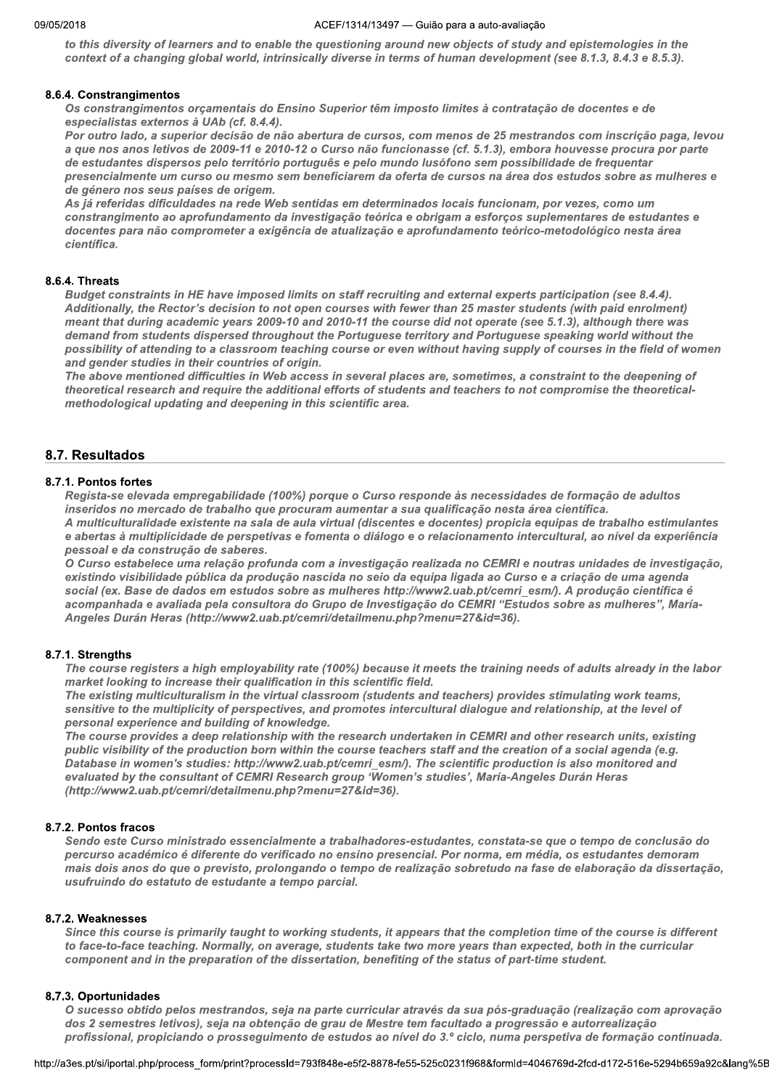to this diversity of learners and to enable the questioning around new objects of study and epistemologies in the context of a changing global world, intrinsically diverse in terms of human development (see 8.1.3, 8.4.3 e 8.5.3).

## 8.6.4. Constrangimentos

Os constrangimentos orçamentais do Ensino Superior têm imposto limites à contratação de docentes e de especialistas externos à UAb (cf. 8.4.4).

Por outro lado, a superior decisão de não abertura de cursos, com menos de 25 mestrandos com inscrição paga, levou a que nos anos letivos de 2009-11 e 2010-12 o Curso não funcionasse (cf. 5.1.3), embora houvesse procura por parte de estudantes dispersos pelo território português e pelo mundo lusófono sem possibilidade de frequentar presencialmente um curso ou mesmo sem beneficiarem da oferta de cursos na área dos estudos sobre as mulheres e de género nos seus países de origem.

As já referidas dificuldades na rede Web sentidas em determinados locais funcionam, por vezes, como um constrangimento ao aprofundamento da investigação teórica e obrigam a esforços suplementares de estudantes e docentes para não comprometer a exigência de atualização e aprofundamento teórico-metodológico nesta área científica.

## 8.6.4. Threats

Budget constraints in HE have imposed limits on staff recruiting and external experts participation (see 8.4.4). Additionally, the Rector's decision to not open courses with fewer than 25 master students (with paid enrolment) meant that during academic years 2009-10 and 2010-11 the course did not operate (see 5.1.3), although there was demand from students dispersed throughout the Portuguese territory and Portuguese speaking world without the possibility of attending to a classroom teaching course or even without having supply of courses in the field of women and gender studies in their countries of origin.

The above mentioned difficulties in Web access in several places are, sometimes, a constraint to the deepening of theoretical research and require the additional efforts of students and teachers to not compromise the theoreticalmethodological updating and deepening in this scientific area.

## 8.7. Resultados

## 8.7.1. Pontos fortes

Regista-se elevada empregabilidade (100%) porque o Curso responde às necessidades de formação de adultos inseridos no mercado de trabalho que procuram aumentar a sua qualificação nesta área científica.

A multiculturalidade existente na sala de aula virtual (discentes e docentes) propicia equipas de trabalho estimulantes e abertas à multiplicidade de perspetivas e fomenta o diálogo e o relacionamento intercultural, ao nível da experiência pessoal e da construção de saberes.

O Curso estabelece uma relação profunda com a investigação realizada no CEMRI e noutras unidades de investigação, existindo visibilidade pública da produção nascida no seio da equipa ligada ao Curso e a criação de uma agenda social (ex. Base de dados em estudos sobre as mulheres http://www2.uab.pt/cemri\_esm/). A produção científica é acompanhada e avaliada pela consultora do Grupo de Investigação do CEMRI "Estudos sobre as mulheres", María-Angeles Durán Heras (http://www2.uab.pt/cemri/detailmenu.php?menu=27&id=36).

## 8.7.1. Strengths

The course registers a high employability rate (100%) because it meets the training needs of adults already in the labor market looking to increase their qualification in this scientific field.

The existing multiculturalism in the virtual classroom (students and teachers) provides stimulating work teams, sensitive to the multiplicity of perspectives, and promotes intercultural dialogue and relationship, at the level of personal experience and building of knowledge.

The course provides a deep relationship with the research undertaken in CEMRI and other research units, existing public visibility of the production born within the course teachers staff and the creation of a social agenda (e.g. Database in women's studies: http://www2.uab.pt/cemri\_esm/). The scientific production is also monitored and evaluated by the consultant of CEMRI Research group 'Women's studies', María-Angeles Durán Heras (http://www2.uab.pt/cemri/detailmenu.php?menu=27&id=36).

## 8.7.2. Pontos fracos

Sendo este Curso ministrado essencialmente a trabalhadores-estudantes, constata-se que o tempo de conclusão do percurso académico é diferente do verificado no ensino presencial. Por norma, em média, os estudantes demoram mais dois anos do que o previsto, prolongando o tempo de realização sobretudo na fase de elaboração da dissertação, usufruindo do estatuto de estudante a tempo parcial.

## 8.7.2. Weaknesses

Since this course is primarily taught to working students, it appears that the completion time of the course is different to face-to-face teaching. Normally, on average, students take two more years than expected, both in the curricular component and in the preparation of the dissertation, benefiting of the status of part-time student.

## 8.7.3. Oportunidades

O sucesso obtido pelos mestrandos, seja na parte curricular através da sua pós-graduação (realização com aprovação dos 2 semestres letivos), seja na obtenção de grau de Mestre tem facultado a progressão e autorrealização profissional, propiciando o prosseguimento de estudos ao nível do 3.º ciclo, numa perspetiva de formação continuada.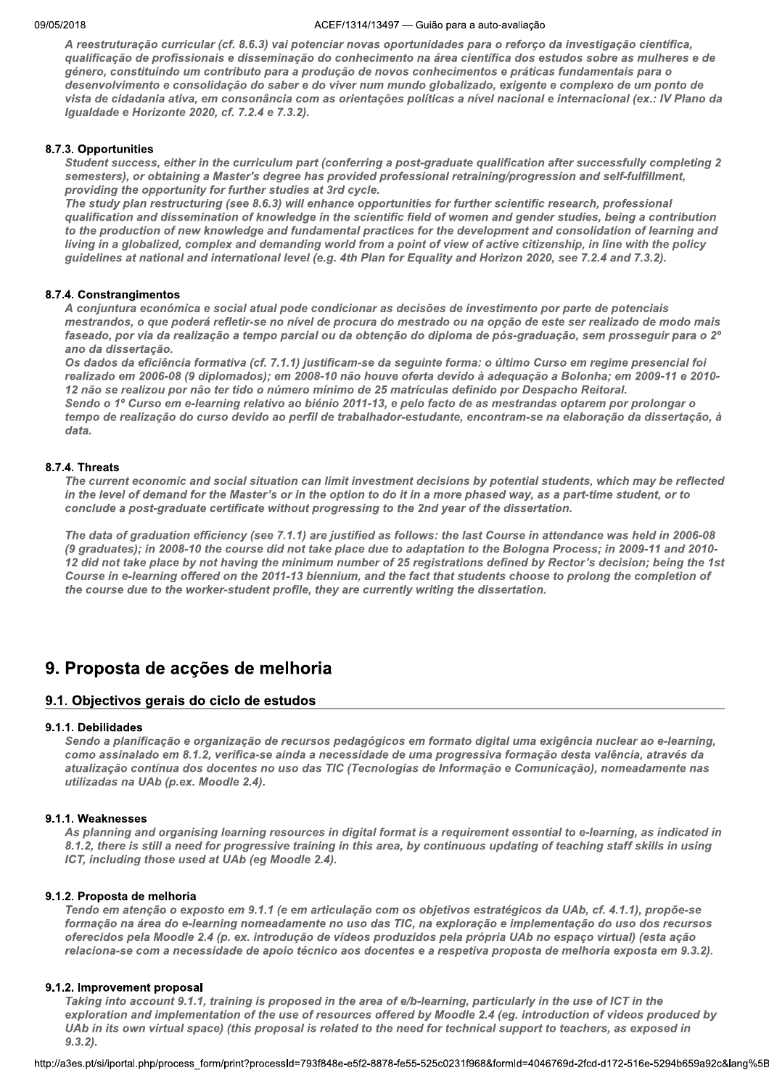A reestruturação curricular (cf. 8.6.3) vai potenciar novas oportunidades para o reforço da investigação científica, qualificação de profissionais e disseminação do conhecimento na área científica dos estudos sobre as mulheres e de género, constituindo um contributo para a produção de novos conhecimentos e práticas fundamentais para o desenvolvimento e consolidação do saber e do viver num mundo globalizado, exigente e complexo de um ponto de vista de cidadania ativa, em consonância com as orientações políticas a nível nacional e internacional (ex.: IV Plano da Igualdade e Horizonte 2020, cf. 7.2.4 e 7.3.2).

## 8.7.3. Opportunities

Student success, either in the curriculum part (conferring a post-graduate qualification after successfully completing 2 semesters), or obtaining a Master's degree has provided professional retraining/progression and self-fulfillment, providing the opportunity for further studies at 3rd cycle.

The study plan restructuring (see 8.6.3) will enhance opportunities for further scientific research, professional qualification and dissemination of knowledge in the scientific field of women and gender studies, being a contribution to the production of new knowledge and fundamental practices for the development and consolidation of learning and living in a globalized, complex and demanding world from a point of view of active citizenship, in line with the policy guidelines at national and international level (e.g. 4th Plan for Equality and Horizon 2020, see 7.2.4 and 7.3.2).

## 8.7.4. Constrangimentos

A conjuntura económica e social atual pode condicionar as decisões de investimento por parte de potenciais mestrandos, o que poderá refletir-se no nível de procura do mestrado ou na opção de este ser realizado de modo mais faseado, por via da realização a tempo parcial ou da obtenção do diploma de pós-graduação, sem prosseguir para o 2º ano da dissertação.

Os dados da eficiência formativa (cf. 7.1.1) justificam-se da seguinte forma: o último Curso em regime presencial foi realizado em 2006-08 (9 diplomados); em 2008-10 não houve oferta devido à adequação a Bolonha; em 2009-11 e 2010-12 não se realizou por não ter tido o número mínimo de 25 matrículas definido por Despacho Reitoral. Sendo o 1º Curso em e-learning relativo ao biénio 2011-13, e pelo facto de as mestrandas optarem por prolongar o

tempo de realização do curso devido ao perfil de trabalhador-estudante, encontram-se na elaboração da dissertação, à data.

## 8.7.4. Threats

The current economic and social situation can limit investment decisions by potential students, which may be reflected in the level of demand for the Master's or in the option to do it in a more phased way, as a part-time student, or to conclude a post-graduate certificate without progressing to the 2nd year of the dissertation.

The data of graduation efficiency (see 7.1.1) are justified as follows: the last Course in attendance was held in 2006-08 (9 graduates); in 2008-10 the course did not take place due to adaptation to the Bologna Process; in 2009-11 and 2010-12 did not take place by not having the minimum number of 25 registrations defined by Rector's decision; being the 1st Course in e-learning offered on the 2011-13 biennium, and the fact that students choose to prolong the completion of the course due to the worker-student profile, they are currently writing the dissertation.

## 9. Proposta de acções de melhoria

## 9.1. Objectivos gerais do ciclo de estudos

## 9.1.1. Debilidades

Sendo a planificação e organização de recursos pedagógicos em formato digital uma exigência nuclear ao e-learning, como assinalado em 8.1.2, verifica-se ainda a necessidade de uma progressiva formação desta valência, através da atualização contínua dos docentes no uso das TIC (Tecnologias de Informação e Comunicação), nomeadamente nas utilizadas na UAb (p.ex. Moodle 2.4).

## 9.1.1. Weaknesses

As planning and organising learning resources in digital format is a requirement essential to e-learning, as indicated in 8.1.2, there is still a need for progressive training in this area, by continuous updating of teaching staff skills in using ICT, including those used at UAb (eg Moodle 2.4).

## 9.1.2. Proposta de melhoria

Tendo em atenção o exposto em 9.1.1 (e em articulação com os objetivos estratégicos da UAb, cf. 4.1.1), propõe-se formação na área do e-learning nomeadamente no uso das TIC, na exploração e implementação do uso dos recursos oferecidos pela Moodle 2.4 (p. ex. introdução de vídeos produzidos pela própria UAb no espaço virtual) (esta ação relaciona-se com a necessidade de apoio técnico aos docentes e a respetiva proposta de melhoria exposta em 9.3.2).

## 9.1.2. Improvement proposal

Taking into account 9.1.1, training is proposed in the area of e/b-learning, particularly in the use of ICT in the exploration and implementation of the use of resources offered by Moodle 2.4 (eg. introduction of videos produced by UAb in its own virtual space) (this proposal is related to the need for technical support to teachers, as exposed in  $9.3.2$ ).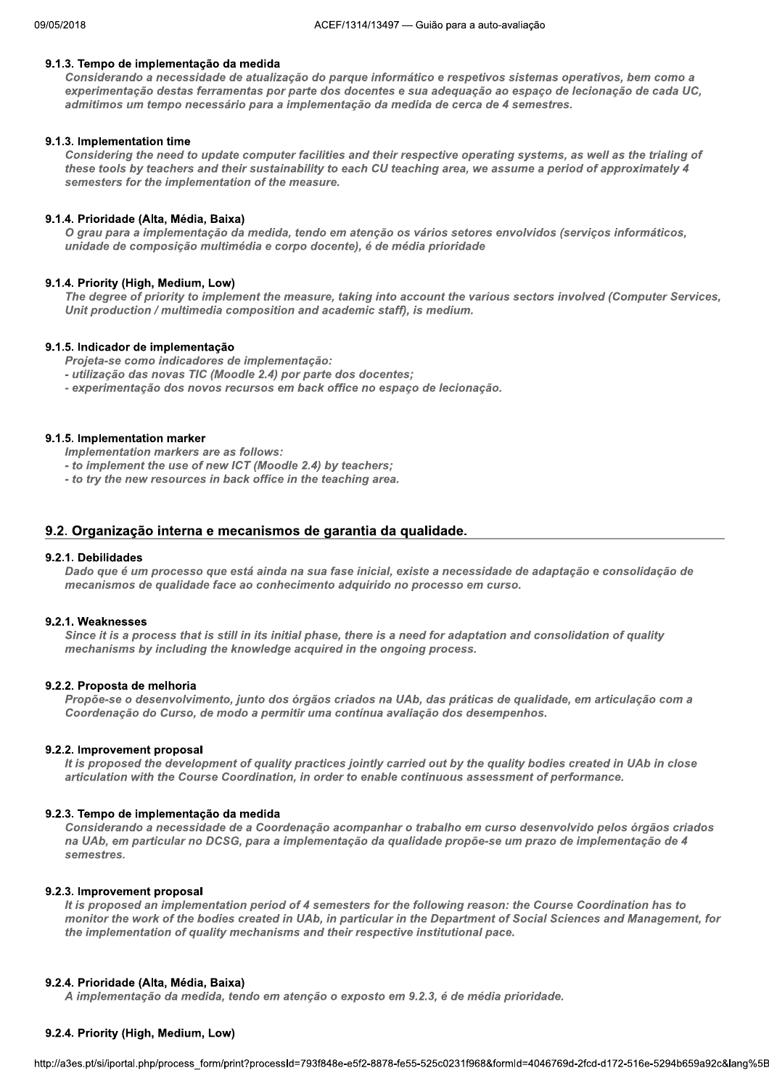## 9.1.3. Tempo de implementação da medida

Considerando a necessidade de atualização do parque informático e respetivos sistemas operativos, bem como a experimentação destas ferramentas por parte dos docentes e sua adequação ao espaço de lecionação de cada UC, admitimos um tempo necessário para a implementação da medida de cerca de 4 semestres.

#### 9.1.3. Implementation time

Considering the need to update computer facilities and their respective operating systems, as well as the trialing of these tools by teachers and their sustainability to each CU teaching area, we assume a period of approximately 4 semesters for the implementation of the measure.

#### 9.1.4. Prioridade (Alta, Média, Baixa)

O grau para a implementação da medida, tendo em atenção os vários setores envolvidos (serviços informáticos, unidade de composição multimédia e corpo docente), é de média prioridade

#### 9.1.4. Priority (High, Medium, Low)

The degree of priority to implement the measure, taking into account the various sectors involved (Computer Services, Unit production / multimedia composition and academic staff), is medium.

#### 9.1.5. Indicador de implementação

Projeta-se como indicadores de implementação:

- utilização das novas TIC (Moodle 2.4) por parte dos docentes;
- experimentação dos novos recursos em back office no espaço de lecionação.

#### 9.1.5. Implementation marker

Implementation markers are as follows:

- to implement the use of new ICT (Moodle 2.4) by teachers;
- to try the new resources in back office in the teaching area.

#### 9.2. Organização interna e mecanismos de garantia da qualidade.

#### 9.2.1. Debilidades

Dado que é um processo que está ainda na sua fase inicial, existe a necessidade de adaptação e consolidação de mecanismos de qualidade face ao conhecimento adquirido no processo em curso.

#### 9.2.1. Weaknesses

Since it is a process that is still in its initial phase, there is a need for adaptation and consolidation of quality mechanisms by including the knowledge acquired in the ongoing process.

#### 9.2.2. Proposta de melhoria

Propõe-se o desenvolvimento, junto dos órgãos criados na UAb, das práticas de qualidade, em articulação com a Coordenação do Curso, de modo a permitir uma contínua avaliação dos desempenhos.

#### 9.2.2. Improvement proposal

It is proposed the development of quality practices jointly carried out by the quality bodies created in UAb in close articulation with the Course Coordination, in order to enable continuous assessment of performance.

#### 9.2.3. Tempo de implementação da medida

Considerando a necessidade de a Coordenação acompanhar o trabalho em curso desenvolvido pelos órgãos criados na UAb, em particular no DCSG, para a implementação da qualidade propõe-se um prazo de implementação de 4 semestres.

#### 9.2.3. Improvement proposal

It is proposed an implementation period of 4 semesters for the following reason: the Course Coordination has to monitor the work of the bodies created in UAb, in particular in the Department of Social Sciences and Management, for the implementation of quality mechanisms and their respective institutional pace.

#### 9.2.4. Prioridade (Alta, Média, Baixa)

A implementação da medida, tendo em atenção o exposto em 9.2.3, é de média prioridade.

#### 9.2.4. Priority (High, Medium, Low)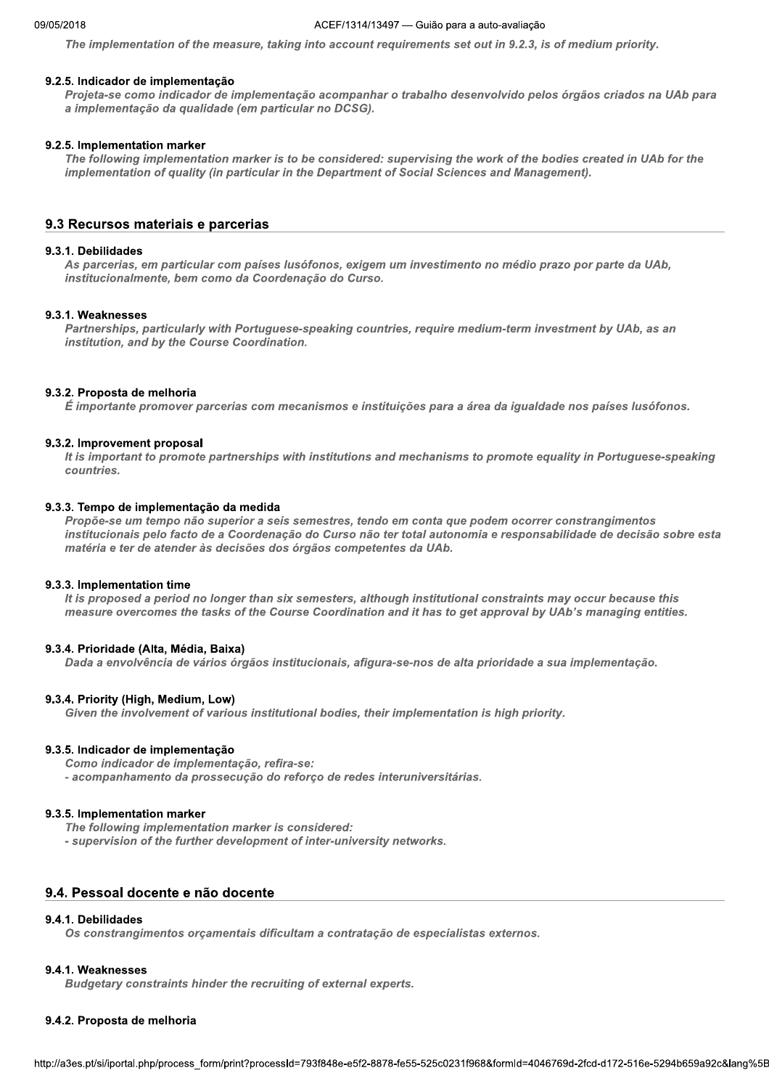The implementation of the measure, taking into account requirements set out in 9.2.3, is of medium priority.

#### 9.2.5. Indicador de implementação

Projeta-se como indicador de implementação acompanhar o trabalho desenvolvido pelos órgãos criados na UAb para a implementação da qualidade (em particular no DCSG).

#### 9.2.5. Implementation marker

The following implementation marker is to be considered: supervising the work of the bodies created in UAb for the implementation of quality (in particular in the Department of Social Sciences and Management).

## 9.3 Recursos materiais e parcerias

#### 9.3.1. Debilidades

As parcerias, em particular com países lusófonos, exigem um investimento no médio prazo por parte da UAb, institucionalmente, bem como da Coordenação do Curso.

#### 9.3.1. Weaknesses

Partnerships, particularly with Portuguese-speaking countries, require medium-term investment by UAb, as an institution, and by the Course Coordination.

#### 9.3.2. Proposta de melhoria

É importante promover parcerias com mecanismos e instituições para a área da igualdade nos países lusófonos.

#### 9.3.2. Improvement proposal

It is important to promote partnerships with institutions and mechanisms to promote equality in Portuguese-speaking countries.

#### 9.3.3. Tempo de implementação da medida

Propõe-se um tempo não superior a seis semestres, tendo em conta que podem ocorrer constrangimentos institucionais pelo facto de a Coordenação do Curso não ter total autonomia e responsabilidade de decisão sobre esta matéria e ter de atender às decisões dos órgãos competentes da UAb.

#### 9.3.3. Implementation time

It is proposed a period no longer than six semesters, although institutional constraints may occur because this measure overcomes the tasks of the Course Coordination and it has to get approval by UAb's managing entities.

#### 9.3.4. Prioridade (Alta, Média, Baixa)

Dada a envolvência de vários órgãos institucionais, afigura-se-nos de alta prioridade a sua implementação.

#### 9.3.4. Priority (High, Medium, Low)

Given the involvement of various institutional bodies, their implementation is high priority.

#### 9.3.5. Indicador de implementação

Como indicador de implementação, refira-se:

- acompanhamento da prossecução do reforço de redes interuniversitárias.

#### 9.3.5. Implementation marker

The following implementation marker is considered:

- supervision of the further development of inter-university networks.

## 9.4. Pessoal docente e não docente

#### 9.4.1. Debilidades

Os constrangimentos orçamentais dificultam a contratação de especialistas externos.

#### 9.4.1. Weaknesses

Budgetary constraints hinder the recruiting of external experts.

#### 9.4.2. Proposta de melhoria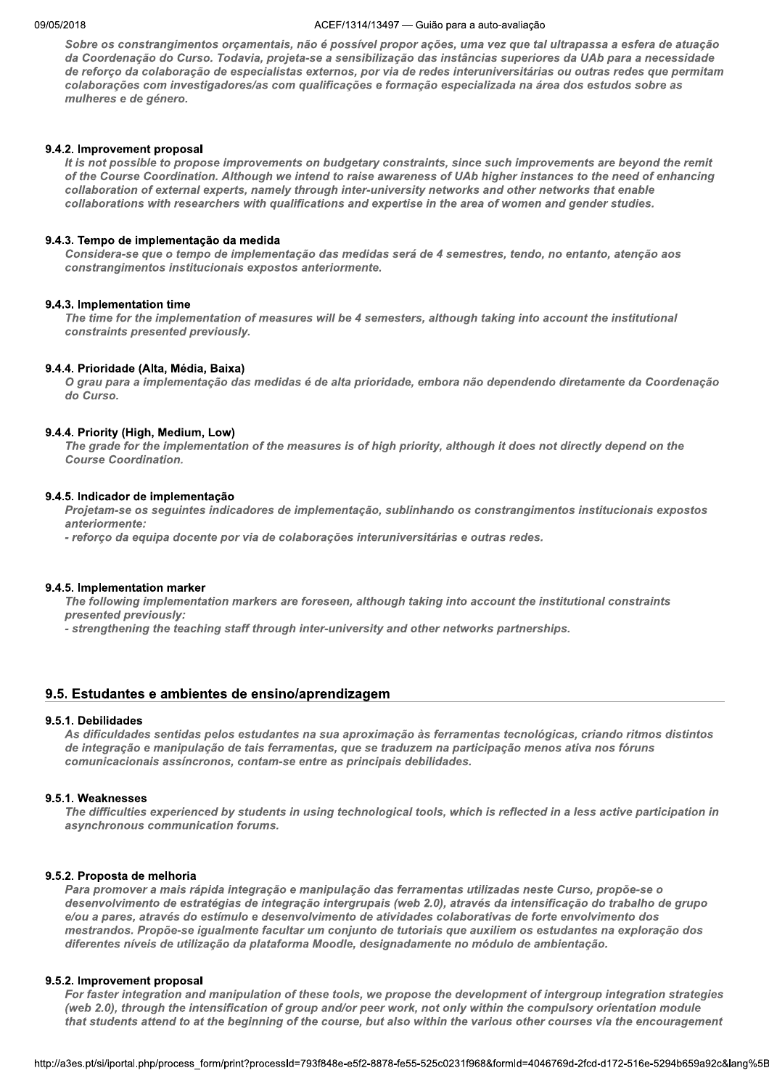#### ACEF/1314/13497 - Guião para a auto-avaliação

Sobre os constrangimentos orçamentais, não é possível propor ações, uma vez que tal ultrapassa a esfera de atuação da Coordenação do Curso. Todavia, projeta-se a sensibilização das instâncias superiores da UAb para a necessidade de reforço da colaboração de especialistas externos, por via de redes interuniversitárias ou outras redes que permitam colaborações com investigadores/as com qualificações e formação especializada na área dos estudos sobre as mulheres e de género.

## 9.4.2. Improvement proposal

It is not possible to propose improvements on budgetary constraints, since such improvements are beyond the remit of the Course Coordination. Although we intend to raise awareness of UAb higher instances to the need of enhancing collaboration of external experts, namely through inter-university networks and other networks that enable collaborations with researchers with qualifications and expertise in the area of women and gender studies.

## 9.4.3. Tempo de implementação da medida

Considera-se que o tempo de implementação das medidas será de 4 semestres, tendo, no entanto, atenção aos constrangimentos institucionais expostos anteriormente.

## 9.4.3. Implementation time

The time for the implementation of measures will be 4 semesters, although taking into account the institutional constraints presented previously.

## 9.4.4. Prioridade (Alta, Média, Baixa)

O grau para a implementação das medidas é de alta prioridade, embora não dependendo diretamente da Coordenação do Curso.

## 9.4.4. Priority (High, Medium, Low)

The grade for the implementation of the measures is of high priority, although it does not directly depend on the **Course Coordination.** 

## 9.4.5. Indicador de implementação

Projetam-se os seguintes indicadores de implementação, sublinhando os constrangimentos institucionais expostos anteriormente:

- reforco da equipa docente por via de colaborações interuniversitárias e outras redes.

## 9.4.5. Implementation marker

The following implementation markers are foreseen, although taking into account the institutional constraints presented previously:

- strengthening the teaching staff through inter-university and other networks partnerships.

## 9.5. Estudantes e ambientes de ensino/aprendizagem

## 9.5.1. Debilidades

As dificuldades sentidas pelos estudantes na sua aproximação às ferramentas tecnológicas, criando ritmos distintos de integração e manipulação de tais ferramentas, que se traduzem na participação menos ativa nos fóruns comunicacionais assíncronos, contam-se entre as principais debilidades.

## 9.5.1. Weaknesses

The difficulties experienced by students in using technological tools, which is reflected in a less active participation in asynchronous communication forums.

## 9.5.2. Proposta de melhoria

Para promover a mais rápida integração e manipulação das ferramentas utilizadas neste Curso, propõe-se o desenvolvimento de estratégias de integração intergrupais (web 2.0), através da intensificação do trabalho de grupo e/ou a pares, através do estímulo e desenvolvimento de atividades colaborativas de forte envolvimento dos mestrandos. Propõe-se igualmente facultar um conjunto de tutoriais que auxiliem os estudantes na exploração dos diferentes níveis de utilização da plataforma Moodle, designadamente no módulo de ambientação.

## 9.5.2. Improvement proposal

For faster integration and manipulation of these tools, we propose the development of intergroup integration strategies (web 2.0), through the intensification of group and/or peer work, not only within the compulsory orientation module that students attend to at the beginning of the course, but also within the various other courses via the encouragement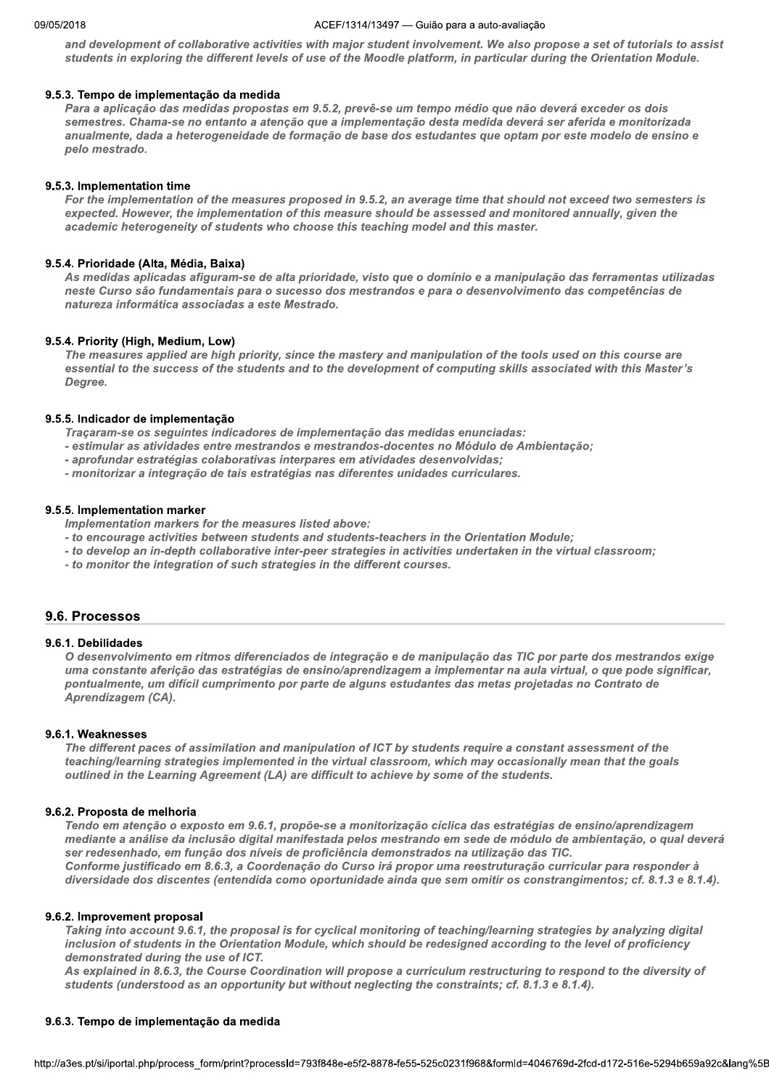#### ZUIB AULTI  $/1314/13497$  — Gulao para a auto-avaliação

and development of collaborative activities with major student involvement. We also propose a set of tutorials to assist students in exploring the different levels of use of the Moodle platform, in particular during the Orientation Module.

#### M 9.5.3. Tempo de implementação da medida

Para a aplicação das medidas propostas em 9.5.2, prevê-se um tempo médio que não deverá exceder os dois semestres. Chama-se no entanto a atenção que a implementação desta medida deverá ser aferida e monitorizada anualmente, dada a heterogeneidade de formação de base dos estudantes que optam por este modelo de ensino e pelo mestrado.

#### M 9.5.3. Implementation time

For the implementation of the measures proposed in 9.5.2, an average time that should not exceed two semesters is expected. However, the implementation of this measure should be assessed and monitored annually, given the academic heterogeneity of students who choose this teaching model and this master.

#### M 9.5.4. Prioridade (Alta, Media, Baixa)

As medidas aplicadas afiguram-se de alta prioridade, visto que o domínio e a manipulação das ferramentas utilizadas neste Curso são fundamentais para o sucesso dos mestrandos e para o desenvolvimento das competências de natureza informática associadas a este Mestrado.

#### M 9.5.4. Priority (Hign, Medium, Low)

The measures applied are high priority, since the mastery and manipulation of the tools used on this course are essential to the success of the students and to the development of computing skills associated with this Master's Degree.

#### M 9.5.5. Indicador de implementação

Traçaram-se os seguintes indicadores de implementação das medidas enunciadas:

- estimular as atividades entre mestrandos e mestrandos-docentes no Módulo de Ambientação;
- aprofundar estratégias colaborativas interpares em atividades desenvolvidas;
- monitorizar a integração de tais estratégias nas diferentes unidades curriculares.

#### M 9.5.5. Implementation marker

Implementation markers for the measures listed above:

- to encourage activities between students and students-teachers in the Orientation Module;
- to develop an in-depth collaborative inter-peer strategies in activities undertaken in the virtual classroom;
- to monitor the integration of such strategies in the different courses.

## 9.6. Processos

## 9.6.1. Debilidades

O desenvolvimento em ritmos diferenciados de integração e de manipulação das TIC por parte dos mestrandos exige uma constante aferição das estratégias de ensino/aprendizagem a implementar na aula virtual, o que pode significar, pontualmente, um difícil cumprimento por parte de alguns estudantes das metas projetadas no Contrato de Aprendizagem (CA).

#### M 9.6.1. Weaknesses

The different paces of assimilation and manipulation of ICT by students require a constant assessment of the teaching/learning strategies implemented in the virtual classroom, which may occasionally mean that the goals outlined in the Learning Agreement (LA) are difficult to achieve by some of the students.

#### M 9.6.2. Proposta de meinoria

Tendo em atenção o exposto em 9.6.1, propõe-se a monitorização cíclica das estratégias de ensino/aprendizagem mediante a análise da inclusão digital manifestada pelos mestrando em sede de módulo de ambientação, o qual deverá ser redesenhado, em função dos níveis de proficiência demonstrados na utilização das TIC. Conforme justificado em 8.6.3, a Coordenação do Curso irá propor uma reestruturação curricular para responder à diversidade dos discentes (entendida como oportunidade ainda que sem omitir os constrangimentos; cf. 8.1.3 e 8.1.4).

#### M 9.6.2. improvement proposal

Taking into account 9.6.1, the proposal is for cyclical monitoring of teaching/learning strategies by analyzing digital inclusion of students in the Orientation Module, which should be redesigned according to the level of proficiency demonstrated during the use of ICT.

in 8.6.3, the Course Coordination will propose a curriculum restructuring to respond to the diversity of<br>lerstood as an opportunity but without neglecting the constraints; cf. 8.1.3 e 8.1.4).<br>m<mark>plementação da medida</mark><br>php/p As explained in 8.6.3, the Course Coordination will propose a curriculum restructuring to respond to the diversity of students (understood as an opportunity but without neglecting the constraints; cf. 8.1.3 e 8.1.4).

#### M 9.6.3. Tempo de implementação da medida

nttp://a3es.pt/si/iportal.php/process\_form/pi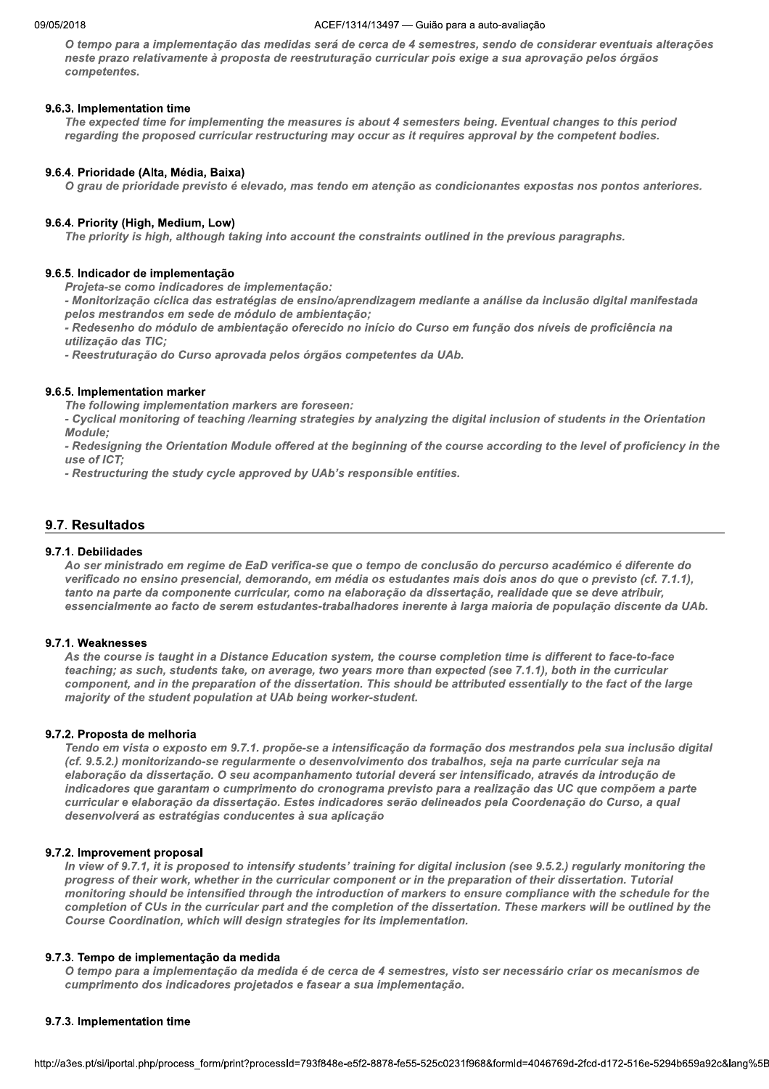#### ZUIB AULTI  $/1314/13497$  — Gulao para a auto-avaliação

O tempo para a implementação das medidas será de cerca de 4 semestres, sendo de considerar eventuais alterações neste prazo relativamente à proposta de reestruturação curricular pois exige a sua aprovação pelos órgãos competentes.

#### N 9.6.3. Implementation time  $\overline{\phantom{a}}$

The expected time for implementing the measures is about 4 semesters being. Eventual changes to this period regarding the proposed curricular restructuring may occur as it requires approval by the competent bodies.

#### N 9.6.4. Prioridade (Alta, Media, Baixa)

O grau de prioridade previsto é elevado, mas tendo em atenção as condicionantes expostas nos pontos anteriores.

#### N 9.6.4. Priority (Hign, Medium, Low)

The priority is high, although taking into account the constraints outlined in the previous paragraphs.

#### N 9.6.5. Indicador de implementação

Projeta-se como indicadores de implementação:<br>- Monitorização cíclica das estratégias de ensino/aprendizagem mediante a análise da inclusão digital manifestada pelos mestrandos em sede de módulo de ambientação;

.<br>- Redesenho do módulo de ambientação oferecido no início do Curso em função dos níveis de proficiência na utilização das TIC;

- Reestruturação do Curso aprovada pelos órgãos competentes da UAb.

#### N 9.6.5. Implementation marker

The following implementation markers are foreseen:

- Cyclical monitoring of teaching /learning strategies by analyzing the digital inclusion of students in the Orientation Module;

- Redesigning the Orientation Module offered at the beginning of the course according to the level of proficiency in the use of ICT;

- Restructuring the study cycle approved by UAb's responsible entities.

## 9.7. Resultados

#### 9.7.1. Debilidades

Ao ser ministrado em regime de EaD verifica-se que o tempo de conclusão do percurso académico é diferente do verificado no ensino presencial, demorando, em média os estudantes mais dois anos do que o previsto (cf. 7.1.1), tanto na parte da componente curricular, como na elaboração da dissertação, realidade que se deve atribuir, essencialmente ao facto de serem estudantes-trabalhadores inerente à larga maioria de população discente da UAb.

#### N 9.7.1. weaknesses

As the course is taught in a Distance Education system, the course completion time is different to face-to-face teaching; as such, students take, on average, two years more than expected (see 7.1.1), both in the curricular component, and in the preparation of the dissertation. This should be attributed essentially to the fact of the large majority of the student population at UAb being worker-student.

#### N 9.7.2. Proposta de meinoria

Tendo em vista o exposto em 9.7.1. propõe-se a intensificação da formação dos mestrandos pela sua inclusão digital (cf. 9.5.2.) monitorizando-se regularmente o desenvolvimento dos trabalhos, seja na parte curricular seja na elaboração da dissertação. O seu acompanhamento tutorial deverá ser intensificado, através da introdução de indicadores que garantam o cumprimento do cronograma previsto para a realização das UC que compõem a parte curricular e elaboracão da dissertacão. Estes indicadores serão delineados pela Coordenacão do Curso, a qual desenvolverá as estratégias conducentes à sua aplicação

#### N 9.7.2. improvement proposal

In view of 9.7.1, it is proposed to intensify students' training for digital inclusion (see 9.5.2.) regularly monitoring the progress of their work, whether in the curricular component or in the preparation of their dissertation. Tutorial monitoring should be intensified through the introduction of markers to ensure compliance with the schedule for the completion of CUs in the curricular part and the completion of the dissertation. These markers will be outlined by the Course Coordination, which will design strategies for its implementation.

#### N 9.7.3. Tempo de implementação da medida

a implementação da medida é de cerca de 4 semestres, visto ser necessário criar os mecanismos de<br>dos indicadores projetados e fasear a sua implementação.<br>**tion time**<br>bhp/process\_form/print?processId=793f848e-e5f2-8878-fe55 O tempo para a implementação da medida é de cerca de 4 semestres, visto ser necessário criar os mecanismos de cumprimento dos indicadores projetados e fasear a sua implementação.

#### N 9.7.3. Implementation time

nttp://a3es.pt/si/iportal.php/process\_form/pi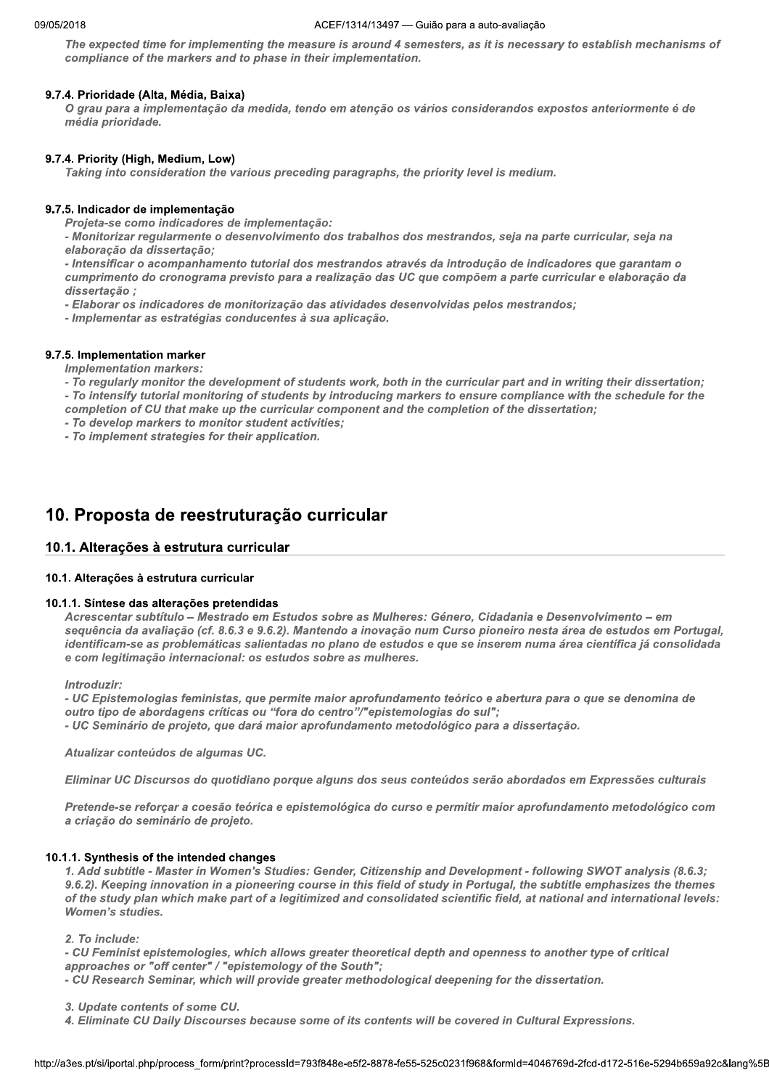#### ACEF/1314/13497 - Guião para a auto-avaliação

The expected time for implementing the measure is around 4 semesters, as it is necessary to establish mechanisms of compliance of the markers and to phase in their implementation.

#### 9.7.4. Prioridade (Alta, Média, Baixa)

O grau para a implementação da medida, tendo em atenção os vários considerandos expostos anteriormente é de média prioridade.

#### 9.7.4. Priority (High, Medium, Low)

Taking into consideration the various preceding paragraphs, the priority level is medium.

#### 9.7.5. Indicador de implementação

Projeta-se como indicadores de implementação:

- Monitorizar regularmente o desenvolvimento dos trabalhos dos mestrandos, seja na parte curricular, seja na elaboração da dissertação;

- Intensificar o acompanhamento tutorial dos mestrandos através da introdução de indicadores que garantam o cumprimento do cronograma previsto para a realização das UC que compõem a parte curricular e elaboração da dissertação ;

- Elaborar os indicadores de monitorização das atividades desenvolvidas pelos mestrandos;

- Implementar as estratégias conducentes à sua aplicação.

#### 9.7.5. Implementation marker

**Implementation markers:** 

- To regularly monitor the development of students work, both in the curricular part and in writing their dissertation;

- To intensify tutorial monitoring of students by introducing markers to ensure compliance with the schedule for the completion of CU that make up the curricular component and the completion of the dissertation;

- To develop markers to monitor student activities;
- To implement strategies for their application.

## 10. Proposta de reestruturação curricular

## 10.1. Alterações à estrutura curricular

#### 10.1. Alterações à estrutura curricular

#### 10.1.1. Síntese das alterações pretendidas

Acrescentar subtítulo - Mestrado em Estudos sobre as Mulheres: Género, Cidadania e Desenvolvimento - em sequência da avaliação (cf. 8.6.3 e 9.6.2). Mantendo a inovação num Curso pioneiro nesta área de estudos em Portugal, identificam-se as problemáticas salientadas no plano de estudos e que se inserem numa área científica já consolidada e com legitimação internacional: os estudos sobre as mulheres.

Introduzir:

- UC Epistemologias feministas, que permite maior aprofundamento teórico e abertura para o que se denomina de outro tipo de abordagens críticas ou "fora do centro"/"epistemologias do sul"; - UC Seminário de projeto, que dará maior aprofundamento metodológico para a dissertação.

Atualizar conteúdos de algumas UC.

Eliminar UC Discursos do quotidiano porque alguns dos seus conteúdos serão abordados em Expressões culturais

Pretende-se reforçar a coesão teórica e epistemológica do curso e permitir maior aprofundamento metodológico com a criação do seminário de projeto.

#### 10.1.1. Synthesis of the intended changes

1. Add subtitle - Master in Women's Studies: Gender, Citizenship and Development - following SWOT analysis (8.6.3; 9.6.2). Keeping innovation in a pioneering course in this field of study in Portugal, the subtitle emphasizes the themes of the study plan which make part of a legitimized and consolidated scientific field, at national and international levels: **Women's studies.** 

2. To include:

- CU Feminist epistemologies, which allows greater theoretical depth and openness to another type of critical approaches or "off center" / "epistemology of the South";

- CU Research Seminar, which will provide greater methodological deepening for the dissertation.

3. Update contents of some CU.

4. Eliminate CU Daily Discourses because some of its contents will be covered in Cultural Expressions.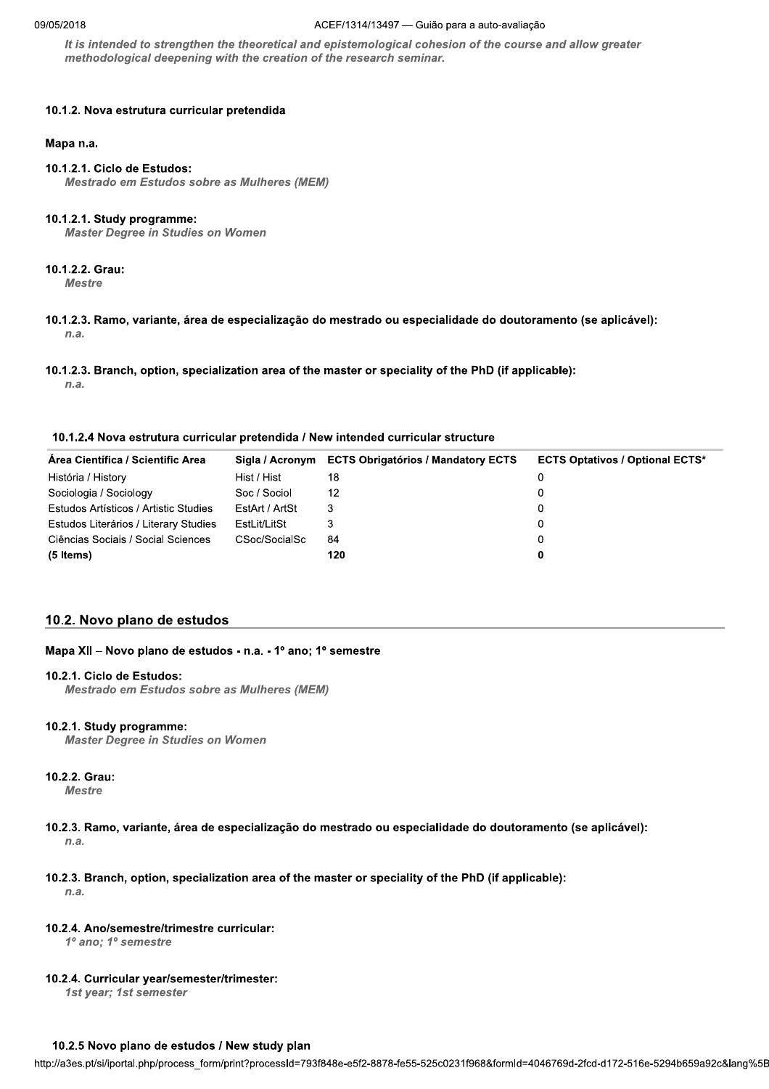#### ACEF/1314/13497 - Guião para a auto-avaliação

It is intended to strengthen the theoretical and epistemological cohesion of the course and allow greater methodological deepening with the creation of the research seminar.

## 10.1.2. Nova estrutura curricular pretendida

#### Mapa n.a.

## 10.1.2.1. Ciclo de Estudos:

**Mestrado em Estudos sobre as Mulheres (MEM)** 

## 10.1.2.1. Study programme:

**Master Degree in Studies on Women** 

## 10.1.2.2. Grau:

**Mestre** 

- 10.1.2.3. Ramo, variante, área de especialização do mestrado ou especialidade do doutoramento (se aplicável):  $n.a.$
- 10.1.2.3. Branch, option, specialization area of the master or speciality of the PhD (if applicable):

 $n.a.$ 

#### 10.1.2.4 Nova estrutura curricular pretendida / New intended curricular structure

| Area Científica / Scientific Area     | Sigla / Acronym | <b>ECTS Obrigatórios / Mandatory ECTS</b> | <b>ECTS Optativos / Optional ECTS*</b> |
|---------------------------------------|-----------------|-------------------------------------------|----------------------------------------|
| História / History                    | Hist / Hist     | 18                                        |                                        |
| Sociologia / Sociology                | Soc / Sociol    | 12                                        |                                        |
| Estudos Artísticos / Artistic Studies | EstArt / ArtSt  | 3                                         |                                        |
| Estudos Literários / Literary Studies | EstLit/LitSt    |                                           | 0                                      |
| Ciências Sociais / Social Sciences    | CSoc/SocialSc   | 84                                        |                                        |
| (5 Items)                             |                 | 120                                       | 0                                      |

## 10.2. Novo plano de estudos

## Mapa XII - Novo plano de estudos - n.a. - 1º ano; 1º semestre

## 10.2.1. Ciclo de Estudos:

Mestrado em Estudos sobre as Mulheres (MEM)

## 10.2.1. Study programme:

**Master Degree in Studies on Women** 

## 10.2.2. Grau:

**Mestre** 

- 10.2.3. Ramo, variante, área de especialização do mestrado ou especialidade do doutoramento (se aplicável):  $n.a.$
- 10.2.3. Branch, option, specialization area of the master or speciality of the PhD (if applicable):  $n.a.$

## 10.2.4. Ano/semestre/trimestre curricular:

1º ano; 1º semestre

## 10.2.4. Curricular year/semester/trimester:

1st year; 1st semester

## 10.2.5 Novo plano de estudos / New study plan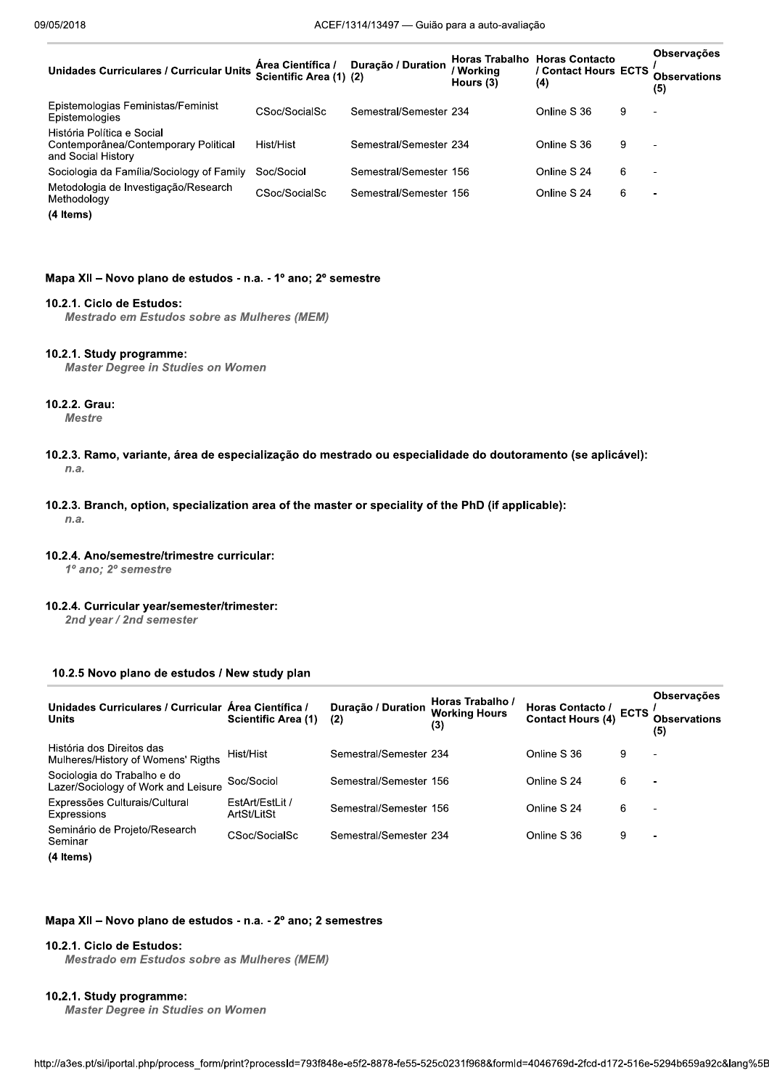| <b>Unidades Curriculares / Curricular Units</b>                                          | Area Científica /<br>Scientific Area (1) (2) | Duração / Duration     | Workina<br>Hours (3) | <b>Horas Trabalho Horas Contacto</b><br>/ Contact Hours ECTS<br>(4) |   | <b>Observações</b><br>Observations<br>(5) |
|------------------------------------------------------------------------------------------|----------------------------------------------|------------------------|----------------------|---------------------------------------------------------------------|---|-------------------------------------------|
| Epistemologias Feministas/Feminist<br>Epistemologies                                     | CSoc/SocialSc                                | Semestral/Semester 234 |                      | Online S 36                                                         | 9 | $\overline{\phantom{a}}$                  |
| História Política e Social<br>Contemporânea/Contemporary Political<br>and Social History | Hist/Hist                                    | Semestral/Semester 234 |                      | Online S 36                                                         | 9 | $\overline{\phantom{0}}$                  |
| Sociologia da Família/Sociology of Family                                                | Soc/Sociol                                   | Semestral/Semester 156 |                      | Online S 24                                                         | 6 | $\blacksquare$                            |
| Metodologia de Investigação/Research<br>Methodology                                      | CSoc/SocialSc                                | Semestral/Semester 156 |                      | Online S 24                                                         | 6 | $\blacksquare$                            |

(4 Items)

## Mapa XII - Novo plano de estudos - n.a. - 1º ano; 2º semestre

## 10.2.1. Ciclo de Estudos:

Mestrado em Estudos sobre as Mulheres (MEM)

#### 10.2.1. Study programme:

**Master Degree in Studies on Women** 

## 10.2.2. Grau:

**Mestre** 

- 10.2.3. Ramo, variante, área de especialização do mestrado ou especialidade do doutoramento (se aplicável):  $n.a.$
- 10.2.3. Branch, option, specialization area of the master or speciality of the PhD (if applicable):

 $n.a.$ 

10.2.4. Ano/semestre/trimestre curricular:

1º ano; 2º semestre

10.2.4. Curricular year/semester/trimester:

2nd year / 2nd semester

## 10.2.5 Novo plano de estudos / New study plan

| Unidades Curriculares / Curricular Área Científica /<br><b>Units</b> | <b>Scientific Area (1)</b>     | Duração / Duration<br>(2) | Horas Trabalho /<br><b>Working Hours</b><br>(3) | Horas Contacto / ECTS<br>Contact Hours (4) ECTS |   | <b>Observações</b><br><b>Observations</b><br>(5) |
|----------------------------------------------------------------------|--------------------------------|---------------------------|-------------------------------------------------|-------------------------------------------------|---|--------------------------------------------------|
| História dos Direitos das<br>Mulheres/History of Womens' Rigths      | Hist/Hist                      | Semestral/Semester 234    |                                                 | Online S 36                                     | 9 | $\overline{a}$                                   |
| Sociologia do Trabalho e do<br>Lazer/Sociology of Work and Leisure   | Soc/Sociol                     | Semestral/Semester 156    |                                                 | Online S 24                                     | 6 | $\overline{\phantom{0}}$                         |
| Expressões Culturais/Cultural<br>Expressions                         | EstArt/EstLit /<br>ArtSt/LitSt | Semestral/Semester 156    |                                                 | Online S 24                                     | 6 | $\overline{\phantom{0}}$                         |
| Seminário de Projeto/Research<br>Seminar                             | CSoc/SocialSc                  | Semestral/Semester 234    |                                                 | Online S 36                                     | 9 | $\overline{a}$                                   |
| (4 Items)                                                            |                                |                           |                                                 |                                                 |   |                                                  |

#### Mapa XII - Novo plano de estudos - n.a. - 2º ano; 2 semestres

#### 10.2.1. Ciclo de Estudos:

Mestrado em Estudos sobre as Mulheres (MEM)

## 10.2.1. Study programme:

**Master Degree in Studies on Women**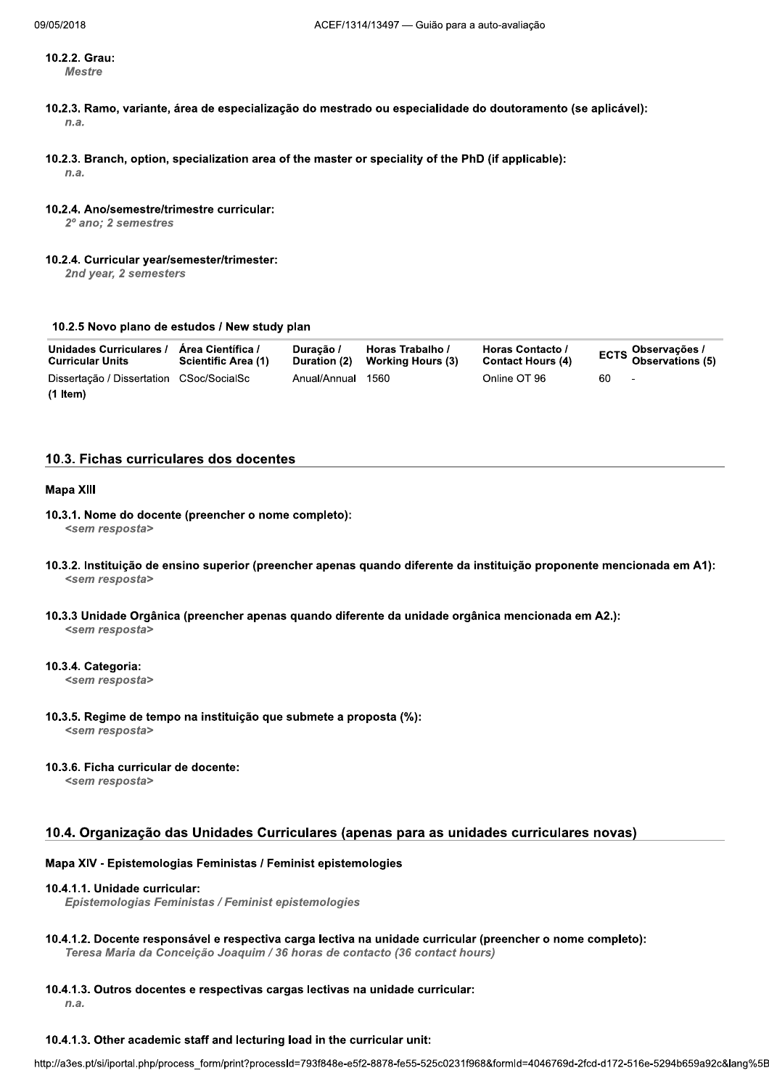10.2.2. Grau: **Mestre** 

- 10.2.3. Ramo, variante, área de especialização do mestrado ou especialidade do doutoramento (se aplicável):  $n.a.$
- 10.2.3. Branch, option, specialization area of the master or speciality of the PhD (if applicable):  $n.a.$

#### 10.2.4. Ano/semestre/trimestre curricular:

- 2º ano: 2 semestres
- 10.2.4. Curricular year/semester/trimester:

2nd year, 2 semesters

#### 10.2.5 Novo plano de estudos / New study plan

| Unidades Curriculares /<br><b>Curricular Units</b> | Área Científica /<br><b>Scientific Area (1)</b> | Duracão /<br>Duration (2) | Horas Trabalho /<br>Working Hours (3) | Horas Contacto /<br><b>Contact Hours (4)</b> |      | ECTS Observações /<br>Observations (5) |
|----------------------------------------------------|-------------------------------------------------|---------------------------|---------------------------------------|----------------------------------------------|------|----------------------------------------|
| Dissertação / Dissertation CSoc/SocialSc           |                                                 | Anual/Annual 1560         |                                       | Online OT 96                                 | 60 - | $\sim$                                 |
| $(1$ Item $)$                                      |                                                 |                           |                                       |                                              |      |                                        |

## 10.3. Fichas curriculares dos docentes

#### **Mapa XIII**

- 10.3.1. Nome do docente (preencher o nome completo): <sem resposta>
- 10.3.2. Instituição de ensino superior (preencher apenas quando diferente da instituição proponente mencionada em A1): <sem resposta>
- 10.3.3 Unidade Orgânica (preencher apenas quando diferente da unidade orgânica mencionada em A2.): <sem resposta>

#### 10.3.4. Categoria:

<sem resposta>

10.3.5. Regime de tempo na instituição que submete a proposta (%):

<sem resposta>

#### 10.3.6. Ficha curricular de docente:

<sem resposta>

#### 10.4. Organização das Unidades Curriculares (apenas para as unidades curriculares novas)

#### Mapa XIV - Epistemologias Feministas / Feminist epistemologies

#### 10.4.1.1. Unidade curricular:

Epistemologias Feministas / Feminist epistemologies

10.4.1.2. Docente responsável e respectiva carga lectiva na unidade curricular (preencher o nome completo): Teresa Maria da Conceição Joaquim / 36 horas de contacto (36 contact hours)

#### 10.4.1.3. Outros docentes e respectivas cargas lectivas na unidade curricular:

 $n.a.$ 

#### 10.4.1.3. Other academic staff and lecturing load in the curricular unit: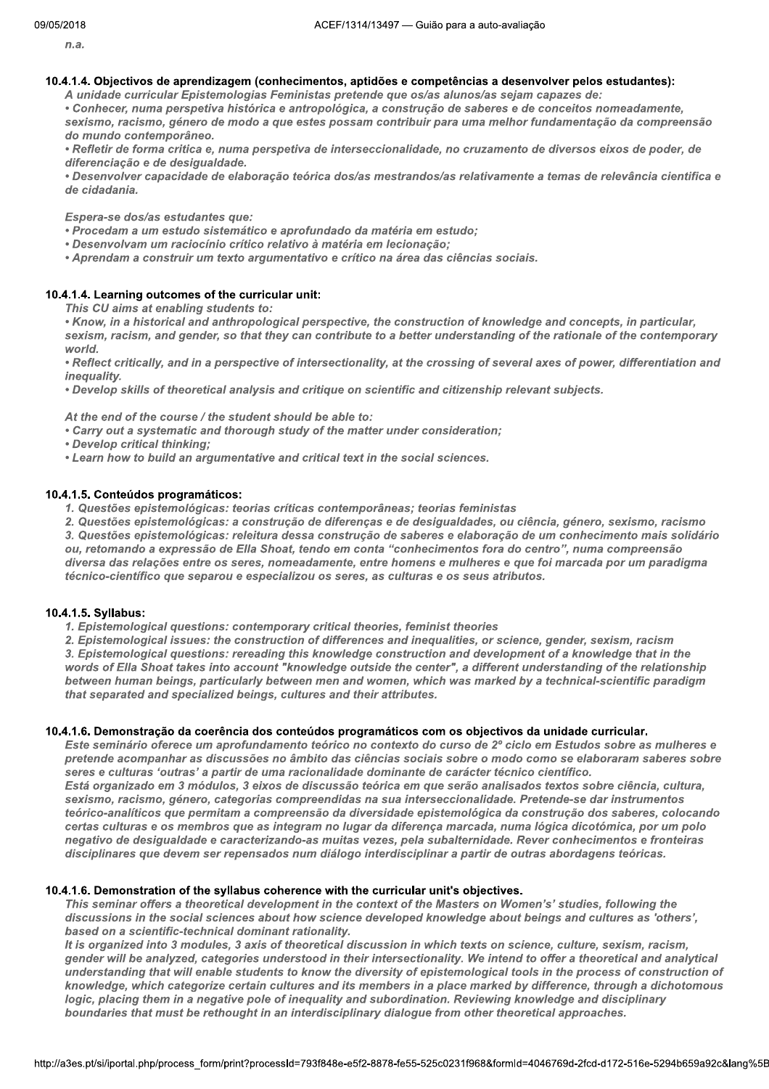$n.a.$ 

## 10.4.1.4. Objectivos de aprendizagem (conhecimentos, aptidões e competências a desenvolver pelos estudantes):

A unidade curricular Epistemologias Feministas pretende que os/as alunos/as sejam capazes de:

• Conhecer, numa perspetiva histórica e antropológica, a construção de saberes e de conceitos nomeadamente, sexismo, racismo, género de modo a que estes possam contribuir para uma melhor fundamentação da compreensão do mundo contemporâneo.

· Refletir de forma critica e, numa perspetiva de interseccionalidade, no cruzamento de diversos eixos de poder, de diferenciação e de desigualdade.

· Desenvolver capacidade de elaboração teórica dos/as mestrandos/as relativamente a temas de relevância cientifica e de cidadania.

Espera-se dos/as estudantes que:

· Procedam a um estudo sistemático e aprofundado da matéria em estudo;

• Desenvolvam um raciocínio crítico relativo à matéria em lecionação;

• Aprendam a construir um texto argumentativo e crítico na área das ciências sociais.

## 10.4.1.4. Learning outcomes of the curricular unit:

This CU aims at enabling students to:

• Know, in a historical and anthropological perspective, the construction of knowledge and concepts, in particular, sexism, racism, and gender, so that they can contribute to a better understanding of the rationale of the contemporary world.

• Reflect critically, and in a perspective of intersectionality, at the crossing of several axes of power, differentiation and inequality.

. Develop skills of theoretical analysis and critique on scientific and citizenship relevant subjects.

At the end of the course / the student should be able to:

• Carry out a systematic and thorough study of the matter under consideration;

· Develop critical thinking;

• Learn how to build an argumentative and critical text in the social sciences.

## 10.4.1.5. Conteúdos programáticos:

1. Questões epistemológicas: teorias críticas contemporâneas; teorias feministas

2. Questões epistemológicas: a construção de diferenças e de desigualdades, ou ciência, género, sexismo, racismo

3. Questões epistemológicas: releitura dessa construção de saberes e elaboração de um conhecimento mais solidário ou, retomando a expressão de Ella Shoat, tendo em conta "conhecimentos fora do centro", numa compreensão diversa das relações entre os seres, nomeadamente, entre homens e mulheres e que foi marcada por um paradigma técnico-científico que separou e especializou os seres, as culturas e os seus atributos.

## 10.4.1.5. Syllabus:

1. Epistemological questions: contemporary critical theories, feminist theories

2. Epistemological issues: the construction of differences and inequalities, or science, gender, sexism, racism

3. Epistemological questions: rereading this knowledge construction and development of a knowledge that in the words of Ella Shoat takes into account "knowledge outside the center", a different understanding of the relationship between human beings, particularly between men and women, which was marked by a technical-scientific paradigm that separated and specialized beings, cultures and their attributes.

## 10.4.1.6. Demonstração da coerência dos conteúdos programáticos com os objectivos da unidade curricular.

Este seminário oferece um aprofundamento teórico no contexto do curso de 2º ciclo em Estudos sobre as mulheres e pretende acompanhar as discussões no âmbito das ciências sociais sobre o modo como se elaboraram saberes sobre seres e culturas 'outras' a partir de uma racionalidade dominante de carácter técnico científico. Está organizado em 3 módulos, 3 eixos de discussão teórica em que serão analisados textos sobre ciência, cultura,

sexismo, racismo, género, categorias compreendidas na sua interseccionalidade. Pretende-se dar instrumentos teórico-analíticos que permitam a compreensão da diversidade epistemológica da construção dos saberes, colocando certas culturas e os membros que as integram no lugar da diferença marcada, numa lógica dicotómica, por um polo negativo de desigualdade e caracterizando-as muitas vezes, pela subalternidade. Rever conhecimentos e fronteiras disciplinares que devem ser repensados num diálogo interdisciplinar a partir de outras abordagens teóricas.

## 10.4.1.6. Demonstration of the syllabus coherence with the curricular unit's objectives.

This seminar offers a theoretical development in the context of the Masters on Women's' studies, following the discussions in the social sciences about how science developed knowledge about beings and cultures as 'others', based on a scientific-technical dominant rationality.

It is organized into 3 modules, 3 axis of theoretical discussion in which texts on science, culture, sexism, racism, gender will be analyzed, categories understood in their intersectionality. We intend to offer a theoretical and analytical understanding that will enable students to know the diversity of epistemological tools in the process of construction of knowledge, which categorize certain cultures and its members in a place marked by difference, through a dichotomous logic, placing them in a negative pole of inequality and subordination. Reviewing knowledge and disciplinary boundaries that must be rethought in an interdisciplinary dialogue from other theoretical approaches.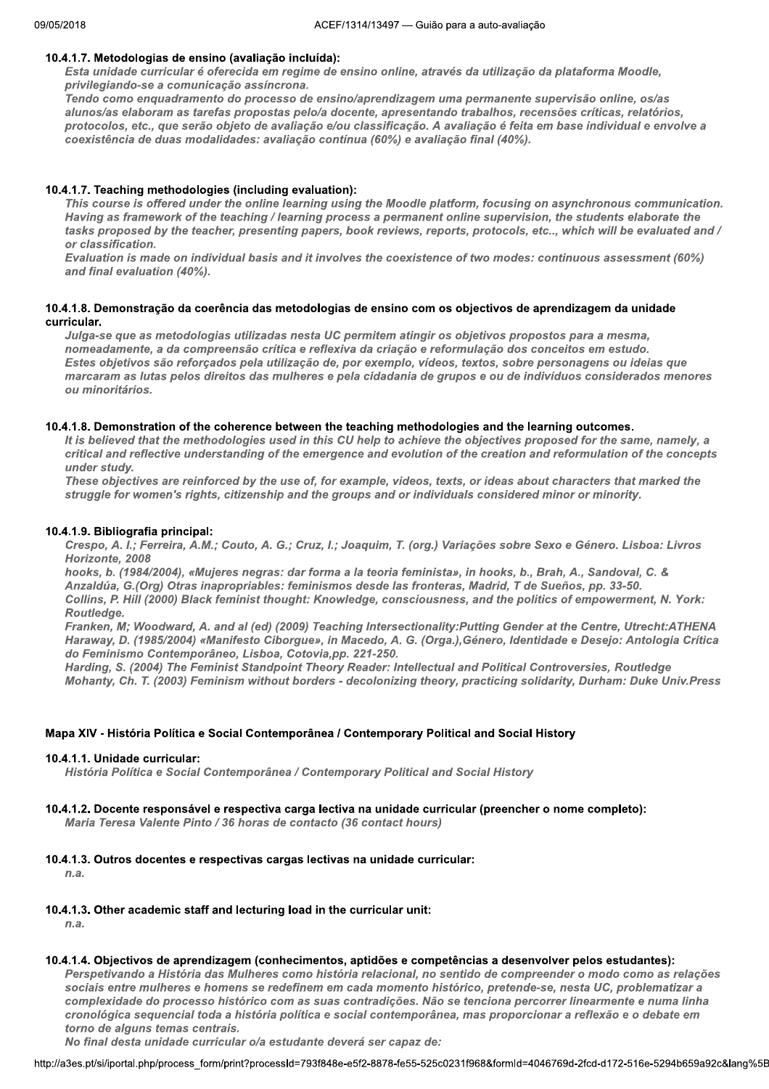## 10.4.1.7. Metodologias de ensino (avaliação incluída):

Esta unidade curricular é oferecida em regime de ensino online, através da utilização da plataforma Moodle, privilegiando-se a comunicação assíncrona.

Tendo como enquadramento do processo de ensino/aprendizagem uma permanente supervisão online, os/as alunos/as elaboram as tarefas propostas pelo/a docente, apresentando trabalhos, recensões críticas, relatórios, protocolos, etc., que serão objeto de avaliação e/ou classificação. A avaliação é feita em base individual e envolve a coexistência de duas modalidades: avaliação contínua (60%) e avaliação final (40%).

## 10.4.1.7. Teaching methodologies (including evaluation):

This course is offered under the online learning using the Moodle platform, focusing on asynchronous communication. Having as framework of the teaching / learning process a permanent online supervision, the students elaborate the tasks proposed by the teacher, presenting papers, book reviews, reports, protocols, etc.., which will be evaluated and / or classification.

Evaluation is made on individual basis and it involves the coexistence of two modes: continuous assessment (60%) and final evaluation (40%).

## 10.4.1.8. Demonstração da coerência das metodologias de ensino com os objectivos de aprendizagem da unidade curricular.

Julga-se que as metodologias utilizadas nesta UC permitem atingir os objetivos propostos para a mesma, nomeadamente, a da compreensão crítica e reflexiva da criação e reformulação dos conceitos em estudo. Estes objetivos são reforçados pela utilização de, por exemplo, vídeos, textos, sobre personagens ou ideias que marcaram as lutas pelos direitos das mulheres e pela cidadania de grupos e ou de indivíduos considerados menores ou minoritários.

## 10.4.1.8. Demonstration of the coherence between the teaching methodologies and the learning outcomes.

It is believed that the methodologies used in this CU help to achieve the objectives proposed for the same, namely, a critical and reflective understanding of the emergence and evolution of the creation and reformulation of the concepts under study.

These objectives are reinforced by the use of, for example, videos, texts, or ideas about characters that marked the struggle for women's rights, citizenship and the groups and or individuals considered minor or minority.

## 10.4.1.9. Bibliografia principal:

Crespo, A. I.; Ferreira, A.M.; Couto, A. G.; Cruz, I.; Joaquim, T. (org.) Variações sobre Sexo e Género. Lisboa: Livros Horizonte, 2008

hooks, b. (1984/2004), «Mujeres negras: dar forma a la teoria feminista», in hooks, b., Brah, A., Sandoval, C. & Anzaldúa, G.(Org) Otras inapropriables: feminismos desde las fronteras, Madrid, T de Sueños, pp. 33-50. Collins, P. Hill (2000) Black feminist thought: Knowledge, consciousness, and the politics of empowerment, N. York: Routledge.

Franken, M; Woodward, A. and al (ed) (2009) Teaching Intersectionality:Putting Gender at the Centre, Utrecht:ATHENA Haraway, D. (1985/2004) «Manifesto Ciborgue», in Macedo, A. G. (Orga.), Género, Identidade e Desejo: Antologia Crítica do Feminismo Contemporâneo, Lisboa, Cotovia, pp. 221-250.

Harding, S. (2004) The Feminist Standpoint Theory Reader: Intellectual and Political Controversies, Routledge Mohanty, Ch. T. (2003) Feminism without borders - decolonizing theory, practicing solidarity, Durham: Duke Univ.Press

## Mapa XIV - História Política e Social Contemporânea / Contemporary Political and Social History

## 10.4.1.1. Unidade curricular:

História Política e Social Contemporânea / Contemporary Political and Social History

## 10.4.1.2. Docente responsável e respectiva carga lectiva na unidade curricular (preencher o nome completo):

Maria Teresa Valente Pinto / 36 horas de contacto (36 contact hours)

## 10.4.1.3. Outros docentes e respectivas cargas lectivas na unidade curricular:

 $n.a.$ 

## 10.4.1.3. Other academic staff and lecturing load in the curricular unit:

 $n.a.$ 

## 10.4.1.4. Objectivos de aprendizagem (conhecimentos, aptidões e competências a desenvolver pelos estudantes):

Perspetivando a História das Mulheres como história relacional, no sentido de compreender o modo como as relações sociais entre mulheres e homens se redefinem em cada momento histórico, pretende-se, nesta UC, problematizar a complexidade do processo histórico com as suas contradições. Não se tenciona percorrer linearmente e numa linha cronológica sequencial toda a história política e social contemporânea, mas proporcionar a reflexão e o debate em torno de alguns temas centrais.

No final desta unidade curricular o/a estudante deverá ser capaz de: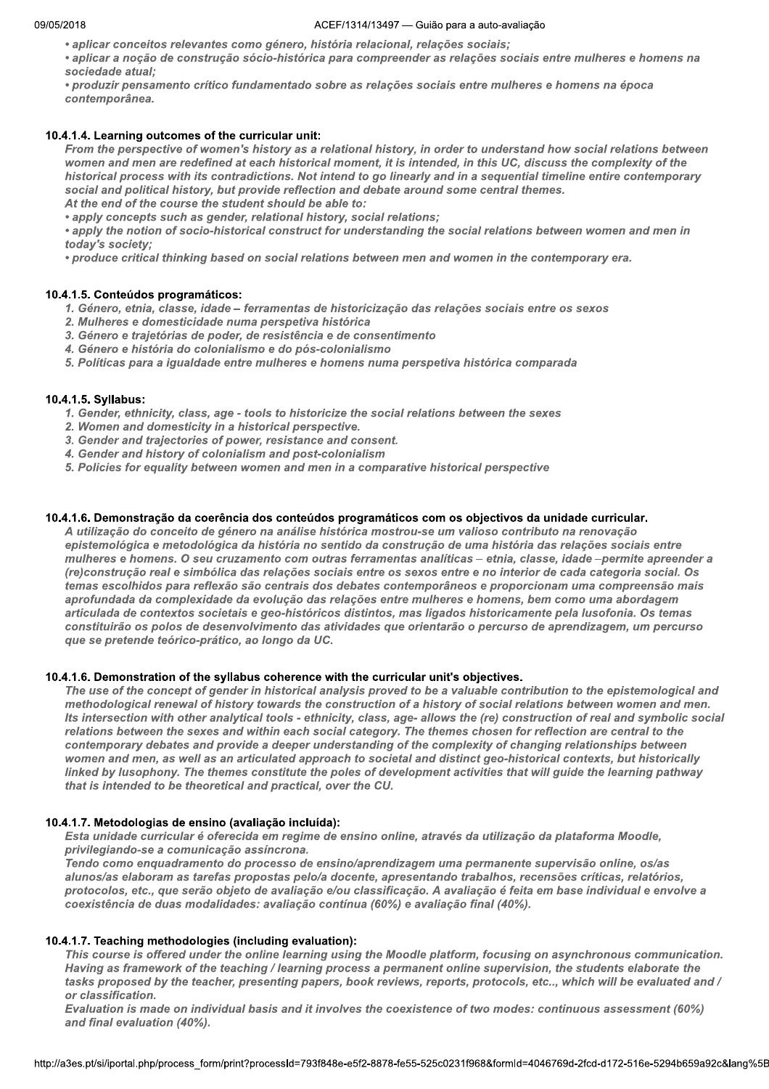- aplicar conceitos relevantes como género, história relacional, relações sociais;
- · aplicar a noção de construção sócio-histórica para compreender as relações sociais entre mulheres e homens na sociedade atual;
- produzir pensamento crítico fundamentado sobre as relações sociais entre mulheres e homens na época contemporânea.

## 10.4.1.4. Learning outcomes of the curricular unit:

From the perspective of women's history as a relational history, in order to understand how social relations between women and men are redefined at each historical moment, it is intended, in this UC, discuss the complexity of the historical process with its contradictions. Not intend to go linearly and in a sequential timeline entire contemporary social and political history, but provide reflection and debate around some central themes. At the end of the course the student should be able to:

• apply concepts such as gender, relational history, social relations;

• apply the notion of socio-historical construct for understanding the social relations between women and men in today's society;

• produce critical thinking based on social relations between men and women in the contemporary era.

#### 10.4.1.5. Conteúdos programáticos:

- 1. Género, etnia, classe, idade ferramentas de historicização das relações sociais entre os sexos
- 2. Mulheres e domesticidade numa perspetiva histórica
- 3. Género e trajetórias de poder, de resistência e de consentimento
- 4. Género e história do colonialismo e do pós-colonialismo
- 5. Políticas para a igualdade entre mulheres e homens numa perspetiva histórica comparada

#### 10.4.1.5. Syllabus:

- 1. Gender, ethnicity, class, age tools to historicize the social relations between the sexes
- 2. Women and domesticity in a historical perspective.
- 3. Gender and trajectories of power, resistance and consent.
- 4. Gender and history of colonialism and post-colonialism
- 5. Policies for equality between women and men in a comparative historical perspective

## 10.4.1.6. Demonstração da coerência dos conteúdos programáticos com os objectivos da unidade curricular.

A utilização do conceito de género na análise histórica mostrou-se um valioso contributo na renovação epistemológica e metodológica da história no sentido da construção de uma história das relações sociais entre mulheres e homens. O seu cruzamento com outras ferramentas analíticas - etnia, classe, idade -permite apreender a (re)construção real e simbólica das relações sociais entre os sexos entre e no interior de cada categoria social. Os temas escolhidos para reflexão são centrais dos debates contemporâneos e proporcionam uma compreensão mais aprofundada da complexidade da evolução das relações entre mulheres e homens, bem como uma abordagem articulada de contextos societais e geo-históricos distintos, mas ligados historicamente pela lusofonia. Os temas constituirão os polos de desenvolvimento das atividades que orientarão o percurso de aprendizagem, um percurso que se pretende teórico-prático, ao longo da UC.

## 10.4.1.6. Demonstration of the syllabus coherence with the curricular unit's objectives.

The use of the concept of gender in historical analysis proved to be a valuable contribution to the epistemological and methodological renewal of history towards the construction of a history of social relations between women and men. Its intersection with other analytical tools - ethnicity, class, age- allows the (re) construction of real and symbolic social relations between the sexes and within each social category. The themes chosen for reflection are central to the contemporary debates and provide a deeper understanding of the complexity of changing relationships between women and men, as well as an articulated approach to societal and distinct geo-historical contexts, but historically linked by lusophony. The themes constitute the poles of development activities that will guide the learning pathway that is intended to be theoretical and practical, over the CU.

#### 10.4.1.7. Metodologias de ensino (avaliação incluída):

Esta unidade curricular é oferecida em regime de ensino online, através da utilização da plataforma Moodle, privilegiando-se a comunicação assíncrona.

Tendo como enquadramento do processo de ensino/aprendizagem uma permanente supervisão online, os/as alunos/as elaboram as tarefas propostas pelo/a docente, apresentando trabalhos, recensões críticas, relatórios, protocolos, etc., que serão objeto de avaliação e/ou classificação. A avaliação é feita em base individual e envolve a coexistência de duas modalidades: avaliação contínua (60%) e avaliação final (40%).

#### 10.4.1.7. Teaching methodologies (including evaluation):

This course is offered under the online learning using the Moodle platform, focusing on asynchronous communication. Having as framework of the teaching / learning process a permanent online supervision, the students elaborate the tasks proposed by the teacher, presenting papers, book reviews, reports, protocols, etc.., which will be evaluated and / or classification.

Evaluation is made on individual basis and it involves the coexistence of two modes: continuous assessment (60%) and final evaluation (40%).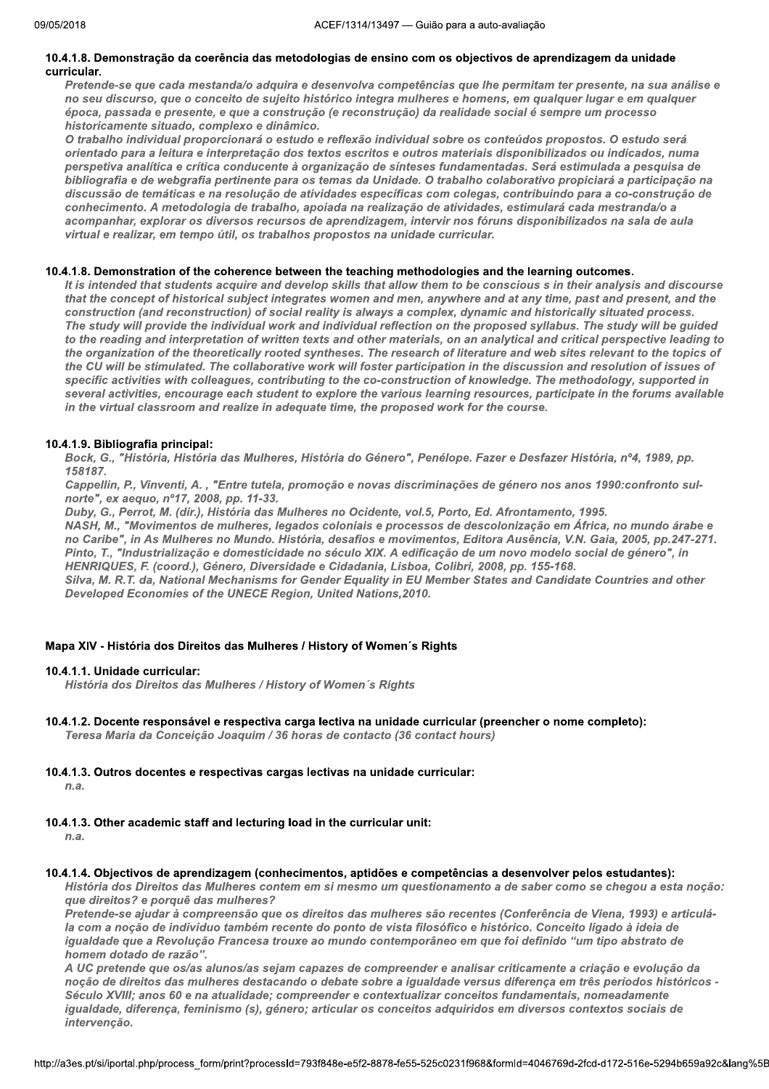#### 10.4.1.8. Demonstração da coerência das metodologias de ensino com os objectivos de aprendizagem da unidade curricular.

Pretende-se que cada mestanda/o adquira e desenvolva competências que lhe permitam ter presente, na sua análise e no seu discurso, que o conceito de sujeito histórico integra mulheres e homens, em qualquer lugar e em qualquer época, passada e presente, e que a construção (e reconstrução) da realidade social é sempre um processo historicamente situado, complexo e dinâmico.

O trabalho individual proporcionará o estudo e reflexão individual sobre os conteúdos propostos. O estudo será orientado para a leitura e interpretação dos textos escritos e outros materiais disponibilizados ou indicados, numa perspetiva analítica e crítica conducente à organização de sínteses fundamentadas. Será estimulada a pesquisa de bibliografia e de webgrafia pertinente para os temas da Unidade. O trabalho colaborativo propiciará a participação na discussão de temáticas e na resolução de atividades específicas com colegas, contribuindo para a co-construção de conhecimento. A metodologia de trabalho, apoiada na realização de atividades, estimulará cada mestranda/o a acompanhar, explorar os diversos recursos de aprendizagem, intervir nos fóruns disponibilizados na sala de aula virtual e realizar, em tempo útil, os trabalhos propostos na unidade curricular.

#### 10.4.1.8. Demonstration of the coherence between the teaching methodologies and the learning outcomes.

It is intended that students acquire and develop skills that allow them to be conscious s in their analysis and discourse that the concept of historical subject integrates women and men, anywhere and at any time, past and present, and the construction (and reconstruction) of social reality is always a complex, dynamic and historically situated process. The study will provide the individual work and individual reflection on the proposed syllabus. The study will be guided to the reading and interpretation of written texts and other materials, on an analytical and critical perspective leading to the organization of the theoretically rooted syntheses. The research of literature and web sites relevant to the topics of the CU will be stimulated. The collaborative work will foster participation in the discussion and resolution of issues of specific activities with colleagues, contributing to the co-construction of knowledge. The methodology, supported in several activities, encourage each student to explore the various learning resources, participate in the forums available in the virtual classroom and realize in adequate time, the proposed work for the course.

## 10.4.1.9. Bibliografia principal:

Bock, G., "História, História das Mulheres, História do Género", Penélope. Fazer e Desfazer História, nº4, 1989, pp. 158187.

Cappellin, P., Vinventi, A., "Entre tutela, promoção e novas discriminações de género nos anos 1990:confronto sulnorte", ex aequo, nº17, 2008, pp. 11-33.

Duby, G., Perrot, M. (dir.), História das Mulheres no Ocidente, vol.5, Porto, Ed. Afrontamento, 1995.

NASH, M., "Movimentos de mulheres, legados coloniais e processos de descolonização em África, no mundo árabe e no Caribe", in As Mulheres no Mundo. História, desafios e movimentos, Editora Ausência, V.N. Gaia, 2005, pp.247-271. Pinto, T., "Industrialização e domesticidade no século XIX. A edificação de um novo modelo social de género", in HENRIQUES, F. (coord.), Género, Diversidade e Cidadania, Lisboa, Colibri, 2008, pp. 155-168.

Silva, M. R.T. da, National Mechanisms for Gender Equality in EU Member States and Candidate Countries and other Developed Economies of the UNECE Region, United Nations, 2010.

## Mapa XIV - História dos Direitos das Mulheres / History of Women's Rights

## 10.4.1.1. Unidade curricular:

História dos Direitos das Mulheres / History of Women's Rights

## 10.4.1.2. Docente responsável e respectiva carga lectiva na unidade curricular (preencher o nome completo):

Teresa Maria da Conceição Joaquim / 36 horas de contacto (36 contact hours)

10.4.1.3. Outros docentes e respectivas cargas lectivas na unidade curricular:

 $n.a.$ 

10.4.1.3. Other academic staff and lecturing load in the curricular unit:

 $n a$ 

#### 10.4.1.4. Objectivos de aprendizagem (conhecimentos, aptidões e competências a desenvolver pelos estudantes):

História dos Direitos das Mulheres contem em si mesmo um questionamento a de saber como se chegou a esta nocão: que direitos? e porquê das mulheres?

Pretende-se ajudar à compreensão que os direitos das mulheres são recentes (Conferência de Viena, 1993) e articulála com a noção de individuo também recente do ponto de vista filosófico e histórico. Conceito ligado à ideia de igualdade que a Revolução Francesa trouxe ao mundo contemporâneo em que foi definido "um tipo abstrato de homem dotado de razão".

A UC pretende que os/as alunos/as sejam capazes de compreender e analisar criticamente a criação e evolução da noção de direitos das mulheres destacando o debate sobre a igualdade versus diferença em três períodos históricos -Século XVIII; anos 60 e na atualidade; compreender e contextualizar conceitos fundamentais, nomeadamente igualdade, diferença, feminismo (s), género; articular os conceitos adquiridos em diversos contextos sociais de intervenção.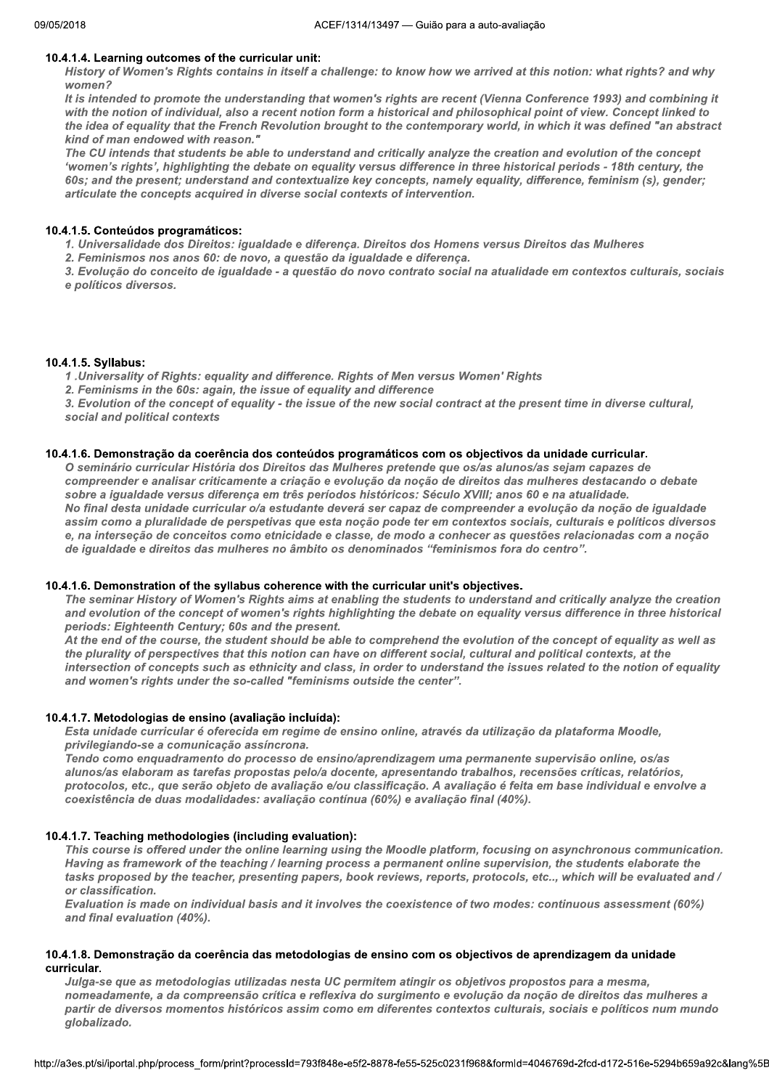## 10.4.1.4. Learning outcomes of the curricular unit:

History of Women's Rights contains in itself a challenge: to know how we arrived at this notion: what rights? and why  $W<sub>0</sub>$  men<sup>2</sup>

It is intended to promote the understanding that women's rights are recent (Vienna Conference 1993) and combining it with the notion of individual, also a recent notion form a historical and philosophical point of view. Concept linked to the idea of equality that the French Revolution brought to the contemporary world, in which it was defined "an abstract kind of man endowed with reason."

The CU intends that students be able to understand and critically analyze the creation and evolution of the concept 'women's rights', highlighting the debate on equality versus difference in three historical periods - 18th century, the 60s; and the present; understand and contextualize key concepts, namely equality, difference, feminism (s), gender; articulate the concepts acquired in diverse social contexts of intervention.

#### 10.4.1.5. Conteúdos programáticos:

1. Universalidade dos Direitos: igualdade e diferença. Direitos dos Homens versus Direitos das Mulheres

2. Feminismos nos anos 60: de novo, a questão da igualdade e diferença.

3. Evolução do conceito de igualdade - a questão do novo contrato social na atualidade em contextos culturais, sociais e políticos diversos.

#### 10.4.1.5. Syllabus:

1. Universality of Rights: equality and difference. Rights of Men versus Women' Rights

2. Feminisms in the 60s: again, the issue of equality and difference

3. Evolution of the concept of equality - the issue of the new social contract at the present time in diverse cultural, social and political contexts

#### 10.4.1.6. Demonstração da coerência dos conteúdos programáticos com os objectivos da unidade curricular.

O seminário curricular História dos Direitos das Mulheres pretende que os/as alunos/as sejam capazes de compreender e analisar criticamente a criação e evolução da noção de direitos das mulheres destacando o debate sobre a igualdade versus diferença em três períodos históricos: Século XVIII; anos 60 e na atualidade. No final desta unidade curricular o/a estudante deverá ser capaz de compreender a evolução da noção de igualdade assim como a pluralidade de perspetivas que esta noção pode ter em contextos sociais, culturais e políticos diversos e, na interseção de conceitos como etnicidade e classe, de modo a conhecer as questões relacionadas com a noção de iqualdade e direitos das mulheres no âmbito os denominados "feminismos fora do centro".

## 10.4.1.6. Demonstration of the syllabus coherence with the curricular unit's objectives.

The seminar History of Women's Rights aims at enabling the students to understand and critically analyze the creation and evolution of the concept of women's rights highlighting the debate on equality versus difference in three historical periods: Eighteenth Century; 60s and the present.

At the end of the course, the student should be able to comprehend the evolution of the concept of equality as well as the plurality of perspectives that this notion can have on different social, cultural and political contexts, at the intersection of concepts such as ethnicity and class, in order to understand the issues related to the notion of equality and women's rights under the so-called "feminisms outside the center".

## 10.4.1.7. Metodologias de ensino (avaliação incluída):

Esta unidade curricular é oferecida em regime de ensino online, através da utilização da plataforma Moodle, privilegiando-se a comunicação assíncrona.

Tendo como enguadramento do processo de ensino/aprendizagem uma permanente supervisão online, os/as alunos/as elaboram as tarefas propostas pelo/a docente, apresentando trabalhos, recensões críticas, relatórios, protocolos, etc., que serão objeto de avaliação e/ou classificação. A avaliação é feita em base individual e envolve a coexistência de duas modalidades: avaliação contínua (60%) e avaliação final (40%).

## 10.4.1.7. Teaching methodologies (including evaluation):

This course is offered under the online learning using the Moodle platform, focusing on asynchronous communication. Having as framework of the teaching / learning process a permanent online supervision, the students elaborate the tasks proposed by the teacher, presenting papers, book reviews, reports, protocols, etc.., which will be evaluated and / or classification

Evaluation is made on individual basis and it involves the coexistence of two modes: continuous assessment (60%) and final evaluation (40%).

## 10.4.1.8. Demonstração da coerência das metodologias de ensino com os objectivos de aprendizagem da unidade curricular.

Julga-se que as metodologias utilizadas nesta UC permitem atingir os objetivos propostos para a mesma, nomeadamente, a da compreensão crítica e reflexiva do surgimento e evolução da noção de direitos das mulheres a partir de diversos momentos históricos assim como em diferentes contextos culturais, sociais e políticos num mundo globalizado.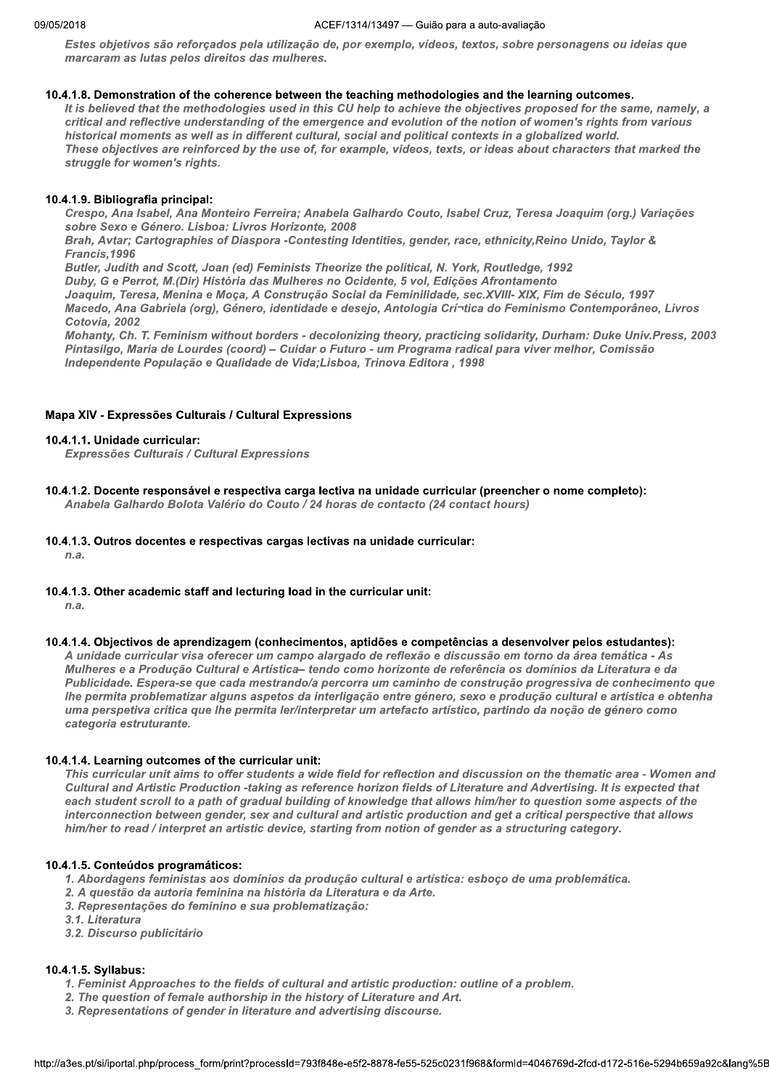Estes objetivos são reforçados pela utilização de, por exemplo, vídeos, textos, sobre personagens ou ideias que marcaram as lutas pelos direitos das mulheres.

## 10.4.1.8. Demonstration of the coherence between the teaching methodologies and the learning outcomes.

It is believed that the methodologies used in this CU help to achieve the objectives proposed for the same, namely, a critical and reflective understanding of the emergence and evolution of the notion of women's rights from various historical moments as well as in different cultural, social and political contexts in a globalized world. These objectives are reinforced by the use of, for example, videos, texts, or ideas about characters that marked the struggle for women's rights.

## 10.4.1.9. Bibliografia principal:

Crespo, Ana Isabel, Ana Monteiro Ferreira; Anabela Galhardo Couto, Isabel Cruz, Teresa Joaquim (org.) Variações sobre Sexo e Género. Lisboa: Livros Horizonte, 2008

Brah, Avtar; Cartographies of Diaspora -Contesting Identities, gender, race, ethnicity, Reino Unido, Taylor & Francis.1996

Butler, Judith and Scott, Joan (ed) Feminists Theorize the political, N. York, Routledge, 1992

Duby, G e Perrot, M.(Dir) História das Mulheres no Ocidente, 5 vol, Edições Afrontamento

Joaquim, Teresa, Menina e Moça, A Construção Social da Feminilidade, sec. XVIII- XIX, Fim de Século, 1997 Macedo, Ana Gabriela (org), Género, identidade e desejo, Antologia Crí-tica do Feminismo Contemporâneo, Livros Cotovia, 2002

Mohanty, Ch. T. Feminism without borders - decolonizing theory, practicing solidarity, Durham: Duke Univ.Press, 2003 Pintasilgo, Maria de Lourdes (coord) - Cuidar o Futuro - um Programa radical para viver melhor, Comissão Independente População e Qualidade de Vida; Lisboa, Trinova Editora, 1998

## Mapa XIV - Expressões Culturais / Cultural Expressions

## 10.4.1.1. Unidade curricular:

Expressões Culturais / Cultural Expressions

10.4.1.2. Docente responsável e respectiva carga lectiva na unidade curricular (preencher o nome completo):

Anabela Galhardo Bolota Valério do Couto / 24 horas de contacto (24 contact hours)

## 10.4.1.3. Outros docentes e respectivas cargas lectivas na unidade curricular:

 $n.a.$ 

10.4.1.3. Other academic staff and lecturing load in the curricular unit:

 $n.a.$ 

## 10.4.1.4. Objectivos de aprendizagem (conhecimentos, aptidões e competências a desenvolver pelos estudantes):

A unidade curricular visa oferecer um campo alargado de reflexão e discussão em torno da área temática - As Mulheres e a Produção Cultural e Artística- tendo como horizonte de referência os domínios da Literatura e da Publicidade. Espera-se que cada mestrando/a percorra um caminho de construção progressiva de conhecimento que Ihe permita problematizar alguns aspetos da interligação entre género, sexo e produção cultural e artística e obtenha uma perspetiva crítica que lhe permita ler/interpretar um artefacto artístico, partindo da noção de género como categoria estruturante.

## 10.4.1.4. Learning outcomes of the curricular unit:

This curricular unit aims to offer students a wide field for reflection and discussion on the thematic area - Women and Cultural and Artistic Production -taking as reference horizon fields of Literature and Advertising. It is expected that each student scroll to a path of gradual building of knowledge that allows him/her to question some aspects of the interconnection between gender, sex and cultural and artistic production and get a critical perspective that allows him/her to read / interpret an artistic device, starting from notion of gender as a structuring category.

## 10.4.1.5. Conteúdos programáticos:

- 1. Abordagens feministas aos domínios da produção cultural e artística: esboço de uma problemática.
- 2. A questão da autoria feminina na história da Literatura e da Arte.
- 3. Representações do feminino e sua problematização:
- 3.1. Literatura
- 3.2. Discurso publicitário

## 10.4.1.5. Syllabus:

- 1. Feminist Approaches to the fields of cultural and artistic production: outline of a problem.
- 2. The question of female authorship in the history of Literature and Art.
- 3. Representations of gender in literature and advertising discourse.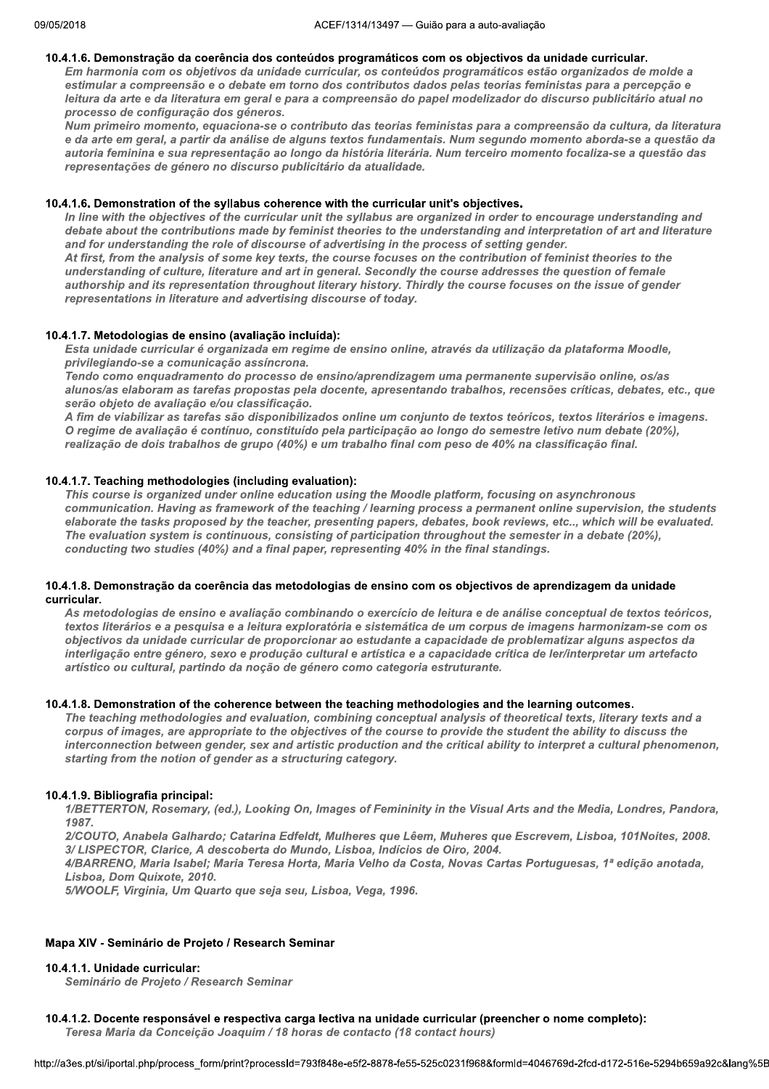## 10.4.1.6. Demonstração da coerência dos conteúdos programáticos com os objectivos da unidade curricular.

Em harmonia com os objetivos da unidade curricular, os conteúdos programáticos estão organizados de molde a estimular a compreensão e o debate em torno dos contributos dados pelas teorias feministas para a percepção e leitura da arte e da literatura em geral e para a compreensão do papel modelizador do discurso publicitário atual no processo de configuração dos géneros.

Num primeiro momento, equaciona-se o contributo das teorias feministas para a compreensão da cultura, da literatura e da arte em geral, a partir da análise de alguns textos fundamentais. Num segundo momento aborda-se a questão da autoria feminina e sua representação ao longo da história literária. Num terceiro momento focaliza-se a questão das representações de género no discurso publicitário da atualidade.

#### 11 10.4.1.6. Demonstration of the syllabus conerence with the curricular unit's objectives.

In line with the objectives of the curricular unit the syllabus are organized in order to encourage understanding and debate about the contributions made by feminist theories to the understanding and interpretation of art and literature and for understanding the role of discourse of advertising in the process of setting gender. At first, from the analysis of some key texts, the course focuses on the contribution of feminist theories to the understanding of culture, literature and art in general. Secondly the course addresses the question of female authorship and its representation throughout literary history. Thirdly the course focuses on the issue of gender representations in literature and advertising discourse of today.

## 10.4.1.7. Metodologias de ensino (avaliação incluída):

Esta unidade curricular é organizada em regime de ensino online, através da utilização da plataforma Moodle. privilegiando-se a comunicação assíncrona.

Tendo como enquadramento do processo de ensino/aprendizagem uma permanente supervisão online, os/as alunos/as elaboram as tarefas propostas pela docente, apresentando trabalhos, recensões críticas, debates, etc., que serão objeto de avaliação e/ou classificação.

A fim de viabilizar as tarefas são disponibilizados online um conjunto de textos teóricos, textos literários e imagens. O regime de avaliação é contínuo, constituído pela participação ao longo do semestre letivo num debate (20%), realização de dois trabalhos de grupo (40%) e um trabalho final com peso de 40% na classificação final.

#### 1 10.4.1.7. Teaching methodologies (including evaluation):

This course is organized under online education using the Moodle platform, focusing on asynchronous communication. Having as framework of the teaching / learning process a permanent online supervision, the students elaborate the tasks proposed by the teacher, presenting papers, debates, book reviews, etc.., which will be evaluated. The evaluation system is continuous, consisting of participation throughout the semester in a debate (20%), conducting two studies (40%) and a final paper, representing 40% in the final standings.

#### 11 10.4.1.8. Demonstração da coerencia das metodologias de ensino com os objectivos de aprendizagem da unidade curricular.

As metodologias de ensino e avaliação combinando o exercício de leitura e de análise conceptual de textos teóricos, textos literários e a pesquisa e a leitura exploratória e sistemática de um corpus de imagens harmonizam-se com os objectivos da unidade curricular de proporcionar ao estudante a capacidade de problematizar alguns aspectos da interligação entre género, sexo e produção cultural e artística e a capacidade crítica de ler/interpretar um artefacto artístico ou cultural, partindo da noção de género como categoria estruturante.

#### 11 10.4.1.8. Demonstration of the conerence between the teaching methodologies and the learning outcomes.

The teaching methodologies and evaluation, combining conceptual analysis of theoretical texts, literary texts and a corpus of images, are appropriate to the objectives of the course to provide the student the ability to discuss the interconnection between gender, sex and artistic production and the critical ability to interpret a cultural phenomenon, starting from the notion of gender as a structuring category.

#### 11 10.4.1.9. Bibliografia principal:

1/BETTERTON, Rosemary, (ed.), Looking On, Images of Femininity in the Visual Arts and the Media, Londres, Pandora, 1987.

2/COUTO, Anabela Galhardo; Catarina Edfeldt, Mulheres que Lêem, Muheres que Escrevem, Lisboa, 101Noites, 2008.  $3/$ LISPECTOR, Clarice, A descoberta do Mundo, Lisboa, Indícios de Oiro, 2004.

4/BARRENO, Maria Isabel; Maria Teresa Horta, Maria Velho da Costa, Novas Cartas Portuguesas, 1ª edição anotada, Lisboa, Dom Quixote, 2010.

5/WOOLF, Virginia, Um Quarto que seja seu, Lisboa, Vega, 1996.

## Mapa XIV - Seminário de Projeto / Research Seminar

## 10.4.1.1. Unidade curricular:

Seminário de Projeto / Research Seminar

#### 11 10.4.1.2. Docente responsavel e respectiva carga lectiva na unidade curricular (preencher o nome completo):

Teresa Maria da Conceição Joaquim / 18 horas de contacto (18 contact hours)

```
nttp://a3es.pt/si/iportal.php/process_form/pi
                                   curricular:<br>Projeto / Research Seminar<br>responsável e respectiva carga lectiva na unidade curricular (preencher o nome completo):<br>da Conceição Joaquim / 18 horas de contacto (18 contact hours)<br>php/process_form/print?process
```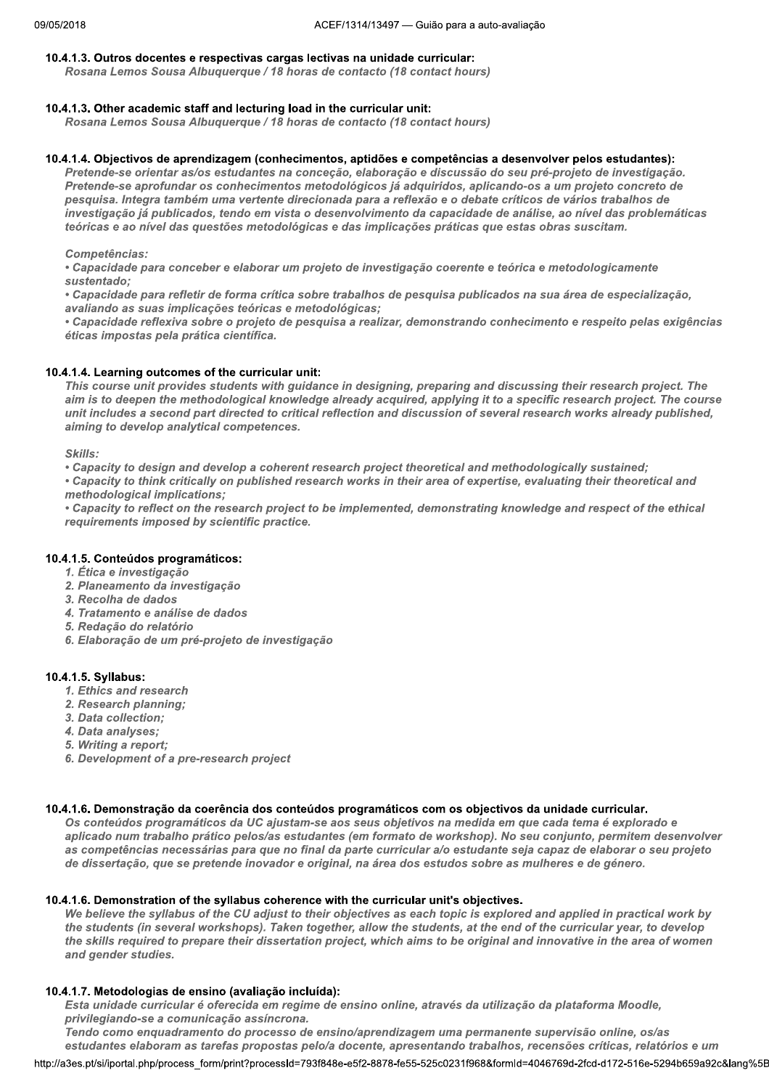## 10.4.1.3. Outros docentes e respectivas cargas lectivas na unidade curricular:

Rosana Lemos Sousa Albuquerque / 18 horas de contacto (18 contact hours)

#### 11  $10.4.1.3.$  Other academic staff and lecturing load in the curricular unit:

Rosana Lemos Sousa Albuquerque / 18 horas de contacto (18 contact hours)

#### 10.4.1.4. Objectivos de aprendizagem (conhecimentos, aptidões e competências a desenvolver pelos estudantes):

Pretende-se orientar as/os estudantes na conceção, elaboração e discussão do seu pré-projeto de investigação. Pretende-se aprofundar os conhecimentos metodológicos já adquiridos, aplicando-os a um projeto concreto de pesquisa. Integra também uma vertente direcionada para a reflexão e o debate críticos de vários trabalhos de investigação já publicados, tendo em vista o desenvolvimento da capacidade de análise, ao nível das problemáticas teóricas e ao nível das questões metodológicas e das implicações práticas que estas obras suscitam.

M M Competências:

• Capacidade para conceber e elaborar um projeto de investigação coerente e teórica e metodologicamente sustentado:

• Capacidade para refletir de forma crítica sobre trabalhos de pesquisa publicados na sua área de especialização, avaliando as suas implicações teóricas e metodológicas;

• Capacidade reflexiva sobre o projeto de pesquisa a realizar, demonstrando conhecimento e respeito pelas exigências éticas impostas pela prática científica.

#### 11 10.4.1.4. Learning outcomes of the curricular unit:

This course unit provides students with guidance in designing, preparing and discussing their research project. The aim is to deepen the methodological knowledge already acquired, applying it to a specific research project. The course unit includes a second part directed to critical reflection and discussion of several research works already published, aiming to develop analytical competences.

M M Skills:

• Capacity to design and develop a coherent research project theoretical and methodologically sustained;

• Capacity to think critically on published research works in their area of expertise, evaluating their theoretical and methodological implications:

• Capacity to reflect on the research project to be implemented, demonstrating knowledge and respect of the ethical requirements imposed by scientific practice.

#### $\mathbf{1}$ 10.4.1.5. Conteudos programaticos:

- 1. Ética e investigação
- 2. Planeamento da investigação
- 3. Recolha de dados
- 4. Tratamento e análise de dados
- 5. Redação do relatório
- 6. Elaboração de um pré-projeto de investigação

#### 11 10.4.1.5. Syliabus:

- 1. Ethics and research
- 2. Research planning;<br>3. Data collection:
- 
- 4. Data analyses;
- 5. Writing a report:
- 6. Development of a pre-research project

#### 11 10.4.1.6. Demonstração da coerencia dos conteudos programaticos com os objectivos da unidade curricular.

Os conteúdos programáticos da UC ajustam-se aos seus objetivos na medida em que cada tema é explorado e aplicado num trabalho prático pelos/as estudantes (em formato de workshop). No seu conjunto, permitem desenvolver as competências necessárias para que no final da parte curricular a/o estudante seja capaz de elaborar o seu projeto de dissertação, que se pretende inovador e original, na área dos estudos sobre as mulheres e de género.

#### 11 10.4.1.6. Demonstration of the syllabus conerence with the curricular unit's objectives.

We believe the syllabus of the CU adjust to their objectives as each topic is explored and applied in practical work by the students (in several workshops). Taken together, allow the students, at the end of the curricular year, to develop the skills required to prepare their dissertation project, which aims to be original and innovative in the area of women and gender studies.

#### 10.4.1.7. Metodologias de ensino (avaliação incluída):

Esta unidade curricular é oferecida em regime de ensino online, através da utilização da plataforma Moodle, privilegiando-se a comunicação assíncrona.

ogias de ensino (avaliação incluída):<br>curricular é oferecida em regime de ensino online, através da utilização da plataforma Moodle,<br>se a comunicação assíncrona.<br>ahoram as tarefas propostas pelo/a docente, apresentando tra Tendo como enquadramento do processo de ensino/aprendizagem uma permanente supervisão online, os/as estudantes elaboram as tarefas propostas pelo/a docente, apresentando trabalhos, recensões críticas, relatórios e um

nttp://a3es.pt/si/iportal.php/process\_form/pi